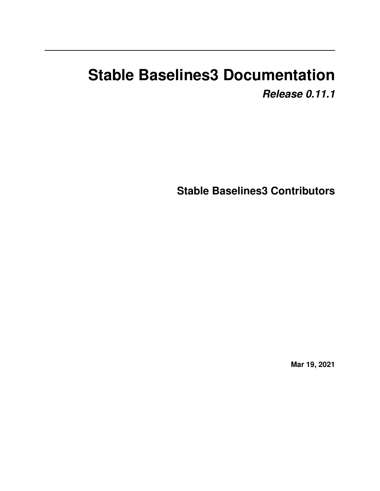# **Stable Baselines3 Documentation** *Release 0.11.1*

**Stable Baselines3 Contributors**

**Mar 19, 2021**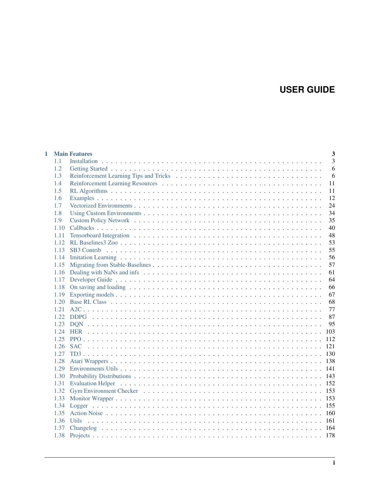## **USER GUIDE**

|      | <b>Main Features</b> | $\overline{\mathbf{3}}$ |
|------|----------------------|-------------------------|
| 1.1  |                      | 3                       |
| 1.2  |                      | 6                       |
| 1.3  |                      | 6                       |
| 1.4  |                      | 11                      |
| 1.5  |                      | 11                      |
| 1.6  |                      | 12                      |
| 1.7  |                      | 24                      |
| 1.8  |                      | 34                      |
| 1.9  |                      | 35                      |
| 1.10 |                      | 40                      |
| 1.11 |                      | 48                      |
| 1.12 |                      | 53                      |
| 1.13 |                      | 55                      |
| 1.14 |                      | 56                      |
| 1.15 |                      | 57                      |
| 1.16 |                      | 61                      |
| 1.17 |                      | 64                      |
| 1.18 |                      | 66                      |
| 1.19 |                      | 67                      |
| 1.20 |                      | 68                      |
| 1.21 |                      | 77                      |
| 1.22 |                      | 87                      |
| 1.23 |                      | 95                      |
| 1.24 | 103                  |                         |
| 1.25 | 112                  |                         |
| 1.26 | 121                  |                         |
| 1.27 | 130                  |                         |
| 1.28 |                      |                         |
| 1.29 |                      |                         |
| 1.30 |                      |                         |
| 1.31 |                      |                         |
| 1.32 |                      |                         |
| 1.33 | 153                  |                         |
| 1.34 | 155                  |                         |
| 1.35 | 160                  |                         |
| 1.36 | 161                  |                         |
| 1.37 | -164                 |                         |
| 1.38 |                      |                         |
|      |                      |                         |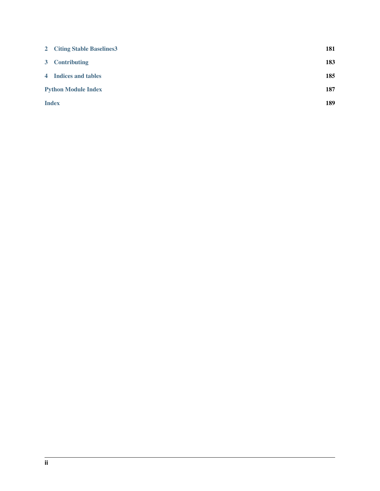|                            | 2 Citing Stable Baselines 3 | 181 |
|----------------------------|-----------------------------|-----|
|                            | 3 Contributing              | 183 |
|                            | 4 Indices and tables        | 185 |
| <b>Python Module Index</b> |                             | 187 |
| <b>Index</b>               |                             | 189 |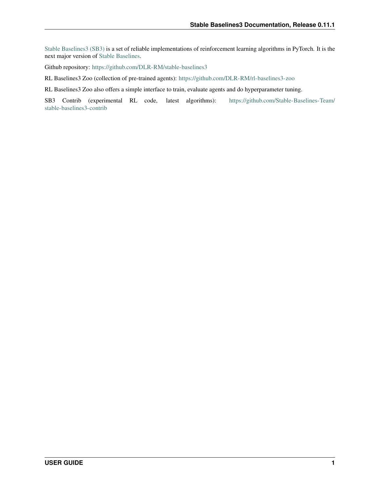[Stable Baselines3 \(SB3\)](https://github.com/DLR-RM/stable-baselines3) is a set of reliable implementations of reinforcement learning algorithms in PyTorch. It is the next major version of [Stable Baselines.](https://github.com/hill-a/stable-baselines)

Github repository: <https://github.com/DLR-RM/stable-baselines3>

RL Baselines3 Zoo (collection of pre-trained agents): <https://github.com/DLR-RM/rl-baselines3-zoo>

RL Baselines3 Zoo also offers a simple interface to train, evaluate agents and do hyperparameter tuning.

SB3 Contrib (experimental RL code, latest algorithms): [https://github.com/Stable-Baselines-Team/](https://github.com/Stable-Baselines-Team/stable-baselines3-contrib) [stable-baselines3-contrib](https://github.com/Stable-Baselines-Team/stable-baselines3-contrib)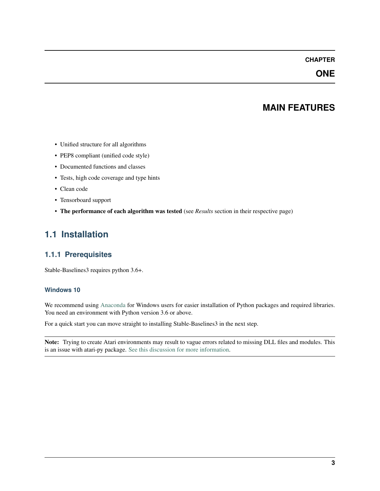## **CHAPTER**

## **ONE**

## **MAIN FEATURES**

- <span id="page-6-0"></span>• Unified structure for all algorithms
- PEP8 compliant (unified code style)
- Documented functions and classes
- Tests, high code coverage and type hints
- Clean code
- Tensorboard support
- The performance of each algorithm was tested (see *Results* section in their respective page)

## <span id="page-6-1"></span>**1.1 Installation**

## **1.1.1 Prerequisites**

Stable-Baselines3 requires python 3.6+.

### **Windows 10**

We recommend using [Anaconda](https://conda.io/docs/user-guide/install/windows.html) for Windows users for easier installation of Python packages and required libraries. You need an environment with Python version 3.6 or above.

For a quick start you can move straight to installing Stable-Baselines3 in the next step.

Note: Trying to create Atari environments may result to vague errors related to missing DLL files and modules. This is an issue with atari-py package. [See this discussion for more information.](https://github.com/openai/atari-py/issues/65)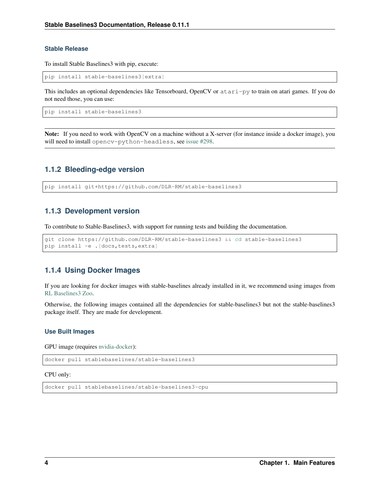### **Stable Release**

To install Stable Baselines3 with pip, execute:

pip install stable-baselines3[extra]

This includes an optional dependencies like Tensorboard, OpenCV or atari-py to train on atari games. If you do not need those, you can use:

pip install stable-baselines3

Note: If you need to work with OpenCV on a machine without a X-server (for instance inside a docker image), you will need to install opencv-python-headless, see [issue #298.](https://github.com/DLR-RM/stable-baselines3/issues/298)

## **1.1.2 Bleeding-edge version**

```
pip install git+https://github.com/DLR-RM/stable-baselines3
```
## **1.1.3 Development version**

To contribute to Stable-Baselines3, with support for running tests and building the documentation.

```
git clone https://github.com/DLR-RM/stable-baselines3 && cd stable-baselines3
pip install -e .[docs,tests,extra]
```
## **1.1.4 Using Docker Images**

If you are looking for docker images with stable-baselines already installed in it, we recommend using images from [RL Baselines3 Zoo.](https://github.com/DLR-RM/rl-baselines3-zoo)

Otherwise, the following images contained all the dependencies for stable-baselines3 but not the stable-baselines3 package itself. They are made for development.

#### **Use Built Images**

GPU image (requires [nvidia-docker\)](https://github.com/NVIDIA/nvidia-docker):

docker pull stablebaselines/stable-baselines3

CPU only:

```
docker pull stablebaselines/stable-baselines3-cpu
```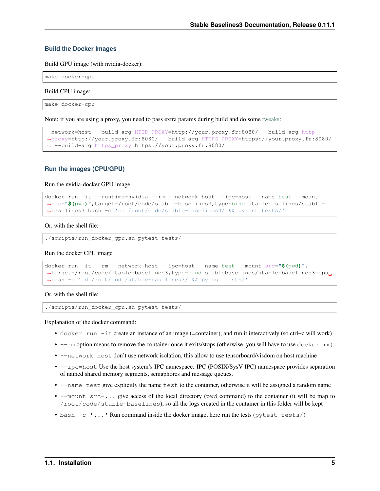#### **Build the Docker Images**

Build GPU image (with nvidia-docker):

make docker-gpu

Build CPU image:

```
make docker-cpu
```
Note: if you are using a proxy, you need to pass extra params during build and do some [tweaks:](https://stackoverflow.com/questions/23111631/cannot-download-docker-images-behind-a-proxy)

```
--network=host --build-arg HTTP_PROXY=http://your.proxy.fr:8080/ --build-arg http
˓→proxy=http://your.proxy.fr:8080/ --build-arg HTTPS_PROXY=https://your.proxy.fr:8080/
˓→ --build-arg https_proxy=https://your.proxy.fr:8080/
```
#### **Run the images (CPU/GPU)**

Run the nvidia-docker GPU image

```
docker run -it --runtime=nvidia --rm --network host --ipc=host --name test --mount
˓→src="$(pwd)",target=/root/code/stable-baselines3,type=bind stablebaselines/stable-
˓→baselines3 bash -c 'cd /root/code/stable-baselines3/ && pytest tests/'
```
#### Or, with the shell file:

```
./scripts/run_docker_gpu.sh pytest tests/
```
#### Run the docker CPU image

```
docker run -it --rm --network host --ipc=host --name test --mount src="$(pwd)",
˓→target=/root/code/stable-baselines3,type=bind stablebaselines/stable-baselines3-cpu
˓→bash -c 'cd /root/code/stable-baselines3/ && pytest tests/'
```
Or, with the shell file:

./scripts/run\_docker\_cpu.sh pytest tests/

Explanation of the docker command:

- docker run -it create an instance of an image (=container), and run it interactively (so ctrl+c will work)
- $\bullet$  --rm option means to remove the container once it exits/stops (otherwise, you will have to use  $\text{docker } r$ m)
- $--$ network host don't use network isolation, this allow to use tensorboard/visdom on host machine
- $-\text{ipc}$ =host Use the host system's IPC namespace. IPC (POSIX/SysV IPC) namespace provides separation of named shared memory segments, semaphores and message queues.
- --name test give explicitly the name test to the container, otherwise it will be assigned a random name
- --mount src=... give access of the local directory (pwd command) to the container (it will be map to /root/code/stable-baselines), so all the logs created in the container in this folder will be kept
- bash  $-c$   $\ldots$  Run command inside the docker image, here run the tests (pytest tests/)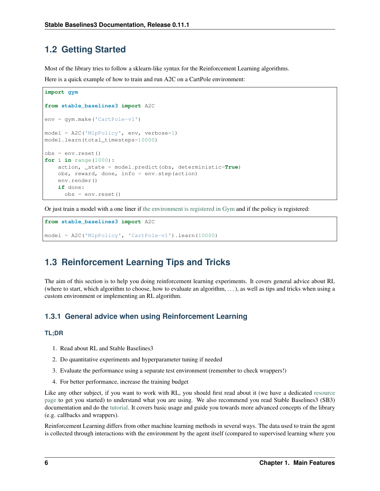## <span id="page-9-0"></span>**1.2 Getting Started**

Most of the library tries to follow a sklearn-like syntax for the Reinforcement Learning algorithms.

Here is a quick example of how to train and run A2C on a CartPole environment:

```
import gym
from stable_baselines3 import A2C
env = gym.make('CartPole-v1')
model = A2C('MlpPolicy', env, verbose=1)
model.learn(total_timesteps=10000)
obs = env.reset()
for i in range(1000):
    action, _state = model.predict(obs, deterministic=True)
    obs, reward, done, info = env.step(action)
    env.render()
    if done:
      obs = env.reset()
```
Or just train a model with a one liner if [the environment is registered in Gym](https://github.com/openai/gym/wiki/Environments) and if the policy is registered:

```
from stable_baselines3 import A2C
model = A2C('MlpPolicy', 'CartPole-v1').learn(10000)
```
## <span id="page-9-1"></span>**1.3 Reinforcement Learning Tips and Tricks**

The aim of this section is to help you doing reinforcement learning experiments. It covers general advice about RL (where to start, which algorithm to choose, how to evaluate an algorithm,  $\dots$ ), as well as tips and tricks when using a custom environment or implementing an RL algorithm.

## **1.3.1 General advice when using Reinforcement Learning**

## **TL;DR**

- 1. Read about RL and Stable Baselines3
- 2. Do quantitative experiments and hyperparameter tuning if needed
- 3. Evaluate the performance using a separate test environment (remember to check wrappers!)
- 4. For better performance, increase the training budget

Like any other subject, if you want to work with RL, you should first read about it (we have a dedicated [resource](rl.html) [page](rl.html) to get you started) to understand what you are using. We also recommend you read Stable Baselines3 (SB3) documentation and do the [tutorial.](https://github.com/araffin/rl-tutorial-jnrr19/tree/sb3) It covers basic usage and guide you towards more advanced concepts of the library (e.g. callbacks and wrappers).

Reinforcement Learning differs from other machine learning methods in several ways. The data used to train the agent is collected through interactions with the environment by the agent itself (compared to supervised learning where you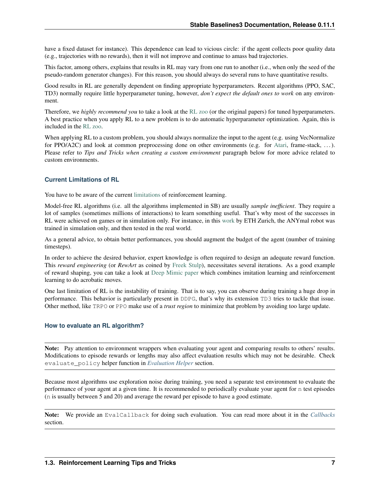have a fixed dataset for instance). This dependence can lead to vicious circle: if the agent collects poor quality data (e.g., trajectories with no rewards), then it will not improve and continue to amass bad trajectories.

This factor, among others, explains that results in RL may vary from one run to another (i.e., when only the seed of the pseudo-random generator changes). For this reason, you should always do several runs to have quantitative results.

Good results in RL are generally dependent on finding appropriate hyperparameters. Recent algorithms (PPO, SAC, TD3) normally require little hyperparameter tuning, however, *don't expect the default ones to work* on any environment.

Therefore, we *highly recommend you* to take a look at the [RL zoo](https://github.com/DLR-RM/rl-baselines3-zoo) (or the original papers) for tuned hyperparameters. A best practice when you apply RL to a new problem is to do automatic hyperparameter optimization. Again, this is included in the [RL zoo.](https://github.com/DLR-RM/rl-baselines3-zoo)

When applying RL to a custom problem, you should always normalize the input to the agent (e.g. using VecNormalize for PPO/A2C) and look at common preprocessing done on other environments (e.g. for [Atari,](https://danieltakeshi.github.io/2016/11/25/frame-skipping-and-preprocessing-for-deep-q-networks-on-atari-2600-games/) frame-stack, ...). Please refer to *Tips and Tricks when creating a custom environment* paragraph below for more advice related to custom environments.

### **Current Limitations of RL**

You have to be aware of the current [limitations](https://www.alexirpan.com/2018/02/14/rl-hard.html) of reinforcement learning.

Model-free RL algorithms (i.e. all the algorithms implemented in SB) are usually *sample inefficient*. They require a lot of samples (sometimes millions of interactions) to learn something useful. That's why most of the successes in RL were achieved on games or in simulation only. For instance, in this [work](https://www.youtube.com/watch?v=aTDkYFZFWug) by ETH Zurich, the ANYmal robot was trained in simulation only, and then tested in the real world.

As a general advice, to obtain better performances, you should augment the budget of the agent (number of training timesteps).

In order to achieve the desired behavior, expert knowledge is often required to design an adequate reward function. This *reward engineering* (or *RewArt* as coined by [Freek Stulp\)](http://www.freekstulp.net/), necessitates several iterations. As a good example of reward shaping, you can take a look at [Deep Mimic paper](https://xbpeng.github.io/projects/DeepMimic/index.html) which combines imitation learning and reinforcement learning to do acrobatic moves.

One last limitation of RL is the instability of training. That is to say, you can observe during training a huge drop in performance. This behavior is particularly present in DDPG, that's why its extension TD3 tries to tackle that issue. Other method, like TRPO or PPO make use of a *trust region* to minimize that problem by avoiding too large update.

#### **How to evaluate an RL algorithm?**

Note: Pay attention to environment wrappers when evaluating your agent and comparing results to others' results. Modifications to episode rewards or lengths may also affect evaluation results which may not be desirable. Check evaluate\_policy helper function in *[Evaluation Helper](#page-155-0)* section.

Because most algorithms use exploration noise during training, you need a separate test environment to evaluate the performance of your agent at a given time. It is recommended to periodically evaluate your agent for n test episodes (n is usually between 5 and 20) and average the reward per episode to have a good estimate.

Note: We provide an EvalCallback for doing such evaluation. You can read more about it in the *[Callbacks](#page-43-0)* section.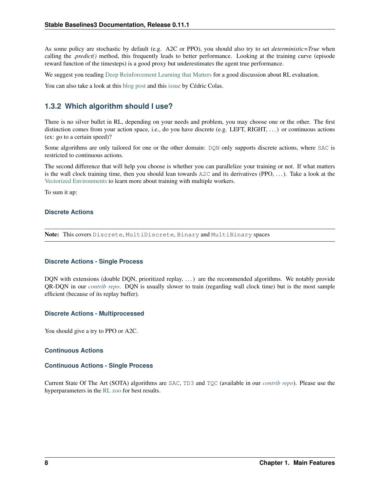As some policy are stochastic by default (e.g. A2C or PPO), you should also try to set *deterministic=True* when calling the *.predict()* method, this frequently leads to better performance. Looking at the training curve (episode reward function of the timesteps) is a good proxy but underestimates the agent true performance.

We suggest you reading [Deep Reinforcement Learning that Matters](https://arxiv.org/abs/1709.06560) for a good discussion about RL evaluation.

You can also take a look at this [blog post](https://openlab-flowers.inria.fr/t/how-many-random-seeds-should-i-use-statistical-power-analysis-in-deep-reinforcement-learning-experiments/457) and this [issue](https://github.com/hill-a/stable-baselines/issues/199) by Cédric Colas.

## **1.3.2 Which algorithm should I use?**

There is no silver bullet in RL, depending on your needs and problem, you may choose one or the other. The first distinction comes from your action space, i.e., do you have discrete (e.g. LEFT, RIGHT, ...) or continuous actions (ex: go to a certain speed)?

Some algorithms are only tailored for one or the other domain: DON only supports discrete actions, where SAC is restricted to continuous actions.

The second difference that will help you choose is whether you can parallelize your training or not. If what matters is the wall clock training time, then you should lean towards  $A2C$  and its derivatives (PPO, ...). Take a look at the [Vectorized Environments](vec_envs.html) to learn more about training with multiple workers.

To sum it up:

### **Discrete Actions**

Note: This covers Discrete, MultiDiscrete, Binary and MultiBinary spaces

#### **Discrete Actions - Single Process**

DQN with extensions (double DQN, prioritized replay, ...) are the recommended algorithms. We notably provide QR-DQN in our *[contrib repo](#page-58-0)*. DQN is usually slower to train (regarding wall clock time) but is the most sample efficient (because of its replay buffer).

#### **Discrete Actions - Multiprocessed**

You should give a try to PPO or A2C.

#### **Continuous Actions**

#### **Continuous Actions - Single Process**

Current State Of The Art (SOTA) algorithms are SAC, TD3 and TQC (available in our *[contrib repo](#page-58-0)*). Please use the hyperparameters in the [RL zoo](https://github.com/DLR-RM/rl-baselines3-zoo) for best results.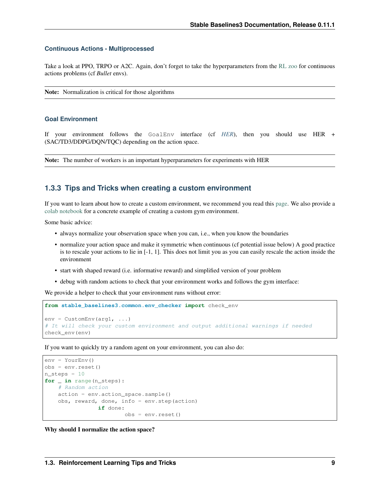#### **Continuous Actions - Multiprocessed**

Take a look at PPO, TRPO or A2C. Again, don't forget to take the hyperparameters from the [RL zoo](https://github.com/DLR-RM/rl-baselines3-zoo) for continuous actions problems (cf *Bullet* envs).

Note: Normalization is critical for those algorithms

#### **Goal Environment**

If your environment follows the GoalEnv interface (cf *[HER](#page-105-0)*), then you should use HER + (SAC/TD3/DDPG/DQN/TQC) depending on the action space.

Note: The number of workers is an important hyperparameters for experiments with HER

## **1.3.3 Tips and Tricks when creating a custom environment**

If you want to learn about how to create a custom environment, we recommend you read this [page.](custom_env.html) We also provide a [colab notebook](https://colab.research.google.com/github/araffin/rl-tutorial-jnrr19/blob/master/5_custom_gym_env.ipynb) for a concrete example of creating a custom gym environment.

Some basic advice:

- always normalize your observation space when you can, i.e., when you know the boundaries
- normalize your action space and make it symmetric when continuous (cf potential issue below) A good practice is to rescale your actions to lie in [-1, 1]. This does not limit you as you can easily rescale the action inside the environment
- start with shaped reward (i.e. informative reward) and simplified version of your problem
- debug with random actions to check that your environment works and follows the gym interface:

We provide a helper to check that your environment runs without error:

```
from stable_baselines3.common.env_checker import check_env
env = CustomEnv(arq1, ...)
# It will check your custom environment and output additional warnings if needed
check_env(env)
```
If you want to quickly try a random agent on your environment, you can also do:

```
env = YourEnv()
obs = env.reset()
n_steps = 10
for _ in range(n_steps):
   # Random action
   action = env.action_space.sample()
    obs, reward, done, info = env.step(action)
                if done:
                        obs = env.reset()
```
Why should I normalize the action space?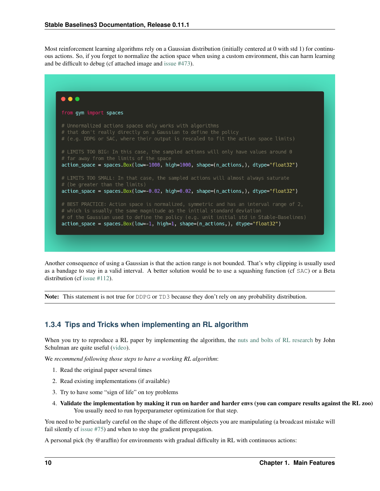Most reinforcement learning algorithms rely on a Gaussian distribution (initially centered at 0 with std 1) for continuous actions. So, if you forget to normalize the action space when using a custom environment, this can harm learning and be difficult to debug (cf attached image and [issue #473\)](https://github.com/hill-a/stable-baselines/issues/473).



Another consequence of using a Gaussian is that the action range is not bounded. That's why clipping is usually used as a bandage to stay in a valid interval. A better solution would be to use a squashing function (cf SAC) or a Beta distribution (cf [issue #112\)](https://github.com/hill-a/stable-baselines/issues/112).

Note: This statement is not true for DDPG or TD3 because they don't rely on any probability distribution.

## **1.3.4 Tips and Tricks when implementing an RL algorithm**

When you try to reproduce a RL paper by implementing the algorithm, the [nuts and bolts of RL research](http://joschu.net/docs/nuts-and-bolts.pdf) by John Schulman are quite useful [\(video\)](https://www.youtube.com/watch?v=8EcdaCk9KaQ).

We *recommend following those steps to have a working RL algorithm*:

- 1. Read the original paper several times
- 2. Read existing implementations (if available)
- 3. Try to have some "sign of life" on toy problems
- 4. Validate the implementation by making it run on harder and harder envs (you can compare results against the RL zoo) You usually need to run hyperparameter optimization for that step.

You need to be particularly careful on the shape of the different objects you are manipulating (a broadcast mistake will fail silently cf [issue #75\)](https://github.com/hill-a/stable-baselines/pull/76) and when to stop the gradient propagation.

A personal pick (by @araffin) for environments with gradual difficulty in RL with continuous actions: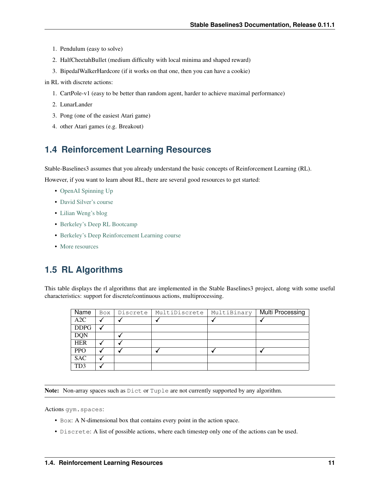- 1. Pendulum (easy to solve)
- 2. HalfCheetahBullet (medium difficulty with local minima and shaped reward)
- 3. BipedalWalkerHardcore (if it works on that one, then you can have a cookie)

in RL with discrete actions:

- 1. CartPole-v1 (easy to be better than random agent, harder to achieve maximal performance)
- 2. LunarLander
- 3. Pong (one of the easiest Atari game)
- 4. other Atari games (e.g. Breakout)

## <span id="page-14-0"></span>**1.4 Reinforcement Learning Resources**

Stable-Baselines3 assumes that you already understand the basic concepts of Reinforcement Learning (RL).

However, if you want to learn about RL, there are several good resources to get started:

- [OpenAI Spinning Up](https://spinningup.openai.com/en/latest/)
- [David Silver's course](http://www0.cs.ucl.ac.uk/staff/d.silver/web/Teaching.html)
- [Lilian Weng's blog](https://lilianweng.github.io/lil-log/2018/04/08/policy-gradient-algorithms.html)
- [Berkeley's Deep RL Bootcamp](https://sites.google.com/view/deep-rl-bootcamp/lectures)
- [Berkeley's Deep Reinforcement Learning course](http://rail.eecs.berkeley.edu/deeprlcourse/)
- [More resources](https://github.com/dennybritz/reinforcement-learning)

## <span id="page-14-1"></span>**1.5 RL Algorithms**

This table displays the rl algorithms that are implemented in the Stable Baselines3 project, along with some useful characteristics: support for discrete/continuous actions, multiprocessing.

| Name            | <b>Box</b> | Discrete | MultiDiscrete | MultiBinary | Multi Processing |
|-----------------|------------|----------|---------------|-------------|------------------|
| A2C             |            |          |               |             |                  |
| <b>DDPG</b>     |            |          |               |             |                  |
| <b>DQN</b>      |            |          |               |             |                  |
| <b>HER</b>      |            |          |               |             |                  |
| <b>PPO</b>      |            |          |               |             |                  |
| <b>SAC</b>      |            |          |               |             |                  |
| TD <sub>3</sub> |            |          |               |             |                  |

Note: Non-array spaces such as  $\text{Dict or }\text{Tuple}$  are not currently supported by any algorithm.

Actions gym.spaces:

- Box: A N-dimensional box that contains every point in the action space.
- Discrete: A list of possible actions, where each timestep only one of the actions can be used.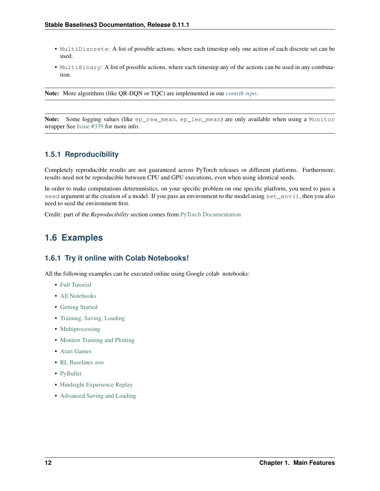- MultiDiscrete: A list of possible actions, where each timestep only one action of each discrete set can be used.
- MultiBinary: A list of possible actions, where each timestep any of the actions can be used in any combination.

Note: More algorithms (like QR-DQN or TQC) are implemented in our *[contrib repo](#page-58-0)*.

Note: Some logging values (like ep\_rew\_mean, ep\_len\_mean) are only available when using a Monitor wrapper See [Issue #339](https://github.com/hill-a/stable-baselines/issues/339) for more info.

## **1.5.1 Reproducibility**

Completely reproducible results are not guaranteed across PyTorch releases or different platforms. Furthermore, results need not be reproducible between CPU and GPU executions, even when using identical seeds.

In order to make computations deterministics, on your specific problem on one specific platform, you need to pass a seed argument at the creation of a model. If you pass an environment to the model using set\_env(), then you also need to seed the environment first.

Credit: part of the *Reproducibility* section comes from [PyTorch Documentation](https://pytorch.org/docs/stable/notes/randomness.html)

## <span id="page-15-0"></span>**1.6 Examples**

## **1.6.1 Try it online with Colab Notebooks!**

All the following examples can be executed online using Google colab notebooks:

- [Full Tutorial](https://github.com/araffin/rl-tutorial-jnrr19/tree/sb3)
- [All Notebooks](https://github.com/Stable-Baselines-Team/rl-colab-notebooks/tree/sb3)
- [Getting Started](https://colab.research.google.com/github/Stable-Baselines-Team/rl-colab-notebooks/blob/sb3/stable_baselines_getting_started.ipynb)
- [Training, Saving, Loading](https://colab.research.google.com/github/Stable-Baselines-Team/rl-colab-notebooks/blob/sb3/saving_loading_dqn.ipynb)
- [Multiprocessing](https://colab.research.google.com/github/Stable-Baselines-Team/rl-colab-notebooks/blob/sb3/multiprocessing_rl.ipynb)
- [Monitor Training and Plotting](https://colab.research.google.com/github/Stable-Baselines-Team/rl-colab-notebooks/blob/sb3/monitor_training.ipynb)
- [Atari Games](https://colab.research.google.com/github/Stable-Baselines-Team/rl-colab-notebooks/blob/sb3/atari_games.ipynb)
- [RL Baselines zoo](https://colab.research.google.com/github/Stable-Baselines-Team/rl-colab-notebooks/blob/sb3/rl-baselines-zoo.ipynb)
- [PyBullet](https://colab.research.google.com/github/Stable-Baselines-Team/rl-colab-notebooks/blob/sb3/pybullet.ipynb)
- [Hindsight Experience Replay](https://colab.research.google.com/github/Stable-Baselines-Team/rl-colab-notebooks/blob/sb3/stable_baselines_her.ipynb)
- [Advanced Saving and Loading](https://colab.research.google.com/github/Stable-Baselines-Team/rl-colab-notebooks/blob/sb3/advanced_saving_loading.ipynb)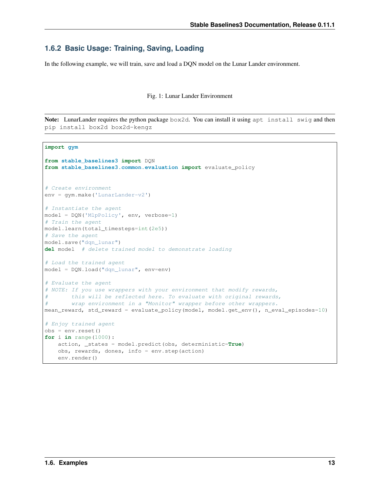## **1.6.2 Basic Usage: Training, Saving, Loading**

In the following example, we will train, save and load a DQN model on the Lunar Lander environment.

#### Fig. 1: Lunar Lander Environment

Note: LunarLander requires the python package box2d. You can install it using apt install swig and then pip install box2d box2d-kengz

```
import gym
from stable_baselines3 import DQN
from stable_baselines3.common.evaluation import evaluate_policy
# Create environment
env = gym.make('LunarLander-v2')
# Instantiate the agent
model = DQN('MlpPolicy', env, verbose=1)
# Train the agent
model.learn(total_timesteps=int(2e5))
# Save the agent
model.save("dqn_lunar")
del model # delete trained model to demonstrate loading
# Load the trained agent
model = DQN.load("dqn_lunar", env=env)
# Evaluate the agent
# NOTE: If you use wrappers with your environment that modify rewards,
# this will be reflected here. To evaluate with original rewards,
# wrap environment in a "Monitor" wrapper before other wrappers.
mean_reward, std_reward = evaluate_policy(model, model.get_env(), n_eval_episodes=10)
# Enjoy trained agent
obs = env{\text{reset}}()for i in range(1000):
   action, _states = model.predict(obs, deterministic=True)
   obs, rewards, dones, info = env.step(action)
   env.render()
```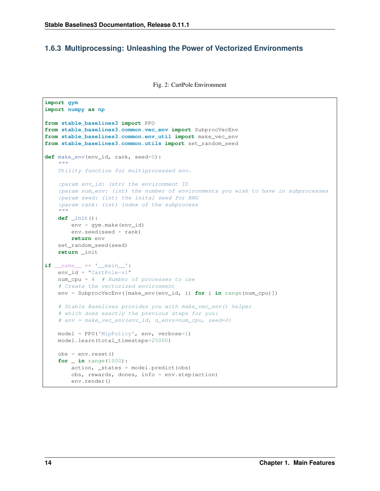## **1.6.3 Multiprocessing: Unleashing the Power of Vectorized Environments**

Fig. 2: CartPole Environment

```
import gym
import numpy as np
from stable_baselines3 import PPO
from stable_baselines3.common.vec_env import SubprocVecEnv
from stable_baselines3.common.env_util import make_vec_env
from stable_baselines3.common.utils import set_random_seed
def make_env(env_id, rank, seed=0):
    "''"''"''"Utility function for multiprocessed env.
    :param env_id: (str) the environment ID
    :param num_env: (int) the number of environments you wish to have in subprocesses
    :param seed: (int) the inital seed for RNG
    :param rank: (int) index of the subprocess
    "''"''"''"def _init():
        env = gym.make(env_id)
        env.seed(seed + rank)
        return env
    set_random_seed(seed)
    return _init
if __name__ == '__main__':
   env_id = "CartPole-v1"
   num_cpu = 4 # Number of processes to use
   # Create the vectorized environment
   env = SubprocVecEnv([make_env(env_id, i) for i in range(num_cpu)])
    # Stable Baselines provides you with make_vec_env() helper
    # which does exactly the previous steps for you:
    # env = make_vec_env(env_id, n_envs=num_cpu, seed=0)
   model = PPO('MlpPolicy', env, verbose=1)
   model.learn(total_timesteps=25000)
   obs = env{\text{.reset}}()for _ in range(1000):
        action, _states = model.predict(obs)
        obs, rewards, dones, info = env.step(action)
        env.render()
```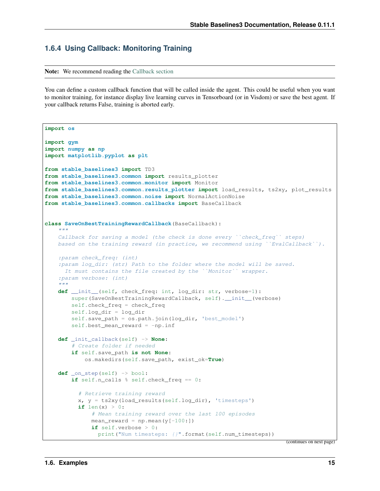## **1.6.4 Using Callback: Monitoring Training**

Note: We recommend reading the [Callback section](callbacks.html)

You can define a custom callback function that will be called inside the agent. This could be useful when you want to monitor training, for instance display live learning curves in Tensorboard (or in Visdom) or save the best agent. If your callback returns False, training is aborted early.

```
import os
import gym
import numpy as np
import matplotlib.pyplot as plt
from stable_baselines3 import TD3
from stable_baselines3.common import results_plotter
from stable_baselines3.common.monitor import Monitor
from stable_baselines3.common.results_plotter import load_results, ts2xy, plot_results
from stable_baselines3.common.noise import NormalActionNoise
from stable_baselines3.common.callbacks import BaseCallback
class SaveOnBestTrainingRewardCallback(BaseCallback):
    """
    Callback for saving a model (the check is done every ''check_freq'' steps)
   based on the training reward (in practice, we recommend using `EvalCallback`).
    :param check_freq: (int)
    :param log_dir: (str) Path to the folder where the model will be saved.
     It must contains the file created by the ``Monitor`` wrapper.
    :param verbose: (int)
    "''"''"def __init__(self, check_freq: int, log_dir: str, verbose=1):
        super(SaveOnBestTrainingRewardCallback, self).__init__(verbose)
        self.check_freq = check_freq
        self.log_dir = log_dir
        self.save_path = os.path.join(log_dir, 'best_model')
        self.best_mean_reward = -np.inf
   def _init_callback(self) -> None:
        # Create folder if needed
        if self.save_path is not None:
            os.makedirs(self.save_path, exist_ok=True)
   def _on_step(self) -> bool:
        if self.n_calls % self.check_freq == 0:
          # Retrieve training reward
          x, y = ts2xy(load_results(self.log_dir), 'timesteps')
          if len(x) > 0:
              # Mean training reward over the last 100 episodes
              mean reward = np.mean(y[-100:])if self.verbose > 0:
                print("Num timesteps: {}".format(self.num_timesteps))
```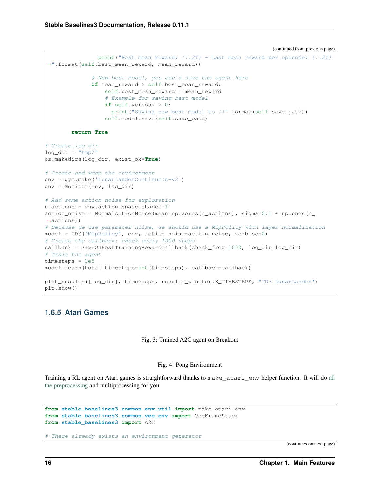```
(continued from previous page)
```

```
print("Best mean reward: {:.2f} - Last mean reward per episode: {:.2f}
˓→".format(self.best_mean_reward, mean_reward))
               # New best model, you could save the agent here
              if mean_reward > self.best_mean_reward:
                  self.best_mean_reward = mean_reward
                   # Example for saving best model
                  if self.verbose > 0:
                    print("Saving new best model to {}".format(self.save_path))
                  self.model.save(self.save_path)
        return True
# Create log dir
log dir = "tmp/"
os.makedirs(log_dir, exist_ok=True)
# Create and wrap the environment
env = gym.make('LunarLanderContinuous-v2')
env = Monitor(env, log_dir)
# Add some action noise for exploration
n_{\text{actions}} = env.\text{action\_space}.\text{shape}[-1]action_noise = NormalActionNoise(mean=np.zeros(n_actions), sigma=0.1 \times np.\text{ones}(n˓→actions))
# Because we use parameter noise, we should use a MlpPolicy with layer normalization
model = TD3('MlpPolicy', env, action_noise=action_noise, verbose=0)
# Create the callback: check every 1000 steps
callback = SaveOnBestTrainingRewardCallback(check_freq=1000, log_dir=log_dir)
# Train the agent
timesteps = 1e5
model.learn(total_timesteps=int(timesteps), callback=callback)
plot_results([log_dir], timesteps, results_plotter.X_TIMESTEPS, "TD3 LunarLander")
plt.show()
```
## **1.6.5 Atari Games**

#### Fig. 3: Trained A2C agent on Breakout

#### Fig. 4: Pong Environment

Training a RL agent on Atari games is straightforward thanks to make\_atari\_env helper function. It will do [all](https://danieltakeshi.github.io/2016/11/25/frame-skipping-and-preprocessing-for-deep-q-networks-on-atari-2600-games/) [the preprocessing](https://danieltakeshi.github.io/2016/11/25/frame-skipping-and-preprocessing-for-deep-q-networks-on-atari-2600-games/) and multiprocessing for you.

```
from stable_baselines3.common.env_util import make_atari_env
from stable_baselines3.common.vec_env import VecFrameStack
from stable_baselines3 import A2C
```
# There already exists an environment generator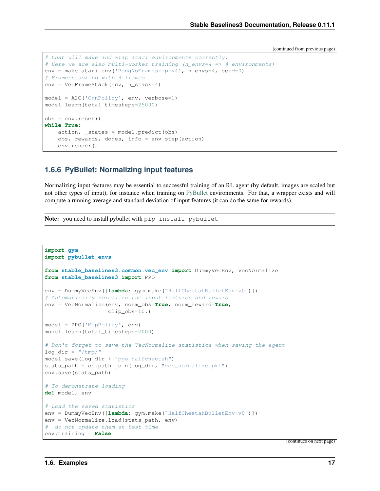```
# that will make and wrap atari environments correctly.
# Here we are also multi-worker training (n_envs=4 => 4 environments)
env = make_atari_env('PongNoFrameskip-v4', n_envs=4, seed=0)
# Frame-stacking with 4 frames
env = VecFrameStack(env, n_stack=4)
model = A2C('CnnPolicy', env, verbose=1)
model.learn(total_timesteps=25000)
obs = env.readwhile True:
   action, _states = model.predict(obs)
   obs, rewards, dones, info = env.step(action)
   env.render()
```
## **1.6.6 PyBullet: Normalizing input features**

Normalizing input features may be essential to successful training of an RL agent (by default, images are scaled but not other types of input), for instance when training on [PyBullet](https://github.com/bulletphysics/bullet3/) environments. For that, a wrapper exists and will compute a running average and standard deviation of input features (it can do the same for rewards).

Note: you need to install pybullet with pip install pybullet

```
import gym
import pybullet_envs
from stable_baselines3.common.vec_env import DummyVecEnv, VecNormalize
from stable_baselines3 import PPO
env = DummyVecEnv([lambda: gym.make("HalfCheetahBulletEnv-v0")])
# Automatically normalize the input features and reward
env = VecNormalize(env, norm_obs=True, norm_reward=True,
                   clip_obs=10.)
model = PPO('MlpPolicy', env)
model.learn(total_timesteps=2000)
# Don't forget to save the VecNormalize statistics when saving the agent
log_dir = "/tmp/"model.save(log_dir + "ppo_halfcheetah")
stats_path = os.path.join(log_dir, "vec_normalize.pkl")
env.save(stats_path)
# To demonstrate loading
del model, env
# Load the saved statistics
env = DummyVecEnv([lambda: gym.make("HalfCheetahBulletEnv-v0")])
env = VecNormalize.load(stats_path, env)
# do not update them at test time
env.training = False
```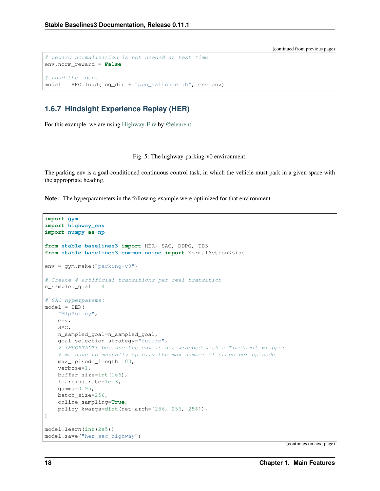```
# reward normalization is not needed at test time
env.norm_reward = False
# Load the agent
model = PPO.load(log_dir + "ppo_halfcheetah", env=env)
```
## **1.6.7 Hindsight Experience Replay (HER)**

For this example, we are using [Highway-Env](https://github.com/eleurent/highway-env) by [@eleurent.](https://github.com/eleurent)

Fig. 5: The highway-parking-v0 environment.

The parking env is a goal-conditioned continuous control task, in which the vehicle must park in a given space with the appropriate heading.

Note: The hyperparameters in the following example were optimized for that environment.

```
import gym
import highway_env
import numpy as np
from stable_baselines3 import HER, SAC, DDPG, TD3
from stable_baselines3.common.noise import NormalActionNoise
env = qym.make("parking-v0")# Create 4 artificial transitions per real transition
n_sampled_goal = 4
# SAC hyperparams:
model = HER("MlpPolicy",
   env,
   SAC,
   n_sampled_goal=n_sampled_goal,
   goal_selection_strategy="future",
    # IMPORTANT: because the env is not wrapped with a TimeLimit wrapper
   # we have to manually specify the max number of steps per episode
   max_episode_length=100,
   verbose=1,
   buffer_size=int(1e6),
   learning_rate=1e-3,
   gamma=0.95batch_size=256,
   online_sampling=True,
   policy_kwargs=dict(net_arch=[256, 256, 256]),
)
model.learn(int(2e5))
model.save("her_sac_highway")
```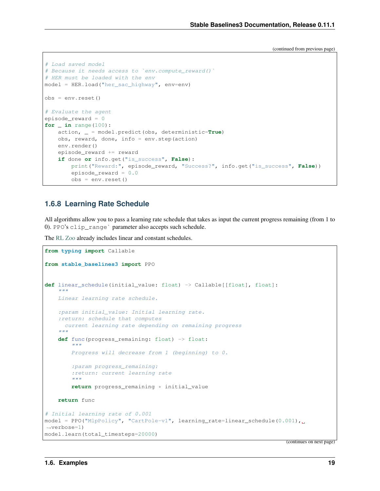```
# Load saved model
# Because it needs access to `env.compute_reward()`
# HER must be loaded with the env
model = HER.load("her_sac_highway", env=env)
obs = env{\text{reset}}()# Evaluate the agent
episode_reward = 0
for _ in range(100):
   action, _ = model.predict(obs, deterministic=True)
   obs, reward, done, info = env.step(action)
   env.render()
   episode_reward += reward
    if done or info.get("is_success", False):
        print("Reward:", episode_reward, "Success?", info.get("is_success", False))
        episode_reward = 0.0
        obs = env.reset()
```
## **1.6.8 Learning Rate Schedule**

All algorithms allow you to pass a learning rate schedule that takes as input the current progress remaining (from 1 to 0). PPO's clip\_range` parameter also accepts such schedule.

The [RL Zoo](https://github.com/DLR-RM/rl-baselines3-zoo) already includes linear and constant schedules.

```
from typing import Callable
from stable_baselines3 import PPO
def linear schedule(initial_value: float) -> Callable[[float], float]:
    "''"Linear learning rate schedule.
    :param initial_value: Initial learning rate.
    :return: schedule that computes
     current learning rate depending on remaining progress
    "''"def func(progress_remaining: float) -> float:
        \pi \pi \piProgress will decrease from 1 (beginning) to 0.
        :param progress_remaining:
        :return: current learning rate
        "''"''"''"return progress_remaining * initial_value
   return func
# Initial learning rate of 0.001
model = PPO("MlpPolicy", "CartPole-v1", learning rate=linear schedule(0.001),
˓→verbose=1)
model.learn(total_timesteps=20000)
```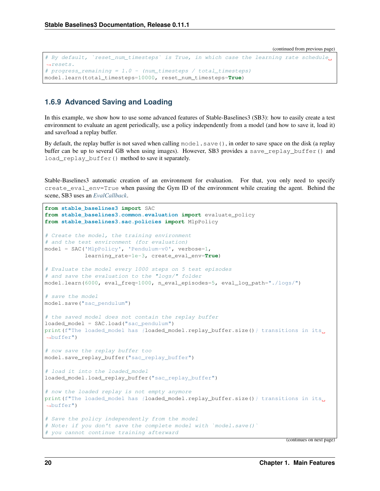```
# By default, `reset_num_timesteps` is True, in which case the learning rate schedule,
\rightarrowresets.
# progress_remaining = 1.0 - (num_timesteps / total_timesteps)
model.learn(total_timesteps=10000, reset_num_timesteps=True)
```
## **1.6.9 Advanced Saving and Loading**

In this example, we show how to use some advanced features of Stable-Baselines3 (SB3): how to easily create a test environment to evaluate an agent periodically, use a policy independently from a model (and how to save it, load it) and save/load a replay buffer.

By default, the replay buffer is not saved when calling model. save (), in order to save space on the disk (a replay buffer can be up to several GB when using images). However, SB3 provides a save\_replay\_buffer() and load replay buffer() method to save it separately.

Stable-Baselines3 automatic creation of an environment for evaluation. For that, you only need to specify create\_eval\_env=True when passing the Gym ID of the environment while creating the agent. Behind the scene, SB3 uses an *[EvalCallback](#page-43-0)*.

```
from stable_baselines3 import SAC
from stable_baselines3.common.evaluation import evaluate_policy
from stable_baselines3.sac.policies import MlpPolicy
# Create the model, the training environment
# and the test environment (for evaluation)
model = SAC('MlpPolicy', 'Pendulum-v0', verbose=1,
           learning_rate=1e-3, create_eval_env=True)
# Evaluate the model every 1000 steps on 5 test episodes
# and save the evaluation to the "logs/" folder
model.learn(6000, eval_freq=1000, n_eval_episodes=5, eval_log_path="./logs/")
# save the model
model.save("sac_pendulum")
# the saved model does not contain the replay buffer
loaded_model = SAC.load("sac_pendulum")
print(f"The loaded_model has {loaded_model.replay_buffer.size() } transitions in its,
˓→buffer")
# now save the replay buffer too
model.save_replay_buffer("sac_replay_buffer")
# load it into the loaded_model
loaded_model.load_replay_buffer("sac_replay_buffer")
# now the loaded replay is not empty anymore
print(f"The loaded_model has {loaded_model.replay_buffer.size() } transitions in its,
˓→buffer")
# Save the policy independently from the model
# Note: if you don't save the complete model with `model.save()`
# you cannot continue training afterward
```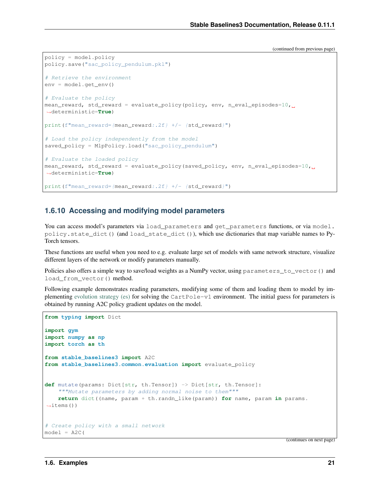```
policy = model.policy
policy.save("sac_policy_pendulum.pkl")
# Retrieve the environment
env = model.get_env()
# Evaluate the policy
mean_reward, std_reward = evaluate_policy(policy, env, n_eval_episodes=10,
˓→deterministic=True)
print(f"mean_reward={mean_reward:.2f} +/- {std_reward}")
# Load the policy independently from the model
saved_policy = MlpPolicy.load("sac_policy_pendulum")
# Evaluate the loaded policy
mean_reward, std_reward = evaluate_policy(saved_policy, env, n_eval_episodes=10,
˓→deterministic=True)
print(f"mean_reward={mean_reward:.2f} +/- {std_reward}")
```
## **1.6.10 Accessing and modifying model parameters**

You can access model's parameters via load\_parameters and get\_parameters functions, or via model. policy.state\_dict() (and load\_state\_dict()), which use dictionaries that map variable names to Py-Torch tensors.

These functions are useful when you need to e.g. evaluate large set of models with same network structure, visualize different layers of the network or modify parameters manually.

Policies also offers a simple way to save/load weights as a NumPy vector, using parameters\_to\_vector() and load\_from\_vector() method.

Following example demonstrates reading parameters, modifying some of them and loading them to model by implementing [evolution strategy \(es\)](http://blog.otoro.net/2017/10/29/visual-evolution-strategies/) for solving the CartPole-v1 environment. The initial guess for parameters is obtained by running A2C policy gradient updates on the model.

```
from typing import Dict
import gym
import numpy as np
import torch as th
from stable_baselines3 import A2C
from stable_baselines3.common.evaluation import evaluate_policy
def mutate(params: Dict[str, th.Tensor]) -> Dict[str, th.Tensor]:
    """Mutate parameters by adding normal noise to them"""
   return dict((name, param + th.randn_like(param)) for name, param in params.
\rightarrowitems())
# Create policy with a small network
model = A2C(
```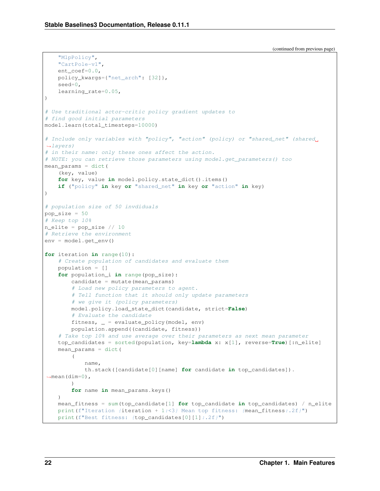"MlpPolicy",

(continued from previous page)

```
"CartPole-v1",
    ent_coef=0.0,
    policy_kwargs={"net_arch": [32]},
    seed=0,
    learning_rate=0.05,
)
# Use traditional actor-critic policy gradient updates to
# find good initial parameters
model.learn(total_timesteps=10000)
# Include only variables with "policy", "action" (policy) or "shared_net" (shared
\rightarrowlayers)
# in their name: only these ones affect the action.
# NOTE: you can retrieve those parameters using model.get_parameters() too
mean_params = dict(
    (key, value)
    for key, value in model.policy.state_dict().items()
    if ("policy" in key or "shared_net" in key or "action" in key)
)
# population size of 50 invdiduals
pop_size = 50
# Keep top 10%
n_elite = pop_size // 10
# Retrieve the environment
env = model.get_env()
for iteration in range(10):
    # Create population of candidates and evaluate them
    population = []
    for population_i in range(pop_size):
        candidate = mutate(mean_params)
        # Load new policy parameters to agent.
        # Tell function that it should only update parameters
        # we give it (policy parameters)
        model.policy.load_state_dict(candidate, strict=False)
        # Evaluate the candidate
        fitness, = = evaluate policy (model, env)
        population.append((candidate, fitness))
    # Take top 10% and use average over their parameters as next mean parameter
    top_candidates = sorted(population, key=lambda x: x[1], reverse=True)[:n_elite]
    mean_params = dict(
        (
            name,
            th.stack([candidate[0][name] for candidate in top_candidates]).
\rightarrowmean(dim=0),
        \lambdafor name in mean_params.keys()
    )
    mean_fitness = sum(top_candidate[1] for top_candidate in top_candidates) / n_elite
    print(f"Iteration {iteration + 1:<3} Mean top fitness: {mean_fitness:.2f}")
    print(f"Best fitness: {top\ cantidates[0][1]:.2f}")
```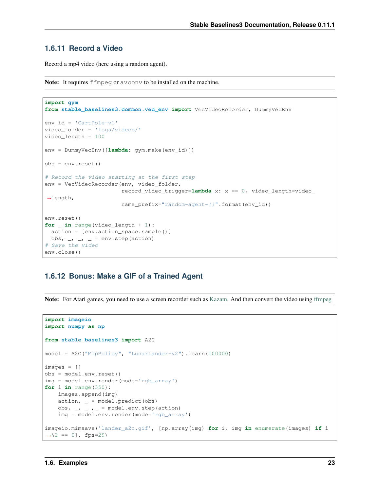## **1.6.11 Record a Video**

Record a mp4 video (here using a random agent).

Note: It requires ffmpeg or avconv to be installed on the machine.

```
import gym
from stable_baselines3.common.vec_env import VecVideoRecorder, DummyVecEnv
env_id = 'CartPole-v1'
video_folder = 'logs/videos/'
video_length = 100
env = DummyVecEnv([lambda: gym.make(env_id)])
obs = env.reset()
# Record the video starting at the first step
env = VecVideoRecorder(env, video_folder,
                        record_video_trigger=lambda x: x == 0, video_length=video_
˓→length,
                        name_prefix="random-agent-{}".format(env_id))
env.reset()
for _ in range(video_length + 1):
  action = [env.action_space.sample()]
 obs, \rightarrow \rightarrow \rightarrow = env.step(action)
# Save the video
env.close()
```
### **1.6.12 Bonus: Make a GIF of a Trained Agent**

Note: For Atari games, you need to use a screen recorder such as [Kazam.](https://launchpad.net/kazam) And then convert the video using [ffmpeg](https://superuser.com/questions/556029/how-do-i-convert-a-video-to-gif-using-ffmpeg-with-reasonable-quality)

```
import imageio
import numpy as np
from stable_baselines3 import A2C
model = A2C("MlpPolicy", "LunarLander-v2").learn(100000)
images = []
obs = model.env.reset()
img = model.env.render(mode='rgb_array')
for i in range(350):
   images.append(img)
    action, \_ = model.predict(obs)obs, \rightarrow \rightarrow \rightarrow = model.env.step(action)
    img = model.env.render(mode='rgb_array')
imageio.mimsave('lander_a2c.gif', [np.array(img) for i, img in enumerate(images) if i
\leftrightarrow 82 == 0], fps=29)
```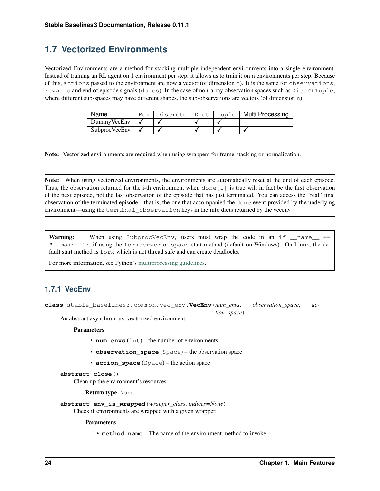## <span id="page-27-0"></span>**1.7 Vectorized Environments**

Vectorized Environments are a method for stacking multiple independent environments into a single environment. Instead of training an RL agent on 1 environment per step, it allows us to train it on n environments per step. Because of this, actions passed to the environment are now a vector (of dimension n). It is the same for observations, rewards and end of episode signals (dones). In the case of non-array observation spaces such as Dict or Tuple, where different sub-spaces may have different shapes, the sub-observations are vectors (of dimension n).

| Name           |  |  | Box   Discrete   Dict   Tuple   Multi Processing |
|----------------|--|--|--------------------------------------------------|
| DummyVecEnv    |  |  |                                                  |
| Subproc VecEnv |  |  |                                                  |

Note: Vectorized environments are required when using wrappers for frame-stacking or normalization.

Note: When using vectorized environments, the environments are automatically reset at the end of each episode. Thus, the observation returned for the i-th environment when done  $[i]$  is true will in fact be the first observation of the next episode, not the last observation of the episode that has just terminated. You can access the "real" final observation of the terminated episode—that is, the one that accompanied the done event provided by the underlying environment—using the terminal\_observation keys in the info dicts returned by the vecenv.

**Warning:** When using SubprocVecEnv, users must wrap the code in an if  $\Box$  name == "\_main\_": if using the forkserver or spawn start method (default on Windows). On Linux, the default start method is fork which is not thread safe and can create deadlocks.

*tion\_space*)

For more information, see Python's [multiprocessing guidelines.](https://docs.python.org/3/library/multiprocessing.html#the-spawn-and-forkserver-start-methods)

## **1.7.1 VecEnv**

**class** stable\_baselines3.common.vec\_env.**VecEnv**(*num\_envs*, *observation\_space*, *ac-*

An abstract asynchronous, vectorized environment.

#### Parameters

- **num\_envs** (int) the number of environments
- **observation\_space** (Space) the observation space
- **action space** (Space) the action space

#### **abstract close**()

Clean up the environment's resources.

Return type None

**abstract env\_is\_wrapped**(*wrapper\_class*, *indices=None*) Check if environments are wrapped with a given wrapper.

#### **Parameters**

• **method** name – The name of the environment method to invoke.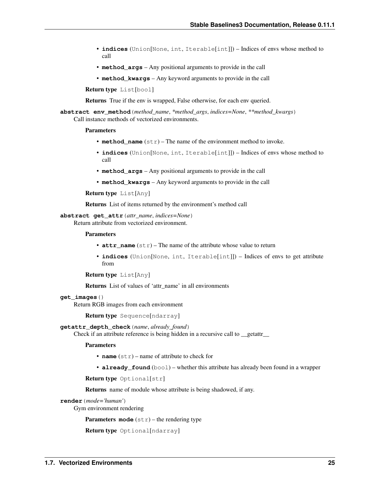- **indices** (Union[None, int, Iterable[int]]) Indices of envs whose method to call
- **method\_args** Any positional arguments to provide in the call
- **method\_kwargs** Any keyword arguments to provide in the call

Return type List[bool]

Returns True if the env is wrapped, False otherwise, for each env queried.

**abstract env\_method**(*method\_name*, *\*method\_args*, *indices=None*, *\*\*method\_kwargs*) Call instance methods of vectorized environments.

#### Parameters

- **method\_name** (str) The name of the environment method to invoke.
- **indices** (Union[None, int, Iterable[int]]) Indices of envs whose method to call
- **method\_args** Any positional arguments to provide in the call
- **method\_kwargs** Any keyword arguments to provide in the call

Return type List[Any]

Returns List of items returned by the environment's method call

### **abstract get\_attr**(*attr\_name*, *indices=None*)

Return attribute from vectorized environment.

#### Parameters

- **attr\_name** (str) The name of the attribute whose value to return
- **indices** (Union[None, int, Iterable[int]]) Indices of envs to get attribute from

```
Return type List[Any]
```
Returns List of values of 'attr\_name' in all environments

#### **get\_images**()

Return RGB images from each environment

Return type Sequence[ndarray]

#### **getattr\_depth\_check**(*name*, *already\_found*)

Check if an attribute reference is being hidden in a recursive call to \_\_getattr\_\_

#### Parameters

- **name**  $(str)$  name of attribute to check for
- **already\_found** (bool) whether this attribute has already been found in a wrapper

Return type Optional[str]

Returns name of module whose attribute is being shadowed, if any.

#### **render**(*mode='human'*)

Gym environment rendering

Parameters mode (str) – the rendering type

Return type Optional[ndarray]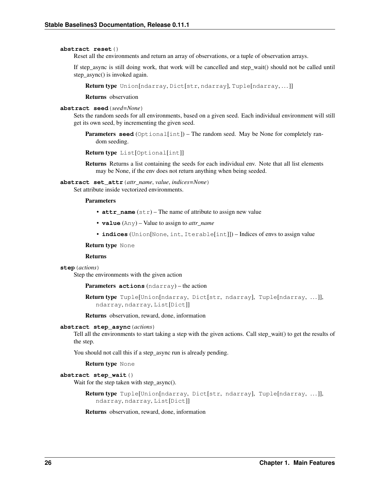#### **abstract reset**()

Reset all the environments and return an array of observations, or a tuple of observation arrays.

If step\_async is still doing work, that work will be cancelled and step\_wait() should not be called until step\_async() is invoked again.

Return type Union[ndarray, Dict[str, ndarray], Tuple[ndarray,...]]

Returns observation

#### **abstract seed**(*seed=None*)

Sets the random seeds for all environments, based on a given seed. Each individual environment will still get its own seed, by incrementing the given seed.

**Parameters seed** (Optional[int]) – The random seed. May be None for completely random seeding.

Return type List[Optional[int]]

Returns Returns a list containing the seeds for each individual env. Note that all list elements may be None, if the env does not return anything when being seeded.

**abstract set\_attr**(*attr\_name*, *value*, *indices=None*) Set attribute inside vectorized environments.

#### Parameters

- **attr\_name** (str) The name of attribute to assign new value
- **value** (Any) Value to assign to *attr\_name*
- **indices** (Union[None, int, Iterable[int]]) Indices of envs to assign value

Return type None

#### Returns

#### **step**(*actions*)

Step the environments with the given action

Parameters **actions** (ndarray) – the action

Return type Tuple[Union[ndarray, Dict[str, ndarray], Tuple[ndarray, . . . ]], ndarray, ndarray, List[Dict]]

Returns observation, reward, done, information

#### **abstract step\_async**(*actions*)

Tell all the environments to start taking a step with the given actions. Call step\_wait() to get the results of the step.

You should not call this if a step\_async run is already pending.

Return type None

#### **abstract step\_wait**()

Wait for the step taken with step\_async().

Return type Tuple[Union[ndarray, Dict[str, ndarray], Tuple[ndarray, . . . ]], ndarray, ndarray, List[Dict]]

Returns observation, reward, done, information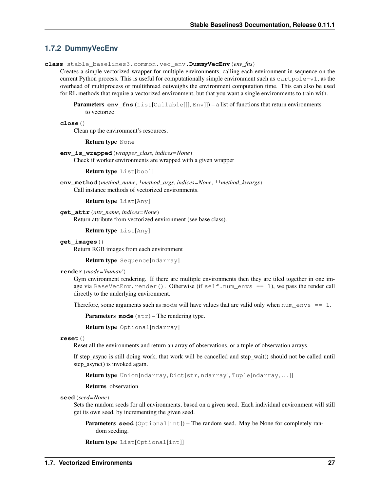## **1.7.2 DummyVecEnv**

**class** stable\_baselines3.common.vec\_env.**DummyVecEnv**(*env\_fns*)

Creates a simple vectorized wrapper for multiple environments, calling each environment in sequence on the current Python process. This is useful for computationally simple environment such as  $\text{cartpole}-v1$ , as the overhead of multiprocess or multithread outweighs the environment computation time. This can also be used for RL methods that require a vectorized environment, but that you want a single environments to train with.

**Parameters env fins** (List[Callable[[], Env]]) – a list of functions that return environments to vectorize

**close**()

Clean up the environment's resources.

#### Return type None

**env\_is\_wrapped**(*wrapper\_class*, *indices=None*)

Check if worker environments are wrapped with a given wrapper

Return type List[bool]

**env\_method**(*method\_name*, *\*method\_args*, *indices=None*, *\*\*method\_kwargs*) Call instance methods of vectorized environments.

```
Return type List[Any]
```
**get\_attr**(*attr\_name*, *indices=None*) Return attribute from vectorized environment (see base class).

Return type List[Any]

#### **get\_images**()

Return RGB images from each environment

Return type Sequence[ndarray]

#### **render**(*mode='human'*)

Gym environment rendering. If there are multiple environments then they are tiled together in one image via BaseVecEnv.render(). Otherwise (if self.num\_envs == 1), we pass the render call directly to the underlying environment.

Therefore, some arguments such as mode will have values that are valid only when num  $envs == 1$ .

Parameters mode  $(str)$  – The rendering type.

Return type Optional[ndarray]

#### **reset**()

Reset all the environments and return an array of observations, or a tuple of observation arrays.

If step async is still doing work, that work will be cancelled and step wait() should not be called until step\_async() is invoked again.

Return type Union[ndarray, Dict[str, ndarray], Tuple[ndarray,...]]

#### Returns observation

#### **seed**(*seed=None*)

Sets the random seeds for all environments, based on a given seed. Each individual environment will still get its own seed, by incrementing the given seed.

**Parameters seed** (Optional[int]) – The random seed. May be None for completely random seeding.

```
Return type List[Optional[int]]
```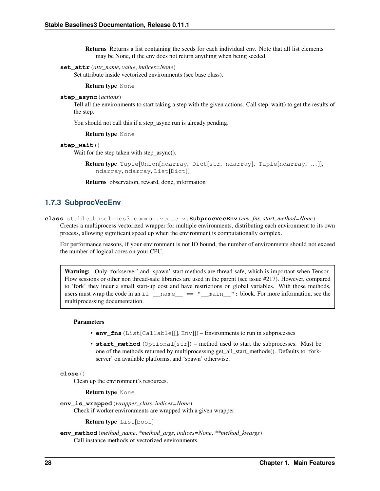Returns Returns a list containing the seeds for each individual env. Note that all list elements may be None, if the env does not return anything when being seeded.

#### **set\_attr**(*attr\_name*, *value*, *indices=None*)

Set attribute inside vectorized environments (see base class).

#### Return type None

**step\_async**(*actions*)

Tell all the environments to start taking a step with the given actions. Call step\_wait() to get the results of the step.

You should not call this if a step\_async run is already pending.

Return type None

#### **step\_wait**()

Wait for the step taken with step async().

Return type Tuple[Union[ndarray, Dict[str, ndarray], Tuple[ndarray, . . . ]], ndarray, ndarray, List[Dict]]

Returns observation, reward, done, information

## **1.7.3 SubprocVecEnv**

**class** stable\_baselines3.common.vec\_env.**SubprocVecEnv**(*env\_fns*, *start\_method=None*)

Creates a multiprocess vectorized wrapper for multiple environments, distributing each environment to its own process, allowing significant speed up when the environment is computationally complex.

For performance reasons, if your environment is not IO bound, the number of environments should not exceed the number of logical cores on your CPU.

Warning: Only 'forkserver' and 'spawn' start methods are thread-safe, which is important when Tensor-Flow sessions or other non thread-safe libraries are used in the parent (see issue #217). However, compared to 'fork' they incur a small start-up cost and have restrictions on global variables. With those methods, users must wrap the code in an if  $\_\_name{name} == \_\_main\_\_"$ : block. For more information, see the multiprocessing documentation.

#### **Parameters**

- **env\_fns** (List[Callable[[], Env]]) Environments to run in subprocesses
- **start\_method** (Optional[str]) method used to start the subprocesses. Must be one of the methods returned by multiprocessing.get\_all\_start\_methods(). Defaults to 'forkserver' on available platforms, and 'spawn' otherwise.

### **close**()

Clean up the environment's resources.

Return type None

**env\_is\_wrapped**(*wrapper\_class*, *indices=None*)

Check if worker environments are wrapped with a given wrapper

```
Return type List[bool]
```
**env\_method**(*method\_name*, *\*method\_args*, *indices=None*, *\*\*method\_kwargs*) Call instance methods of vectorized environments.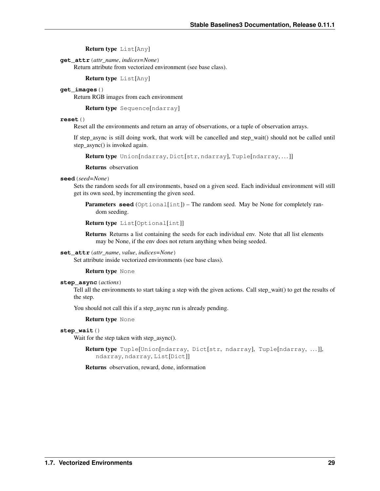Return type List[Any]

**get\_attr**(*attr\_name*, *indices=None*)

Return attribute from vectorized environment (see base class).

Return type List[Any]

#### **get\_images**()

Return RGB images from each environment

Return type Sequence[ndarray]

#### **reset**()

Reset all the environments and return an array of observations, or a tuple of observation arrays.

If step\_async is still doing work, that work will be cancelled and step\_wait() should not be called until step\_async() is invoked again.

```
Return type Union[ndarray, Dict[str, ndarray], Tuple[ndarray,...]]
```
Returns observation

#### **seed**(*seed=None*)

Sets the random seeds for all environments, based on a given seed. Each individual environment will still get its own seed, by incrementing the given seed.

Parameters **seed** (Optional[int]) – The random seed. May be None for completely random seeding.

```
Return type List[Optional[int]]
```
Returns Returns a list containing the seeds for each individual env. Note that all list elements may be None, if the env does not return anything when being seeded.

#### **set\_attr**(*attr\_name*, *value*, *indices=None*)

Set attribute inside vectorized environments (see base class).

#### Return type None

#### **step\_async**(*actions*)

Tell all the environments to start taking a step with the given actions. Call step\_wait() to get the results of the step.

You should not call this if a step\_async run is already pending.

Return type None

#### **step\_wait**()

Wait for the step taken with step\_async().

```
Return type Tuple[Union[ndarray, Dict[str, ndarray], Tuple[ndarray, . . . ]],
   ndarray, ndarray, List[Dict]]
```
Returns observation, reward, done, information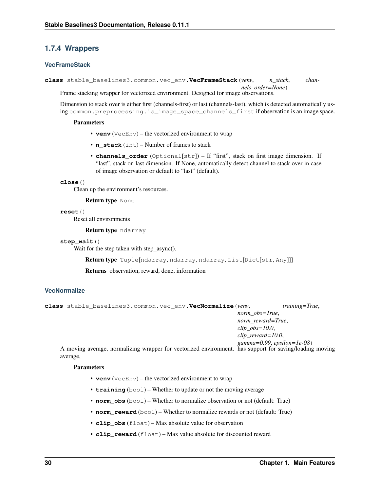## **1.7.4 Wrappers**

### **VecFrameStack**

**class** stable\_baselines3.common.vec\_env.**VecFrameStack**(*venv*, *n\_stack*, *channels\_order=None*) Frame stacking wrapper for vectorized environment. Designed for image observations.

Dimension to stack over is either first (channels-first) or last (channels-last), which is detected automatically using common.preprocessing.is\_image\_space\_channels\_first if observation is an image space.

#### Parameters

- **venv** (VecEnv) the vectorized environment to wrap
- **n\_stack** (int) Number of frames to stack
- **channels\_order** (Optional[str]) If "first", stack on first image dimension. If "last", stack on last dimension. If None, automatically detect channel to stack over in case of image observation or default to "last" (default).

#### **close**()

Clean up the environment's resources.

#### Return type None

#### **reset**()

Reset all environments

Return type ndarray

#### **step\_wait**()

Wait for the step taken with step\_async().

Return type Tuple[ndarray, ndarray, ndarray, List[Dict[str, Any]]]

Returns observation, reward, done, information

### **VecNormalize**

```
class stable_baselines3.common.vec_env.VecNormalize(venv, training=True,
                                                           norm_obs=True,
                                                           norm_reward=True,
                                                           clip_obs=10.0,
                                                           clip_reward=10.0,
                                                            gamma=0.99, epsilon=1e-08)
```
A moving average, normalizing wrapper for vectorized environment. has support for saving/loading moving average,

#### Parameters

- **venv** (VecEnv) the vectorized environment to wrap
- **training** (bool) Whether to update or not the moving average
- **norm** obs (bool) Whether to normalize observation or not (default: True)
- **norm\_reward** (bool) Whether to normalize rewards or not (default: True)
- **clip\_obs** (float) Max absolute value for observation
- **clip reward** (float) Max value absolute for discounted reward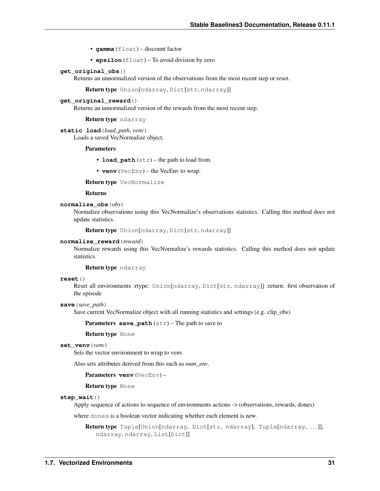- **gamma** (float) discount factor
- **epsilon** (float) To avoid division by zero

#### **get\_original\_obs**()

Returns an unnormalized version of the observations from the most recent step or reset.

Return type Union[ndarray, Dict[str, ndarray]]

#### **get\_original\_reward**()

Returns an unnormalized version of the rewards from the most recent step.

#### Return type ndarray

**static load**(*load\_path*, *venv*) Loads a saved VecNormalize object.

#### Parameters

- **load\_path** (str) the path to load from.
- **venv** (VecEnv) the VecEnv to wrap.

Return type VecNormalize

#### Returns

#### **normalize\_obs**(*obs*)

Normalize observations using this VecNormalize's observations statistics. Calling this method does not update statistics.

Return type Union[ndarray, Dict[str, ndarray]]

#### **normalize\_reward**(*reward*)

Normalize rewards using this VecNormalize's rewards statistics. Calling this method does not update statistics.

Return type ndarray

#### **reset**()

Reset all environments :rtype: Union[ndarray, Dict[str, ndarray]] :return: first observation of the episode

#### **save**(*save\_path*)

Save current VecNormalize object with all running statistics and settings (e.g. clip\_obs)

Parameters **save\_path** (str) – The path to save to

#### Return type None

#### **set\_venv**(*venv*)

Sets the vector environment to wrap to venv.

Also sets attributes derived from this such as *num\_env*.

#### Parameters venv (VecEnv) -

#### Return type None

#### **step\_wait**()

Apply sequence of actions to sequence of environments actions -> (observations, rewards, dones)

where dones is a boolean vector indicating whether each element is new.

Return type Tuple[Union[ndarray, Dict[str, ndarray], Tuple[ndarray, . . . ]], ndarray, ndarray, List[Dict]]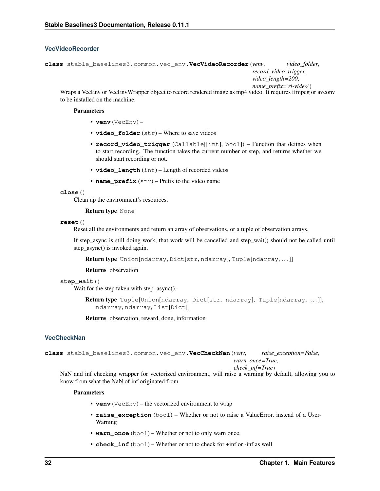### **VecVideoRecorder**

```
class stable_baselines3.common.vec_env.VecVideoRecorder(venv, video_folder,
                                                               record_video_trigger,
                                                               video_length=200,
```
*name\_prefix='rl-video'*) Wraps a VecEnv or VecEnvWrapper object to record rendered image as mp4 video. It requires ffmpeg or avconv to be installed on the machine.

#### Parameters

- **venv** (VecEnv) –
- **video\_folder** (str) Where to save videos
- **record video trigger** (Callable[[int], bool]) Function that defines when to start recording. The function takes the current number of step, and returns whether we should start recording or not.
- **video\_length** (int) Length of recorded videos
- **name\_prefix** (str) Prefix to the video name

#### **close**()

Clean up the environment's resources.

#### Return type None

#### **reset**()

Reset all the environments and return an array of observations, or a tuple of observation arrays.

If step async is still doing work, that work will be cancelled and step wait() should not be called until step\_async() is invoked again.

Return type Union[ndarray, Dict[str, ndarray], Tuple[ndarray,...]]

Returns observation

#### **step\_wait**()

Wait for the step taken with step\_async().

```
Return type Tuple[Union[ndarray, Dict[str, ndarray], Tuple[ndarray, ...]],
   ndarray, ndarray, List[Dict]]
```
Returns observation, reward, done, information

### **VecCheckNan**

**class** stable\_baselines3.common.vec\_env.**VecCheckNan**(*venv*, *raise\_exception=False*, *warn\_once=True*,

#### *check\_inf=True*)

NaN and inf checking wrapper for vectorized environment, will raise a warning by default, allowing you to know from what the NaN of inf originated from.

#### **Parameters**

- **venv** (VecEnv) the vectorized environment to wrap
- **raise\_exception** (bool) Whether or not to raise a ValueError, instead of a User-Warning
- **warn\_once** (bool) Whether or not to only warn once.
- **check** inf (bool) Whether or not to check for  $+i$ nf or -inf as well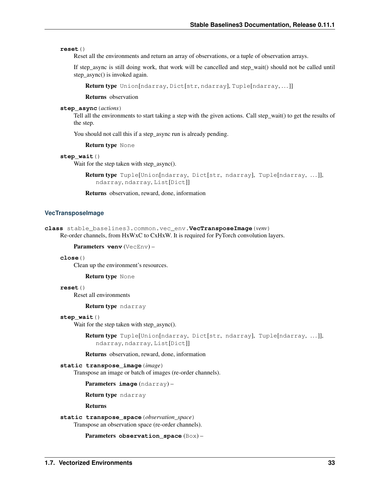#### **reset**()

Reset all the environments and return an array of observations, or a tuple of observation arrays.

If step\_async is still doing work, that work will be cancelled and step\_wait() should not be called until step\_async() is invoked again.

Return type Union[ndarray, Dict[str, ndarray], Tuple[ndarray,...]]

Returns observation

### **step\_async**(*actions*)

Tell all the environments to start taking a step with the given actions. Call step\_wait() to get the results of the step.

You should not call this if a step\_async run is already pending.

Return type None

```
step_wait()
```
Wait for the step taken with step\_async().

Return type Tuple[Union[ndarray, Dict[str, ndarray], Tuple[ndarray, . . . ]], ndarray, ndarray, List[Dict]]

Returns observation, reward, done, information

### **VecTransposeImage**

```
class stable_baselines3.common.vec_env.VecTransposeImage(venv)
     Re-order channels, from HxWxC to CxHxW. It is required for PyTorch convolution layers.
```

```
Parameters venv (VecEnv) –
```
#### **close**()

Clean up the environment's resources.

Return type None

**reset**()

Reset all environments

Return type ndarray

#### **step\_wait**()

Wait for the step taken with step\_async().

Return type Tuple[Union[ndarray, Dict[str, ndarray], Tuple[ndarray, . . . ]], ndarray, ndarray, List[Dict]]

Returns observation, reward, done, information

### **static transpose\_image**(*image*)

Transpose an image or batch of images (re-order channels).

Parameters **image** (ndarray) –

Return type ndarray

Returns

```
static transpose_space(observation_space)
    Transpose an observation space (re-order channels).
```
Parameters **observation\_space** (Box) –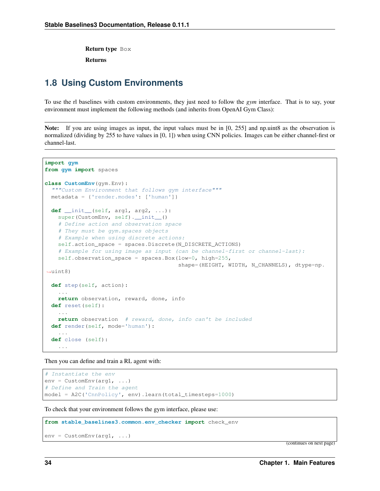Return type Box

Returns

# **1.8 Using Custom Environments**

To use the rl baselines with custom environments, they just need to follow the *gym* interface. That is to say, your environment must implement the following methods (and inherits from OpenAI Gym Class):

Note: If you are using images as input, the input values must be in [0, 255] and np.uint8 as the observation is normalized (dividing by 255 to have values in [0, 1]) when using CNN policies. Images can be either channel-first or channel-last.

```
import gym
from gym import spaces
class CustomEnv(gym.Env):
  """Custom Environment that follows gym interface"""
 metadata = {'render.modes': ['human']}
  def __init__(self, arg1, arg2, ...):
   super(CustomEnv, self). __init__()
    # Define action and observation space
    # They must be gym.spaces objects
    # Example when using discrete actions:
    self.action_space = spaces.Discrete(N_DISCRETE_ACTIONS)
    # Example for using image as input (can be channel-first or channel-last):
    self.observation_space = spaces.Box(low=0, high=255,
                                         shape=(HEIGHT, WIDTH, N_CHANNELS), dtype=np.
˓→uint8)
  def step(self, action):
    ...
    return observation, reward, done, info
  def reset(self):
    ...
   return observation # reward, done, info can't be included
  def render(self, mode='human'):
    ...
  def close (self):
    ...
```
Then you can define and train a RL agent with:

```
# Instantiate the env
env = CustomEnv(arg1, ...)
# Define and Train the agent
model = A2C('CnnPolicy', env).learn(total_timesteps=1000)
```
To check that your environment follows the gym interface, please use:

```
from stable_baselines3.common.env_checker import check_env
```

```
env = CustomEnv(arg1, ...)
```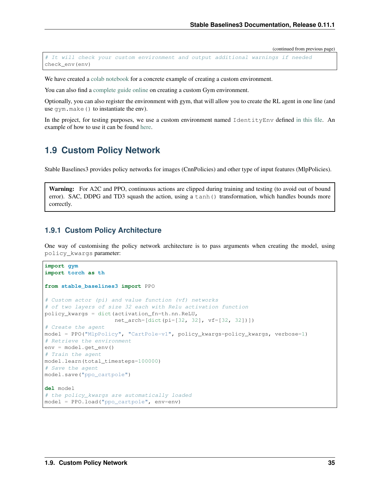```
# It will check your custom environment and output additional warnings if needed
check_env(env)
```
We have created a [colab notebook](https://colab.research.google.com/github/araffin/rl-tutorial-jnrr19/blob/master/5_custom_gym_env.ipynb) for a concrete example of creating a custom environment.

You can also find a [complete guide online](https://github.com/openai/gym/blob/master/docs/creating-environments.md) on creating a custom Gym environment.

Optionally, you can also register the environment with gym, that will allow you to create the RL agent in one line (and use gym.make() to instantiate the env).

In the project, for testing purposes, we use a custom environment named IdentityEnv defined [in this file.](https://github.com/hill-a/stable-baselines/blob/master/stable_baselines/common/identity_env.py) An example of how to use it can be found [here.](https://github.com/hill-a/stable-baselines/blob/master/tests/test_identity.py)

# **1.9 Custom Policy Network**

Stable Baselines3 provides policy networks for images (CnnPolicies) and other type of input features (MlpPolicies).

Warning: For A2C and PPO, continuous actions are clipped during training and testing (to avoid out of bound error). SAC, DDPG and TD3 squash the action, using a tanh () transformation, which handles bounds more correctly.

## **1.9.1 Custom Policy Architecture**

One way of customising the policy network architecture is to pass arguments when creating the model, using policy\_kwargs parameter:

```
import gym
import torch as th
from stable_baselines3 import PPO
# Custom actor (pi) and value function (vf) networks
# of two layers of size 32 each with Relu activation function
policy_kwargs = dict(activation_fn=th.nn.ReLU,
                     net_arch=[dict(pi=[32, 32], vf=[32, 32])])
# Create the agent
model = PPO("MlpPolicy", "CartPole-v1", policy_kwargs=policy_kwargs, verbose=1)
# Retrieve the environment
env = model.get_env()
# Train the agent
model.learn(total_timesteps=100000)
# Save the agent
model.save("ppo_cartpole")
del model
# the policy_kwargs are automatically loaded
model = PPO.load("ppo_cartpole", env=env)
```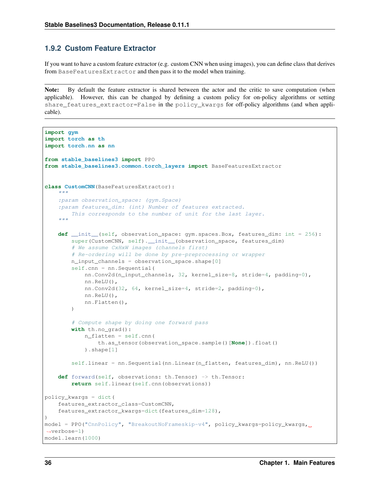## **1.9.2 Custom Feature Extractor**

If you want to have a custom feature extractor (e.g. custom CNN when using images), you can define class that derives from BaseFeaturesExtractor and then pass it to the model when training.

Note: By default the feature extractor is shared between the actor and the critic to save computation (when applicable). However, this can be changed by defining a custom policy for on-policy algorithms or setting share features extractor=False in the policy kwargs for off-policy algorithms (and when applicable).

```
import gym
import torch as th
import torch.nn as nn
from stable_baselines3 import PPO
from stable_baselines3.common.torch_layers import BaseFeaturesExtractor
class CustomCNN(BaseFeaturesExtractor):
    """
    :param observation_space: (gym.Space)
    :param features_dim: (int) Number of features extracted.
        This corresponds to the number of unit for the last layer.
    "" "" "
    def __init__(self, observation_space: gym.spaces.Box, features_dim: int = 256):
        super(CustomCNN, self).__init_(observation_space, features_dim)
        # We assume CxHxW images (channels first)
        # Re-ordering will be done by pre-preprocessing or wrapper
        n_input_channels = observation_space.shape[0]
        self.cnn = nn.Sequential(
            nn.Conv2d(n_input_channels, 32, kernel_size=8, stride=4, padding=0),
            nn.ReLU(),
            nn.Conv2d(32, 64, kernel_size=4, stride=2, padding=0),
            nn.ReLU(),
            nn.Flatten(),
        \lambda# Compute shape by doing one forward pass
        with th.no_grad():
            n_flatten = self.cnn(
                th.as_tensor(observation_space.sample()[None]).float()
            ).shape[1]
        self.linear = nn.Sequential(nn.Linear(n_flatten, features_dim), nn.ReLU())
    def forward(self, observations: th.Tensor) -> th.Tensor:
        return self.linear(self.cnn(observations))
policy_kwargs = dict(
    features_extractor_class=CustomCNN,
    features_extractor_kwargs=dict(features_dim=128),
)
model = PPO("CnnPolicy", "BreakoutNoFrameskip-v4", policy_kwargs=policy_kwargs,
˓→verbose=1)
model.learn(1000)
```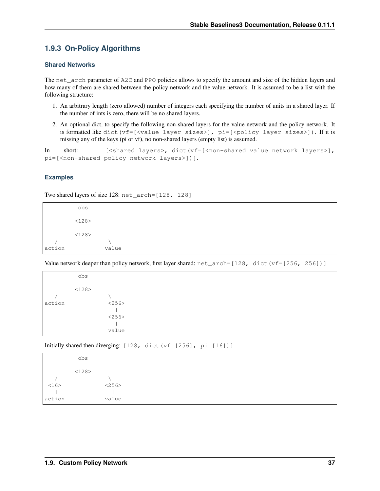# **1.9.3 On-Policy Algorithms**

## **Shared Networks**

The net arch parameter of A2C and PPO policies allows to specify the amount and size of the hidden layers and how many of them are shared between the policy network and the value network. It is assumed to be a list with the following structure:

- 1. An arbitrary length (zero allowed) number of integers each specifying the number of units in a shared layer. If the number of ints is zero, there will be no shared layers.
- 2. An optional dict, to specify the following non-shared layers for the value network and the policy network. It is formatted like dict  $(vf=[\texttt{value layer sizes}]\text{, }pi=[\texttt{spolicy layer sizes}]\text{). If it is}$ missing any of the keys (pi or vf), no non-shared layers (empty list) is assumed.

In short: [<shared layers>, dict(vf=[<non-shared value network layers>], pi=[<non-shared policy network layers>])].

## **Examples**

Two shared layers of size 128: net\_arch=[128, 128]

obs | <128>  $\|$  $<128>$ /  $\sqrt{ }$ action value

Value network deeper than policy network, first layer shared:  $net\_arch=[128, dict(vf=[256, 256])]$ 

|        | obs   |       |
|--------|-------|-------|
|        | <128> |       |
|        |       |       |
| action |       | <256> |
|        |       |       |
|        |       | <256> |
|        |       |       |
|        |       | value |
|        |       |       |

Initially shared then diverging: [128, dict(vf=[256], pi=[16])]

|        | obs   |  |
|--------|-------|--|
|        |       |  |
|        | <128> |  |
|        |       |  |
| <16>   | <256> |  |
|        |       |  |
| action | value |  |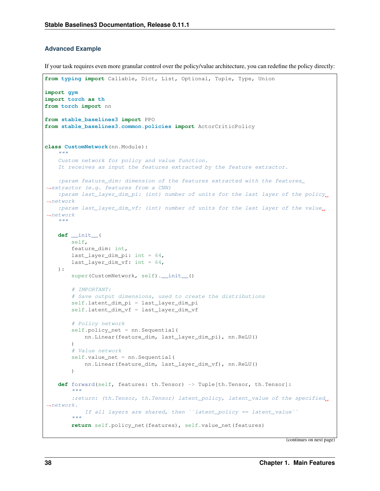## **Advanced Example**

If your task requires even more granular control over the policy/value architecture, you can redefine the policy directly:

```
from typing import Callable, Dict, List, Optional, Tuple, Type, Union
import gym
import torch as th
from torch import nn
from stable_baselines3 import PPO
from stable_baselines3.common.policies import ActorCriticPolicy
class CustomNetwork(nn.Module):
    """
    Custom network for policy and value function.
    It receives as input the features extracted by the feature extractor.
    :param feature_dim: dimension of the features extracted with the features_
˓→extractor (e.g. features from a CNN)
   :param last_layer_dim_pi: (int) number of units for the last layer of the policy_
\rightarrownetwork
    :param last_layer_dim_vf: (int) number of units for the last layer of the value
˓→network
    "''"''"''"def __init__(
        self,
        feature_dim: int,
        last_layer_dim_pi: int = 64,
       last_layer_dim_vf: int = 64,
   ):
        super(CustomNetwork, self). __init__()
        # IMPORTANT:
        # Save output dimensions, used to create the distributions
        self.latent_dim_pi = last_layer_dim_pi
        self.latent_dim_vf = last_layer_dim_vf
        # Policy network
        self.policy_net = nn.Sequential(
            nn.Linear(feature_dim, last_layer_dim_pi), nn.ReLU()
        )
        # Value network
        self.value_net = nn.Sequential(
            nn.Linear(feature_dim, last_layer_dim_vf), nn.ReLU()
        \lambdadef forward(self, features: th.Tensor) -> Tuple[th.Tensor, th.Tensor]:
        "''":return: (th.Tensor, th.Tensor) latent_policy, latent_value of the specified_
˓→network.
            If all layers are shared, then ``latent_policy == latent_value``
        "''"return self.policy_net(features), self.value_net(features)
```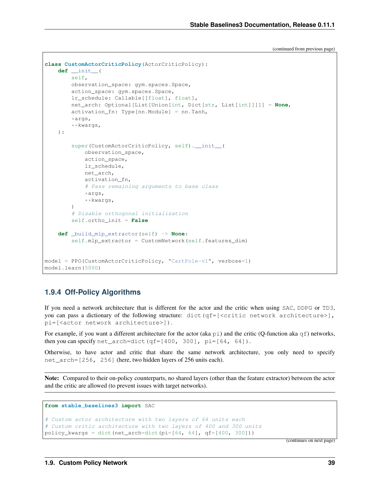```
class CustomActorCriticPolicy(ActorCriticPolicy):
   def __init__(
        self,
        observation_space: gym.spaces.Space,
        action_space: gym.spaces.Space,
        lr_schedule: Callable[[float], float],
        net_arch: Optional[List[Union[int, Dict[str, List[int]]]]] = None,
        activation_fn: Type[nn.Module] = nn.Tanh,
        *args,
        **kwargs,
    ):
        super(CustomActorCriticPolicy, self). init_(
            observation_space,
            action_space,
            lr_schedule,
            net_arch,
            activation_fn,
            # Pass remaining arguments to base class
            *args,
            **kwargs,
        \lambda# Disable orthogonal initialization
        self.ortho_init = False
    def _build_mlp_extractor(self) -> None:
        self.mlp extractor = CustomNetwork(self.features dim)
model = PPO(CustomActorCriticPolicy, "CartPole-v1", verbose=1)
model.learn(5000)
```
# **1.9.4 Off-Policy Algorithms**

If you need a network architecture that is different for the actor and the critic when using SAC, DDPG or TD3, you can pass a dictionary of the following structure: dict (qf=[<critic network architecture>], pi=[<actor network architecture>]).

For example, if you want a different architecture for the actor (aka  $p_i$ ) and the critic (Q-function aka  $q_i$ ) networks, then you can specify net\_arch=dict(qf= $[400, 300]$ , pi= $[64, 64]$ ).

Otherwise, to have actor and critic that share the same network architecture, you only need to specify net arch=[256, 256] (here, two hidden layers of 256 units each).

Note: Compared to their on-policy counterparts, no shared layers (other than the feature extractor) between the actor and the critic are allowed (to prevent issues with target networks).

```
from stable_baselines3 import SAC
# Custom actor architecture with two layers of 64 units each
# Custom critic architecture with two layers of 400 and 300 units
policy_kwargs = dict(net_arch=dict(pi=[64, 64], qf=[400, 300]))
```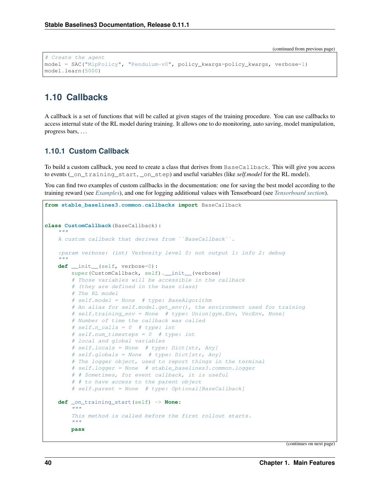```
# Create the agent
model = SAC("MlpPolicy", "Pendulum-v0", policy_kwargs=policy_kwargs, verbose=1)
model.learn(5000)
```
# **1.10 Callbacks**

A callback is a set of functions that will be called at given stages of the training procedure. You can use callbacks to access internal state of the RL model during training. It allows one to do monitoring, auto saving, model manipulation, progress bars, . . .

## **1.10.1 Custom Callback**

To build a custom callback, you need to create a class that derives from BaseCallback. This will give you access to events (\_on\_training\_start, \_on\_step) and useful variables (like *self.model* for the RL model).

You can find two examples of custom callbacks in the documentation: one for saving the best model according to the training reward (see *[Examples](#page-15-0)*), and one for logging additional values with Tensorboard (see *[Tensorboard section](#page-51-0)*).

```
from stable_baselines3.common.callbacks import BaseCallback
class CustomCallback(BaseCallback):
    """
    A custom callback that derives from ``BaseCallback``.
    :param verbose: (int) Verbosity level 0: not output 1: info 2: debug
    "''"def __init__(self, verbose=0):
        super(CustomCallback, self).__init__(verbose)
        # Those variables will be accessible in the callback
        # (they are defined in the base class)
        # The RL model
        # self.model = None # type: BaseAlgorithm
        # An alias for self.model.get_env(), the environment used for training
        # self.training_env = None # type: Union[gym.Env, VecEnv, None]
        # Number of time the callback was called
        # self.n_calls = 0 # type: int
        # self.num_timesteps = 0 # type: int
        # local and global variables
        # self.locals = None # type: Dict[str, Any]
        # self.globals = None # type: Dict[str, Any]
        # The logger object, used to report things in the terminal
        # self.logger = None # stable_baselines3.common.logger
        # # Sometimes, for event callback, it is useful
        # # to have access to the parent object
        # self.parent = None # type: Optional[BaseCallback]
    def _on_training_start(self) -> None:
        \overline{u}"" \overline{u}This method is called before the first rollout starts.
        "''"''"''"pass
```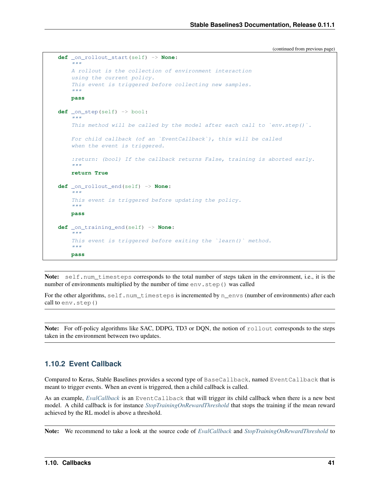```
def _on_rollout_start(self) -> None:
     "''"''"''"A rollout is the collection of environment interaction
     using the current policy.
     This event is triggered before collecting new samples.
     \boldsymbol{u} \boldsymbol{u} \boldsymbol{n}pass
def _on_step(self) -> bool:
      ''" "
     This method will be called by the model after each call to `env.step()`.
     For child callback (of an `EventCallback`), this will be called
     when the event is triggered.
     :return: (bool) If the callback returns False, training is aborted early.
     \boldsymbol{u} \boldsymbol{u} \boldsymbol{n}return True
def _on_rollout_end(self) -> None:
     "''"This event is triggered before updating the policy.
     "''"''"''"pass
def _on_training_end(self) -> None:
     \boldsymbol{H} . \boldsymbol{H}This event is triggered before exiting the 'learn()' method.
     \boldsymbol{u} \boldsymbol{u} \boldsymbol{n}pass
```
Note: self.num\_timesteps corresponds to the total number of steps taken in the environment, i.e., it is the number of environments multiplied by the number of time  $env$ .  $step()$  was called

For the other algorithms, self.num\_timesteps is incremented by n\_envs (number of environments) after each call to env.step()

Note: For off-policy algorithms like SAC, DDPG, TD3 or DQN, the notion of rollout corresponds to the steps taken in the environment between two updates.

## <span id="page-44-0"></span>**1.10.2 Event Callback**

Compared to Keras, Stable Baselines provides a second type of BaseCallback, named EventCallback that is meant to trigger events. When an event is triggered, then a child callback is called.

As an example, *[EvalCallback](#page-46-0)* is an EventCallback that will trigger its child callback when there is a new best model. A child callback is for instance *[StopTrainingOnRewardThreshold](#page-47-0)* that stops the training if the mean reward achieved by the RL model is above a threshold.

Note: We recommend to take a look at the source code of *[EvalCallback](#page-46-0)* and *[StopTrainingOnRewardThreshold](#page-47-0)* to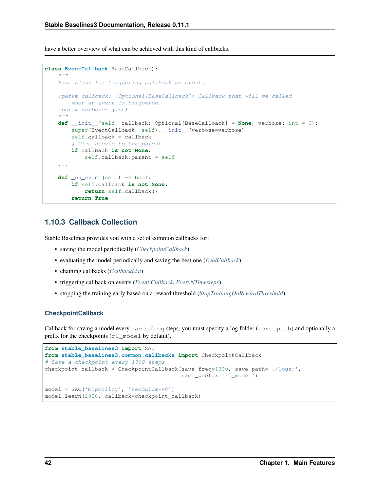have a better overview of what can be achieved with this kind of callbacks.

```
class EventCallback(BaseCallback):
    """
    Base class for triggering callback on event.
    :param callback: (Optional[BaseCallback]) Callback that will be called
       when an event is triggered.
    :param verbose: (int)
    "''"''"def __init__(self, callback: Optional[BaseCallback] = None, verbose: int = 0):
       super(EventCallback, self).__init_(verbose=verbose)
       self.callback = callback
        # Give access to the parent
       if callback is not None:
            self.callback.parent = self
    ...
   def _on_event(self) -> bool:
       if self.callback is not None:
           return self.callback()
       return True
```
## **1.10.3 Callback Collection**

Stable Baselines provides you with a set of common callbacks for:

- saving the model periodically (*[CheckpointCallback](#page-45-0)*)
- evaluating the model periodically and saving the best one (*[EvalCallback](#page-46-0)*)
- chaining callbacks (*[CallbackList](#page-46-1)*)
- triggering callback on events (*[Event Callback](#page-44-0)*, *[EveryNTimesteps](#page-47-1)*)
- stopping the training early based on a reward threshold (*[StopTrainingOnRewardThreshold](#page-47-0)*)

### <span id="page-45-0"></span>**CheckpointCallback**

Callback for saving a model every save\_freq steps, you must specify a log folder (save\_path) and optionally a prefix for the checkpoints (rl\_model by default).

```
from stable_baselines3 import SAC
from stable_baselines3.common.callbacks import CheckpointCallback
# Save a checkpoint every 1000 steps
checkpoint_callback = CheckpointCallback(save_freq=1000, save_path='./logs/',
                                         name_prefix='rl_model')
model = SAC('MlpPolicy', 'Pendulum-v0')
model.learn(2000, callback=checkpoint_callback)
```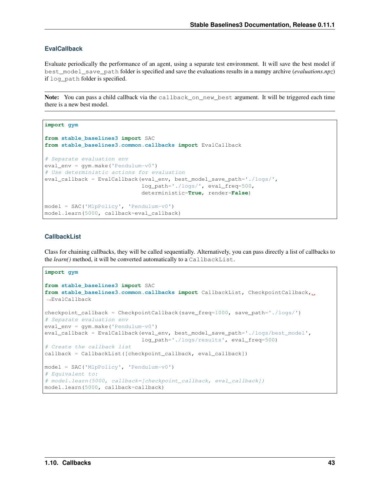## <span id="page-46-0"></span>**EvalCallback**

Evaluate periodically the performance of an agent, using a separate test environment. It will save the best model if best\_model\_save\_path folder is specified and save the evaluations results in a numpy archive (*evaluations.npz*) if log\_path folder is specified.

Note: You can pass a child callback via the callback\_on\_new\_best argument. It will be triggered each time there is a new best model.

```
import gym
from stable_baselines3 import SAC
from stable_baselines3.common.callbacks import EvalCallback
# Separate evaluation env
eval_env = gym.make('Pendulum-v0')
# Use deterministic actions for evaluation
eval_callback = EvalCallback(eval_env, best_model_save_path='./logs/',
                             log_path='./logs/', eval_freq=500,
                             deterministic=True, render=False)
model = SAC('MlpPolicy', 'Pendulum-v0')
model.learn(5000, callback=eval_callback)
```
## <span id="page-46-1"></span>**CallbackList**

Class for chaining callbacks, they will be called sequentially. Alternatively, you can pass directly a list of callbacks to the *learn()* method, it will be converted automatically to a CallbackList.

```
import gym
from stable_baselines3 import SAC
from stable_baselines3.common.callbacks import CallbackList, CheckpointCallback,
˓→EvalCallback
checkpoint_callback = CheckpointCallback(save_freq=1000, save_path='./logs/')
# Separate evaluation env
eval_env = gym.make('Pendulum-v0')
eval_callback = EvalCallback(eval_env, best_model_save_path='./logs/best_model',
                             log_path='./logs/results', eval_freq=500)
# Create the callback list
callback = CallbackList([checkpoint_callback, eval_callback])
model = SAC('MlpPolicy', 'Pendulum-v0')
# Equivalent to:
# model.learn(5000, callback=[checkpoint_callback, eval_callback])
model.learn(5000, callback=callback)
```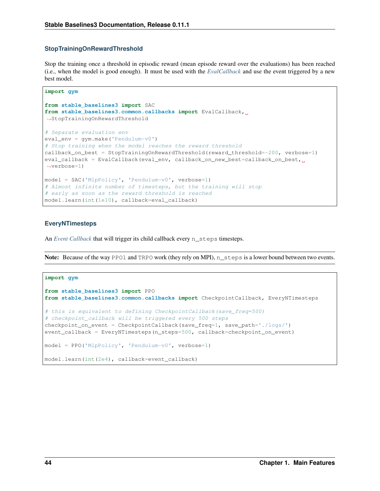### <span id="page-47-0"></span>**StopTrainingOnRewardThreshold**

Stop the training once a threshold in episodic reward (mean episode reward over the evaluations) has been reached (i.e., when the model is good enough). It must be used with the *[EvalCallback](#page-46-0)* and use the event triggered by a new best model.

```
import gym
from stable_baselines3 import SAC
from stable_baselines3.common.callbacks import EvalCallback,
˓→StopTrainingOnRewardThreshold
# Separate evaluation env
eval_env = gym.make('Pendulum-v0')
# Stop training when the model reaches the reward threshold
callback_on_best = StopTrainingOnRewardThreshold(reward_threshold=-200, verbose=1)
eval_callback = EvalCallback(eval_env, callback_on_new_best=callback_on_best, u
˓→verbose=1)
model = SAC('MlpPolicy', 'Pendulum-v0', verbose=1)
# Almost infinite number of timesteps, but the training will stop
# early as soon as the reward threshold is reached
model.learn(int(1e10), callback=eval_callback)
```
## <span id="page-47-1"></span>**EveryNTimesteps**

An *[Event Callback](#page-44-0)* that will trigger its child callback every n\_steps timesteps.

Note: Because of the way PPO1 and TRPO work (they rely on MPI), n\_steps is a lower bound between two events.

```
import gym
from stable_baselines3 import PPO
from stable_baselines3.common.callbacks import CheckpointCallback, EveryNTimesteps
# this is equivalent to defining CheckpointCallback(save_freq=500)
# checkpoint_callback will be triggered every 500 steps
checkpoint_on_event = CheckpointCallback(save_freq=1, save_path='./logs/')
event_callback = EveryNTimesteps(n_steps=500, callback=checkpoint_on_event)
model = PPO('MlpPolicy', 'Pendulum-v0', verbose=1)
model.learn(int(2e4), callback=event_callback)
```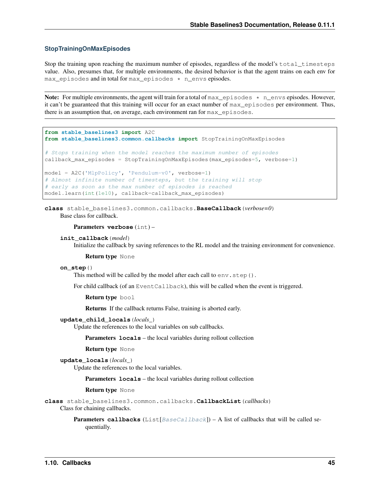### **StopTrainingOnMaxEpisodes**

Stop the training upon reaching the maximum number of episodes, regardless of the model's total\_timesteps value. Also, presumes that, for multiple environments, the desired behavior is that the agent trains on each env for max\_episodes and in total for max\_episodes \* n\_envs episodes.

Note: For multiple environments, the agent will train for a total of  $max$  pisodes  $*$  n envs episodes. However, it can't be guaranteed that this training will occur for an exact number of max\_episodes per environment. Thus, there is an assumption that, on average, each environment ran for max\_episodes.

```
from stable_baselines3 import A2C
from stable_baselines3.common.callbacks import StopTrainingOnMaxEpisodes
# Stops training when the model reaches the maximum number of episodes
callback_max_episodes = StopTrainingOnMaxEpisodes(max_episodes=5, verbose=1)
model = A2C('MlpPolicy', 'Pendulum-v0', verbose=1)
# Almost infinite number of timesteps, but the training will stop
# early as soon as the max number of episodes is reached
model.learn(int(1e10), callback=callback_max_episodes)
```
<span id="page-48-0"></span>**class** stable\_baselines3.common.callbacks.**BaseCallback**(*verbose=0*) Base class for callback.

#### Parameters **verbose** (int) –

```
init_callback(model)
```
Initialize the callback by saving references to the RL model and the training environment for convenience.

Return type None

#### **on\_step**()

This method will be called by the model after each call to  $env \cdot step()$ .

For child callback (of an EventCallback), this will be called when the event is triggered.

Return type bool

Returns If the callback returns False, training is aborted early.

#### **update\_child\_locals**(*locals\_*)

Update the references to the local variables on sub callbacks.

Parameters **locals** – the local variables during rollout collection

Return type None

```
update_locals(locals_)
```
Update the references to the local variables.

**Parameters**  $\text{locals}$  – the local variables during rollout collection

Return type None

**class** stable\_baselines3.common.callbacks.**CallbackList**(*callbacks*)

Class for chaining callbacks.

**Parameters callbacks** (List [[BaseCallback](#page-48-0)]) – A list of callbacks that will be called sequentially.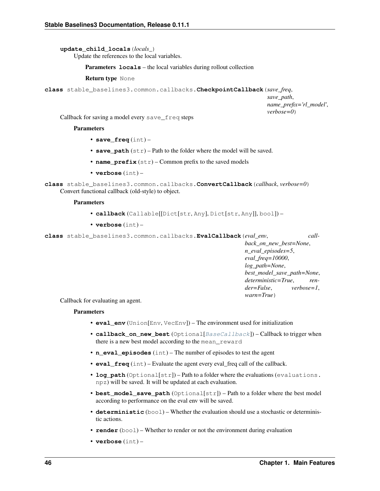**update\_child\_locals**(*locals\_*)

Update the references to the local variables.

Parameters **locals** – the local variables during rollout collection

Return type None

**class** stable\_baselines3.common.callbacks.**CheckpointCallback**(*save\_freq*,

*save\_path*, *name\_prefix='rl\_model'*, *verbose=0*)

Callback for saving a model every save\_freq steps

#### **Parameters**

- **save\_freq** (int) –
- **save\_path** (str) Path to the folder where the model will be saved.
- **name**  $\text{prefix}(str)$  Common prefix to the saved models
- **verbose** (int) –
- **class** stable\_baselines3.common.callbacks.**ConvertCallback**(*callback*, *verbose=0*) Convert functional callback (old-style) to object.

#### **Parameters**

- **callback** (Callable[[Dict[str, Any], Dict[str, Any]], bool]) –
- **verbose** (int) –

**class** stable\_baselines3.common.callbacks.**EvalCallback**(*eval\_env*, *call-*

*back\_on\_new\_best=None*, *n\_eval\_episodes=5*, *eval\_freq=10000*, *log\_path=None*, *best\_model\_save\_path=None*, *deterministic=True*, *render=False*, *verbose=1*, *warn=True*)

Callback for evaluating an agent.

#### **Parameters**

- **eval\_env** (Union[Env, VecEnv]) The environment used for initialization
- **callback\_on\_new\_best** (Optional[[BaseCallback](#page-48-0)]) Callback to trigger when there is a new best model according to the mean\_reward
- **n\_eval\_episodes** (int) The number of episodes to test the agent
- **eval\_freq** (int) Evaluate the agent every eval\_freq call of the callback.
- **log\_path** (Optional[str]) Path to a folder where the evaluations (evaluations. npz) will be saved. It will be updated at each evaluation.
- **best\_model\_save\_path** (Optional[str]) Path to a folder where the best model according to performance on the eval env will be saved.
- **deterministic** (bool) Whether the evaluation should use a stochastic or deterministic actions.
- **render** (bool) Whether to render or not the environment during evaluation
- **verbose** (int) –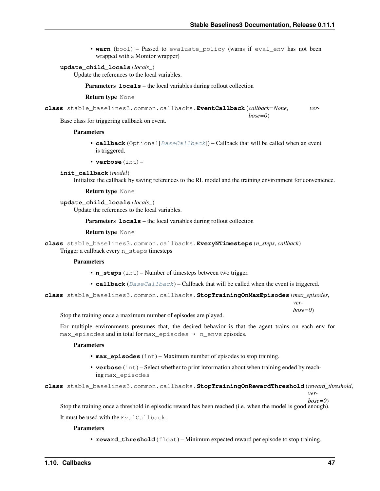*bose=0*)

• **warn** (bool) – Passed to evaluate policy (warns if eval env has not been wrapped with a Monitor wrapper)

#### **update\_child\_locals**(*locals\_*)

Update the references to the local variables.

Parameters **locals** – the local variables during rollout collection

#### Return type None

**class** stable\_baselines3.common.callbacks.**EventCallback**(*callback=None*, *ver-*

Base class for triggering callback on event.

### **Parameters**

- **callback** (Optional[[BaseCallback](#page-48-0)]) Callback that will be called when an event is triggered.
- **verbose** (int) –

**init\_callback**(*model*)

Initialize the callback by saving references to the RL model and the training environment for convenience.

Return type None

**update\_child\_locals**(*locals\_*)

Update the references to the local variables.

Parameters **locals** – the local variables during rollout collection

Return type None

**class** stable\_baselines3.common.callbacks.**EveryNTimesteps**(*n\_steps*, *callback*) Trigger a callback every n\_steps timesteps

#### **Parameters**

- **n\_steps** (int) Number of timesteps between two trigger.
- **callback** ( $BaseCallback$ ) Callback that will be called when the event is triggered.

**class** stable\_baselines3.common.callbacks.**StopTrainingOnMaxEpisodes**(*max\_episodes*,

*verbose=0*)

Stop the training once a maximum number of episodes are played.

For multiple environments presumes that, the desired behavior is that the agent trains on each env for max\_episodes and in total for max\_episodes \* n\_envs episodes.

#### Parameters

- **max\_episodes** (int) Maximum number of episodes to stop training.
- **verbose** (int) Select whether to print information about when training ended by reaching max\_episodes

**class** stable\_baselines3.common.callbacks.**StopTrainingOnRewardThreshold**(*reward\_threshold*,

*ver-*

*bose=0*)

Stop the training once a threshold in episodic reward has been reached (i.e. when the model is good enough).

It must be used with the EvalCallback.

#### **Parameters**

• **reward\_threshold** (float) – Minimum expected reward per episode to stop training.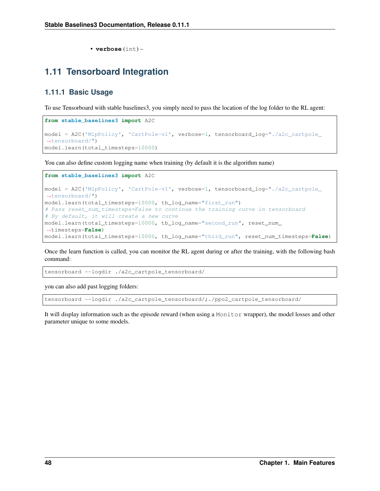• **verbose** (int) –

# <span id="page-51-0"></span>**1.11 Tensorboard Integration**

## **1.11.1 Basic Usage**

To use Tensorboard with stable baselines3, you simply need to pass the location of the log folder to the RL agent:

```
from stable_baselines3 import A2C
model = A2C('MlpPolicy', 'CartPole-v1', verbose=1, tensorboard_log="./a2c_cartpole_
˓→tensorboard/")
model.learn(total_timesteps=10000)
```
You can also define custom logging name when training (by default it is the algorithm name)

```
from stable_baselines3 import A2C
model = A2C('MlpPolicy', 'CartPole-v1', verbose=1, tensorboard_log="./a2c_cartpole_
˓→tensorboard/")
model.learn(total_timesteps=10000, tb_log_name="first_run")
# Pass reset_num_timesteps=False to continue the training curve in tensorboard
# By default, it will create a new curve
model.learn(total_timesteps=10000, tb_log_name="second_run", reset_num_
˓→timesteps=False)
model.learn(total_timesteps=10000, tb_log_name="third_run", reset_num_timesteps=False)
```
Once the learn function is called, you can monitor the RL agent during or after the training, with the following bash command:

tensorboard --logdir ./a2c\_cartpole\_tensorboard/

you can also add past logging folders:

tensorboard --logdir ./a2c\_cartpole\_tensorboard/;./ppo2\_cartpole\_tensorboard/

It will display information such as the episode reward (when using a Monitor wrapper), the model losses and other parameter unique to some models.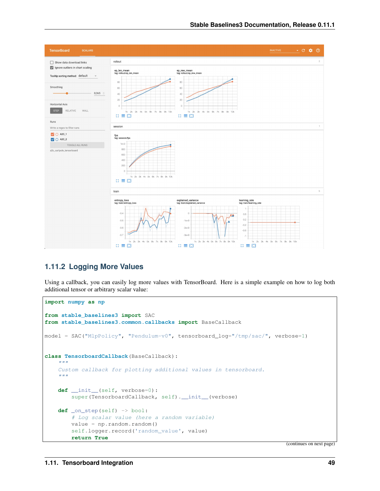

# **1.11.2 Logging More Values**

Using a callback, you can easily log more values with TensorBoard. Here is a simple example on how to log both additional tensor or arbitrary scalar value:

```
import numpy as np
from stable_baselines3 import SAC
from stable_baselines3.common.callbacks import BaseCallback
model = SAC("MlpPolicy", "Pendulum-v0", tensorboard_log="/tmp/sac/", verbose=1)
class TensorboardCallback(BaseCallback):
    "''"''"''"Custom callback for plotting additional values in tensorboard.
    "''"def __init__(self, verbose=0):
        super(TensorboardCallback, self). __init_(verbose)
    def _on_step(self) -> bool:
        # Log scalar value (here a random variable)
        value = np.random.random()self.logger.record('random_value', value)
        return True
```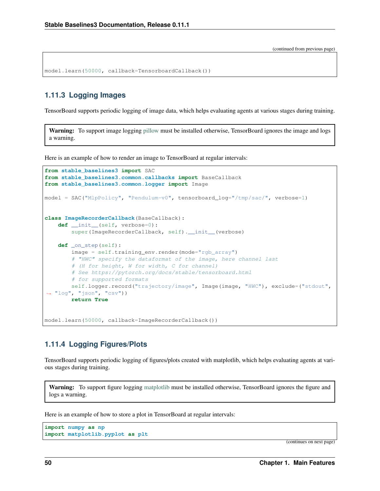```
model.learn(50000, callback=TensorboardCallback())
```
## **1.11.3 Logging Images**

TensorBoard supports periodic logging of image data, which helps evaluating agents at various stages during training.

Warning: To support image logging [pillow](https://github.com/python-pillow/Pillow) must be installed otherwise, TensorBoard ignores the image and logs a warning.

Here is an example of how to render an image to TensorBoard at regular intervals:

```
from stable_baselines3 import SAC
from stable_baselines3.common.callbacks import BaseCallback
from stable_baselines3.common.logger import Image
model = SAC("MlpPolicy", "Pendulum-v0", tensorboard_log="/tmp/sac/", verbose=1)
class ImageRecorderCallback(BaseCallback):
    def __init__(self, verbose=0):
        super(ImageRecorderCallback, self). __init__(verbose)
    def _on_step(self):
        image = self.training_env.render(mode="rgb_array")
        # "HWC" specify the dataformat of the image, here channel last
        # (H for height, W for width, C for channel)
        # See https://pytorch.org/docs/stable/tensorboard.html
        # for supported formats
        self.logger.record("trajectory/image", Image(image, "HWC"), exclude=("stdout",
\rightarrow "log", "json", "csv"))
        return True
model.learn(50000, callback=ImageRecorderCallback())
```
# **1.11.4 Logging Figures/Plots**

TensorBoard supports periodic logging of figures/plots created with matplotlib, which helps evaluating agents at various stages during training.

Warning: To support figure logging [matplotlib](https://matplotlib.org/) must be installed otherwise, TensorBoard ignores the figure and logs a warning.

Here is an example of how to store a plot in TensorBoard at regular intervals:

```
import numpy as np
import matplotlib.pyplot as plt
```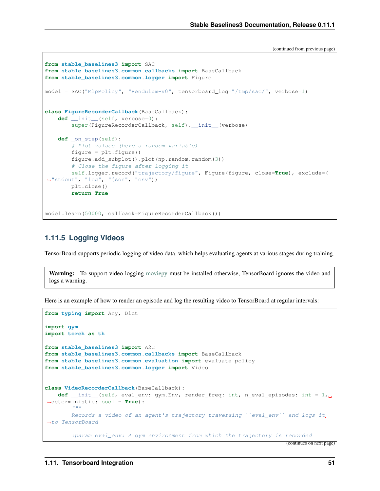```
from stable_baselines3 import SAC
from stable_baselines3.common.callbacks import BaseCallback
from stable_baselines3.common.logger import Figure
model = SAC("MlpPolicy", "Pendulum-v0", tensorboard_log="/tmp/sac/", verbose=1)
class FigureRecorderCallback(BaseCallback):
   def __init__(self, verbose=0):
       super(FigureRecorderCallback, self). __init__(verbose)
   def _on_step(self):
       # Plot values (here a random variable)
       figure = plt.fique()figure.add_subplot().plot(np.random.random(3))
        # Close the figure after logging it
       self.logger.record("trajectory/figure", Figure(figure, close=True), exclude=(
˓→"stdout", "log", "json", "csv"))
       plt.close()
       return True
model.learn(50000, callback=FigureRecorderCallback())
```
# **1.11.5 Logging Videos**

TensorBoard supports periodic logging of video data, which helps evaluating agents at various stages during training.

```
moviepy must be installed otherwise, TensorBoard ignores the video and
logs a warning.
```
Here is an example of how to render an episode and log the resulting video to TensorBoard at regular intervals:

```
from typing import Any, Dict
import gym
import torch as th
from stable_baselines3 import A2C
from stable_baselines3.common.callbacks import BaseCallback
from stable_baselines3.common.evaluation import evaluate_policy
from stable_baselines3.common.logger import Video
class VideoRecorderCallback(BaseCallback):
   def __init_(self, eval_env: gym.Env, render_freq: int, n_eval_episodes: int = 1,
˓→deterministic: bool = True):
        "''"''"Records a video of an agent's trajectory traversing "eval_env" and logs it_
˓→to TensorBoard
        :param eval_env: A gym environment from which the trajectory is recorded
```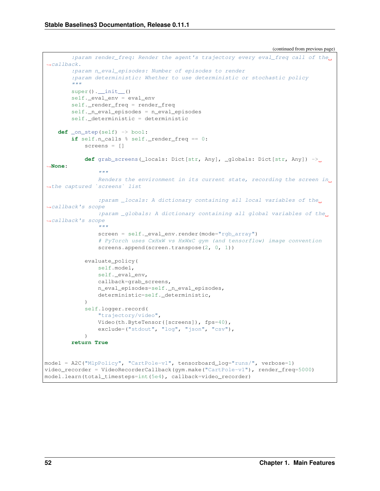```
(continued from previous page)
```

```
: param render freq: Render the agent's trajectory every eval freq call of the.
˓→callback.
        :param n_eval_episodes: Number of episodes to render
        :param deterministic: Whether to use deterministic or stochastic policy
        "" "
        super() . _init ()self._eval_env = eval_env
        self._render_freq = render_freq
        self._n_eval_episodes = n_eval_episodes
        self._deterministic = deterministic
   def _on_step(self) -> bool:
        if self.n_calls % self._render_freq == 0:
            screens = []
            def grab_screens(_locals: Dict[str, Any], _globals: Dict[str, Any]) ->
˓→None:
                "''"Renders the environment in its current state, recording the screen in_{\mathbf{u}}˓→the captured `screens` list
                :param _locals: A dictionary containing all local variables of the.
˓→callback's scope
                :param _globals: A dictionary containing all global variables of the
˓→callback's scope
                """
                screen = self. eval env.render(mode="rgb_array")
                # PyTorch uses CxHxW vs HxWxC gym (and tensorflow) image convention
                screens.append(screen.transpose(2, 0, 1))
            evaluate_policy(
                self.model,
                self._eval_env,
                callback=grab_screens,
                n_eval_episodes=self._n_eval_episodes,
                deterministic=self. deterministic,
            \lambdaself.logger.record(
                "trajectory/video",
                Video(th.ByteTensor([screens]), fps=40),
                exclude=("stdout", "log", "ison", "csv"),
            )
        return True
model = A2C("MlpPolicy", "CartPole-v1", tensorboard_log="runs/", verbose=1)
video_recorder = VideoRecorderCallback(gym.make("CartPole-v1"), render_freq=5000)
model.learn(total_timesteps=int(5e4), callback=video_recorder)
```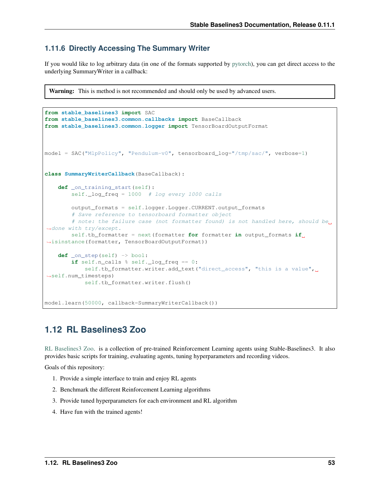# **1.11.6 Directly Accessing The Summary Writer**

If you would like to log arbitrary data (in one of the formats supported by [pytorch\)](https://pytorch.org/docs/stable/tensorboard.html), you can get direct access to the underlying SummaryWriter in a callback:

Warning: This is method is not recommended and should only be used by advanced users.

```
from stable_baselines3 import SAC
from stable_baselines3.common.callbacks import BaseCallback
from stable_baselines3.common.logger import TensorBoardOutputFormat
model = SAC("MlpPolicy", "Pendulum-v0", tensorboard_log="/tmp/sac/", verbose=1)
class SummaryWriterCallback(BaseCallback):
   def _on_training_start(self):
       self._log_freq = 1000 # log every 1000 calls
        output_formats = self.logger.Logger.CURRENT.output_formats
        # Save reference to tensorboard formatter object
        # note: the failure case (not formatter found) is not handled here, should be
˓→done with try/except.
       self.tb_formatter = next(formatter for formatter in output_formats if_{\text{u}}→isinstance(formatter, TensorBoardOutputFormat))
   def _on_step(self) -> bool:
        if self.n_calls % self._log_freq == 0:
            self.tb_formatter.writer.add_text("direct_access", "this is a value",
˓→self.num_timesteps)
           self.tb_formatter.writer.flush()
model.learn(50000, callback=SummaryWriterCallback())
```
# <span id="page-56-0"></span>**1.12 RL Baselines3 Zoo**

[RL Baselines3 Zoo.](https://github.com/DLR-RM/rl-baselines3-zoo) is a collection of pre-trained Reinforcement Learning agents using Stable-Baselines3. It also provides basic scripts for training, evaluating agents, tuning hyperparameters and recording videos.

Goals of this repository:

- 1. Provide a simple interface to train and enjoy RL agents
- 2. Benchmark the different Reinforcement Learning algorithms
- 3. Provide tuned hyperparameters for each environment and RL algorithm
- 4. Have fun with the trained agents!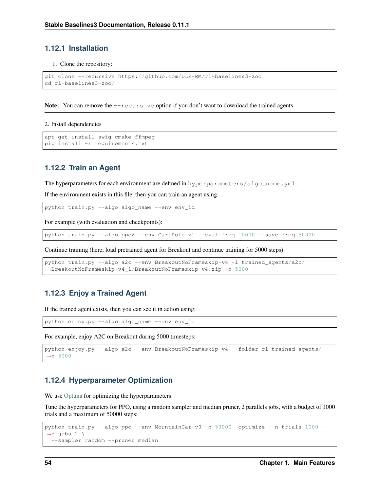## **1.12.1 Installation**

#### 1. Clone the repository:

```
git clone --recursive https://github.com/DLR-RM/rl-baselines3-zoo
cd rl-baselines3-zoo/
```
Note: You can remove the  $-\text{recursive}$  option if you don't want to download the trained agents

#### 2. Install dependencies

```
apt-get install swig cmake ffmpeg
pip install -r requirements.txt
```
## **1.12.2 Train an Agent**

The hyperparameters for each environment are defined in hyperparameters/algo\_name.yml.

If the environment exists in this file, then you can train an agent using:

python train.py --algo algo\_name --env env\_id

For example (with evaluation and checkpoints):

python train.py --algo ppo2 --env CartPole-v1 --eval-freq 10000 --save-freq 50000

Continue training (here, load pretrained agent for Breakout and continue training for 5000 steps):

```
python train.py --algo a2c --env BreakoutNoFrameskip-v4 -i trained_agents/a2c/
˓→BreakoutNoFrameskip-v4_1/BreakoutNoFrameskip-v4.zip -n 5000
```
## **1.12.3 Enjoy a Trained Agent**

If the trained agent exists, then you can see it in action using:

python enjoy.py --algo algo\_name --env env\_id

For example, enjoy A2C on Breakout during 5000 timesteps:

```
python enjoy.py --algo a2c --env BreakoutNoFrameskip-v4 --folder rl-trained-agents/ -
˓→n 5000
```
## **1.12.4 Hyperparameter Optimization**

We use [Optuna](https://optuna.org/) for optimizing the hyperparameters.

Tune the hyperparameters for PPO, using a random sampler and median pruner, 2 parallels jobs, with a budget of 1000 trials and a maximum of 50000 steps:

```
python train.py --algo ppo --env MountainCar-v0 -n 50000 -optimize --n-trials 1000 --
\rightarrown-jobs 2 \
  --sampler random --pruner median
```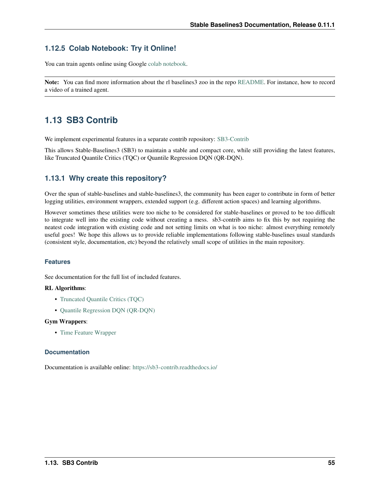# **1.12.5 Colab Notebook: Try it Online!**

You can train agents online using Google [colab notebook.](https://colab.research.google.com/github/Stable-Baselines-Team/rl-colab-notebooks/blob/sb3/rl-baselines-zoo.ipynb)

Note: You can find more information about the rl baselines3 zoo in the repo [README.](https://github.com/DLR-RM/rl-baselines3-zoo) For instance, how to record a video of a trained agent.

# **1.13 SB3 Contrib**

We implement experimental features in a separate contrib repository: [SB3-Contrib](https://github.com/Stable-Baselines-Team/stable-baselines3-contrib)

This allows Stable-Baselines3 (SB3) to maintain a stable and compact core, while still providing the latest features, like Truncated Quantile Critics (TQC) or Quantile Regression DQN (QR-DQN).

## **1.13.1 Why create this repository?**

Over the span of stable-baselines and stable-baselines3, the community has been eager to contribute in form of better logging utilities, environment wrappers, extended support (e.g. different action spaces) and learning algorithms.

However sometimes these utilities were too niche to be considered for stable-baselines or proved to be too difficult to integrate well into the existing code without creating a mess. sb3-contrib aims to fix this by not requiring the neatest code integration with existing code and not setting limits on what is too niche: almost everything remotely useful goes! We hope this allows us to provide reliable implementations following stable-baselines usual standards (consistent style, documentation, etc) beyond the relatively small scope of utilities in the main repository.

## **Features**

See documentation for the full list of included features.

### RL Algorithms:

- [Truncated Quantile Critics \(TQC\)](https://arxiv.org/abs/2005.04269)
- [Quantile Regression DQN \(QR-DQN\)](https://arxiv.org/abs/1710.10044)

#### Gym Wrappers:

• [Time Feature Wrapper](https://arxiv.org/abs/1712.00378)

### **Documentation**

Documentation is available online: <https://sb3-contrib.readthedocs.io/>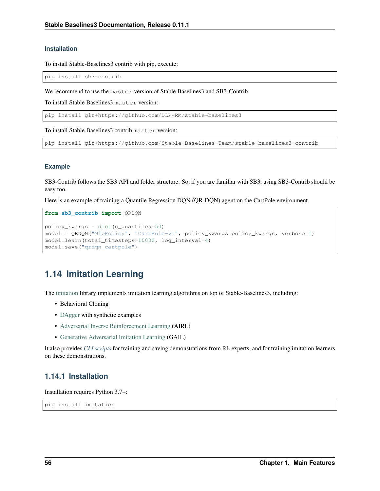## **Installation**

To install Stable-Baselines3 contrib with pip, execute:

pip install sb3-contrib

We recommend to use the master version of Stable Baselines3 and SB3-Contrib.

To install Stable Baselines3 master version:

pip install git+https://github.com/DLR-RM/stable-baselines3

To install Stable Baselines3 contrib master version:

pip install git+https://github.com/Stable-Baselines-Team/stable-baselines3-contrib

## **Example**

SB3-Contrib follows the SB3 API and folder structure. So, if you are familiar with SB3, using SB3-Contrib should be easy too.

Here is an example of training a Quantile Regression DQN (QR-DQN) agent on the CartPole environment.

```
from sb3_contrib import QRDQN
policy_kwargs = dict(n_quantiles=50)
model = QRDQN("MlpPolicy", "CartPole-v1", policy_kwargs=policy_kwargs, verbose=1)
model.learn(total_timesteps=10000, log_interval=4)
model.save("qrdqn_cartpole")
```
# <span id="page-59-0"></span>**1.14 Imitation Learning**

The [imitation](https://github.com/HumanCompatibleAI/imitation) library implements imitation learning algorithms on top of Stable-Baselines3, including:

- Behavioral Cloning
- [DAgger](https://arxiv.org/abs/1011.0686) with synthetic examples
- [Adversarial Inverse Reinforcement Learning](https://arxiv.org/abs/1710.11248) (AIRL)
- [Generative Adversarial Imitation Learning](https://arxiv.org/abs/1606.03476) (GAIL)

It also provides *[CLI scripts](#page-60-0)* for training and saving demonstrations from RL experts, and for training imitation learners on these demonstrations.

## **1.14.1 Installation**

Installation requires Python 3.7+:

pip install imitation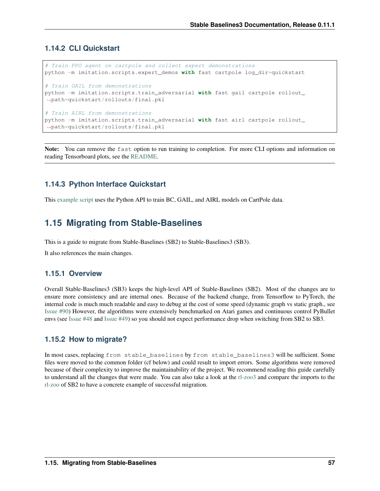## <span id="page-60-0"></span>**1.14.2 CLI Quickstart**

```
# Train PPO agent on cartpole and collect expert demonstrations
python -m imitation.scripts.expert_demos with fast cartpole log_dir=quickstart
# Train GAIL from demonstrations
python -m imitation.scripts.train_adversarial with fast gail cartpole rollout_
˓→path=quickstart/rollouts/final.pkl
# Train AIRL from demonstrations
python -m imitation.scripts.train_adversarial with fast airl cartpole rollout_
˓→path=quickstart/rollouts/final.pkl
```
Note: You can remove the fast option to run training to completion. For more CLI options and information on reading Tensorboard plots, see the [README.](https://github.com/HumanCompatibleAI/imitation#cli-quickstart)

# **1.14.3 Python Interface Quickstart**

This [example script](https://github.com/HumanCompatibleAI/imitation/blob/master/examples/quickstart.py) uses the Python API to train BC, GAIL, and AIRL models on CartPole data.

# **1.15 Migrating from Stable-Baselines**

This is a guide to migrate from Stable-Baselines (SB2) to Stable-Baselines3 (SB3).

It also references the main changes.

## **1.15.1 Overview**

Overall Stable-Baselines3 (SB3) keeps the high-level API of Stable-Baselines (SB2). Most of the changes are to ensure more consistency and are internal ones. Because of the backend change, from Tensorflow to PyTorch, the internal code is much much readable and easy to debug at the cost of some speed (dynamic graph vs static graph., see [Issue #90\)](https://github.com/DLR-RM/stable-baselines3/issues/90) However, the algorithms were extensively benchmarked on Atari games and continuous control PyBullet envs (see [Issue #48](https://github.com/DLR-RM/stable-baselines3/issues/48) and [Issue #49\)](https://github.com/DLR-RM/stable-baselines3/issues/49) so you should not expect performance drop when switching from SB2 to SB3.

## **1.15.2 How to migrate?**

In most cases, replacing from stable\_baselines by from stable\_baselines3 will be sufficient. Some files were moved to the common folder (cf below) and could result to import errors. Some algorithms were removed because of their complexity to improve the maintainability of the project. We recommend reading this guide carefully to understand all the changes that were made. You can also take a look at the [rl-zoo3](https://github.com/DLR-RM/rl-baselines3-zoo) and compare the imports to the [rl-zoo](https://github.com/araffin/rl-baselines-zoo) of SB2 to have a concrete example of successful migration.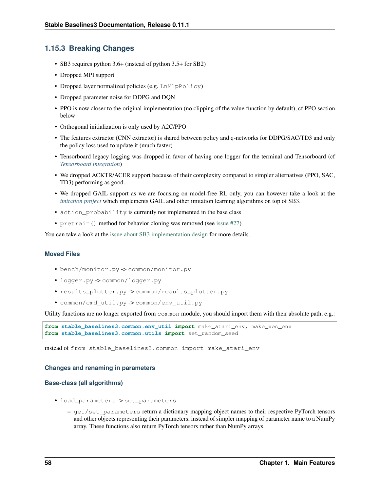## **1.15.3 Breaking Changes**

- SB3 requires python 3.6+ (instead of python 3.5+ for SB2)
- Dropped MPI support
- Dropped layer normalized policies (e.g. LnMlpPolicy)
- Dropped parameter noise for DDPG and DQN
- PPO is now closer to the original implementation (no clipping of the value function by default), cf PPO section below
- Orthogonal initialization is only used by A2C/PPO
- The features extractor (CNN extractor) is shared between policy and q-networks for DDPG/SAC/TD3 and only the policy loss used to update it (much faster)
- Tensorboard legacy logging was dropped in favor of having one logger for the terminal and Tensorboard (cf *[Tensorboard integration](#page-51-0)*)
- We dropped ACKTR/ACER support because of their complexity compared to simpler alternatives (PPO, SAC, TD3) performing as good.
- We dropped GAIL support as we are focusing on model-free RL only, you can however take a look at the *[imitation project](#page-59-0)* which implements GAIL and other imitation learning algorithms on top of SB3.
- action\_probability is currently not implemented in the base class
- pretrain() method for behavior cloning was removed (see [issue #27\)](https://github.com/DLR-RM/stable-baselines3/issues/27)

You can take a look at the [issue about SB3 implementation design](https://github.com/hill-a/stable-baselines/issues/576) for more details.

## **Moved Files**

- bench/monitor.py -> common/monitor.py
- logger.py -> common/logger.py
- results\_plotter.py -> common/results\_plotter.py
- common/cmd\_util.py -> common/env\_util.py

Utility functions are no longer exported from common module, you should import them with their absolute path, e.g.:

```
from stable_baselines3.common.env_util import make_atari_env, make_vec_env
from stable_baselines3.common.utils import set_random_seed
```
instead of from stable\_baselines3.common import make\_atari\_env

### **Changes and renaming in parameters**

### **Base-class (all algorithms)**

- load\_parameters -> set\_parameters
	- get/set\_parameters return a dictionary mapping object names to their respective PyTorch tensors and other objects representing their parameters, instead of simpler mapping of parameter name to a NumPy array. These functions also return PyTorch tensors rather than NumPy arrays.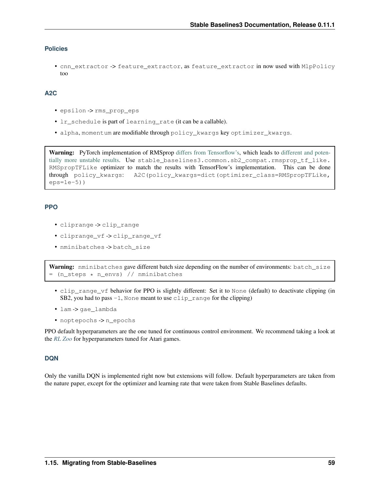## **Policies**

• cnn\_extractor -> feature\_extractor, as feature\_extractor in now used with MlpPolicy too

## **A2C**

- epsilon -> rms\_prop\_eps
- lr\_schedule is part of learning\_rate (it can be a callable).
- alpha, momentum are modifiable through policy\_kwargs key optimizer\_kwargs.

Warning: PyTorch implementation of RMSprop [differs from Tensorflow's,](https://github.com/pytorch/pytorch/issues/23796) which leads to [different and poten](https://github.com/DLR-RM/stable-baselines3/pull/110#issuecomment-663255241)[tially more unstable results.](https://github.com/DLR-RM/stable-baselines3/pull/110#issuecomment-663255241) Use stable\_baselines3.common.sb2\_compat.rmsprop\_tf\_like. RMSpropTFLike optimizer to match the results with TensorFlow's implementation. This can be done through policy kwargs: A2C(policy kwargs=dict(optimizer class=RMSpropTFLike,  $eps=1e-5)$ )

### **PPO**

- cliprange -> clip\_range
- cliprange\_vf -> clip\_range\_vf
- nminibatches -> batch size

Warning: nminibatches gave different batch size depending on the number of environments: batch size = (n\_steps \* n\_envs) // nminibatches

- clip\_range\_vf behavior for PPO is slightly different: Set it to None (default) to deactivate clipping (in SB2, you had to pass  $-1$ , None meant to use clip range for the clipping)
- lam -> gae\_lambda
- noptepochs -> n\_epochs

PPO default hyperparameters are the one tuned for continuous control environment. We recommend taking a look at the *[RL Zoo](#page-56-0)* for hyperparameters tuned for Atari games.

## **DQN**

Only the vanilla DQN is implemented right now but extensions will follow. Default hyperparameters are taken from the nature paper, except for the optimizer and learning rate that were taken from Stable Baselines defaults.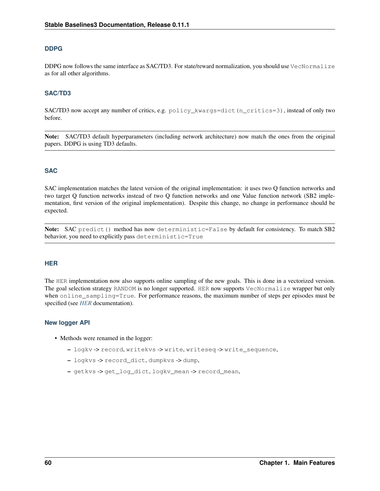## **DDPG**

DDPG now follows the same interface as SAC/TD3. For state/reward normalization, you should use VecNormalize as for all other algorithms.

### **SAC/TD3**

SAC/TD3 now accept any number of critics, e.g. policy\_kwargs=dict(n\_critics=3), instead of only two before.

Note: SAC/TD3 default hyperparameters (including network architecture) now match the ones from the original papers. DDPG is using TD3 defaults.

## **SAC**

SAC implementation matches the latest version of the original implementation: it uses two Q function networks and two target Q function networks instead of two Q function networks and one Value function network (SB2 implementation, first version of the original implementation). Despite this change, no change in performance should be expected.

Note: SAC predict() method has now deterministic=False by default for consistency. To match SB2 behavior, you need to explicitly pass deterministic=True

### **HER**

The HER implementation now also supports online sampling of the new goals. This is done in a vectorized version. The goal selection strategy RANDOM is no longer supported. HER now supports VecNormalize wrapper but only when online\_sampling=True. For performance reasons, the maximum number of steps per episodes must be specified (see *[HER](#page-105-0)* documentation).

### **New logger API**

- Methods were renamed in the logger:
	- logkv -> record, writekvs -> write, writeseq -> write\_sequence,
	- logkvs -> record\_dict, dumpkvs -> dump,
	- getkvs -> get\_log\_dict, logkv\_mean -> record\_mean,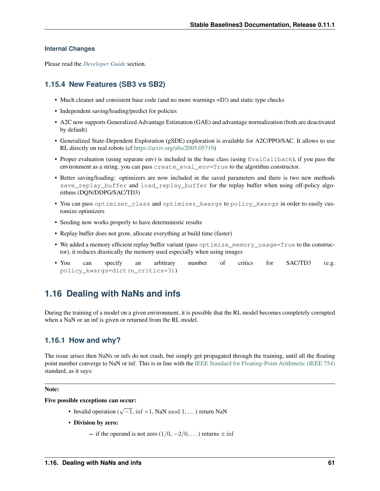### **Internal Changes**

Please read the *[Developer Guide](#page-67-0)* section.

# **1.15.4 New Features (SB3 vs SB2)**

- Much cleaner and consistent base code (and no more warnings = D!) and static type checks
- Independent saving/loading/predict for policies
- A2C now supports Generalized Advantage Estimation (GAE) and advantage normalization (both are deactivated by default)
- Generalized State-Dependent Exploration (gSDE) exploration is available for A2C/PPO/SAC. It allows to use RL directly on real robots (cf [https://arxiv.org/abs/2005.05719\)](https://arxiv.org/abs/2005.05719)
- Proper evaluation (using separate env) is included in the base class (using EvalCallback), if you pass the environment as a string, you can pass create\_eval\_env=True to the algorithm constructor.
- Better saving/loading: optimizers are now included in the saved parameters and there is two new methods save\_replay\_buffer and load\_replay\_buffer for the replay buffer when using off-policy algorithms (DQN/DDPG/SAC/TD3)
- You can pass optimizer\_class and optimizer\_kwargs to policy\_kwargs in order to easily customize optimizers
- Seeding now works properly to have deterministic results
- Replay buffer does not grow, allocate everything at build time (faster)
- We added a memory efficient replay buffer variant (pass optimize\_memory\_usage=True to the constructor), it reduces drastically the memory used especially when using images
- You can specify an arbitrary number of critics for SAC/TD3 (e.g. policy\_kwargs=dict(n\_critics=3))

# **1.16 Dealing with NaNs and infs**

During the training of a model on a given environment, it is possible that the RL model becomes completely corrupted when a NaN or an inf is given or returned from the RL model.

## **1.16.1 How and why?**

The issue arises then NaNs or infs do not crash, but simply get propagated through the training, until all the floating point number converge to NaN or inf. This is in line with the [IEEE Standard for Floating-Point Arithmetic \(IEEE 754\)](https://ieeexplore.ieee.org/document/4610935) standard, as it says:

#### Note:

Five possible exceptions can occur:

- Invalid operation ( $\sqrt{-1}$ , inf ×1, NaN mod 1, ...) return NaN
- Division by zero:
	- if the operand is not zero  $(1/0, -2/0, ...)$  returns  $\pm$  inf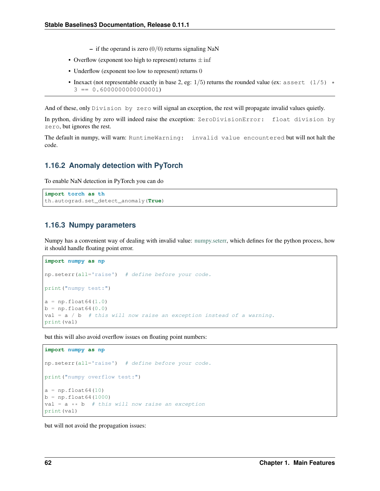- if the operand is zero  $(0/0)$  returns signaling NaN
- Overflow (exponent too high to represent) returns  $\pm$  inf
- Underflow (exponent too low to represent) returns 0
- Inexact (not representable exactly in base 2, eg:  $1/5$ ) returns the rounded value (ex: assert (1/5)  $\star$  $3 == 0.6000000000000001$

And of these, only Division by zero will signal an exception, the rest will propagate invalid values quietly.

In python, dividing by zero will indeed raise the exception: ZeroDivisionError: float division by zero, but ignores the rest.

The default in numpy, will warn: RuntimeWarning: invalid value encountered but will not halt the code.

## **1.16.2 Anomaly detection with PyTorch**

To enable NaN detection in PyTorch you can do

```
import torch as th
th.autograd.set_detect_anomaly(True)
```
## **1.16.3 Numpy parameters**

Numpy has a convenient way of dealing with invalid value: [numpy.seterr,](https://docs.scipy.org/doc/numpy/reference/generated/numpy.seterr.html) which defines for the python process, how it should handle floating point error.

```
import numpy as np
np.seterr(all='raise') # define before your code.
print("numpy test:")
a = np.fload(4.0)b = np.fload64(0.0)val = a / b # this will now raise an exception instead of a warning.
print(val)
```
but this will also avoid overflow issues on floating point numbers:

```
import numpy as np
np.seterr(all='raise') # define before your code.
print("numpy overflow test:")
a = np.fload64(10)b = np.fload64(1000)val = a * b # this will now raise an exception
print(val)
```
but will not avoid the propagation issues: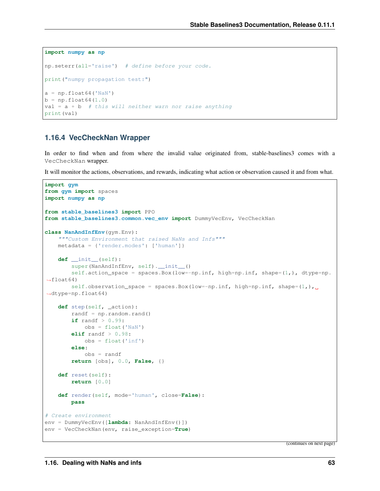```
import numpy as np
np.seterr(all='raise') # define before your code.
print("numpy propagation test:")
a = np.fload64('NaN')b = np.fload(4.0)val = a + b # this will neither warn nor raise anything
print(val)
```
## **1.16.4 VecCheckNan Wrapper**

In order to find when and from where the invalid value originated from, stable-baselines3 comes with a VecCheckNan wrapper.

It will monitor the actions, observations, and rewards, indicating what action or observation caused it and from what.

```
import gym
from gym import spaces
import numpy as np
from stable_baselines3 import PPO
from stable_baselines3.common.vec_env import DummyVecEnv, VecCheckNan
class NanAndInfEnv(gym.Env):
    """Custom Environment that raised NaNs and Infs"""
   metadata = {'render.modes': ['human']}
    def __init__(self):
        super(NanAndInfEnv, self).__init__()
        self.action_space = spaces.Box(low=-np.inf, high=np.inf, shape=(1,), dtype=np.
\rightarrowfloat64)
        self.observation_space = spaces.Box(low=-np.inf, high=np.inf, shape=(1,)_{\text{L}}˓→dtype=np.float64)
    def step(self, _action):
        randf = np.random.randn()if randf > 0.99:
           obs = float('NaN')
        elif randf > 0.98:
            obs = float('inf')
        else:
            obs = randf
        return [obs], 0.0, False, {}
    def reset(self):
        return [0.0]
    def render(self, mode='human', close=False):
        pass
# Create environment
env = DummyVecEnv([lambda: NanAndInfEnv()])
env = VecCheckNan(env, raise_exception=True)
```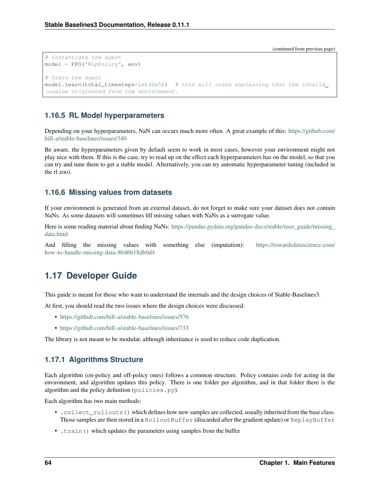```
# Instantiate the agent
model = PPO('MlpPolicy', env)
# Train the agent
model.length (total_time steps=int(2e5)) # this will crash explaining that the invalid,
˓→value originated from the environment.
```
## **1.16.5 RL Model hyperparameters**

Depending on your hyperparameters, NaN can occurs much more often. A great example of this: [https://github.com/](https://github.com/hill-a/stable-baselines/issues/340) [hill-a/stable-baselines/issues/340](https://github.com/hill-a/stable-baselines/issues/340)

Be aware, the hyperparameters given by default seem to work in most cases, however your environment might not play nice with them. If this is the case, try to read up on the effect each hyperparameters has on the model, so that you can try and tune them to get a stable model. Alternatively, you can try automatic hyperparameter tuning (included in the rl zoo).

## **1.16.6 Missing values from datasets**

If your environment is generated from an external dataset, do not forget to make sure your dataset does not contain NaNs. As some datasets will sometimes fill missing values with NaNs as a surrogate value.

Here is some reading material about finding NaNs: [https://pandas.pydata.org/pandas-docs/stable/user\\_guide/missing\\_](https://pandas.pydata.org/pandas-docs/stable/user_guide/missing_data.html) [data.html](https://pandas.pydata.org/pandas-docs/stable/user_guide/missing_data.html)

And filling the missing values with something else (imputation): [https://towardsdatascience.com/](https://towardsdatascience.com/how-to-handle-missing-data-8646b18db0d4) [how-to-handle-missing-data-8646b18db0d4](https://towardsdatascience.com/how-to-handle-missing-data-8646b18db0d4)

# <span id="page-67-0"></span>**1.17 Developer Guide**

This guide is meant for those who want to understand the internals and the design choices of Stable-Baselines3.

At first, you should read the two issues where the design choices were discussed:

- <https://github.com/hill-a/stable-baselines/issues/576>
- <https://github.com/hill-a/stable-baselines/issues/733>

The library is not meant to be modular, although inheritance is used to reduce code duplication.

## **1.17.1 Algorithms Structure**

Each algorithm (on-policy and off-policy ones) follows a common structure. Policy contains code for acting in the environment, and algorithm updates this policy. There is one folder per algorithm, and in that folder there is the algorithm and the policy definition (policies.py).

Each algorithm has two main methods:

- . collect\_rollouts() which defines how new samples are collected, usually inherited from the base class. Those samples are then stored in a RolloutBuffer (discarded after the gradient update) or ReplayBuffer
- .train() which updates the parameters using samples from the buffer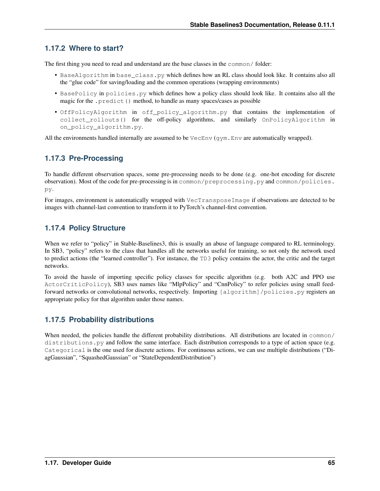# **1.17.2 Where to start?**

The first thing you need to read and understand are the base classes in the common/ folder:

- BaseAlgorithm in base\_class.py which defines how an RL class should look like. It contains also all the "glue code" for saving/loading and the common operations (wrapping environments)
- BasePolicy in policies.py which defines how a policy class should look like. It contains also all the magic for the .predict() method, to handle as many spaces/cases as possible
- OffPolicyAlgorithm in off\_policy\_algorithm.py that contains the implementation of collect rollouts() for the off-policy algorithms, and similarly OnPolicyAlgorithm in on\_policy\_algorithm.py.

All the environments handled internally are assumed to be  $VecEnv$  ( $gym$ . Env are automatically wrapped).

# **1.17.3 Pre-Processing**

To handle different observation spaces, some pre-processing needs to be done (e.g. one-hot encoding for discrete observation). Most of the code for pre-processing is in common/preprocessing.py and common/policies. py.

For images, environment is automatically wrapped with VecTransposeImage if observations are detected to be images with channel-last convention to transform it to PyTorch's channel-first convention.

# **1.17.4 Policy Structure**

When we refer to "policy" in Stable-Baselines3, this is usually an abuse of language compared to RL terminology. In SB3, "policy" refers to the class that handles all the networks useful for training, so not only the network used to predict actions (the "learned controller"). For instance, the TD3 policy contains the actor, the critic and the target networks.

To avoid the hassle of importing specific policy classes for specific algorithm (e.g. both A2C and PPO use ActorCriticPolicy), SB3 uses names like "MlpPolicy" and "CnnPolicy" to refer policies using small feedforward networks or convolutional networks, respectively. Importing [algorithm]/policies.py registers an appropriate policy for that algorithm under those names.

# **1.17.5 Probability distributions**

When needed, the policies handle the different probability distributions. All distributions are located in  $\text{common}/$ distributions. py and follow the same interface. Each distribution corresponds to a type of action space (e.g. Categorical is the one used for discrete actions. For continuous actions, we can use multiple distributions ("DiagGaussian", "SquashedGaussian" or "StateDependentDistribution")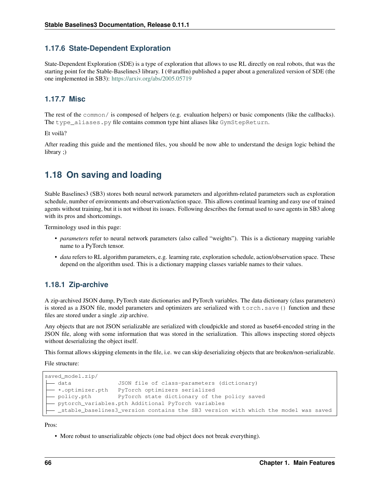## **1.17.6 State-Dependent Exploration**

State-Dependent Exploration (SDE) is a type of exploration that allows to use RL directly on real robots, that was the starting point for the Stable-Baselines3 library. I (@araffin) published a paper about a generalized version of SDE (the one implemented in SB3): <https://arxiv.org/abs/2005.05719>

## **1.17.7 Misc**

The rest of the common/ is composed of helpers (e.g. evaluation helpers) or basic components (like the callbacks). The type\_aliases.py file contains common type hint aliases like GymStepReturn.

Et voilà?

After reading this guide and the mentioned files, you should be now able to understand the design logic behind the library ;)

# **1.18 On saving and loading**

Stable Baselines3 (SB3) stores both neural network parameters and algorithm-related parameters such as exploration schedule, number of environments and observation/action space. This allows continual learning and easy use of trained agents without training, but it is not without its issues. Following describes the format used to save agents in SB3 along with its pros and shortcomings.

Terminology used in this page:

- *parameters* refer to neural network parameters (also called "weights"). This is a dictionary mapping variable name to a PyTorch tensor.
- *data* refers to RL algorithm parameters, e.g. learning rate, exploration schedule, action/observation space. These depend on the algorithm used. This is a dictionary mapping classes variable names to their values.

## **1.18.1 Zip-archive**

A zip-archived JSON dump, PyTorch state dictionaries and PyTorch variables. The data dictionary (class parameters) is stored as a JSON file, model parameters and optimizers are serialized with torch.save() function and these files are stored under a single .zip archive.

Any objects that are not JSON serializable are serialized with cloudpickle and stored as base64-encoded string in the JSON file, along with some information that was stored in the serialization. This allows inspecting stored objects without deserializing the object itself.

This format allows skipping elements in the file, i.e. we can skip deserializing objects that are broken/non-serializable.

File structure:

```
saved_model.zip/
  - data JSON file of class-parameters (dictionary)
   *.optimizer.pth PyTorch optimizers serialized
  - policy.pth PyTorch state dictionary of the policy saved
   pytorch_variables.pth Additional PyTorch variables
   _stable_baselines3_version contains the SB3 version with which the model was saved
```
Pros:

• More robust to unserializable objects (one bad object does not break everything).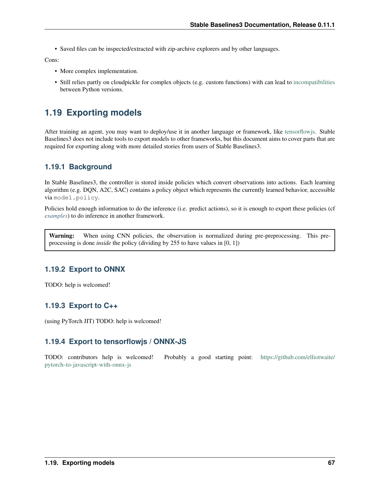• Saved files can be inspected/extracted with zip-archive explorers and by other languages.

Cons:

- More complex implementation.
- Still relies partly on cloudpickle for complex objects (e.g. custom functions) with can lead to [incompatibilities](https://github.com/DLR-RM/stable-baselines3/issues/172) between Python versions.

# **1.19 Exporting models**

After training an agent, you may want to deploy/use it in another language or framework, like [tensorflowjs.](https://github.com/tensorflow/tfjs) Stable Baselines3 does not include tools to export models to other frameworks, but this document aims to cover parts that are required for exporting along with more detailed stories from users of Stable Baselines3.

# **1.19.1 Background**

In Stable Baselines3, the controller is stored inside policies which convert observations into actions. Each learning algorithm (e.g. DQN, A2C, SAC) contains a policy object which represents the currently learned behavior, accessible via model.policy.

Policies hold enough information to do the inference (i.e. predict actions), so it is enough to export these policies (cf *[examples](#page-15-0)*) to do inference in another framework.

Warning: When using CNN policies, the observation is normalized during pre-preprocessing. This preprocessing is done *inside* the policy (dividing by 255 to have values in [0, 1])

# **1.19.2 Export to ONNX**

TODO: help is welcomed!

# **1.19.3 Export to C++**

(using PyTorch JIT) TODO: help is welcomed!

# **1.19.4 Export to tensorflowjs / ONNX-JS**

TODO: contributors help is welcomed! Probably a good starting point: [https://github.com/elliotwaite/](https://github.com/elliotwaite/pytorch-to-javascript-with-onnx-js) [pytorch-to-javascript-with-onnx-js](https://github.com/elliotwaite/pytorch-to-javascript-with-onnx-js)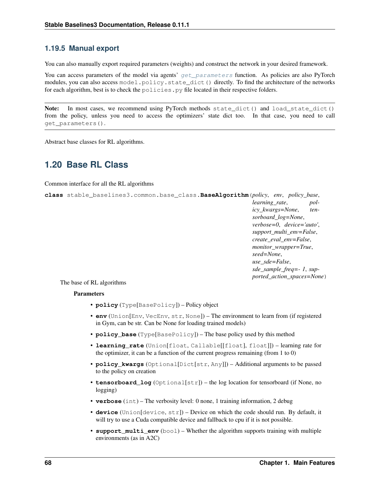## **1.19.5 Manual export**

You can also manually export required parameters (weights) and construct the network in your desired framework.

You can access parameters of the model via agents' [get\\_parameters](#page-72-0) function. As policies are also PyTorch modules, you can also access model.policy.state\_dict() directly. To find the architecture of the networks for each algorithm, best is to check the policies. py file located in their respective folders.

Note: In most cases, we recommend using PyTorch methods state\_dict() and load\_state\_dict() from the policy, unless you need to access the optimizers' state dict too. In that case, you need to call get\_parameters().

Abstract base classes for RL algorithms.

# **1.20 Base RL Class**

Common interface for all the RL algorithms

```
class stable_baselines3.common.base_class.BaseAlgorithm(policy, env, policy_base,
                                                                      learning_rate, pol-
                                                                      icy_kwargs=None, ten-
                                                                      sorboard_log=None,
                                                                      verbose=0, device='auto',
                                                                      support_multi_env=False,
                                                                      create_eval_env=False,
                                                                      monitor_wrapper=True,
                                                                      seed=None,
                                                                      use_sde=False,
                                                                      sde_sample_freq=- 1, sup-
                                                                      ported_action_spaces=None)
```
The base of RL algorithms

## Parameters

- **policy** (Type[BasePolicy]) Policy object
- **env** (Union[Env, VecEnv, str, None]) The environment to learn from (if registered in Gym, can be str. Can be None for loading trained models)
- **policy\_base** (Type[BasePolicy]) The base policy used by this method
- **learning rate** (Union[float, Callable[[float], float]]) learning rate for the optimizer, it can be a function of the current progress remaining (from 1 to 0)
- **policy\_kwargs** (Optional[Dict[str, Any]]) Additional arguments to be passed to the policy on creation
- **tensorboard** log (Optional[str]) the log location for tensorboard (if None, no logging)
- **verbose** (int) The verbosity level: 0 none, 1 training information, 2 debug
- **device** (Union[device, str]) Device on which the code should run. By default, it will try to use a Cuda compatible device and fallback to cpu if it is not possible.
- **support\_multi\_env** (bool) Whether the algorithm supports training with multiple environments (as in A2C)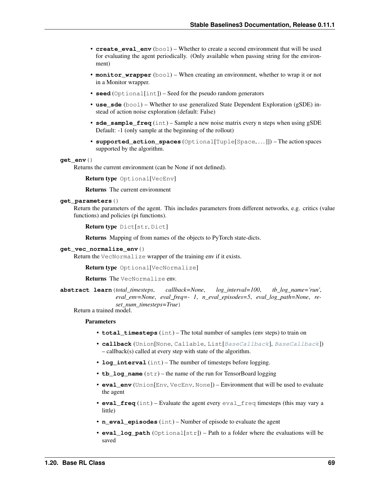- **create eval env** ( $b \circ \circ 1$ ) Whether to create a second environment that will be used for evaluating the agent periodically. (Only available when passing string for the environment)
- **monitor\_wrapper** (bool) When creating an environment, whether to wrap it or not in a Monitor wrapper.
- **seed** (Optional[int]) Seed for the pseudo random generators
- **use\_sde** (bool) Whether to use generalized State Dependent Exploration (gSDE) instead of action noise exploration (default: False)
- **sde\_sample\_freq** (int) Sample a new noise matrix every n steps when using gSDE Default: -1 (only sample at the beginning of the rollout)
- **supported\_action\_spaces** (Optional[Tuple[Space, . . . ]]) The action spaces supported by the algorithm.

#### **get\_env**()

Returns the current environment (can be None if not defined).

Return type Optional[VecEnv]

Returns The current environment

#### **get\_parameters**()

Return the parameters of the agent. This includes parameters from different networks, e.g. critics (value functions) and policies (pi functions).

```
Return type Dict[str, Dict]
```
Returns Mapping of from names of the objects to PyTorch state-dicts.

### **get\_vec\_normalize\_env**()

Return the VecNormalize wrapper of the training env if it exists.

Return type Optional[VecNormalize]

Returns The VecNormalize env.

**abstract learn**(*total\_timesteps*, *callback=None*, *log\_interval=100*, *tb\_log\_name='run'*, *eval\_env=None*, *eval\_freq=- 1*, *n\_eval\_episodes=5*, *eval\_log\_path=None*, *reset\_num\_timesteps=True*)

Return a trained model.

- **total\_timesteps** (int) The total number of samples (env steps) to train on
- **callback** (Union[None, Callable, List[[BaseCallback](#page-48-0)], [BaseCallback](#page-48-0)]) – callback(s) called at every step with state of the algorithm.
- **log\_interval** (int) The number of timesteps before logging.
- **tb\_log\_name** (str) the name of the run for TensorBoard logging
- **eval\_env** (Union[Env, VecEnv, None]) Environment that will be used to evaluate the agent
- **eval\_freq** (int) Evaluate the agent every eval\_freq timesteps (this may vary a little)
- **n\_eval\_episodes** (int) Number of episode to evaluate the agent
- **eval\_log\_path** (Optional[str]) Path to a folder where the evaluations will be saved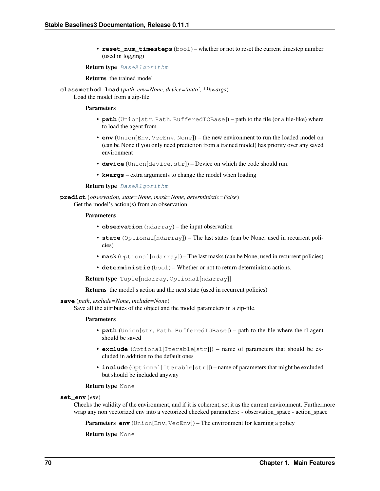• **reset num timesteps** (bool) – whether or not to reset the current timestep number (used in logging)

#### Return type [BaseAlgorithm](#page-71-0)

Returns the trained model

**classmethod load**(*path*, *env=None*, *device='auto'*, *\*\*kwargs*) Load the model from a zip-file

#### **Parameters**

- **path** (Union[str, Path, BufferedIOBase]) path to the file (or a file-like) where to load the agent from
- **env** (Union[Env, VecEnv, None]) the new environment to run the loaded model on (can be None if you only need prediction from a trained model) has priority over any saved environment
- **device** (Union[device, str]) Device on which the code should run.
- **kwargs** extra arguments to change the model when loading

#### Return type [BaseAlgorithm](#page-71-0)

**predict**(*observation*, *state=None*, *mask=None*, *deterministic=False*) Get the model's action(s) from an observation

#### Parameters

- **observation** (ndarray) the input observation
- **state** (Optional[ndarray]) The last states (can be None, used in recurrent policies)
- **mask** (Optional[ndarray]) The last masks (can be None, used in recurrent policies)
- **deterministic** (bool) Whether or not to return deterministic actions.

Return type Tuple[ndarray, Optional[ndarray]]

Returns the model's action and the next state (used in recurrent policies)

#### **save**(*path*, *exclude=None*, *include=None*)

Save all the attributes of the object and the model parameters in a zip-file.

#### Parameters

- **path** (Union[str, Path, BufferedIOBase]) path to the file where the rl agent should be saved
- **exclude** (Optional[Iterable[str]]) name of parameters that should be excluded in addition to the default ones
- **include** (Optional[Iterable[str]]) name of parameters that might be excluded but should be included anyway

#### Return type None

#### **set\_env**(*env*)

Checks the validity of the environment, and if it is coherent, set it as the current environment. Furthermore wrap any non vectorized env into a vectorized checked parameters: - observation\_space - action\_space

**Parameters <b>env** (Union[Env, VecEnv]) – The environment for learning a policy

Return type None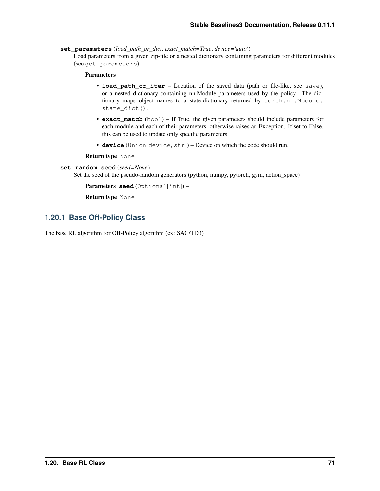**set\_parameters**(*load\_path\_or\_dict*, *exact\_match=True*, *device='auto'*)

Load parameters from a given zip-file or a nested dictionary containing parameters for different modules (see get\_parameters).

## Parameters

- **load\_path\_or\_iter** Location of the saved data (path or file-like, see save), or a nested dictionary containing nn.Module parameters used by the policy. The dictionary maps object names to a state-dictionary returned by torch.nn.Module. state\_dict().
- **exact\_match** (bool) If True, the given parameters should include parameters for each module and each of their parameters, otherwise raises an Exception. If set to False, this can be used to update only specific parameters.
- **device** (Union[device, str]) Device on which the code should run.

Return type None

## **set\_random\_seed**(*seed=None*)

Set the seed of the pseudo-random generators (python, numpy, pytorch, gym, action\_space)

Parameters **seed** (Optional[int]) –

Return type None

## **1.20.1 Base Off-Policy Class**

<span id="page-74-0"></span>The base RL algorithm for Off-Policy algorithm (ex: SAC/TD3)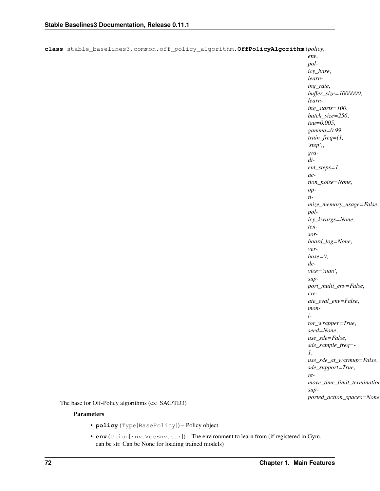**class** stable\_baselines3.common.off\_policy\_algorithm.**OffPolicyAlgorithm**(*policy*,

*env*, *policy\_base*, *learning\_rate*, *buffer\_size=1000000*, *learning\_starts=100*, *batch\_size=256*, *tau=0.005*, *gamma=0.99*, *train\_freq=(1, 'step')*, *gradient\_steps=1*, *action\_noise=None*, *optimize\_memory\_usage=False*, *policy\_kwargs=None*, *tensorboard\_log=None*, *verbose=0*, *device='auto'*, *support\_multi\_env=False*, *create\_eval\_env=False*, *monitor\_wrapper=True*, *seed=None*, *use\_sde=False*, *sde\_sample\_freq=- 1*, *use\_sde\_at\_warmup=False*, *sde\_support=True*, *remove\_time\_limit\_termination=False*, *supported\_action\_spaces=None*)

The base for Off-Policy algorithms (ex: SAC/TD3)

- **policy** (Type[BasePolicy]) Policy object
- **env** (Union[Env, VecEnv, str]) The environment to learn from (if registered in Gym, can be str. Can be None for loading trained models)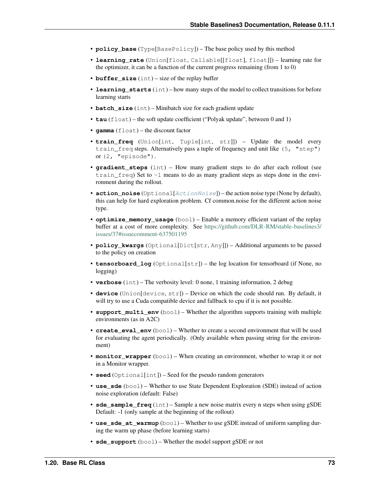- **policy** base (Type[BasePolicy]) The base policy used by this method
- **learning\_rate** (Union[float, Callable[[float], float]]) learning rate for the optimizer, it can be a function of the current progress remaining (from 1 to 0)
- **buffer\_size** (int) size of the replay buffer
- **learning starts** (int) how many steps of the model to collect transitions for before learning starts
- **batch** size (int) Minibatch size for each gradient update
- **tau** (float) the soft update coefficient ("Polyak update", between 0 and 1)
- **gamma** (float) the discount factor
- **train\_freq** (Union[int, Tuple[int, str]]) Update the model every train\_freq steps. Alternatively pass a tuple of frequency and unit like (5, "step") or (2, "episode").
- **gradient\_steps** (int) How many gradient steps to do after each rollout (see train  $freq$ ) Set to  $-1$  means to do as many gradient steps as steps done in the environment during the rollout.
- **action\_noise** (Optional[[ActionNoise](#page-163-0)]) the action noise type (None by default), this can help for hard exploration problem. Cf common.noise for the different action noise type.
- **optimize memory usage**  $(b \circ o1)$  Enable a memory efficient variant of the replay buffer at a cost of more complexity. See [https://github.com/DLR-RM/stable-baselines3/](https://github.com/DLR-RM/stable-baselines3/issues/37#issuecomment-637501195) [issues/37#issuecomment-637501195](https://github.com/DLR-RM/stable-baselines3/issues/37#issuecomment-637501195)
- **policy\_kwargs** (Optional[Dict[str, Any]]) Additional arguments to be passed to the policy on creation
- **tensorboard\_log** (Optional[str]) the log location for tensorboard (if None, no logging)
- **verbose** (int) The verbosity level: 0 none, 1 training information, 2 debug
- **device** (Union[device, str]) Device on which the code should run. By default, it will try to use a Cuda compatible device and fallback to cpu if it is not possible.
- **support\_multi\_env** (bool) Whether the algorithm supports training with multiple environments (as in A2C)
- **create\_eval\_env** (bool) Whether to create a second environment that will be used for evaluating the agent periodically. (Only available when passing string for the environment)
- **monitor\_wrapper** (bool) When creating an environment, whether to wrap it or not in a Monitor wrapper.
- **seed** (Optional[int]) Seed for the pseudo random generators
- **use\_sde** (bool) Whether to use State Dependent Exploration (SDE) instead of action noise exploration (default: False)
- **sde\_sample\_freq** (int) Sample a new noise matrix every n steps when using gSDE Default: -1 (only sample at the beginning of the rollout)
- **use\_sde\_at\_warmup** (bool) Whether to use gSDE instead of uniform sampling during the warm up phase (before learning starts)
- **sde\_support** (bool) Whether the model support gSDE or not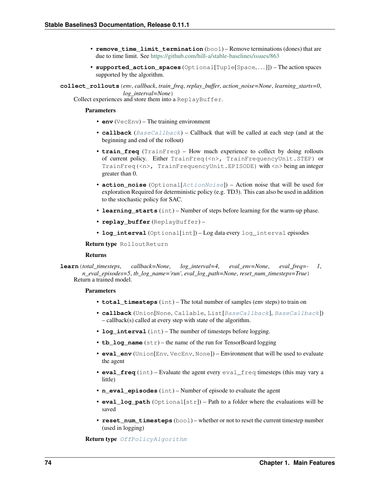- **remove time limit termination** (bool) Remove terminations (dones) that are due to time limit. See <https://github.com/hill-a/stable-baselines/issues/863>
- **supported\_action\_spaces** (Optional[Tuple[Space, . . . ]]) The action spaces supported by the algorithm.

**collect\_rollouts**(*env*, *callback*, *train\_freq*, *replay\_buffer*, *action\_noise=None*, *learning\_starts=0*, *log\_interval=None*)

Collect experiences and store them into a ReplayBuffer.

### **Parameters**

- **env** (VecEnv) The training environment
- **callback** ([BaseCallback](#page-48-0)) Callback that will be called at each step (and at the beginning and end of the rollout)
- **train\_freq** (TrainFreq) How much experience to collect by doing rollouts of current policy. Either TrainFreq(<n>, TrainFrequencyUnit.STEP) or TrainFreq(<n>, TrainFrequencyUnit.EPISODE) with <n> being an integer greater than 0.
- **action\_noise** (Optional[[ActionNoise](#page-163-0)]) Action noise that will be used for exploration Required for deterministic policy (e.g. TD3). This can also be used in addition to the stochastic policy for SAC.
- **learning\_starts** (int) Number of steps before learning for the warm-up phase.
- **replay\_buffer** (ReplayBuffer) –
- **log\_interval** (Optional[int]) Log data every log\_interval episodes

Return type RolloutReturn

#### Returns

**learn**(*total\_timesteps*, *callback=None*, *log\_interval=4*, *eval\_env=None*, *eval\_freq=- 1*, *n\_eval\_episodes=5*, *tb\_log\_name='run'*, *eval\_log\_path=None*, *reset\_num\_timesteps=True*) Return a trained model.

#### Parameters

- **total\_timesteps** (int) The total number of samples (env steps) to train on
- **callback** (Union[None, Callable, List[[BaseCallback](#page-48-0)], [BaseCallback](#page-48-0)]) – callback(s) called at every step with state of the algorithm.
- **log\_interval** (int) The number of timesteps before logging.
- **tb** log name  $(str)$  the name of the run for TensorBoard logging
- **eval env** (Union[Env, VecEnv, None]) Environment that will be used to evaluate the agent
- **eval freq** (int) Evaluate the agent every eval freq timesteps (this may vary a little)
- **n\_eval\_episodes** (int) Number of episode to evaluate the agent
- **eval\_log\_path** (Optional[str]) Path to a folder where the evaluations will be saved
- **reset num timesteps** (bool) whether or not to reset the current timestep number (used in logging)

Return type [OffPolicyAlgorithm](#page-74-0)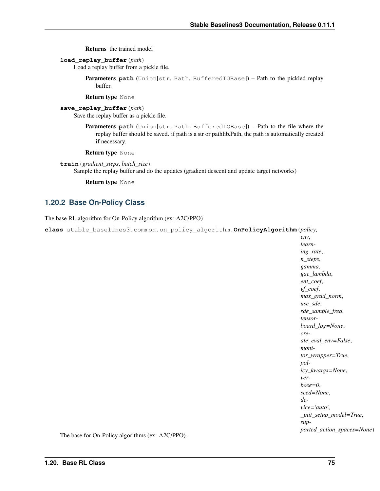Returns the trained model

**load\_replay\_buffer**(*path*)

Load a replay buffer from a pickle file.

Parameters path (Union[str, Path, BufferedIOBase]) – Path to the pickled replay buffer.

Return type None

```
save_replay_buffer(path)
```
Save the replay buffer as a pickle file.

Parameters **path** (Union[str, Path, BufferedIOBase]) – Path to the file where the replay buffer should be saved. if path is a str or pathlib.Path, the path is automatically created if necessary.

Return type None

**train**(*gradient\_steps*, *batch\_size*)

Sample the replay buffer and do the updates (gradient descent and update target networks)

Return type None

## **1.20.2 Base On-Policy Class**

The base RL algorithm for On-Policy algorithm (ex: A2C/PPO)

<span id="page-78-0"></span>**class** stable\_baselines3.common.on\_policy\_algorithm.**OnPolicyAlgorithm**(*policy*,

*env*, *learning\_rate*, *n\_steps*, *gamma*, *gae\_lambda*, *ent\_coef*, *vf\_coef*, *max\_grad\_norm*, *use\_sde*, *sde\_sample\_freq*, *tensorboard\_log=None*, *create\_eval\_env=False*, *monitor\_wrapper=True*, *policy\_kwargs=None*, *verbose=0*, *seed=None*, *device='auto'*, *\_init\_setup\_model=True*, *supported\_action\_spaces=None*)

The base for On-Policy algorithms (ex: A2C/PPO).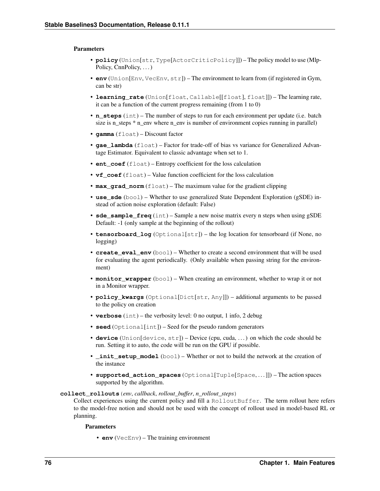### **Parameters**

- **policy** (Union[str, Type[ActorCriticPolicy]]) The policy model to use (Mlp-Policy, CnnPolicy, ...
- **env** (Union[Env, VecEnv, str]) The environment to learn from (if registered in Gym, can be str)
- **learning\_rate** (Union[float, Callable[[float], float]]) The learning rate, it can be a function of the current progress remaining (from 1 to 0)
- **n\_steps** (int) The number of steps to run for each environment per update (i.e. batch size is n\_steps \* n\_env where n\_env is number of environment copies running in parallel)
- **gamma** (float) Discount factor
- **gae\_lambda** (float) Factor for trade-off of bias vs variance for Generalized Advantage Estimator. Equivalent to classic advantage when set to 1.
- **ent\_coef** (float) Entropy coefficient for the loss calculation
- **vf** coef (float) Value function coefficient for the loss calculation
- **max\_grad\_norm** (float) The maximum value for the gradient clipping
- **use\_sde** (bool) Whether to use generalized State Dependent Exploration (gSDE) instead of action noise exploration (default: False)
- **sde\_sample\_freq** (int) Sample a new noise matrix every n steps when using gSDE Default: -1 (only sample at the beginning of the rollout)
- **tensorboard\_log** (Optional[str]) the log location for tensorboard (if None, no logging)
- **create\_eval\_env** (bool) Whether to create a second environment that will be used for evaluating the agent periodically. (Only available when passing string for the environment)
- **monitor\_wrapper** (bool) When creating an environment, whether to wrap it or not in a Monitor wrapper.
- **policy\_kwargs** (Optional[Dict[str, Any]]) additional arguments to be passed to the policy on creation
- **verbose** (int) the verbosity level: 0 no output, 1 info, 2 debug
- **seed** (Optional[int]) Seed for the pseudo random generators
- **device** (Union[device, str]) Device (cpu, cuda, . . . ) on which the code should be run. Setting it to auto, the code will be run on the GPU if possible.
- **init setup model** (bool) Whether or not to build the network at the creation of the instance
- **supported\_action\_spaces** (Optional[Tuple[Space, . . . ]]) The action spaces supported by the algorithm.

### **collect\_rollouts**(*env*, *callback*, *rollout\_buffer*, *n\_rollout\_steps*)

Collect experiences using the current policy and fill a RolloutBuffer. The term rollout here refers to the model-free notion and should not be used with the concept of rollout used in model-based RL or planning.

#### Parameters

• **env** (VecEnv) – The training environment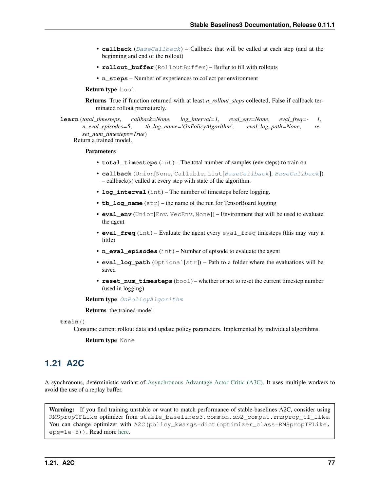- **callback** ([BaseCallback](#page-48-0)) Callback that will be called at each step (and at the beginning and end of the rollout)
- **rollout buffer** (RolloutBuffer) Buffer to fill with rollouts
- **n\_steps** Number of experiences to collect per environment

Return type bool

Returns True if function returned with at least *n\_rollout\_steps* collected, False if callback terminated rollout prematurely.

**learn**(*total\_timesteps*, *callback=None*, *log\_interval=1*, *eval\_env=None*, *eval\_freq=- 1*, *n\_eval\_episodes=5*, *tb\_log\_name='OnPolicyAlgorithm'*, *eval\_log\_path=None*, *reset\_num\_timesteps=True*) Return a trained model.

#### **Parameters**

- **total\_timesteps** (int) The total number of samples (env steps) to train on
- **callback** (Union[None, Callable, List[[BaseCallback](#page-48-0)], [BaseCallback](#page-48-0)]) – callback(s) called at every step with state of the algorithm.
- **log\_interval** (int) The number of timesteps before logging.
- **tb** log name  $(str)$  the name of the run for TensorBoard logging
- **eval\_env** (Union[Env, VecEnv, None]) Environment that will be used to evaluate the agent
- **eval freq** (int) Evaluate the agent every eval freq timesteps (this may vary a little)
- **n\_eval\_episodes** (int) Number of episode to evaluate the agent
- **eval\_log\_path** (Optional[str]) Path to a folder where the evaluations will be saved
- **reset\_num\_timesteps** (bool) whether or not to reset the current timestep number (used in logging)

Return type [OnPolicyAlgorithm](#page-78-0)

Returns the trained model

**train**()

Consume current rollout data and update policy parameters. Implemented by individual algorithms.

Return type None

# **1.21 A2C**

A synchronous, deterministic variant of [Asynchronous Advantage Actor Critic \(A3C\).](https://arxiv.org/abs/1602.01783) It uses multiple workers to avoid the use of a replay buffer.

Warning: If you find training unstable or want to match performance of stable-baselines A2C, consider using RMSpropTFLike optimizer from stable baselines3.common.sb2 compat.rmsprop tf like. You can change optimizer with A2C(policy\_kwargs=dict(optimizer\_class=RMSpropTFLike, eps=1e-5)). Read more [here.](https://github.com/DLR-RM/stable-baselines3/pull/110#issuecomment-663255241)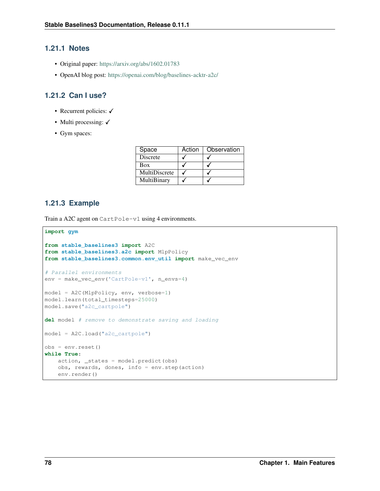## **1.21.1 Notes**

- Original paper: <https://arxiv.org/abs/1602.01783>
- OpenAI blog post: <https://openai.com/blog/baselines-acktr-a2c/>

## **1.21.2 Can I use?**

- Recurrent policies:  $\checkmark$
- Multi processing:  $\checkmark$
- Gym spaces:

| Space         | Action | Observation |
|---------------|--------|-------------|
| Discrete      |        |             |
| Box           |        |             |
| MultiDiscrete |        |             |
| MultiBinary   |        |             |

## **1.21.3 Example**

Train a A2C agent on CartPole-v1 using 4 environments.

```
import gym
from stable_baselines3 import A2C
from stable_baselines3.a2c import MlpPolicy
from stable_baselines3.common.env_util import make_vec_env
# Parallel environments
env = make_vec_env('CartPole-v1', n_envs=4)
model = A2C(MlpPolicy, env, verbose=1)model.learn(total_timesteps=25000)
model.save("a2c_cartpole")
del model # remove to demonstrate saving and loading
model = A2C.load("a2c_cartpole")
obs = env{\text{.reset}}()while True:
   action, _states = model.predict(obs)
    obs, rewards, dones, info = env.step(action)
    env.render()
```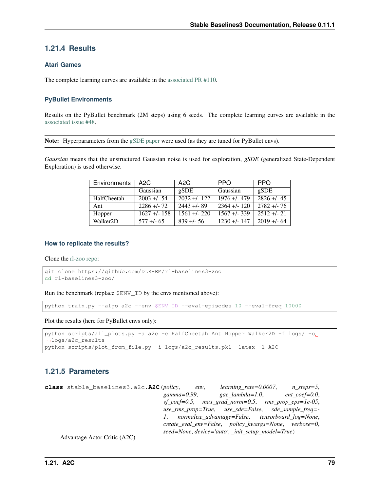## **1.21.4 Results**

## **Atari Games**

The complete learning curves are available in the [associated PR #110.](https://github.com/DLR-RM/stable-baselines3/pull/110)

## **PyBullet Environments**

Results on the PyBullet benchmark (2M steps) using 6 seeds. The complete learning curves are available in the [associated issue #48.](https://github.com/DLR-RM/stable-baselines3/issues/48)

Note: Hyperparameters from the [gSDE paper](https://arxiv.org/abs/2005.05719) were used (as they are tuned for PyBullet envs).

*Gaussian* means that the unstructured Gaussian noise is used for exploration, *gSDE* (generalized State-Dependent Exploration) is used otherwise.

| Environments          | A2C          | A2C                       | <b>PPO</b>   | <b>PPO</b>  |
|-----------------------|--------------|---------------------------|--------------|-------------|
|                       | Gaussian     | gSDE                      | Gaussian     | gSDE        |
| HalfCheetah           | $2003 + 54$  | $\overline{2032}$ +/- 122 | $1976 + 479$ | $2826 + 45$ |
| Ant                   | $2286 + 72$  | $2443 + 89$               | $2364 + 120$ | $2782 + 76$ |
| Hopper                | $1627 + 158$ | $1561 + 220$              | $1567 + 339$ | $2512 + 21$ |
| Walker <sub>2</sub> D | $577 + 65$   | $839 + 56$                | $1230 + 147$ | $2019 + 64$ |

### **How to replicate the results?**

Clone the [rl-zoo repo:](https://github.com/DLR-RM/rl-baselines3-zoo)

```
git clone https://github.com/DLR-RM/rl-baselines3-zoo
cd rl-baselines3-zoo/
```
Run the benchmark (replace \$ENV\_ID by the envs mentioned above):

python train.py --algo a2c --env \$ENV\_ID --eval-episodes 10 --eval-freq 10000

Plot the results (here for PyBullet envs only):

```
python scripts/all_plots.py -a a2c -e HalfCheetah Ant Hopper Walker2D -f logs/ -o
˓→logs/a2c_results
python scripts/plot_from_file.py -i logs/a2c_results.pkl -latex -l A2C
```
## **1.21.5 Parameters**

**class** stable\_baselines3.a2c.**A2C**(*policy*, *env*, *learning\_rate=0.0007*, *n\_steps=5*, *gamma=0.99*, *gae\_lambda=1.0*, *ent\_coef=0.0*, *vf\_coef=0.5*, *max\_grad\_norm=0.5*, *rms\_prop\_eps=1e-05*, *use\_rms\_prop=True*, *use\_sde=False*, *sde\_sample\_freq=- 1*, *normalize\_advantage=False*, *tensorboard\_log=None*, *create\_eval\_env=False*, *policy\_kwargs=None*, *verbose=0*, *seed=None*, *device='auto'*, *\_init\_setup\_model=True*)

Advantage Actor Critic (A2C)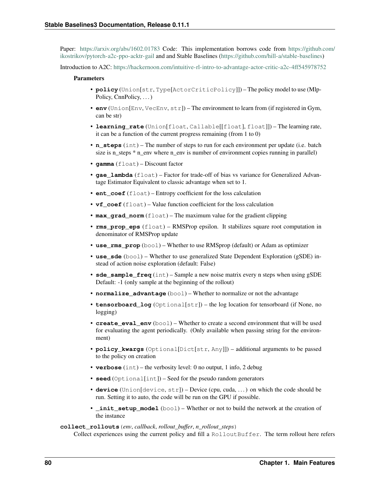Paper: <https://arxiv.org/abs/1602.01783> Code: This implementation borrows code from [https://github.com/](https://github.com/ikostrikov/pytorch-a2c-ppo-acktr-gail) [ikostrikov/pytorch-a2c-ppo-acktr-gail](https://github.com/ikostrikov/pytorch-a2c-ppo-acktr-gail) and and Stable Baselines [\(https://github.com/hill-a/stable-baselines\)](https://github.com/hill-a/stable-baselines)

Introduction to A2C: <https://hackernoon.com/intuitive-rl-intro-to-advantage-actor-critic-a2c-4ff545978752>

#### **Parameters**

- **policy** (Union[str, Type[ActorCriticPolicy]]) The policy model to use (Mlp-Policy, CnnPolicy, ...
- **env** (Union[Env, VecEnv, str]) The environment to learn from (if registered in Gym, can be str)
- **learning\_rate** (Union[float, Callable[[float], float]]) The learning rate, it can be a function of the current progress remaining (from 1 to 0)
- **n\_steps** (int) The number of steps to run for each environment per update (i.e. batch size is n\_steps \* n\_env where n\_env is number of environment copies running in parallel)
- **gamma** (float) Discount factor
- **gae** lambda (float) Factor for trade-off of bias vs variance for Generalized Advantage Estimator Equivalent to classic advantage when set to 1.
- **ent\_coef** (float) Entropy coefficient for the loss calculation
- **vf\_coef** (float) Value function coefficient for the loss calculation
- **max** grad norm (float) The maximum value for the gradient clipping
- **rms\_prop\_eps** (float) RMSProp epsilon. It stabilizes square root computation in denominator of RMSProp update
- **use\_rms\_prop** (bool) Whether to use RMSprop (default) or Adam as optimizer
- **use\_sde** (bool) Whether to use generalized State Dependent Exploration (gSDE) instead of action noise exploration (default: False)
- **sde\_sample\_freq** (int) Sample a new noise matrix every n steps when using gSDE Default: -1 (only sample at the beginning of the rollout)
- **normalize\_advantage** (bool) Whether to normalize or not the advantage
- **tensorboard\_log** (Optional[str]) the log location for tensorboard (if None, no logging)
- **create\_eval\_env** (bool) Whether to create a second environment that will be used for evaluating the agent periodically. (Only available when passing string for the environment)
- **policy\_kwargs** (Optional[Dict[str, Any]]) additional arguments to be passed to the policy on creation
- **verbose** (int) the verbosity level: 0 no output, 1 info, 2 debug
- **seed** (Optional[int]) Seed for the pseudo random generators
- **device** (Union[device, str]) Device (cpu, cuda, . . . ) on which the code should be run. Setting it to auto, the code will be run on the GPU if possible.
- **\_init\_setup\_model** (bool) Whether or not to build the network at the creation of the instance

#### **collect\_rollouts**(*env*, *callback*, *rollout\_buffer*, *n\_rollout\_steps*)

Collect experiences using the current policy and fill a RolloutBuffer. The term rollout here refers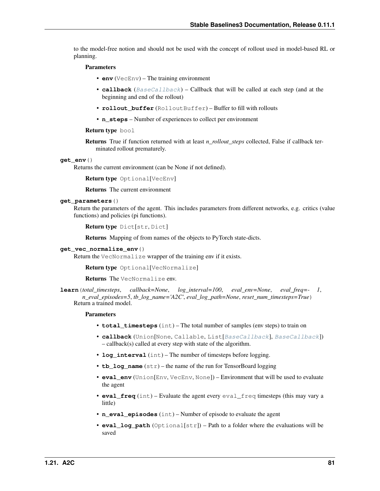to the model-free notion and should not be used with the concept of rollout used in model-based RL or planning.

#### Parameters

- **env** (VecEnv) The training environment
- **callback** ([BaseCallback](#page-48-0)) Callback that will be called at each step (and at the beginning and end of the rollout)
- **rollout buffer** (RolloutBuffer) Buffer to fill with rollouts
- **n\_steps** Number of experiences to collect per environment

#### Return type bool

Returns True if function returned with at least *n\_rollout\_steps* collected, False if callback terminated rollout prematurely.

#### **get\_env**()

Returns the current environment (can be None if not defined).

```
Return type Optional[VecEnv]
```
Returns The current environment

### **get\_parameters**()

Return the parameters of the agent. This includes parameters from different networks, e.g. critics (value functions) and policies (pi functions).

```
Return type Dict[str, Dict]
```
Returns Mapping of from names of the objects to PyTorch state-dicts.

### **get\_vec\_normalize\_env**()

Return the VecNormalize wrapper of the training env if it exists.

Return type Optional[VecNormalize]

Returns The VecNormalize env.

**learn**(*total\_timesteps*, *callback=None*, *log\_interval=100*, *eval\_env=None*, *eval\_freq=- 1*, *n\_eval\_episodes=5*, *tb\_log\_name='A2C'*, *eval\_log\_path=None*, *reset\_num\_timesteps=True*) Return a trained model.

- **total timesteps** (int) The total number of samples (env steps) to train on
- **callback** (Union[None, Callable, List[[BaseCallback](#page-48-0)], [BaseCallback](#page-48-0)]) – callback(s) called at every step with state of the algorithm.
- **log\_interval** (int) The number of timesteps before logging.
- **tb** log name  $(str)$  the name of the run for TensorBoard logging
- **eval\_env** (Union[Env, VecEnv, None]) Environment that will be used to evaluate the agent
- **eval\_freq** (int) Evaluate the agent every eval\_freq timesteps (this may vary a little)
- **n** eval episodes (int) Number of episode to evaluate the agent
- **eval\_log\_path** (Optional[str]) Path to a folder where the evaluations will be saved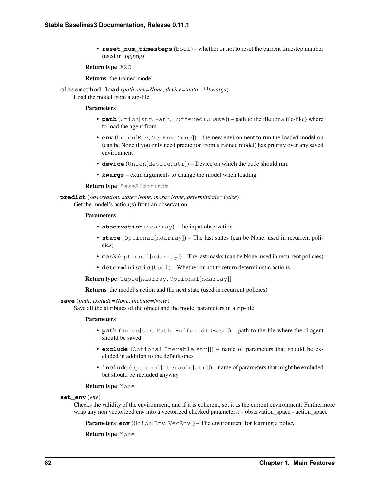• **reset num timesteps** (bool) – whether or not to reset the current timestep number (used in logging)

#### Return type A2C

Returns the trained model

**classmethod load**(*path*, *env=None*, *device='auto'*, *\*\*kwargs*) Load the model from a zip-file

#### **Parameters**

- **path** (Union[str, Path, BufferedIOBase]) path to the file (or a file-like) where to load the agent from
- **env** (Union[Env, VecEnv, None]) the new environment to run the loaded model on (can be None if you only need prediction from a trained model) has priority over any saved environment
- **device** (Union[device, str]) Device on which the code should run.
- **kwargs** extra arguments to change the model when loading

#### Return type [BaseAlgorithm](#page-71-0)

**predict**(*observation*, *state=None*, *mask=None*, *deterministic=False*) Get the model's action(s) from an observation

#### Parameters

- **observation** (ndarray) the input observation
- **state** (Optional[ndarray]) The last states (can be None, used in recurrent policies)
- **mask** (Optional[ndarray]) The last masks (can be None, used in recurrent policies)
- **deterministic** (bool) Whether or not to return deterministic actions.

Return type Tuple[ndarray, Optional[ndarray]]

Returns the model's action and the next state (used in recurrent policies)

#### **save**(*path*, *exclude=None*, *include=None*)

Save all the attributes of the object and the model parameters in a zip-file.

#### Parameters

- **path** (Union[str, Path, BufferedIOBase]) path to the file where the rl agent should be saved
- **exclude** (Optional[Iterable[str]]) name of parameters that should be excluded in addition to the default ones
- **include** (Optional[Iterable[str]]) name of parameters that might be excluded but should be included anyway

#### Return type None

#### **set\_env**(*env*)

Checks the validity of the environment, and if it is coherent, set it as the current environment. Furthermore wrap any non vectorized env into a vectorized checked parameters: - observation\_space - action\_space

**Parameters <b>env** (Union[Env, VecEnv]) – The environment for learning a policy

Return type None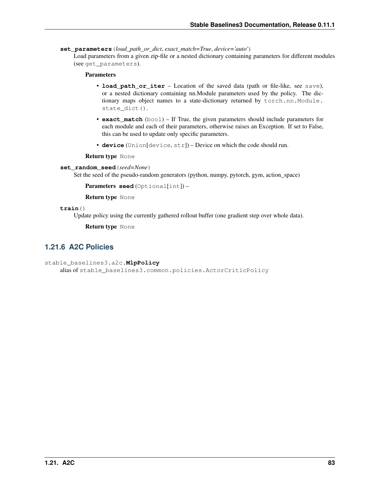**set\_parameters**(*load\_path\_or\_dict*, *exact\_match=True*, *device='auto'*)

Load parameters from a given zip-file or a nested dictionary containing parameters for different modules (see get\_parameters).

## Parameters

- **load\_path\_or\_iter** Location of the saved data (path or file-like, see save), or a nested dictionary containing nn.Module parameters used by the policy. The dictionary maps object names to a state-dictionary returned by torch.nn.Module. state dict().
- **exact\_match** (bool) If True, the given parameters should include parameters for each module and each of their parameters, otherwise raises an Exception. If set to False, this can be used to update only specific parameters.
- **device** (Union[device, str]) Device on which the code should run.

Return type None

### **set\_random\_seed**(*seed=None*)

Set the seed of the pseudo-random generators (python, numpy, pytorch, gym, action space)

Parameters **seed** (Optional[int]) –

Return type None

**train**()

Update policy using the currently gathered rollout buffer (one gradient step over whole data).

Return type None

## **1.21.6 A2C Policies**

```
stable_baselines3.a2c.MlpPolicy
```
alias of stable\_baselines3.common.policies.ActorCriticPolicy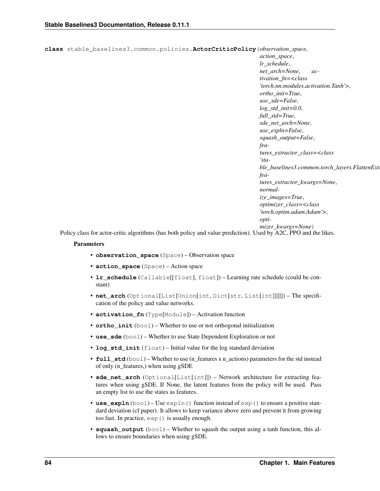**class** stable\_baselines3.common.policies.**ActorCriticPolicy**(*observation\_space*,

*action\_space*, *lr\_schedule*, *net\_arch=None*, *activation\_fn=<class 'torch.nn.modules.activation.Tanh'>*, *ortho\_init=True*, *use\_sde=False*, *log\_std\_init=0.0*, *full\_std=True*, *sde\_net\_arch=None*, *use\_expln=False*, *squash\_output=False*, *features\_extractor\_class=<class 'sta* $ble\_baselines3.common.torch\_layers. FlattenExt$ *features\_extractor\_kwargs=None*, *normalize\_images=True*, *optimizer\_class=<class 'torch.optim.adam.Adam'>*, *optimizer\_kwargs=None*)

Policy class for actor-critic algorithms (has both policy and value prediction). Used by A2C, PPO and the likes.

- **observation\_space** (Space) Observation space
- **action\_space** (Space) Action space
- **lr\_schedule** (Callable[[float], float]) Learning rate schedule (could be constant)
- **net\_arch** (Optional[List[Union[int, Dict[str, List[int]]]]]) The specification of the policy and value networks.
- **activation\_fn** (Type[Module]) Activation function
- **ortho\_init** (bool) Whether to use or not orthogonal initialization
- **use\_sde** (bool) Whether to use State Dependent Exploration or not
- **log\_std\_init** (float) Initial value for the log standard deviation
- **full\_std** (bool) Whether to use (n\_features x n\_actions) parameters for the std instead of only (n\_features,) when using gSDE
- **sde\_net\_arch** (Optional[List[int]]) Network architecture for extracting features when using gSDE. If None, the latent features from the policy will be used. Pass an empty list to use the states as features.
- **use\_expln** (bool) Use expln () function instead of exp() to ensure a positive standard deviation (cf paper). It allows to keep variance above zero and prevent it from growing too fast. In practice, exp() is usually enough.
- **squash\_output** (bool) Whether to squash the output using a tanh function, this allows to ensure boundaries when using gSDE.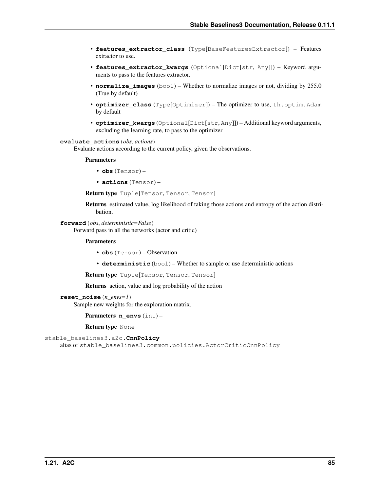- **features extractor class** (Type[BaseFeaturesExtractor]) Features extractor to use.
- **features\_extractor\_kwargs** (Optional[Dict[str, Any]]) Keyword arguments to pass to the features extractor.
- **normalize\_images** (bool) Whether to normalize images or not, dividing by 255.0 (True by default)
- **optimizer\_class** (Type[Optimizer]) The optimizer to use, th.optim.Adam by default
- **optimizer\_kwargs** (Optional[Dict[str, Any]]) Additional keyword arguments, excluding the learning rate, to pass to the optimizer

#### **evaluate\_actions**(*obs*, *actions*)

Evaluate actions according to the current policy, given the observations.

#### Parameters

- **obs** (Tensor) –
- **actions** (Tensor) –

Return type Tuple[Tensor, Tensor, Tensor]

Returns estimated value, log likelihood of taking those actions and entropy of the action distribution.

### **forward**(*obs*, *deterministic=False*)

Forward pass in all the networks (actor and critic)

### Parameters

- **obs** (Tensor) Observation
- **deterministic** (bool) Whether to sample or use deterministic actions

Return type Tuple[Tensor, Tensor, Tensor]

Returns action, value and log probability of the action

```
reset_noise(n_envs=1)
```
Sample new weights for the exploration matrix.

Parameters **n\_envs** (int) –

Return type None

```
stable_baselines3.a2c.CnnPolicy
```
alias of stable\_baselines3.common.policies.ActorCriticCnnPolicy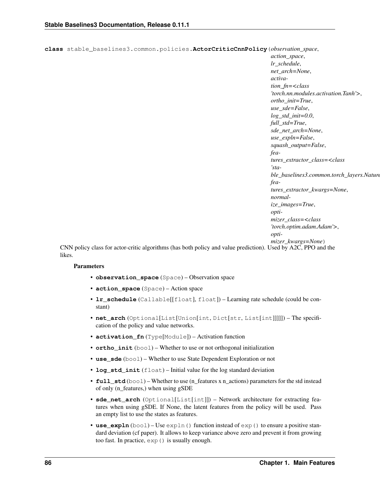```
class stable_baselines3.common.policies.ActorCriticCnnPolicy(observation_space,
```
*action\_space*, *lr\_schedule*, *net\_arch=None*, *activation\_fn=<class 'torch.nn.modules.activation.Tanh'>*, *ortho\_init=True*, *use\_sde=False*, *log\_std\_init=0.0*, *full\_std=True*, *sde\_net\_arch=None*, *use\_expln=False*, *squash\_output=False*, *features\_extractor\_class=<class 'stable\_baselines3.common.torch\_layers.Nature features\_extractor\_kwargs=None*, *normalize\_images=True*, *optimizer\_class=<class 'torch.optim.adam.Adam'>*, *optimizer\_kwargs=None*)

CNN policy class for actor-critic algorithms (has both policy and value prediction). Used by A2C, PPO and the likes.

- **observation\_space** (Space) Observation space
- **action\_space** (Space) Action space
- **lr\_schedule** (Callable[[float], float]) Learning rate schedule (could be constant)
- **net\_arch** (Optional[List[Union[int, Dict[str, List[int]]]]]) The specification of the policy and value networks.
- **activation\_fn** (Type[Module]) Activation function
- **ortho\_init** (bool) Whether to use or not orthogonal initialization
- **use\_sde** (bool) Whether to use State Dependent Exploration or not
- **log std init** (float) Initial value for the log standard deviation
- **full\_std** (bool) Whether to use (n\_features x n\_actions) parameters for the std instead of only (n\_features,) when using gSDE
- **sde\_net\_arch** (Optional[List[int]]) Network architecture for extracting features when using gSDE. If None, the latent features from the policy will be used. Pass an empty list to use the states as features.
- **use\_expln** (bool) Use expln () function instead of exp() to ensure a positive standard deviation (cf paper). It allows to keep variance above zero and prevent it from growing too fast. In practice, exp() is usually enough.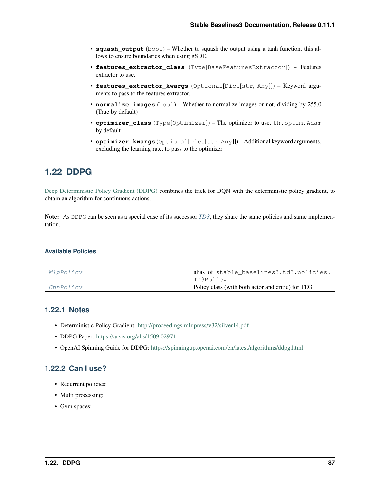- **squash** output  $(b \circ \circ l)$  Whether to squash the output using a tanh function, this allows to ensure boundaries when using gSDE.
- **features\_extractor\_class** (Type[BaseFeaturesExtractor]) Features extractor to use.
- **features\_extractor\_kwargs** (Optional[Dict[str, Any]]) Keyword arguments to pass to the features extractor.
- **normalize\_images** (bool) Whether to normalize images or not, dividing by 255.0 (True by default)
- **optimizer\_class** (Type[Optimizer]) The optimizer to use, th.optim.Adam by default
- **optimizer\_kwargs** (Optional[Dict[str, Any]]) Additional keyword arguments, excluding the learning rate, to pass to the optimizer

# **1.22 DDPG**

[Deep Deterministic Policy Gradient \(DDPG\)](https://spinningup.openai.com/en/latest/algorithms/ddpg.html) combines the trick for DQN with the deterministic policy gradient, to obtain an algorithm for continuous actions.

Note: As DDPG can be seen as a special case of its successor *[TD3](#page-133-0)*, they share the same policies and same implementation.

## **Available Policies**

| Policy class (with both actor and critic) for TD3.<br>CnnPolicy |  |
|-----------------------------------------------------------------|--|
| TD3Policy                                                       |  |
| alias of stable_baselines3.td3.policies.<br>MlpPolicy           |  |

## **1.22.1 Notes**

- Deterministic Policy Gradient: <http://proceedings.mlr.press/v32/silver14.pdf>
- DDPG Paper: <https://arxiv.org/abs/1509.02971>
- OpenAI Spinning Guide for DDPG: <https://spinningup.openai.com/en/latest/algorithms/ddpg.html>

## **1.22.2 Can I use?**

- Recurrent policies:
- Multi processing:
- Gym spaces: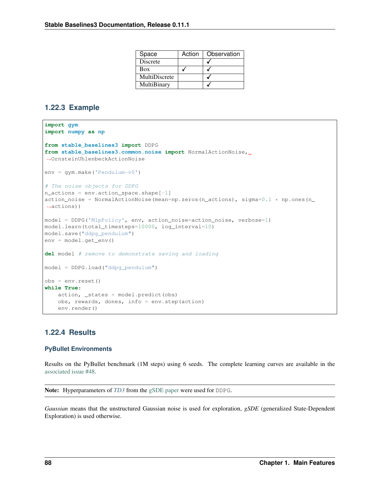| Space           | Action | Observation |
|-----------------|--------|-------------|
| <b>Discrete</b> |        |             |
| Box             |        |             |
| MultiDiscrete   |        |             |
| MultiBinary     |        |             |

## **1.22.3 Example**

```
import gym
import numpy as np
from stable_baselines3 import DDPG
from stable_baselines3.common.noise import NormalActionNoise,
˓→OrnsteinUhlenbeckActionNoise
env = gym.make('Pendulum-v0')
# The noise objects for DDPG
n_actions = env.action_space.shape[-1]
action_noise = NormalActionNoise(mean=np.zeros(n_actions), sigma=0.1 * np.ones(n_
˓→actions))
model = DDPG('MlpPolicy', env, action_noise=action_noise, verbose=1)
model.learn(total_timesteps=10000, log_interval=10)
model.save("ddpg_pendulum")
env = model.get_env()
del model # remove to demonstrate saving and loading
model = DDPG.load("ddpg_pendulum")
obs = env.reset()
while True:
   action, _states = model.predict(obs)
   obs, rewards, dones, info = env.step(action)
   env.render()
```
## **1.22.4 Results**

## **PyBullet Environments**

Results on the PyBullet benchmark (1M steps) using 6 seeds. The complete learning curves are available in the [associated issue #48.](https://github.com/DLR-RM/stable-baselines3/issues/48)

Note: Hyperparameters of *[TD3](#page-133-0)* from the [gSDE paper](https://arxiv.org/abs/2005.05719) were used for DDPG.

*Gaussian* means that the unstructured Gaussian noise is used for exploration, *gSDE* (generalized State-Dependent Exploration) is used otherwise.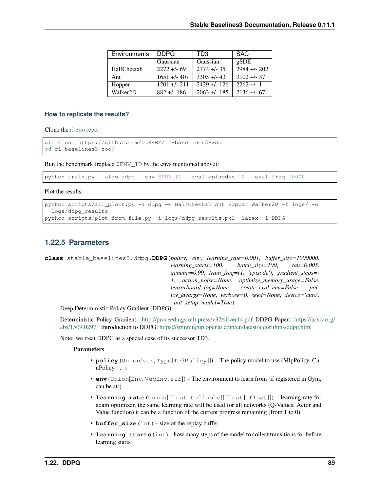| <b>Environments</b>   | <b>DDPG</b>  | TD3                  | <b>SAC</b>                |
|-----------------------|--------------|----------------------|---------------------------|
|                       | Gaussian     | Gaussian             | gSDE                      |
| HalfCheetah           | $2272 + 69$  | $\sqrt{2774}$ +/- 35 | $\overline{2984}$ +/- 202 |
| Ant                   | $1651 + 407$ | $3305 + 43$          | $3102 + 1 - 37$           |
| Hopper                | $1201 + 211$ | $2429 + 126$         | $2262 + 1$                |
| Walker <sub>2</sub> D | $882 + 186$  | $2063 + 1.185$       | $2136 + 67$               |

### **How to replicate the results?**

Clone the [rl-zoo repo:](https://github.com/DLR-RM/rl-baselines3-zoo)

```
git clone https://github.com/DLR-RM/rl-baselines3-zoo
cd rl-baselines3-zoo/
```
Run the benchmark (replace \$ENV\_ID by the envs mentioned above):

python train.py --algo ddpg --env \$ENV\_ID --eval-episodes 10 --eval-freq 10000

Plot the results:

```
python scripts/all_plots.py -a ddpg -e HalfCheetah Ant Hopper Walker2D -f logs/ -o
˓→logs/ddpg_results
python scripts/plot_from_file.py -i logs/ddpg_results.pkl -latex -l DDPG
```
## **1.22.5 Parameters**

```
class stable_baselines3.ddpg.DDPG(policy, env, learning_rate=0.001, buffer_size=1000000,
                                           learning_starts=100, batch_size=100, tau=0.005,
                                           gamma=0.99, train_freq=(1, 'episode'), gradient_steps=-
                                           1, action_noise=None, optimize_memory_usage=False,
                                           tensorboard_log=None, create_eval_env=False, pol-
                                           icy_kwargs=None, verbose=0, seed=None, device='auto',
                                           _init_setup_model=True)
```
Deep Deterministic Policy Gradient (DDPG).

Deterministic Policy Gradient: <http://proceedings.mlr.press/v32/silver14.pdf> DDPG Paper: [https://arxiv.org/](https://arxiv.org/abs/1509.02971) [abs/1509.02971](https://arxiv.org/abs/1509.02971) Introduction to DDPG: <https://spinningup.openai.com/en/latest/algorithms/ddpg.html>

Note: we treat DDPG as a special case of its successor TD3.

- **policy** (Union[str, Type[TD3Policy]]) The policy model to use (MlpPolicy, Cn $nPolicy, \ldots$ )
- **env** (Union[Env, VecEnv, str]) The environment to learn from (if registered in Gym, can be str)
- **learning\_rate** (Union[float, Callable[[float], float]]) learning rate for adam optimizer, the same learning rate will be used for all networks (Q-Values, Actor and Value function) it can be a function of the current progress remaining (from 1 to 0)
- **buffer** size (int) size of the replay buffer
- **learning\_starts** (int) how many steps of the model to collect transitions for before learning starts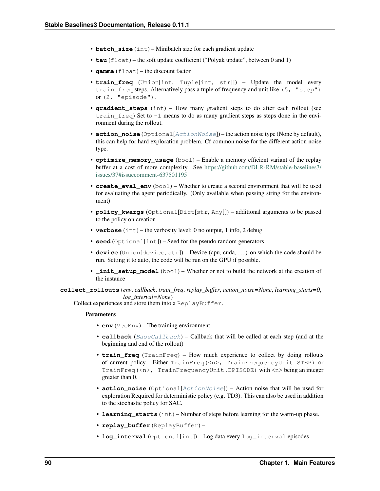- **batch** size (int) Minibatch size for each gradient update
- **tau** (float) the soft update coefficient ("Polyak update", between 0 and 1)
- **gamma** (float) the discount factor
- **train\_freq** (Union[int, Tuple[int, str]]) Update the model every train freq steps. Alternatively pass a tuple of frequency and unit like (5, "step") or (2, "episode").
- **gradient\_steps** (int) How many gradient steps to do after each rollout (see train\_freq) Set to -1 means to do as many gradient steps as steps done in the environment during the rollout.
- **action\_noise** (Optional [*[ActionNoise](#page-163-0)*]) the action noise type (None by default), this can help for hard exploration problem. Cf common.noise for the different action noise type.
- **optimize\_memory\_usage** (bool) Enable a memory efficient variant of the replay buffer at a cost of more complexity. See [https://github.com/DLR-RM/stable-baselines3/](https://github.com/DLR-RM/stable-baselines3/issues/37#issuecomment-637501195) [issues/37#issuecomment-637501195](https://github.com/DLR-RM/stable-baselines3/issues/37#issuecomment-637501195)
- **create eval env**  $(b \circ o1)$  Whether to create a second environment that will be used for evaluating the agent periodically. (Only available when passing string for the environment)
- **policy\_kwargs** (Optional[Dict[str, Any]]) additional arguments to be passed to the policy on creation
- **verbose** (int) the verbosity level: 0 no output, 1 info, 2 debug
- **seed** (Optional[int]) Seed for the pseudo random generators
- **device** (Union[device, str]) Device (cpu, cuda, . . . ) on which the code should be run. Setting it to auto, the code will be run on the GPU if possible.
- **\_init\_setup\_model** (bool) Whether or not to build the network at the creation of the instance

**collect\_rollouts**(*env*, *callback*, *train\_freq*, *replay\_buffer*, *action\_noise=None*, *learning\_starts=0*, *log\_interval=None*)

Collect experiences and store them into a ReplayBuffer.

- **env** (VecEnv) The training environment
- **callback** ([BaseCallback](#page-48-0)) Callback that will be called at each step (and at the beginning and end of the rollout)
- **train\_freq** (TrainFreq) How much experience to collect by doing rollouts of current policy. Either TrainFreq(<n>, TrainFrequencyUnit.STEP) or TrainFreq(<n>, TrainFrequencyUnit.EPISODE) with <n> being an integer greater than 0.
- **action\_noise** (Optional[[ActionNoise](#page-163-0)]) Action noise that will be used for exploration Required for deterministic policy (e.g. TD3). This can also be used in addition to the stochastic policy for SAC.
- **learning starts** (int) Number of steps before learning for the warm-up phase.
- **replay buffer** (ReplayBuffer) –
- **log\_interval** (Optional[int]) Log data every log\_interval episodes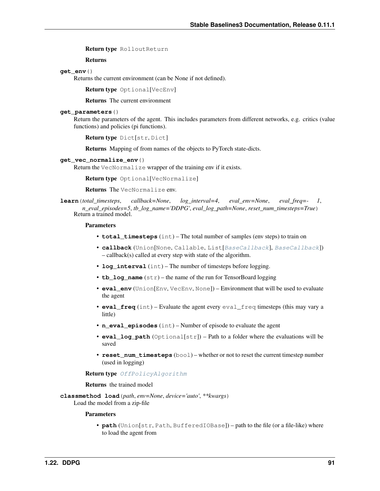Return type RolloutReturn

Returns

### **get\_env**()

Returns the current environment (can be None if not defined).

Return type Optional[VecEnv]

Returns The current environment

## **get\_parameters**()

Return the parameters of the agent. This includes parameters from different networks, e.g. critics (value functions) and policies (pi functions).

```
Return type Dict[str, Dict]
```
Returns Mapping of from names of the objects to PyTorch state-dicts.

#### **get\_vec\_normalize\_env**()

Return the VecNormalize wrapper of the training env if it exists.

Return type Optional[VecNormalize]

Returns The VecNormalize env.

```
learn(total_timesteps, callback=None, log_interval=4, eval_env=None, eval_freq=- 1,
       n_eval_episodes=5, tb_log_name='DDPG', eval_log_path=None, reset_num_timesteps=True)
    Return a trained model.
```
#### Parameters

- **total\_timesteps** (int) The total number of samples (env steps) to train on
- **callback** (Union[None, Callable, List[[BaseCallback](#page-48-0)], [BaseCallback](#page-48-0)]) – callback(s) called at every step with state of the algorithm.
- **log\_interval** (int) The number of timesteps before logging.
- **tb\_log\_name** (str) the name of the run for TensorBoard logging
- **eval env** (Union[Env, VecEnv, None]) Environment that will be used to evaluate the agent
- **eval\_freq** (int) Evaluate the agent every eval\_freq timesteps (this may vary a little)
- **n** eval episodes (int) Number of episode to evaluate the agent
- **eval\_log\_path** (Optional[str]) Path to a folder where the evaluations will be saved
- **reset\_num\_timesteps** (bool) whether or not to reset the current timestep number (used in logging)

### Return type [OffPolicyAlgorithm](#page-74-0)

#### Returns the trained model

**classmethod load**(*path*, *env=None*, *device='auto'*, *\*\*kwargs*) Load the model from a zip-file

#### **Parameters**

• **path** (Union[str, Path, BufferedIOBase]) – path to the file (or a file-like) where to load the agent from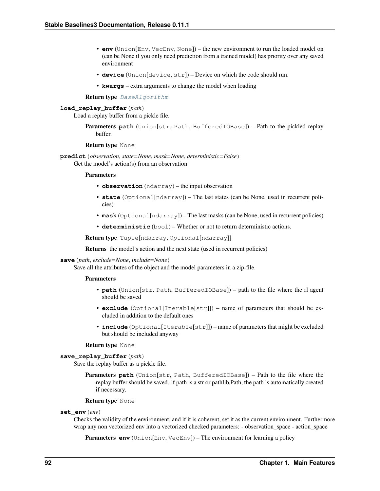- **env** (Union[Env, VecEnv, None]) the new environment to run the loaded model on (can be None if you only need prediction from a trained model) has priority over any saved environment
- **device** (Union[device, str]) Device on which the code should run.
- **kwargs** extra arguments to change the model when loading

#### Return type [BaseAlgorithm](#page-71-0)

#### **load\_replay\_buffer**(*path*)

Load a replay buffer from a pickle file.

Parameters path (Union[str, Path, BufferedIOBase]) – Path to the pickled replay buffer.

#### Return type None

**predict**(*observation*, *state=None*, *mask=None*, *deterministic=False*) Get the model's action(s) from an observation

#### **Parameters**

- **observation** (ndarray) the input observation
- **state** (Optional[ndarray]) The last states (can be None, used in recurrent policies)
- **mask** (Optional[ndarray]) The last masks (can be None, used in recurrent policies)
- **deterministic** (bool) Whether or not to return deterministic actions.

Return type Tuple[ndarray, Optional[ndarray]]

Returns the model's action and the next state (used in recurrent policies)

## **save**(*path*, *exclude=None*, *include=None*)

Save all the attributes of the object and the model parameters in a zip-file.

#### **Parameters**

- **path** (Union[str, Path, BufferedIOBase]) path to the file where the rl agent should be saved
- **exclude** (Optional[Iterable[str]]) name of parameters that should be excluded in addition to the default ones
- **include** (Optional[Iterable[str]]) name of parameters that might be excluded but should be included anyway

#### Return type None

### **save\_replay\_buffer**(*path*)

Save the replay buffer as a pickle file.

Parameters **path** (Union[str, Path, BufferedIOBase]) – Path to the file where the replay buffer should be saved. if path is a str or pathlib.Path, the path is automatically created if necessary.

#### Return type None

#### **set\_env**(*env*)

Checks the validity of the environment, and if it is coherent, set it as the current environment. Furthermore wrap any non vectorized env into a vectorized checked parameters: - observation\_space - action\_space

**Parameters env** (Union[Env, VecEnv]) – The environment for learning a policy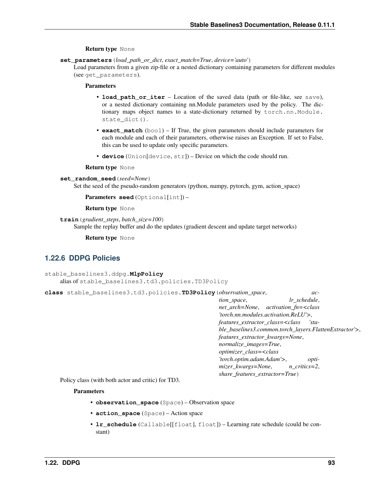## Return type None

**set\_parameters**(*load\_path\_or\_dict*, *exact\_match=True*, *device='auto'*)

Load parameters from a given zip-file or a nested dictionary containing parameters for different modules (see get\_parameters).

### Parameters

- **load\_path\_or\_iter** Location of the saved data (path or file-like, see save), or a nested dictionary containing nn.Module parameters used by the policy. The dictionary maps object names to a state-dictionary returned by torch.nn.Module. state\_dict().
- **exact\_match** (bool) If True, the given parameters should include parameters for each module and each of their parameters, otherwise raises an Exception. If set to False, this can be used to update only specific parameters.
- **device** (Union[device, str]) Device on which the code should run.

### Return type None

### **set\_random\_seed**(*seed=None*)

Set the seed of the pseudo-random generators (python, numpy, pytorch, gym, action\_space)

Parameters **seed** (Optional[int]) –

Return type None

```
train(gradient_steps, batch_size=100)
```
Sample the replay buffer and do the updates (gradient descent and update target networks)

Return type None

## **1.22.6 DDPG Policies**

```
stable_baselines3.ddpg.MlpPolicy
    alias of stable_baselines3.td3.policies.TD3Policy
```
**class** stable\_baselines3.td3.policies.**TD3Policy**(*observation\_space*, *ac-*

*tion\_space*, *lr\_schedule*, *net\_arch=None*, *activation\_fn=<class 'torch.nn.modules.activation.ReLU'>*, *features\_extractor\_class=<class 'stable\_baselines3.common.torch\_layers.FlattenExtractor'>*, *features\_extractor\_kwargs=None*, *normalize\_images=True*, *optimizer\_class=<class 'torch.optim.adam.Adam'>*, *optimizer\_kwargs=None*, *n\_critics=2*, *share\_features\_extractor=True*)

Policy class (with both actor and critic) for TD3.

- **observation\_space** (Space) Observation space
- **action\_space** (Space) Action space
- **lr\_schedule** (Callable[[float], float]) Learning rate schedule (could be constant)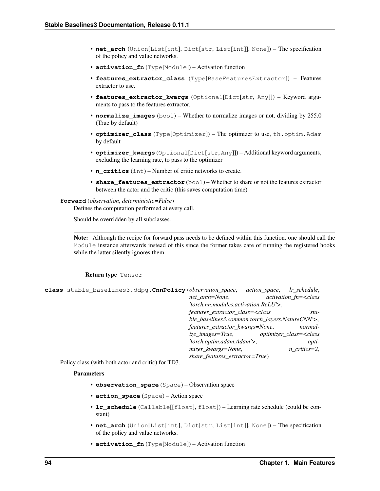- **net arch** (Union[List[int], Dict[str, List[int]], None]) The specification of the policy and value networks.
- **activation\_fn** (Type[Module]) Activation function
- **features\_extractor\_class** (Type[BaseFeaturesExtractor]) Features extractor to use.
- **features\_extractor\_kwargs** (Optional[Dict[str, Any]]) Keyword arguments to pass to the features extractor.
- **normalize\_images** (bool) Whether to normalize images or not, dividing by 255.0 (True by default)
- **optimizer\_class** (Type[Optimizer]) The optimizer to use, th.optim.Adam by default
- **optimizer\_kwargs** (Optional[Dict[str, Any]]) Additional keyword arguments, excluding the learning rate, to pass to the optimizer
- **n\_critics** (int) Number of critic networks to create.
- **share\_features\_extractor** (bool) Whether to share or not the features extractor between the actor and the critic (this saves computation time)

#### **forward**(*observation*, *deterministic=False*)

Defines the computation performed at every call.

Should be overridden by all subclasses.

Note: Although the recipe for forward pass needs to be defined within this function, one should call the Module instance afterwards instead of this since the former takes care of running the registered hooks while the latter silently ignores them.

### Return type Tensor

<span id="page-97-0"></span>

| class stable_baselines3.ddpq. CnnPolicy (observation_space, |                                                                             | action_space, lr_schedule,                  |                            |
|-------------------------------------------------------------|-----------------------------------------------------------------------------|---------------------------------------------|----------------------------|
|                                                             | net arch=None,                                                              |                                             | $activation$ fn= $<$ class |
|                                                             |                                                                             | $'$ torch.nn.modules.activation. $ReLU'$ >, |                            |
|                                                             | features_extractor_class= <class< td=""><td></td><td>'sta-</td></class<>    |                                             | 'sta-                      |
|                                                             | ble_baselines3.common.torch_layers.NatureCNN'>,                             |                                             |                            |
|                                                             | features_extractor_kwargs=None,                                             |                                             | normal-                    |
|                                                             | ize images=True, optimizer class= <class< td=""><td></td><td></td></class<> |                                             |                            |
|                                                             | 'torch.optim.adam.Adam'>,                                                   |                                             | opti-                      |
|                                                             | mizer_kwargs=None,                                                          |                                             | $n$ critics=2,             |
|                                                             | share_features_extractor=True)                                              |                                             |                            |

Policy class (with both actor and critic) for TD3.

- **observation\_space** (Space) Observation space
- **action\_space** (Space) Action space
- **lr\_schedule** (Callable[[float], float]) Learning rate schedule (could be constant)
- **net\_arch** (Union[List[int], Dict[str, List[int]], None]) The specification of the policy and value networks.
- **activation\_fn** (Type[Module]) Activation function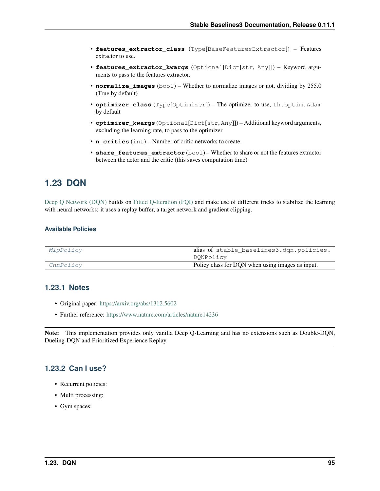- **features extractor class** (Type[BaseFeaturesExtractor]) Features extractor to use.
- **features\_extractor\_kwargs** (Optional[Dict[str, Any]]) Keyword arguments to pass to the features extractor.
- **normalize\_images** (bool) Whether to normalize images or not, dividing by 255.0 (True by default)
- **optimizer\_class** (Type[Optimizer]) The optimizer to use, th.optim.Adam by default
- **optimizer\_kwargs** (Optional[Dict[str, Any]]) Additional keyword arguments, excluding the learning rate, to pass to the optimizer
- **n\_critics** (int) Number of critic networks to create.
- **share\_features\_extractor** (bool) Whether to share or not the features extractor between the actor and the critic (this saves computation time)

# **1.23 DQN**

[Deep Q Network \(DQN\)](https://arxiv.org/abs/1312.5602) builds on [Fitted Q-Iteration \(FQI\)](http://ml.informatik.uni-freiburg.de/former/_media/publications/rieecml05.pdf) and make use of different tricks to stabilize the learning with neural networks: it uses a replay buffer, a target network and gradient clipping.

## **Available Policies**

| CnnPolicy | Policy class for DQN when using images as input. |
|-----------|--------------------------------------------------|
|           | DQNPolicy                                        |
| MlpPolicy | alias of stable_baselines3.dqn.policies.         |

## **1.23.1 Notes**

- Original paper: <https://arxiv.org/abs/1312.5602>
- Further reference: <https://www.nature.com/articles/nature14236>

Note: This implementation provides only vanilla Deep Q-Learning and has no extensions such as Double-DQN, Dueling-DQN and Prioritized Experience Replay.

## **1.23.2 Can I use?**

- Recurrent policies:
- Multi processing:
- Gym spaces: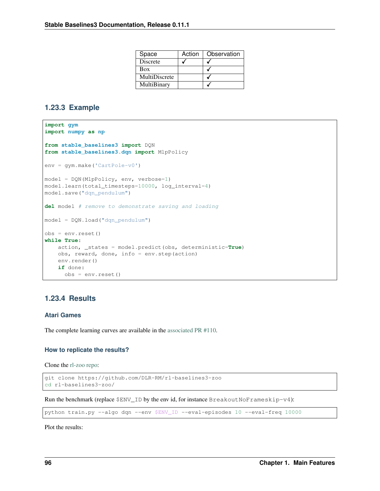| Space         | Action | Observation |
|---------------|--------|-------------|
| Discrete      |        |             |
| Box           |        |             |
| MultiDiscrete |        |             |
| MultiBinary   |        |             |

## **1.23.3 Example**

```
import gym
import numpy as np
from stable_baselines3 import DQN
from stable_baselines3.dqn import MlpPolicy
env = gym.make('CartPole-v0')
model = DQN(MlpPolicy, env, verbose=1)
model.learn(total_timesteps=10000, log_interval=4)
model.save("dqn_pendulum")
del model # remove to demonstrate saving and loading
model = DQN.load("dqn_pendulum")
obs = env.reset()
while True:
   action, _states = model.predict(obs, deterministic=True)
   obs, reward, done, info = env.step(action)
   env.render()
   if done:
      obs = env.reset()
```
## **1.23.4 Results**

## **Atari Games**

The complete learning curves are available in the [associated PR #110.](https://github.com/DLR-RM/stable-baselines3/pull/110)

### **How to replicate the results?**

Clone the [rl-zoo repo:](https://github.com/DLR-RM/rl-baselines3-zoo)

```
git clone https://github.com/DLR-RM/rl-baselines3-zoo
cd rl-baselines3-zoo/
```
Run the benchmark (replace  $$ENV$ <sup>ID</sup> by the env id, for instance BreakoutNoFrameskip-v4):

python train.py --algo dqn --env \$ENV\_ID --eval-episodes 10 --eval-freq 10000

Plot the results: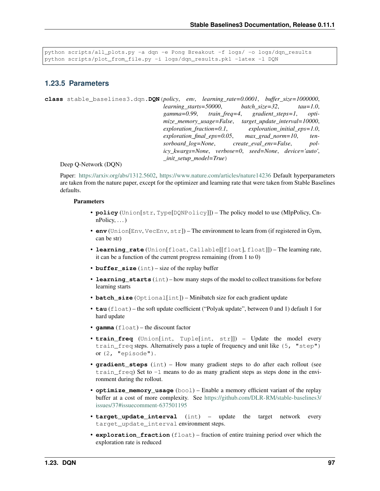```
python scripts/all_plots.py -a dqn -e Pong Breakout -f logs/ -o logs/dqn_results
python scripts/plot_from_file.py -i logs/dqn_results.pkl -latex -l DQN
```
## **1.23.5 Parameters**

```
class stable_baselines3.dqn.DQN(policy, env, learning_rate=0.0001, buffer_size=1000000,
                                      learning_starts=50000, batch_size=32, tau=1.0,
                                      gamma=0.99, train_freq=4, gradient_steps=1, opti-
                                      mize_memory_usage=False, target_update_interval=10000,
                                      exploration_fraction=0.1, exploration_initial_eps=1.0,
                                      exploration_final_eps=0.05, max_grad_norm=10, ten-
                                      sorboard_log=None, create_eval_env=False, pol-
                                      icy_kwargs=None, verbose=0, seed=None, device='auto',
                                      _init_setup_model=True)
```
### Deep Q-Network (DQN)

Paper: [https://arxiv.org/abs/1312.5602,](https://arxiv.org/abs/1312.5602) <https://www.nature.com/articles/nature14236> Default hyperparameters are taken from the nature paper, except for the optimizer and learning rate that were taken from Stable Baselines defaults.

- **policy** (Union[str, Type[DQNPolicy]]) The policy model to use (MlpPolicy, Cn $nPolicV, \ldots$ )
- **env** (Union[Env, VecEnv, str]) The environment to learn from (if registered in Gym, can be str)
- **learning rate** (Union[float, Callable[[float], float]]) The learning rate, it can be a function of the current progress remaining (from 1 to 0)
- **buffer** size (int) size of the replay buffer
- **learning\_starts** (int) how many steps of the model to collect transitions for before learning starts
- **batch\_size** (Optional[int]) Minibatch size for each gradient update
- **tau** (float) the soft update coefficient ("Polyak update", between 0 and 1) default 1 for hard update
- **gamma** (float) the discount factor
- **train\_freq** (Union[int, Tuple[int, str]]) Update the model every train\_freq steps. Alternatively pass a tuple of frequency and unit like (5, "step") or (2, "episode").
- **gradient\_steps** (int) How many gradient steps to do after each rollout (see train $_{\text{freq}}$  Set to  $-1$  means to do as many gradient steps as steps done in the environment during the rollout.
- **optimize\_memory\_usage** (bool) Enable a memory efficient variant of the replay buffer at a cost of more complexity. See [https://github.com/DLR-RM/stable-baselines3/](https://github.com/DLR-RM/stable-baselines3/issues/37#issuecomment-637501195) [issues/37#issuecomment-637501195](https://github.com/DLR-RM/stable-baselines3/issues/37#issuecomment-637501195)
- **target\_update\_interval** (int) update the target network every target\_update\_interval environment steps.
- **exploration\_fraction** (float) fraction of entire training period over which the exploration rate is reduced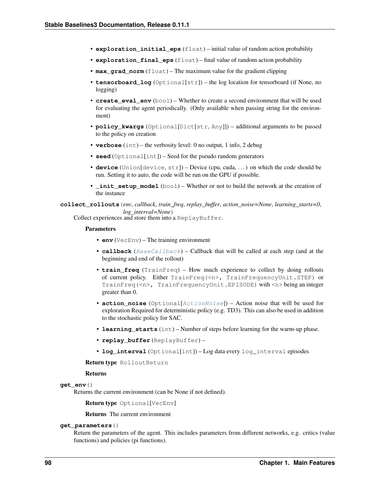- **exploration initial eps** (float) initial value of random action probability
- **exploration\_final\_eps** (float) final value of random action probability
- **max\_grad\_norm** (float) The maximum value for the gradient clipping
- **tensorboard\_log** (Optional[str]) the log location for tensorboard (if None, no logging)
- **create eval env**  $(b \circ c)$  Whether to create a second environment that will be used for evaluating the agent periodically. (Only available when passing string for the environment)
- **policy\_kwargs** (Optional[Dict[str, Any]]) additional arguments to be passed to the policy on creation
- **verbose** (int) the verbosity level: 0 no output, 1 info, 2 debug
- **seed** (Optional[int]) Seed for the pseudo random generators
- **device** (Union[device, str]) Device (cpu, cuda, . . . ) on which the code should be run. Setting it to auto, the code will be run on the GPU if possible.
- **\_init\_setup\_model** (bool) Whether or not to build the network at the creation of the instance

**collect\_rollouts**(*env*, *callback*, *train\_freq*, *replay\_buffer*, *action\_noise=None*, *learning\_starts=0*, *log\_interval=None*)

Collect experiences and store them into a ReplayBuffer.

#### Parameters

- **env** (VecEnv) The training environment
- **callback** ([BaseCallback](#page-48-0)) Callback that will be called at each step (and at the beginning and end of the rollout)
- **train\_freq** (TrainFreq) How much experience to collect by doing rollouts of current policy. Either TrainFreq(<n>, TrainFrequencyUnit.STEP) or TrainFreq(<n>, TrainFrequencyUnit.EPISODE) with <n> being an integer greater than 0.
- **action\_noise** (Optional[[ActionNoise](#page-163-0)]) Action noise that will be used for exploration Required for deterministic policy (e.g. TD3). This can also be used in addition to the stochastic policy for SAC.
- **learning starts** (int) Number of steps before learning for the warm-up phase.
- **replay\_buffer** (ReplayBuffer) –
- **log\_interval** (Optional[int]) Log data every log\_interval episodes

Return type RolloutReturn

### Returns

**get\_env**()

Returns the current environment (can be None if not defined).

Return type Optional[VecEnv]

Returns The current environment

### **get\_parameters**()

Return the parameters of the agent. This includes parameters from different networks, e.g. critics (value functions) and policies (pi functions).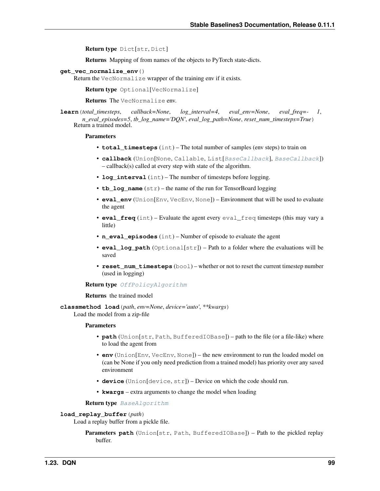Return type Dict[str, Dict]

Returns Mapping of from names of the objects to PyTorch state-dicts.

### **get\_vec\_normalize\_env**()

Return the VecNormalize wrapper of the training env if it exists.

Return type Optional[VecNormalize]

Returns The VecNormalize env.

**learn**(*total\_timesteps*, *callback=None*, *log\_interval=4*, *eval\_env=None*, *eval\_freq=- 1*, *n\_eval\_episodes=5*, *tb\_log\_name='DQN'*, *eval\_log\_path=None*, *reset\_num\_timesteps=True*) Return a trained model.

### **Parameters**

- **total\_timesteps** (int) The total number of samples (env steps) to train on
- **callback** (Union[None, Callable, List[[BaseCallback](#page-48-0)], [BaseCallback](#page-48-0)]) – callback(s) called at every step with state of the algorithm.
- **log\_interval** (int) The number of timesteps before logging.
- **tb** log name  $(str)$  the name of the run for TensorBoard logging
- **eval env** (Union[Env, VecEnv, None]) Environment that will be used to evaluate the agent
- **eval\_freq** (int) Evaluate the agent every eval\_freq timesteps (this may vary a little)
- **n** eval episodes (int) Number of episode to evaluate the agent
- **eval\_log\_path** (Optional[str]) Path to a folder where the evaluations will be saved
- **reset\_num\_timesteps** (bool) whether or not to reset the current timestep number (used in logging)

#### Return type [OffPolicyAlgorithm](#page-74-0)

Returns the trained model

**classmethod load**(*path*, *env=None*, *device='auto'*, *\*\*kwargs*)

Load the model from a zip-file

#### Parameters

- **path** (Union[str, Path, BufferedIOBase]) path to the file (or a file-like) where to load the agent from
- **env** (Union[Env, VecEnv, None]) the new environment to run the loaded model on (can be None if you only need prediction from a trained model) has priority over any saved environment
- **device** (Union[device, str]) Device on which the code should run.
- **kwargs** extra arguments to change the model when loading

Return type [BaseAlgorithm](#page-71-0)

### **load\_replay\_buffer**(*path*)

Load a replay buffer from a pickle file.

Parameters **path** (Union[str, Path, BufferedIOBase]) – Path to the pickled replay buffer.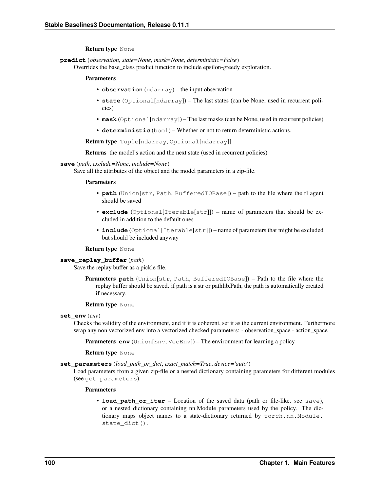### Return type None

**predict**(*observation*, *state=None*, *mask=None*, *deterministic=False*)

Overrides the base class predict function to include epsilon-greedy exploration.

#### **Parameters**

- **observation** (ndarray) the input observation
- **state** (Optional[ndarray]) The last states (can be None, used in recurrent policies)
- **mask** (Optional[ndarray]) The last masks (can be None, used in recurrent policies)
- **deterministic** (bool) Whether or not to return deterministic actions.

Return type Tuple[ndarray, Optional[ndarray]]

Returns the model's action and the next state (used in recurrent policies)

## **save**(*path*, *exclude=None*, *include=None*)

Save all the attributes of the object and the model parameters in a zip-file.

#### **Parameters**

- **path** (Union[str, Path, BufferedIOBase]) path to the file where the rl agent should be saved
- **exclude** (Optional[Iterable[str]]) name of parameters that should be excluded in addition to the default ones
- **include** (Optional[Iterable[str]]) name of parameters that might be excluded but should be included anyway

### Return type None

#### **save\_replay\_buffer**(*path*)

Save the replay buffer as a pickle file.

**Parameters path** (Union[str, Path, BufferedIOBase]) – Path to the file where the replay buffer should be saved. if path is a str or pathlib.Path, the path is automatically created if necessary.

#### Return type None

#### **set\_env**(*env*)

Checks the validity of the environment, and if it is coherent, set it as the current environment. Furthermore wrap any non vectorized env into a vectorized checked parameters: - observation\_space - action\_space

**Parameters <b>env** (Union[Env, VecEnv]) – The environment for learning a policy

#### Return type None

#### **set\_parameters**(*load\_path\_or\_dict*, *exact\_match=True*, *device='auto'*)

Load parameters from a given zip-file or a nested dictionary containing parameters for different modules (see get\_parameters).

### Parameters

• **load path or iter** – Location of the saved data (path or file-like, see save), or a nested dictionary containing nn.Module parameters used by the policy. The dictionary maps object names to a state-dictionary returned by torch.nn.Module. state\_dict().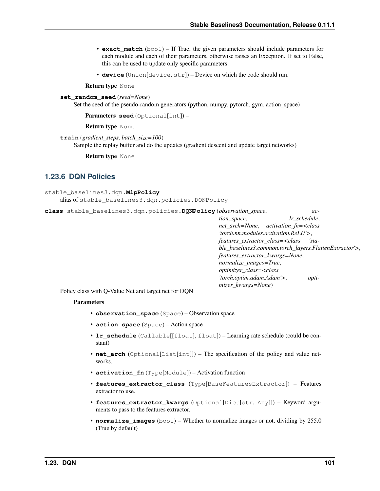- **exact match** (bool) If True, the given parameters should include parameters for each module and each of their parameters, otherwise raises an Exception. If set to False, this can be used to update only specific parameters.
- **device** (Union[device, str]) Device on which the code should run.

Return type None

**set\_random\_seed**(*seed=None*)

Set the seed of the pseudo-random generators (python, numpy, pytorch, gym, action space)

Parameters **seed** (Optional[int]) –

Return type None

**train**(*gradient\_steps*, *batch\_size=100*)

Sample the replay buffer and do the updates (gradient descent and update target networks)

Return type None

## **1.23.6 DQN Policies**

```
stable_baselines3.dqn.MlpPolicy
    alias of stable_baselines3.dqn.policies.DQNPolicy
```
**class** stable\_baselines3.dqn.policies.**DQNPolicy**(*observation\_space*, *action\_space*, *lr\_schedule*, *net\_arch=None*, *activation\_fn=<class 'torch.nn.modules.activation.ReLU'>*, *features\_extractor\_class=<class 'stable\_baselines3.common.torch\_layers.FlattenExtractor'>*, *features\_extractor\_kwargs=None*, *normalize\_images=True*, *optimizer\_class=<class 'torch.optim.adam.Adam'>*, *optimizer\_kwargs=None*)

Policy class with Q-Value Net and target net for DQN

- **observation\_space** (Space) Observation space
- **action\_space** (Space) Action space
- **lr schedule** (Callable[[float], float]) Learning rate schedule (could be constant)
- **net\_arch** (Optional[List[int]]) The specification of the policy and value networks.
- **activation\_fn** (Type[Module]) Activation function
- **features\_extractor\_class** (Type[BaseFeaturesExtractor]) Features extractor to use.
- **features\_extractor\_kwargs** (Optional[Dict[str, Any]]) Keyword arguments to pass to the features extractor.
- **normalize\_images** (bool) Whether to normalize images or not, dividing by 255.0 (True by default)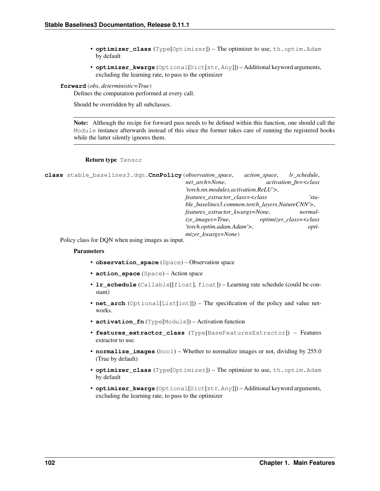- **optimizer\_class** (Type[Optimizer]) The optimizer to use, th.optim.Adam by default
- **optimizer\_kwargs** (Optional[Dict[str, Any]]) Additional keyword arguments, excluding the learning rate, to pass to the optimizer

### **forward**(*obs*, *deterministic=True*)

Defines the computation performed at every call.

Should be overridden by all subclasses.

Note: Although the recipe for forward pass needs to be defined within this function, one should call the Module instance afterwards instead of this since the former takes care of running the registered hooks while the latter silently ignores them.

#### Return type Tensor

```
class stable_baselines3.dqn.CnnPolicy(observation_space, action_space, lr_schedule,
                                          net_arch=None, activation_fn=<class
                                          'torch.nn.modules.activation.ReLU'>,
                                          features_extractor_class=<class 'sta-
                                          ble_baselines3.common.torch_layers.NatureCNN'>,
                                          features_extractor_kwargs=None, normal-
                                          ize_images=True, optimizer_class=<class
                                          'torch.optim.adam.Adam'>, opti-
                                          mizer_kwargs=None)
```
Policy class for DQN when using images as input.

- **observation\_space** (Space) Observation space
- **action\_space** (Space) Action space
- **lr schedule** (Callable[[float], float]) Learning rate schedule (could be constant)
- **net\_arch** (Optional[List[int]]) The specification of the policy and value networks.
- **activation\_fn** (Type[Module]) Activation function
- **features\_extractor\_class** (Type[BaseFeaturesExtractor]) Features extractor to use.
- **normalize\_images** (bool) Whether to normalize images or not, dividing by 255.0 (True by default)
- **optimizer\_class** (Type[Optimizer]) The optimizer to use, th.optim.Adam by default
- **optimizer\_kwargs** (Optional[Dict[str, Any]]) Additional keyword arguments, excluding the learning rate, to pass to the optimizer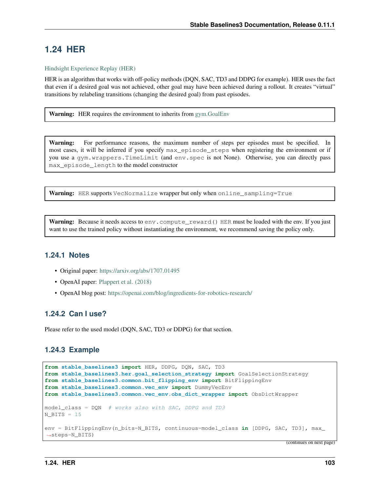# **1.24 HER**

## [Hindsight Experience Replay \(HER\)](https://arxiv.org/abs/1707.01495)

HER is an algorithm that works with off-policy methods (DQN, SAC, TD3 and DDPG for example). HER uses the fact that even if a desired goal was not achieved, other goal may have been achieved during a rollout. It creates "virtual" transitions by relabeling transitions (changing the desired goal) from past episodes.

**Warning:** HER requires the environment to inherits from gym. GoalEnv

Warning: For performance reasons, the maximum number of steps per episodes must be specified. In most cases, it will be inferred if you specify max\_episode\_steps when registering the environment or if you use a gym.wrappers.TimeLimit (and env.spec is not None). Otherwise, you can directly pass max\_episode\_length to the model constructor

Warning: HER supports VecNormalize wrapper but only when online\_sampling=True

Warning: Because it needs access to env. compute\_reward() HER must be loaded with the env. If you just want to use the trained policy without instantiating the environment, we recommend saving the policy only.

## **1.24.1 Notes**

- Original paper: <https://arxiv.org/abs/1707.01495>
- OpenAI paper: [Plappert et al. \(2018\)](https://arxiv.org/abs/1802.09464)
- OpenAI blog post: <https://openai.com/blog/ingredients-for-robotics-research/>

## **1.24.2 Can I use?**

Please refer to the used model (DQN, SAC, TD3 or DDPG) for that section.

## **1.24.3 Example**

```
from stable_baselines3 import HER, DDPG, DQN, SAC, TD3
from stable_baselines3.her.goal_selection_strategy import GoalSelectionStrategy
from stable_baselines3.common.bit_flipping_env import BitFlippingEnv
from stable_baselines3.common.vec_env import DummyVecEnv
from stable_baselines3.common.vec_env.obs_dict_wrapper import ObsDictWrapper
model_class = DQN # works also with SAC, DDPG and TD3
N BITS = 15env = BitFlippingEnv(n_bits=N_BITS, continuous=model_class in [DDPG, SAC, TD3], max_
˓→steps=N_BITS)
```
(continues on next page)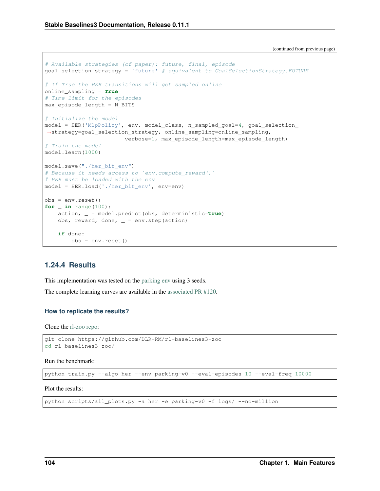(continued from previous page)

```
# Available strategies (cf paper): future, final, episode
goal_selection_strategy = 'future' # equivalent to GoalSelectionStrategy.FUTURE
# If True the HER transitions will get sampled online
online_sampling = True
# Time limit for the episodes
max_episode_length = N_BITS
# Initialize the model
model = HER('MlpPolicy', env, model_class, n_sampled_goal=4, goal_selection_
˓→strategy=goal_selection_strategy, online_sampling=online_sampling,
                        verbose=1, max_episode_length=max_episode_length)
# Train the model
model.learn(1000)
model.save("./her_bit_env")
# Because it needs access to `env.compute_reward()`
# HER must be loaded with the env
model = HER.load('./her_bit_env', env=env)
obs = env{\text{reset}}()for _ in range(100):
    action, _ = model.predict(obs, deterministic=True)
   obs, reward, done, = = env.step (action)
    if done:
        obs = env.reset()
```
## **1.24.4 Results**

This implementation was tested on the [parking env](https://github.com/eleurent/highway-env) using 3 seeds.

The complete learning curves are available in the [associated PR #120.](https://github.com/DLR-RM/stable-baselines3/pull/120)

#### **How to replicate the results?**

Clone the [rl-zoo repo:](https://github.com/DLR-RM/rl-baselines3-zoo)

```
git clone https://github.com/DLR-RM/rl-baselines3-zoo
cd rl-baselines3-zoo/
```
Run the benchmark:

```
python train.py --algo her --env parking-v0 --eval-episodes 10 --eval-freq 10000
```
Plot the results:

```
python scripts/all_plots.py -a her -e parking-v0 -f logs/ --no-million
```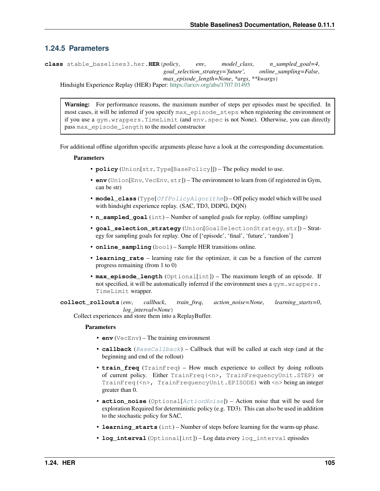# **1.24.5 Parameters**

**class** stable\_baselines3.her.**HER**(*policy*, *env*, *model\_class*, *n\_sampled\_goal=4*, *goal\_selection\_strategy='future'*, *online\_sampling=False*, *max\_episode\_length=None*, *\*args*, *\*\*kwargs*) Hindsight Experience Replay (HER) Paper: <https://arxiv.org/abs/1707.01495>

Warning: For performance reasons, the maximum number of steps per episodes must be specified. In most cases, it will be inferred if you specify max\_episode\_steps when registering the environment or if you use a gym.wrappers.TimeLimit (and env.spec is not None). Otherwise, you can directly pass max episode length to the model constructor

For additional offline algorithm specific arguments please have a look at the corresponding documentation.

# **Parameters**

- **policy** (Union[str, Type[BasePolicy]]) The policy model to use.
- **env** (Union[Env, VecEnv, str]) The environment to learn from (if registered in Gym, can be str)
- **model\_class** (Type[[OffPolicyAlgorithm](#page-74-0)]) Off policy model which will be used with hindsight experience replay. (SAC, TD3, DDPG, DON)
- **n\_sampled\_goal** (int) Number of sampled goals for replay. (offline sampling)
- **goal\_selection\_strategy** (Union[GoalSelectionStrategy, str]) Strategy for sampling goals for replay. One of ['episode', 'final', 'future', 'random']
- **online** sampling (bool) Sample HER transitions online.
- **learning\_rate** learning rate for the optimizer, it can be a function of the current progress remaining (from 1 to 0)
- **max\_episode\_length** (Optional[int]) The maximum length of an episode. If not specified, it will be automatically inferred if the environment uses a  $qym$ .wrappers. TimeLimit wrapper.

**collect\_rollouts**(*env*, *callback*, *train\_freq*, *action\_noise=None*, *learning\_starts=0*, *log\_interval=None*)

Collect experiences and store them into a ReplayBuffer.

- **env** (VecEnv) The training environment
- **callback** ([BaseCallback](#page-48-0)) Callback that will be called at each step (and at the beginning and end of the rollout)
- **train\_freq** (TrainFreq) How much experience to collect by doing rollouts of current policy. Either TrainFreq(<n>, TrainFrequencyUnit.STEP) or TrainFreq(<n>, TrainFrequencyUnit.EPISODE) with <n> being an integer greater than 0.
- **action\_noise** (Optional[[ActionNoise](#page-163-0)]) Action noise that will be used for exploration Required for deterministic policy (e.g. TD3). This can also be used in addition to the stochastic policy for SAC.
- **learning\_starts** (int) Number of steps before learning for the warm-up phase.
- **log\_interval** (Optional[int]) Log data every log\_interval episodes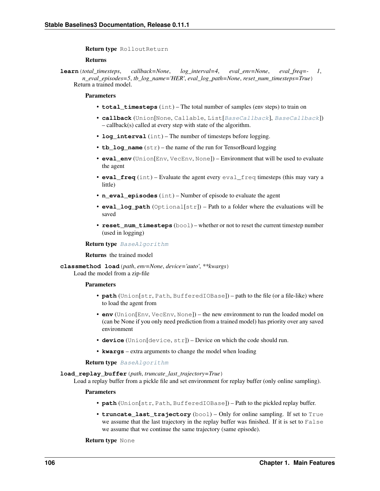Return type RolloutReturn

# Returns

**learn**(*total\_timesteps*, *callback=None*, *log\_interval=4*, *eval\_env=None*, *eval\_freq=- 1*, *n\_eval\_episodes=5*, *tb\_log\_name='HER'*, *eval\_log\_path=None*, *reset\_num\_timesteps=True*) Return a trained model.

# **Parameters**

- **total timesteps** (int) The total number of samples (env steps) to train on
- **callback** (Union[None, Callable, List[[BaseCallback](#page-48-0)], [BaseCallback](#page-48-0)]) – callback(s) called at every step with state of the algorithm.
- **log\_interval** (int) The number of timesteps before logging.
- **tb\_log\_name** (str) the name of the run for TensorBoard logging
- **eval\_env** (Union[Env, VecEnv, None]) Environment that will be used to evaluate the agent
- **eval\_freq** (int) Evaluate the agent every eval\_freq timesteps (this may vary a little)
- **n** eval episodes (int) Number of episode to evaluate the agent
- **eval\_log\_path** (Optional[str]) Path to a folder where the evaluations will be saved
- **reset\_num\_timesteps** (bool) whether or not to reset the current timestep number (used in logging)

## Return type [BaseAlgorithm](#page-71-0)

#### Returns the trained model

**classmethod load**(*path*, *env=None*, *device='auto'*, *\*\*kwargs*)

Load the model from a zip-file

#### **Parameters**

- **path** (Union[str, Path, BufferedIOBase]) path to the file (or a file-like) where to load the agent from
- **env** (Union[Env, VecEnv, None]) the new environment to run the loaded model on (can be None if you only need prediction from a trained model) has priority over any saved environment
- **device** (Union[device, str]) Device on which the code should run.
- **kwargs** extra arguments to change the model when loading

# Return type [BaseAlgorithm](#page-71-0)

#### **load\_replay\_buffer**(*path*, *truncate\_last\_trajectory=True*)

Load a replay buffer from a pickle file and set environment for replay buffer (only online sampling).

#### Parameters

- **path** (Union[str, Path, BufferedIOBase]) Path to the pickled replay buffer.
- **truncate\_last\_trajectory** (bool) Only for online sampling. If set to True we assume that the last trajectory in the replay buffer was finished. If it is set to False we assume that we continue the same trajectory (same episode).

# Return type None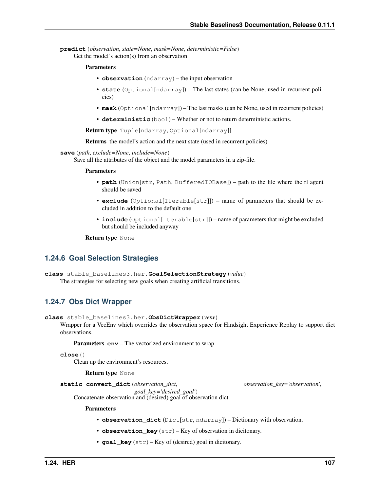```
predict(observation, state=None, mask=None, deterministic=False)
     Get the model's action(s) from an observation
```
### **Parameters**

- **observation** (ndarray) the input observation
- **state** (Optional[ndarray]) The last states (can be None, used in recurrent policies)
- **mask** (Optional[ndarray]) The last masks (can be None, used in recurrent policies)
- **deterministic** (bool) Whether or not to return deterministic actions.

Return type Tuple[ndarray, Optional[ndarray]]

Returns the model's action and the next state (used in recurrent policies)

# **save**(*path*, *exclude=None*, *include=None*)

Save all the attributes of the object and the model parameters in a zip-file.

## **Parameters**

- **path** (Union[str, Path, BufferedIOBase]) path to the file where the rl agent should be saved
- **exclude** (Optional[Iterable[str]]) name of parameters that should be excluded in addition to the default one
- **include** (Optional[Iterable[str]]) name of parameters that might be excluded but should be included anyway

Return type None

# **1.24.6 Goal Selection Strategies**

```
class stable_baselines3.her.GoalSelectionStrategy(value)
     The strategies for selecting new goals when creating artificial transitions.
```
# **1.24.7 Obs Dict Wrapper**

**class** stable\_baselines3.her.**ObsDictWrapper**(*venv*)

Wrapper for a VecEnv which overrides the observation space for Hindsight Experience Replay to support dict observations.

Parameters **env** – The vectorized environment to wrap.

```
close()
```
Clean up the environment's resources.

Return type None

**static convert\_dict**(*observation\_dict*, *observation\_key='observation'*,

*goal\_key='desired\_goal'*)

Concatenate observation and (desired) goal of observation dict.

- **observation\_dict** (Dict[str, ndarray]) Dictionary with observation.
- **observation\_key** (str) Key of observation in dicitonary.
- **goal\_key** (str) Key of (desired) goal in dicitonary.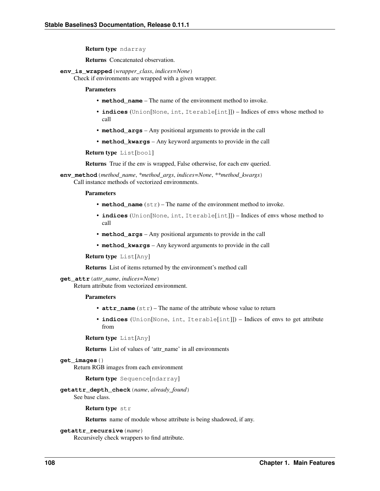Return type ndarray

Returns Concatenated observation.

**env\_is\_wrapped**(*wrapper\_class*, *indices=None*)

Check if environments are wrapped with a given wrapper.

#### Parameters

- **method name** The name of the environment method to invoke.
- **indices** (Union[None, int, Iterable[int]]) Indices of envs whose method to call
- **method\_args** Any positional arguments to provide in the call
- **method\_kwargs** Any keyword arguments to provide in the call

Return type List[bool]

Returns True if the env is wrapped, False otherwise, for each env queried.

**env\_method**(*method\_name*, *\*method\_args*, *indices=None*, *\*\*method\_kwargs*) Call instance methods of vectorized environments.

# Parameters

- **method** name  $(str)$  The name of the environment method to invoke.
- **indices** (Union[None, int, Iterable[int]]) Indices of envs whose method to call
- **method\_args** Any positional arguments to provide in the call
- **method\_kwargs** Any keyword arguments to provide in the call

Return type List[Any]

Returns List of items returned by the environment's method call

#### **get\_attr**(*attr\_name*, *indices=None*)

Return attribute from vectorized environment.

# Parameters

- **attr** name  $(str)$  The name of the attribute whose value to return
- **indices** (Union[None, int, Iterable[int]]) Indices of envs to get attribute from

```
Return type List[Any]
```
Returns List of values of 'attr\_name' in all environments

# **get\_images**()

Return RGB images from each environment

Return type Sequence[ndarray]

# **getattr\_depth\_check**(*name*, *already\_found*)

See base class.

Return type str

Returns name of module whose attribute is being shadowed, if any.

```
getattr_recursive(name)
```
Recursively check wrappers to find attribute.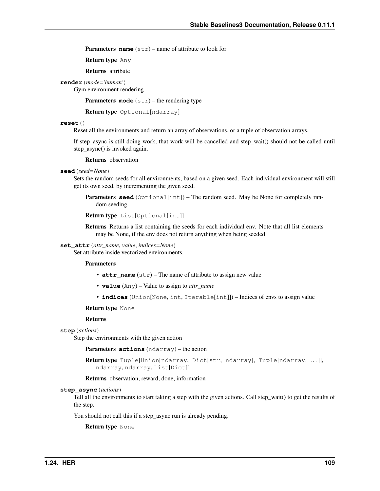**Parameters name** (str) – name of attribute to look for

Return type Any

Returns attribute

**render**(*mode='human'*)

Gym environment rendering

**Parameters mode** (str) – the rendering type

Return type Optional[ndarray]

# **reset**()

Reset all the environments and return an array of observations, or a tuple of observation arrays.

If step\_async is still doing work, that work will be cancelled and step\_wait() should not be called until step\_async() is invoked again.

Returns observation

## **seed**(*seed=None*)

Sets the random seeds for all environments, based on a given seed. Each individual environment will still get its own seed, by incrementing the given seed.

**Parameters seed** (Optional[int]) – The random seed. May be None for completely random seeding.

```
Return type List[Optional[int]]
```
Returns Returns a list containing the seeds for each individual env. Note that all list elements may be None, if the env does not return anything when being seeded.

**set\_attr**(*attr\_name*, *value*, *indices=None*)

Set attribute inside vectorized environments.

### Parameters

- **attr\_name** (str) The name of attribute to assign new value
- **value** (Any) Value to assign to *attr\_name*
- **indices** (Union[None, int, Iterable[int]]) Indices of envs to assign value

Return type None

### Returns

**step**(*actions*)

Step the environments with the given action

Parameters **actions** (ndarray) – the action

Return type Tuple[Union[ndarray, Dict[str, ndarray], Tuple[ndarray, ...]], ndarray, ndarray, List[Dict]]

Returns observation, reward, done, information

#### **step\_async**(*actions*)

Tell all the environments to start taking a step with the given actions. Call step\_wait() to get the results of the step.

You should not call this if a step\_async run is already pending.

Return type None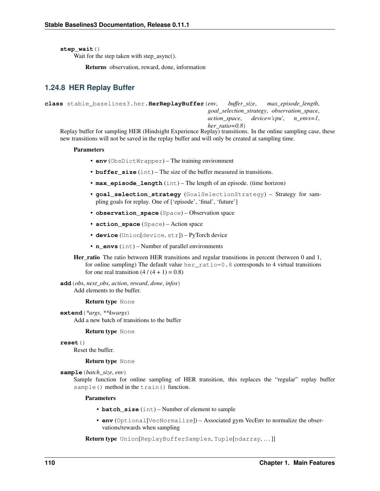**step\_wait**()

Wait for the step taken with step async().

Returns observation, reward, done, information

# **1.24.8 HER Replay Buffer**

```
class stable_baselines3.her.HerReplayBuffer(env, buffer_size, max_episode_length,
                                                     goal_selection_strategy, observation_space,
                                                     action_space, device='cpu', n_envs=1,
                                                     her_ratio=0.8)
```
Replay buffer for sampling HER (Hindsight Experience Replay) transitions. In the online sampling case, these new transitions will not be saved in the replay buffer and will only be created at sampling time.

# Parameters

- **env** (ObsDictWrapper) The training environment
- **buffer** size (int) The size of the buffer measured in transitions.
- **max\_episode\_length** (int) The length of an episode. (time horizon)
- **goal\_selection\_strategy** (GoalSelectionStrategy) Strategy for sampling goals for replay. One of ['episode', 'final', 'future']
- **observation\_space** (Space) Observation space
- **action\_space** (Space) Action space
- **device** (Union[device, str]) PyTorch device
- **n\_envs** (int) Number of parallel environments
- Her\_ratio The ratio between HER transitions and regular transitions in percent (between 0 and 1, for online sampling) The default value her\_ratio=0.8 corresponds to 4 virtual transitions for one real transition  $(4/(4 + 1) = 0.8)$

**add**(*obs*, *next\_obs*, *action*, *reward*, *done*, *infos*) Add elements to the buffer.

# Return type None

**extend**(*\*args*, *\*\*kwargs*) Add a new batch of transitions to the buffer

# Return type None

**reset**()

Reset the buffer.

# Return type None

**sample**(*batch\_size*, *env*)

Sample function for online sampling of HER transition, this replaces the "regular" replay buffer sample() method in the train() function.

# Parameters

- **batch** size (int) Number of element to sample
- **env** (Optional[VecNormalize]) Associated gym VecEnv to normalize the observations/rewards when sampling

Return type Union[ReplayBufferSamples, Tuple[ndarray,...]]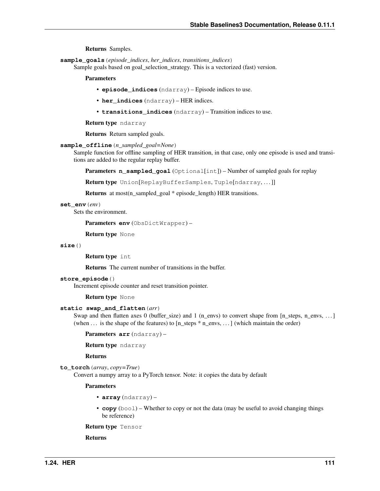Returns Samples.

**sample\_goals**(*episode\_indices*, *her\_indices*, *transitions\_indices*)

Sample goals based on goal\_selection\_strategy. This is a vectorized (fast) version.

## Parameters

- **episode\_indices** (ndarray) Episode indices to use.
- **her\_indices** (ndarray) HER indices.
- **transitions\_indices** (ndarray) Transition indices to use.

Return type ndarray

Returns Return sampled goals.

```
sample_offline(n_sampled_goal=None)
```
Sample function for offline sampling of HER transition, in that case, only one episode is used and transitions are added to the regular replay buffer.

Parameters **n\_sampled\_goal** (Optional[int]) – Number of sampled goals for replay

Return type Union[ReplayBufferSamples, Tuple[ndarray,...]]

Returns at most(n\_sampled\_goal \* episode\_length) HER transitions.

**set\_env**(*env*)

Sets the environment.

Parameters **env** (ObsDictWrapper) –

Return type None

# **size**()

Return type int

Returns The current number of transitions in the buffer.

#### **store\_episode**()

Increment episode counter and reset transition pointer.

Return type None

# **static swap\_and\_flatten**(*arr*)

Swap and then flatten axes 0 (buffer size) and 1 (n\_envs) to convert shape from [n\_steps, n\_envs, ... ] (when  $\dots$  is the shape of the features) to [n\_steps  $*$  n\_envs,  $\dots$ ] (which maintain the order)

Parameters **arr** (ndarray) –

Return type ndarray

Returns

**to\_torch**(*array*, *copy=True*)

Convert a numpy array to a PyTorch tensor. Note: it copies the data by default

#### Parameters

- **array** (ndarray) –
- **copy** (bool) Whether to copy or not the data (may be useful to avoid changing things be reference)

Return type Tensor

Returns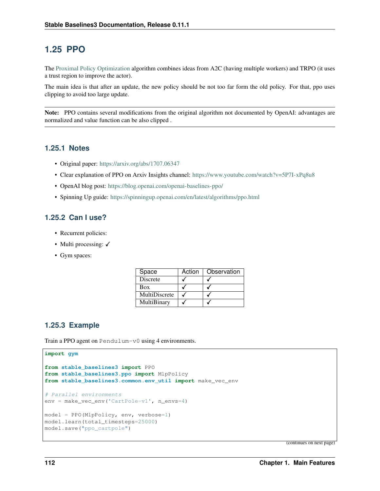# **1.25 PPO**

The [Proximal Policy Optimization](https://arxiv.org/abs/1707.06347) algorithm combines ideas from A2C (having multiple workers) and TRPO (it uses a trust region to improve the actor).

The main idea is that after an update, the new policy should be not too far form the old policy. For that, ppo uses clipping to avoid too large update.

Note: PPO contains several modifications from the original algorithm not documented by OpenAI: advantages are normalized and value function can be also clipped .

# **1.25.1 Notes**

- Original paper: <https://arxiv.org/abs/1707.06347>
- Clear explanation of PPO on Arxiv Insights channel: <https://www.youtube.com/watch?v=5P7I-xPq8u8>
- OpenAI blog post: <https://blog.openai.com/openai-baselines-ppo/>
- Spinning Up guide: <https://spinningup.openai.com/en/latest/algorithms/ppo.html>

# **1.25.2 Can I use?**

- Recurrent policies:
- Multi processing:  $\checkmark$
- Gym spaces:

| Space           | Action | Observation |
|-----------------|--------|-------------|
| <b>Discrete</b> |        |             |
| Box             |        |             |
| MultiDiscrete   |        |             |
| MultiBinary     |        |             |

# **1.25.3 Example**

Train a PPO agent on Pendulum-v0 using 4 environments.

```
import gym
```

```
from stable_baselines3 import PPO
from stable_baselines3.ppo import MlpPolicy
from stable_baselines3.common.env_util import make_vec_env
# Parallel environments
env = make_vec_env('CartPole-v1', n_envs=4)
model = PPO(MlpPolicy, env, verbose=1)
model.learn(total_timesteps=25000)
model.save("ppo_cartpole")
```
(continues on next page)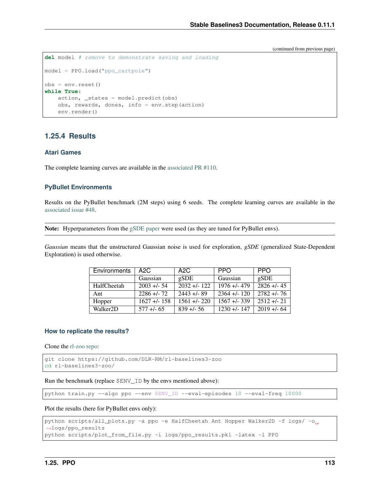(continued from previous page)

```
del model # remove to demonstrate saving and loading
model = PPO.load("ppo_cartpole")
obs = env{\text{reset}}()while True:
   action, _states = model.predict(obs)
   obs, rewards, dones, info = env.step(action)
    env.render()
```
# **1.25.4 Results**

# **Atari Games**

The complete learning curves are available in the [associated PR #110.](https://github.com/DLR-RM/stable-baselines3/pull/110)

# **PyBullet Environments**

Results on the PyBullet benchmark (2M steps) using 6 seeds. The complete learning curves are available in the [associated issue #48.](https://github.com/DLR-RM/stable-baselines3/issues/48)

Note: Hyperparameters from the [gSDE paper](https://arxiv.org/abs/2005.05719) were used (as they are tuned for PyBullet envs).

*Gaussian* means that the unstructured Gaussian noise is used for exploration, *gSDE* (generalized State-Dependent Exploration) is used otherwise.

| Environments          | A2C          | A2C                       | <b>PPO</b>   | <b>PPO</b>  |
|-----------------------|--------------|---------------------------|--------------|-------------|
|                       | Gaussian     | $\varrho\text{SDE}$       | Gaussian     | gSDE        |
| HalfCheetah           | $2003 + 54$  | $\overline{2032}$ +/- 122 | $1976 + 479$ | $2826 + 45$ |
| Ant                   | $2286 + 72$  | $2443 + 89$               | $2364 + 120$ | $2782 + 76$ |
| Hopper                | $1627 + 158$ | $1561 + 220$              | $1567 + 339$ | $2512 + 21$ |
| Walker <sub>2</sub> D | $577 + 65$   | $839 + 56$                | $1230 + 147$ | $2019 + 64$ |

#### **How to replicate the results?**

Clone the [rl-zoo repo:](https://github.com/DLR-RM/rl-baselines3-zoo)

```
git clone https://github.com/DLR-RM/rl-baselines3-zoo
cd rl-baselines3-zoo/
```
Run the benchmark (replace \$ENV\_ID by the envs mentioned above):

python train.py --algo ppo --env \$ENV\_ID --eval-episodes 10 --eval-freq 10000

Plot the results (here for PyBullet envs only):

```
python scripts/all_plots.py -a ppo -e HalfCheetah Ant Hopper Walker2D -f logs/ -o
˓→logs/ppo_results
python scripts/plot_from_file.py -i logs/ppo_results.pkl -latex -l PPO
```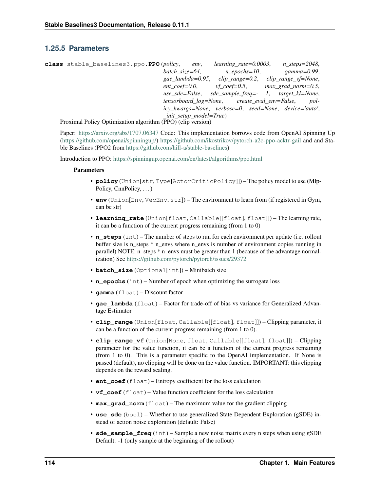# **1.25.5 Parameters**

| class stable_baselines3.ppo.PPO(policy,                                                                                                                                 |                                | env. | $learning_rate = 0.0003$ , | n steps=2048,                                          |
|-------------------------------------------------------------------------------------------------------------------------------------------------------------------------|--------------------------------|------|----------------------------|--------------------------------------------------------|
|                                                                                                                                                                         | batch_size=64,                 |      | $n$ epochs=10,             | gamma=0.99,                                            |
|                                                                                                                                                                         | gae lambda=0.95,               |      |                            | $clip\_range = 0.2, clip\_range\_vf = None,$           |
|                                                                                                                                                                         | $ent\_coef = 0.0$ ,            |      |                            | $vf$ coef=0.5, max grad norm=0.5,                      |
|                                                                                                                                                                         |                                |      |                            | use sde=False, sde sample freq= $-1$ , target kl=None, |
|                                                                                                                                                                         |                                |      |                            | tensorboard log=None, create eval env=False, pol-      |
|                                                                                                                                                                         |                                |      |                            | icy_kwargs=None, verbose=0, seed=None, device='auto',  |
|                                                                                                                                                                         | $\_init\_setup\_model = True)$ |      |                            |                                                        |
| $D_{\text{normal}}$ $D_{\text{rel}}$ $D_{\text{rel}}$ $D_{\text{rel}}$ $D_{\text{rel}}$ $D_{\text{normal}}$ $D_{\text{normal}}$ $D_{\text{normal}}$ $D_{\text{normal}}$ |                                |      |                            |                                                        |

Proximal Policy Optimization algorithm (PPO) (clip version)

Paper: <https://arxiv.org/abs/1707.06347> Code: This implementation borrows code from OpenAI Spinning Up [\(https://github.com/openai/spinningup/\)](https://github.com/openai/spinningup/) <https://github.com/ikostrikov/pytorch-a2c-ppo-acktr-gail> and and Stable Baselines (PPO2 from [https://github.com/hill-a/stable-baselines\)](https://github.com/hill-a/stable-baselines)

Introduction to PPO: <https://spinningup.openai.com/en/latest/algorithms/ppo.html>

- **policy** (Union[str, Type[ActorCriticPolicy]]) The policy model to use (Mlp-Policy, CnnPolicy, ...
- **env** (Union[Env, VecEnv, str]) The environment to learn from (if registered in Gym, can be str)
- **learning\_rate** (Union[float, Callable[[float], float]]) The learning rate, it can be a function of the current progress remaining (from 1 to 0)
- **n\_steps** (int) The number of steps to run for each environment per update (i.e. rollout buffer size is n\_steps  $*$  n\_envs where n\_envs is number of environment copies running in parallel) NOTE: n\_steps \* n\_envs must be greater than 1 (because of the advantage normalization) See <https://github.com/pytorch/pytorch/issues/29372>
- **batch size** (Optional[int]) Minibatch size
- **n** epochs (int) Number of epoch when optimizing the surrogate loss
- **gamma** (float) Discount factor
- **gae\_lambda** (float) Factor for trade-off of bias vs variance for Generalized Advantage Estimator
- **clip range** (Union[float, Callable[[float], float]]) Clipping parameter, it can be a function of the current progress remaining (from 1 to 0).
- **clip\_range\_vf** (Union[None, float, Callable[[float], float]]) Clipping parameter for the value function, it can be a function of the current progress remaining (from 1 to 0). This is a parameter specific to the OpenAI implementation. If None is passed (default), no clipping will be done on the value function. IMPORTANT: this clipping depends on the reward scaling.
- **ent\_coef** (float) Entropy coefficient for the loss calculation
- **vf\_coef** (float) Value function coefficient for the loss calculation
- **max\_grad\_norm** (float) The maximum value for the gradient clipping
- **use\_sde** (bool) Whether to use generalized State Dependent Exploration (gSDE) instead of action noise exploration (default: False)
- **sde\_sample\_freq** (int) Sample a new noise matrix every n steps when using gSDE Default: -1 (only sample at the beginning of the rollout)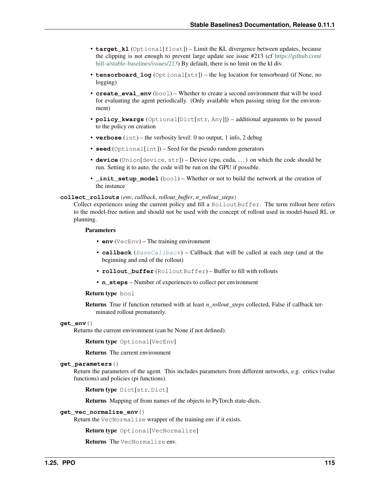- **target** k1 (Optional [float]) Limit the KL divergence between updates, because the clipping is not enough to prevent large update see issue #213 (cf [https://github.com/](https://github.com/hill-a/stable-baselines/issues/213) [hill-a/stable-baselines/issues/213\)](https://github.com/hill-a/stable-baselines/issues/213) By default, there is no limit on the kl div.
- **tensorboard\_log** (Optional[str]) the log location for tensorboard (if None, no logging)
- **create eval env**  $(b \circ a)$  Whether to create a second environment that will be used for evaluating the agent periodically. (Only available when passing string for the environment)
- **policy\_kwargs** (Optional[Dict[str, Any]]) additional arguments to be passed to the policy on creation
- **verbose** (int) the verbosity level: 0 no output, 1 info, 2 debug
- **seed** (Optional[int]) Seed for the pseudo random generators
- **device** (Union[device, str]) Device (cpu, cuda, . . . ) on which the code should be run. Setting it to auto, the code will be run on the GPU if possible.
- **\_init\_setup\_model** (bool) Whether or not to build the network at the creation of the instance

**collect\_rollouts**(*env*, *callback*, *rollout\_buffer*, *n\_rollout\_steps*)

Collect experiences using the current policy and fill a RolloutBuffer. The term rollout here refers to the model-free notion and should not be used with the concept of rollout used in model-based RL or planning.

#### Parameters

- **env** (VecEnv) The training environment
- **callback** ([BaseCallback](#page-48-0)) Callback that will be called at each step (and at the beginning and end of the rollout)
- **rollout\_buffer** (RolloutBuffer) Buffer to fill with rollouts
- **n\_steps** Number of experiences to collect per environment

#### Return type bool

Returns True if function returned with at least *n\_rollout\_steps* collected, False if callback terminated rollout prematurely.

### **get\_env**()

Returns the current environment (can be None if not defined).

Return type Optional[VecEnv]

Returns The current environment

#### **get\_parameters**()

Return the parameters of the agent. This includes parameters from different networks, e.g. critics (value functions) and policies (pi functions).

Return type Dict[str, Dict]

Returns Mapping of from names of the objects to PyTorch state-dicts.

#### **get\_vec\_normalize\_env**()

Return the VecNormalize wrapper of the training env if it exists.

Return type Optional[VecNormalize]

Returns The VecNormalize env.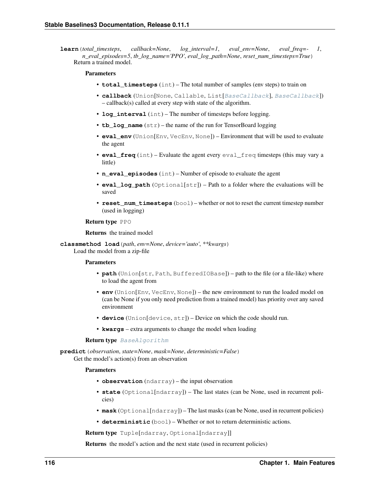**learn**(*total\_timesteps*, *callback=None*, *log\_interval=1*, *eval\_env=None*, *eval\_freq=- 1*, *n\_eval\_episodes=5*, *tb\_log\_name='PPO'*, *eval\_log\_path=None*, *reset\_num\_timesteps=True*) Return a trained model.

# **Parameters**

- **total\_timesteps** (int) The total number of samples (env steps) to train on
- **callback** (Union[None, Callable, List[[BaseCallback](#page-48-0)], [BaseCallback](#page-48-0)]) – callback(s) called at every step with state of the algorithm.
- **log interval** (int) The number of timesteps before logging.
- **tb\_log\_name** (str) the name of the run for TensorBoard logging
- **eval\_env** (Union[Env, VecEnv, None]) Environment that will be used to evaluate the agent
- **eval\_freq** (int) Evaluate the agent every eval\_freq timesteps (this may vary a little)
- **n** eval episodes (int) Number of episode to evaluate the agent
- **eval\_log\_path** (Optional[str]) Path to a folder where the evaluations will be saved
- **reset num timesteps** (bool) whether or not to reset the current timestep number (used in logging)

#### Return type PPO

Returns the trained model

**classmethod load**(*path*, *env=None*, *device='auto'*, *\*\*kwargs*)

Load the model from a zip-file

# **Parameters**

- **path** (Union[str, Path, BufferedIOBase]) path to the file (or a file-like) where to load the agent from
- **env** (Union[Env, VecEnv, None]) the new environment to run the loaded model on (can be None if you only need prediction from a trained model) has priority over any saved environment
- **device** (Union[device, str]) Device on which the code should run.
- **kwargs** extra arguments to change the model when loading

### Return type [BaseAlgorithm](#page-71-0)

**predict**(*observation*, *state=None*, *mask=None*, *deterministic=False*) Get the model's action(s) from an observation

### **Parameters**

- **observation** (ndarray) the input observation
- **state** (Optional[ndarray]) The last states (can be None, used in recurrent policies)
- **mask** (Optional[ndarray]) The last masks (can be None, used in recurrent policies)
- **deterministic** (bool) Whether or not to return deterministic actions.

Return type Tuple[ndarray, Optional[ndarray]]

Returns the model's action and the next state (used in recurrent policies)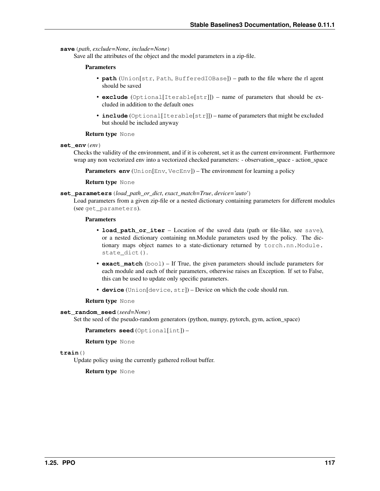### **save**(*path*, *exclude=None*, *include=None*)

Save all the attributes of the object and the model parameters in a zip-file.

### Parameters

- **path** (Union[str, Path, BufferedIOBase]) path to the file where the rl agent should be saved
- **exclude** (Optional[Iterable[str]]) name of parameters that should be excluded in addition to the default ones
- **include** (Optional[Iterable[str]]) name of parameters that might be excluded but should be included anyway

# Return type None

**set\_env**(*env*)

Checks the validity of the environment, and if it is coherent, set it as the current environment. Furthermore wrap any non vectorized env into a vectorized checked parameters: - observation\_space - action\_space

**Parameters <b>env** (Union[Env, VecEnv]) – The environment for learning a policy

## Return type None

### **set\_parameters**(*load\_path\_or\_dict*, *exact\_match=True*, *device='auto'*)

Load parameters from a given zip-file or a nested dictionary containing parameters for different modules (see get\_parameters).

#### Parameters

- **load path or iter** Location of the saved data (path or file-like, see save), or a nested dictionary containing nn.Module parameters used by the policy. The dictionary maps object names to a state-dictionary returned by torch.nn.Module. state\_dict().
- **exact\_match** (bool) If True, the given parameters should include parameters for each module and each of their parameters, otherwise raises an Exception. If set to False, this can be used to update only specific parameters.
- **device** (Union[device, str]) Device on which the code should run.

#### Return type None

#### **set\_random\_seed**(*seed=None*)

Set the seed of the pseudo-random generators (python, numpy, pytorch, gym, action\_space)

Parameters **seed** (Optional[int]) –

Return type None

# **train**()

Update policy using the currently gathered rollout buffer.

# Return type None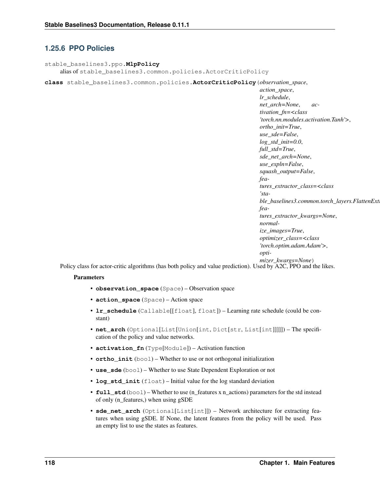# **1.25.6 PPO Policies**

```
stable_baselines3.ppo.MlpPolicy
    alias of stable_baselines3.common.policies.ActorCriticPolicy
```
**class** stable\_baselines3.common.policies.**ActorCriticPolicy**(*observation\_space*,

*action\_space*, *lr\_schedule*, *net\_arch=None*, *activation\_fn=<class 'torch.nn.modules.activation.Tanh'>*, *ortho\_init=True*, *use\_sde=False*, *log\_std\_init=0.0*, *full\_std=True*, *sde\_net\_arch=None*, *use\_expln=False*, *squash\_output=False*, *features\_extractor\_class=<class 'sta* $ble\_baselines3.common.torch\_layers. FlattenExt$ *features\_extractor\_kwargs=None*, *normalize\_images=True*, *optimizer\_class=<class 'torch.optim.adam.Adam'>*, *optimizer\_kwargs=None*)

Policy class for actor-critic algorithms (has both policy and value prediction). Used by A2C, PPO and the likes.

- **observation\_space** (Space) Observation space
- **action\_space** (Space) Action space
- **lr schedule** (Callable[[float], float]) Learning rate schedule (could be constant)
- **net\_arch** (Optional[List[Union[int, Dict[str, List[int]]]]]) The specification of the policy and value networks.
- **activation\_fn** (Type[Module]) Activation function
- **ortho** init (bool) Whether to use or not orthogonal initialization
- **use** sde (bool) Whether to use State Dependent Exploration or not
- **log\_std\_init** (float) Initial value for the log standard deviation
- **full\_std** (bool) Whether to use (n\_features x n\_actions) parameters for the std instead of only (n\_features,) when using gSDE
- **sde\_net\_arch** (Optional[List[int]]) Network architecture for extracting features when using gSDE. If None, the latent features from the policy will be used. Pass an empty list to use the states as features.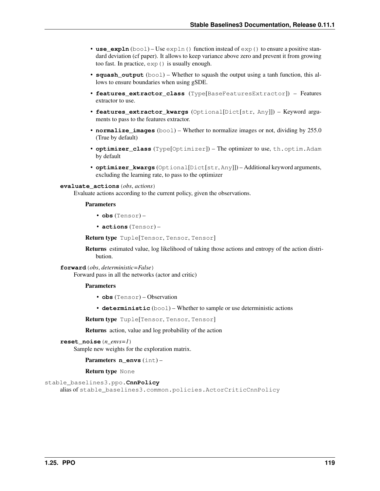- **use**  $\exp 2\mathbf{h}$  (bool) Use  $\exp 1\mathbf{n}$  () function instead of  $\exp($ ) to ensure a positive standard deviation (cf paper). It allows to keep variance above zero and prevent it from growing too fast. In practice, exp() is usually enough.
- **squash\_output** (bool) Whether to squash the output using a tanh function, this allows to ensure boundaries when using gSDE.
- **features\_extractor\_class** (Type[BaseFeaturesExtractor]) Features extractor to use.
- **features\_extractor\_kwargs** (Optional[Dict[str, Any]]) Keyword arguments to pass to the features extractor.
- **normalize\_images** (bool) Whether to normalize images or not, dividing by 255.0 (True by default)
- **optimizer\_class** (Type[Optimizer]) The optimizer to use, th.optim.Adam by default
- **optimizer\_kwargs** (Optional[Dict[str, Any]]) Additional keyword arguments, excluding the learning rate, to pass to the optimizer

#### **evaluate\_actions**(*obs*, *actions*)

Evaluate actions according to the current policy, given the observations.

# Parameters

- **obs** (Tensor) –
- **actions** (Tensor) –

Return type Tuple[Tensor, Tensor, Tensor]

Returns estimated value, log likelihood of taking those actions and entropy of the action distribution.

```
forward(obs, deterministic=False)
```
Forward pass in all the networks (actor and critic)

# Parameters

- **obs** (Tensor) Observation
- **deterministic** (bool) Whether to sample or use deterministic actions

Return type Tuple[Tensor, Tensor, Tensor]

Returns action, value and log probability of the action

```
reset_noise(n_envs=1)
```
Sample new weights for the exploration matrix.

Parameters **n\_envs** (int) –

Return type None

```
stable_baselines3.ppo.CnnPolicy
```
alias of stable\_baselines3.common.policies.ActorCriticCnnPolicy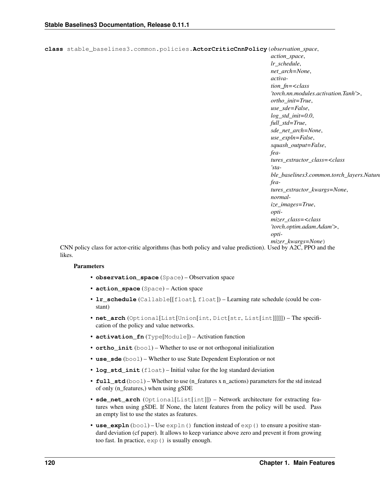```
class stable_baselines3.common.policies.ActorCriticCnnPolicy(observation_space,
```
*action\_space*, *lr\_schedule*, *net\_arch=None*, *activation\_fn=<class 'torch.nn.modules.activation.Tanh'>*, *ortho\_init=True*, *use\_sde=False*, *log\_std\_init=0.0*, *full\_std=True*, *sde\_net\_arch=None*, *use\_expln=False*, *squash\_output=False*, *features\_extractor\_class=<class 'stable\_baselines3.common.torch\_layers.Nature features\_extractor\_kwargs=None*, *normalize\_images=True*, *optimizer\_class=<class 'torch.optim.adam.Adam'>*, *optimizer\_kwargs=None*)

CNN policy class for actor-critic algorithms (has both policy and value prediction). Used by A2C, PPO and the likes.

- **observation\_space** (Space) Observation space
- **action\_space** (Space) Action space
- **lr\_schedule** (Callable[[float], float]) Learning rate schedule (could be constant)
- **net\_arch** (Optional[List[Union[int, Dict[str, List[int]]]]]) The specification of the policy and value networks.
- **activation\_fn** (Type[Module]) Activation function
- **ortho\_init** (bool) Whether to use or not orthogonal initialization
- **use** sde (bool) Whether to use State Dependent Exploration or not
- **log std init** (float) Initial value for the log standard deviation
- **full\_std** (bool) Whether to use (n\_features x n\_actions) parameters for the std instead of only (n\_features,) when using gSDE
- **sde\_net\_arch** (Optional[List[int]]) Network architecture for extracting features when using gSDE. If None, the latent features from the policy will be used. Pass an empty list to use the states as features.
- **use\_expln**  $(bool) Use expln() function instead of exp() to ensure a positive stan$ dard deviation (cf paper). It allows to keep variance above zero and prevent it from growing too fast. In practice, exp() is usually enough.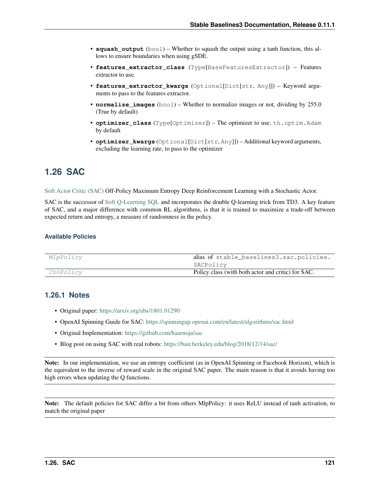- **squash** output  $(b \circ \circ l)$  Whether to squash the output using a tanh function, this allows to ensure boundaries when using gSDE.
- **features\_extractor\_class** (Type[BaseFeaturesExtractor]) Features extractor to use.
- **features\_extractor\_kwargs** (Optional[Dict[str, Any]]) Keyword arguments to pass to the features extractor.
- **normalize\_images** (bool) Whether to normalize images or not, dividing by 255.0 (True by default)
- **optimizer\_class** (Type[Optimizer]) The optimizer to use, th.optim.Adam by default
- **optimizer\_kwargs** (Optional[Dict[str, Any]]) Additional keyword arguments, excluding the learning rate, to pass to the optimizer

# **1.26 SAC**

[Soft Actor Critic \(SAC\)](https://spinningup.openai.com/en/latest/algorithms/sac.html) Off-Policy Maximum Entropy Deep Reinforcement Learning with a Stochastic Actor.

SAC is the successor of [Soft Q-Learning SQL](https://arxiv.org/abs/1702.08165) and incorporates the double Q-learning trick from TD3. A key feature of SAC, and a major difference with common RL algorithms, is that it is trained to maximize a trade-off between expected return and entropy, a measure of randomness in the policy.

# **Available Policies**

| MlpPolicy | alias of stable_baselines3.sac.policies.           |
|-----------|----------------------------------------------------|
|           | SACPolicy                                          |
| CnnPolicy | Policy class (with both actor and critic) for SAC. |

# **1.26.1 Notes**

- Original paper: <https://arxiv.org/abs/1801.01290>
- OpenAI Spinning Guide for SAC: <https://spinningup.openai.com/en/latest/algorithms/sac.html>
- Original Implementation: <https://github.com/haarnoja/sac>
- Blog post on using SAC with real robots: <https://bair.berkeley.edu/blog/2018/12/14/sac/>

Note: In our implementation, we use an entropy coefficient (as in OpenAI Spinning or Facebook Horizon), which is the equivalent to the inverse of reward scale in the original SAC paper. The main reason is that it avoids having too high errors when updating the Q functions.

Note: The default policies for SAC differ a bit from others MlpPolicy: it uses ReLU instead of tanh activation, to match the original paper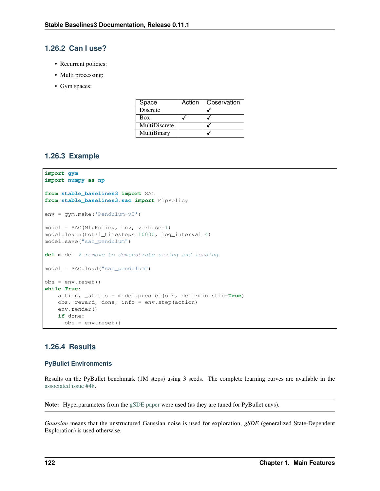# **1.26.2 Can I use?**

- Recurrent policies:
- Multi processing:
- Gym spaces:

| Space         | Action | Observation |
|---------------|--------|-------------|
| Discrete      |        |             |
| Box           |        |             |
| MultiDiscrete |        |             |
| MultiBinary   |        |             |

# **1.26.3 Example**

```
import gym
import numpy as np
from stable_baselines3 import SAC
from stable_baselines3.sac import MlpPolicy
env = gym.make('Pendulum-v0')
model = SAC(MlpPolicy, env, verbose=1)
model.learn(total_timesteps=10000, log_interval=4)
model.save("sac_pendulum")
del model # remove to demonstrate saving and loading
model = SAC.load("sac_pendulum")
obs = env.reset()
while True:
   action, _states = model.predict(obs, deterministic=True)
   obs, reward, done, info = env.step(action)
   env.render()
    if done:
      obs = env.reset()
```
# **1.26.4 Results**

# **PyBullet Environments**

Results on the PyBullet benchmark (1M steps) using 3 seeds. The complete learning curves are available in the [associated issue #48.](https://github.com/DLR-RM/stable-baselines3/issues/48)

Note: Hyperparameters from the [gSDE paper](https://arxiv.org/abs/2005.05719) were used (as they are tuned for PyBullet envs).

*Gaussian* means that the unstructured Gaussian noise is used for exploration, *gSDE* (generalized State-Dependent Exploration) is used otherwise.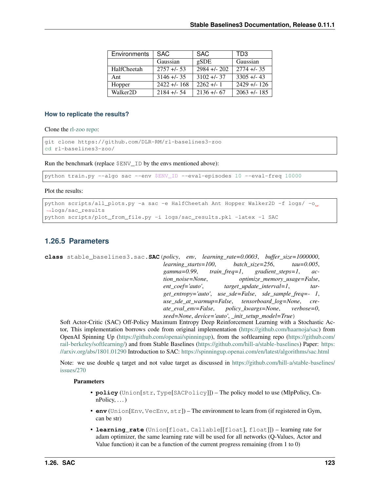| <b>Environments</b>   | SAC.             | <b>SAC</b>      | TD3            |
|-----------------------|------------------|-----------------|----------------|
|                       | Gaussian         | gSDE            | Gaussian       |
| HalfCheetah           | $2757 + 53$      | $2984 + 202$    | $2774 + 1.35$  |
| Ant                   | $3146 + 35$      | $3102 + 1 - 37$ | $3305 + 43$    |
| Hopper                | $2422 + 1 - 168$ | $2262 + 1$      | $2429 + 126$   |
| Walker <sub>2</sub> D | $2184 + 54$      | $2136 + 67$     | $2063 + 1.185$ |

# **How to replicate the results?**

Clone the [rl-zoo repo:](https://github.com/DLR-RM/rl-baselines3-zoo)

```
git clone https://github.com/DLR-RM/rl-baselines3-zoo
cd rl-baselines3-zoo/
```
Run the benchmark (replace \$ENV\_ID by the envs mentioned above):

python train.py --algo sac --env \$ENV\_ID --eval-episodes 10 --eval-freq 10000

Plot the results:

```
python scripts/all_plots.py -a sac -e HalfCheetah Ant Hopper Walker2D -f logs/ -o
˓→logs/sac_results
python scripts/plot_from_file.py -i logs/sac_results.pkl -latex -l SAC
```
# **1.26.5 Parameters**

```
class stable_baselines3.sac.SAC(policy, env, learning_rate=0.0003, buffer_size=1000000,
                                      learning_starts=100, batch_size=256, tau=0.005,
                                      gamma=0.99, train_freq=1, gradient_steps=1, ac-
                                      tion_noise=None, optimize_memory_usage=False,
                                      ent_coef='auto', target_update_interval=1, tar-
                                      get_entropy='auto', use_sde=False, sde_sample_freq=- 1,
                                      use_sde_at_warmup=False, tensorboard_log=None, cre-
                                      ate_eval_env=False, policy_kwargs=None, verbose=0,
                                      seed=None, device='auto', _init_setup_model=True)
```
Soft Actor-Critic (SAC) Off-Policy Maximum Entropy Deep Reinforcement Learning with a Stochastic Actor, This implementation borrows code from original implementation [\(https://github.com/haarnoja/sac\)](https://github.com/haarnoja/sac) from OpenAI Spinning Up [\(https://github.com/openai/spinningup\)](https://github.com/openai/spinningup), from the softlearning repo [\(https://github.com/](https://github.com/rail-berkeley/softlearning/) [rail-berkeley/softlearning/\)](https://github.com/rail-berkeley/softlearning/) and from Stable Baselines [\(https://github.com/hill-a/stable-baselines\)](https://github.com/hill-a/stable-baselines) Paper: [https:](https://arxiv.org/abs/1801.01290) [//arxiv.org/abs/1801.01290](https://arxiv.org/abs/1801.01290) Introduction to SAC: <https://spinningup.openai.com/en/latest/algorithms/sac.html>

Note: we use double q target and not value target as discussed in [https://github.com/hill-a/stable-baselines/](https://github.com/hill-a/stable-baselines/issues/270) [issues/270](https://github.com/hill-a/stable-baselines/issues/270)

- **policy** (Union[str, Type[SACPolicy]]) The policy model to use (MlpPolicy, Cn $nPolicy, \ldots$ )
- **env** (Union[Env, VecEnv, str]) The environment to learn from (if registered in Gym, can be str)
- **learning\_rate** (Union[float, Callable[[float], float]]) learning rate for adam optimizer, the same learning rate will be used for all networks (Q-Values, Actor and Value function) it can be a function of the current progress remaining (from 1 to 0)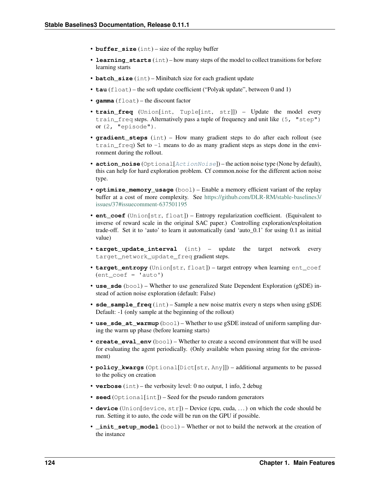- **buffer** size (int) size of the replay buffer
- **learning\_starts** (int) how many steps of the model to collect transitions for before learning starts
- **batch\_size** (int) Minibatch size for each gradient update
- **tau** (float) the soft update coefficient ("Polyak update", between 0 and 1)
- **gamma** (float) the discount factor
- **train\_freq** (Union[int, Tuple[int, str]]) Update the model every train\_freq steps. Alternatively pass a tuple of frequency and unit like (5, "step") or (2, "episode").
- **gradient\_steps** (int) How many gradient steps to do after each rollout (see train  $_{\rm freq}$ ) Set to  $-1$  means to do as many gradient steps as steps done in the environment during the rollout.
- **action\_noise** (Optional[[ActionNoise](#page-163-0)]) the action noise type (None by default), this can help for hard exploration problem. Cf common.noise for the different action noise type.
- **optimize\_memory\_usage** (bool) Enable a memory efficient variant of the replay buffer at a cost of more complexity. See [https://github.com/DLR-RM/stable-baselines3/](https://github.com/DLR-RM/stable-baselines3/issues/37#issuecomment-637501195) [issues/37#issuecomment-637501195](https://github.com/DLR-RM/stable-baselines3/issues/37#issuecomment-637501195)
- **ent coef** (Union[str, float]) Entropy regularization coefficient. (Equivalent to inverse of reward scale in the original SAC paper.) Controlling exploration/exploitation trade-off. Set it to 'auto' to learn it automatically (and 'auto\_0.1' for using 0.1 as initial value)
- **target\_update\_interval** (int) update the target network every target\_network\_update\_freq gradient steps.
- **target\_entropy** (Union[str, float]) target entropy when learning ent\_coef  $(ent<sub>coeff</sub> = 'auto')$
- **use\_sde** (bool) Whether to use generalized State Dependent Exploration (gSDE) instead of action noise exploration (default: False)
- **sde\_sample\_freq** (int) Sample a new noise matrix every n steps when using gSDE Default: -1 (only sample at the beginning of the rollout)
- **use\_sde\_at\_warmup** (bool) Whether to use gSDE instead of uniform sampling during the warm up phase (before learning starts)
- **create eval env**  $(b \circ a)$  Whether to create a second environment that will be used for evaluating the agent periodically. (Only available when passing string for the environment)
- **policy\_kwargs** (Optional[Dict[str, Any]]) additional arguments to be passed to the policy on creation
- **verbose** (int) the verbosity level: 0 no output, 1 info, 2 debug
- **seed** (Optional[int]) Seed for the pseudo random generators
- **device** (Union[device, str]) Device (cpu, cuda, . . . ) on which the code should be run. Setting it to auto, the code will be run on the GPU if possible.
- **init setup model** (bool) Whether or not to build the network at the creation of the instance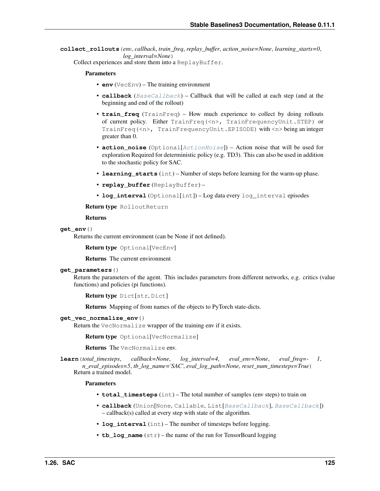**collect\_rollouts**(*env*, *callback*, *train\_freq*, *replay\_buffer*, *action\_noise=None*, *learning\_starts=0*, *log\_interval=None*)

Collect experiences and store them into a ReplayBuffer.

#### Parameters

- **env** (VecEnv) The training environment
- **callback** ([BaseCallback](#page-48-0)) Callback that will be called at each step (and at the beginning and end of the rollout)
- **train freq** (TrainFreq) How much experience to collect by doing rollouts of current policy. Either TrainFreq(<n>, TrainFrequencyUnit.STEP) or TrainFreq(<n>, TrainFrequencyUnit.EPISODE) with <n> being an integer greater than 0.
- **action\_noise** (Optional[[ActionNoise](#page-163-0)]) Action noise that will be used for exploration Required for deterministic policy (e.g. TD3). This can also be used in addition to the stochastic policy for SAC.
- **learning starts** (int) Number of steps before learning for the warm-up phase.
- **replay\_buffer** (ReplayBuffer) –
- **log\_interval** (Optional[int]) Log data every log\_interval episodes

Return type RolloutReturn

#### Returns

#### **get\_env**()

Returns the current environment (can be None if not defined).

Return type Optional[VecEnv]

Returns The current environment

# **get\_parameters**()

Return the parameters of the agent. This includes parameters from different networks, e.g. critics (value functions) and policies (pi functions).

```
Return type Dict[str, Dict]
```
Returns Mapping of from names of the objects to PyTorch state-dicts.

#### **get\_vec\_normalize\_env**()

Return the VecNormalize wrapper of the training env if it exists.

Return type Optional[VecNormalize]

Returns The VecNormalize env.

**learn**(*total\_timesteps*, *callback=None*, *log\_interval=4*, *eval\_env=None*, *eval\_freq=- 1*, *n\_eval\_episodes=5*, *tb\_log\_name='SAC'*, *eval\_log\_path=None*, *reset\_num\_timesteps=True*) Return a trained model.

- **total\_timesteps** (int) The total number of samples (env steps) to train on
- **callback** (Union[None, Callable, List[[BaseCallback](#page-48-0)], [BaseCallback](#page-48-0)]) – callback(s) called at every step with state of the algorithm.
- **log** interval (int) The number of timesteps before logging.
- **tb** log name  $(\text{str})$  the name of the run for TensorBoard logging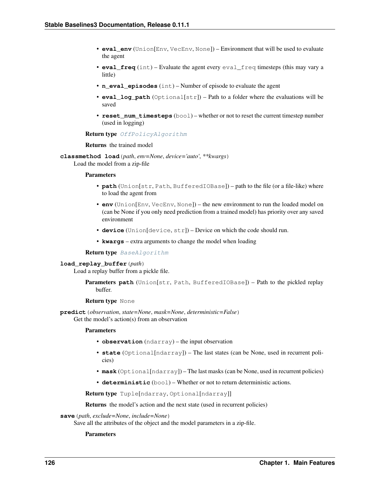- **eval env** (Union[Env, VecEnv, None]) Environment that will be used to evaluate the agent
- **eval\_freq** (int) Evaluate the agent every eval\_freq timesteps (this may vary a little)
- **n** eval episodes (int) Number of episode to evaluate the agent
- **eval\_log\_path** (Optional[str]) Path to a folder where the evaluations will be saved
- **reset\_num\_timesteps** (bool) whether or not to reset the current timestep number (used in logging)

#### Return type [OffPolicyAlgorithm](#page-74-0)

### Returns the trained model

**classmethod load**(*path*, *env=None*, *device='auto'*, *\*\*kwargs*) Load the model from a zip-file

### Parameters

- **path** (Union[str, Path, BufferedIOBase]) path to the file (or a file-like) where to load the agent from
- **env** (Union[Env, VecEnv, None]) the new environment to run the loaded model on (can be None if you only need prediction from a trained model) has priority over any saved environment
- **device** (Union[device, str]) Device on which the code should run.
- **kwargs** extra arguments to change the model when loading

# Return type [BaseAlgorithm](#page-71-0)

# **load\_replay\_buffer**(*path*)

Load a replay buffer from a pickle file.

```
Parameters path (Union[str, Path, BufferedIOBase]) – Path to the pickled replay
   buffer.
```
#### Return type None

**predict**(*observation*, *state=None*, *mask=None*, *deterministic=False*) Get the model's action(s) from an observation

#### Parameters

- **observation** (ndarray) the input observation
- **state** (Optional[ndarray]) The last states (can be None, used in recurrent policies)
- **mask** (Optional[ndarray]) The last masks (can be None, used in recurrent policies)
- **deterministic** (bool) Whether or not to return deterministic actions.

Return type Tuple[ndarray, Optional[ndarray]]

Returns the model's action and the next state (used in recurrent policies)

### **save**(*path*, *exclude=None*, *include=None*)

Save all the attributes of the object and the model parameters in a zip-file.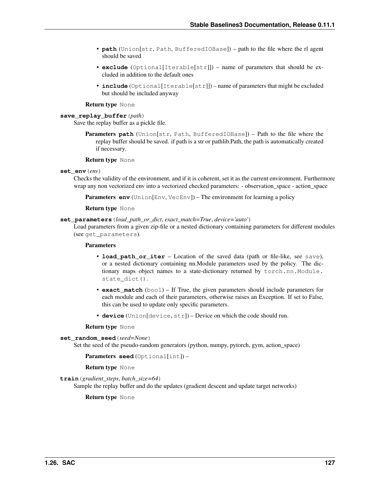- **path** (Union[str, Path, BufferedIOBase]) path to the file where the rl agent should be saved
- **exclude** (Optional[Iterable[str]]) name of parameters that should be excluded in addition to the default ones
- **include** (Optional[Iterable[str]]) name of parameters that might be excluded but should be included anyway

### Return type None

# **save\_replay\_buffer**(*path*)

Save the replay buffer as a pickle file.

**Parameters path** (Union[str, Path, BufferedIOBase]) – Path to the file where the replay buffer should be saved. if path is a str or pathlib.Path, the path is automatically created if necessary.

## Return type None

### **set\_env**(*env*)

Checks the validity of the environment, and if it is coherent, set it as the current environment. Furthermore wrap any non vectorized env into a vectorized checked parameters: - observation\_space - action\_space

**Parameters env** (Union[Env, VecEnv]) – The environment for learning a policy

# Return type None

### **set\_parameters**(*load\_path\_or\_dict*, *exact\_match=True*, *device='auto'*)

Load parameters from a given zip-file or a nested dictionary containing parameters for different modules (see get\_parameters).

# Parameters

- **load\_path\_or\_iter** Location of the saved data (path or file-like, see save), or a nested dictionary containing nn.Module parameters used by the policy. The dictionary maps object names to a state-dictionary returned by torch.nn.Module. state\_dict().
- **exact\_match** (bool) If True, the given parameters should include parameters for each module and each of their parameters, otherwise raises an Exception. If set to False, this can be used to update only specific parameters.
- **device** (Union [device, str]) Device on which the code should run.

#### Return type None

```
set_random_seed(seed=None)
```
Set the seed of the pseudo-random generators (python, numpy, pytorch, gym, action space)

Parameters **seed** (Optional[int]) –

# Return type None

**train**(*gradient\_steps*, *batch\_size=64*)

Sample the replay buffer and do the updates (gradient descent and update target networks)

Return type None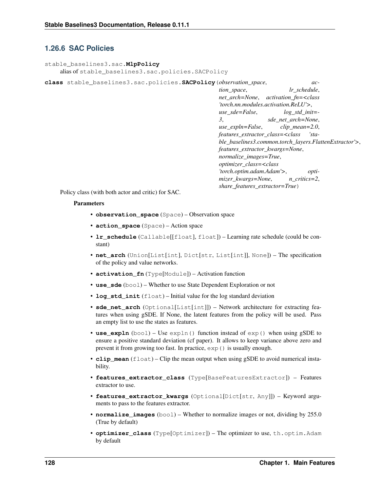# **1.26.6 SAC Policies**

```
stable_baselines3.sac.MlpPolicy
    alias of stable_baselines3.sac.policies.SACPolicy
```
**class** stable\_baselines3.sac.policies.**SACPolicy**(*observation\_space*, *ac-*

*tion\_space*, *lr\_schedule*, *net\_arch=None*, *activation\_fn=<class 'torch.nn.modules.activation.ReLU'>*, *use\_sde=False*, *log\_std\_init=- 3*, *sde\_net\_arch=None*, *use\_expln=False*, *clip\_mean=2.0*, *features\_extractor\_class=<class 'stable\_baselines3.common.torch\_layers.FlattenExtractor'>*, *features\_extractor\_kwargs=None*, *normalize\_images=True*, *optimizer\_class=<class 'torch.optim.adam.Adam'>*, *optimizer\_kwargs=None*, *n\_critics=2*, *share\_features\_extractor=True*)

Policy class (with both actor and critic) for SAC.

- **observation\_space** (Space) Observation space
- **action\_space** (Space) Action space
- **lr\_schedule** (Callable[[float], float]) Learning rate schedule (could be constant)
- **net\_arch** (Union[List[int], Dict[str, List[int]], None]) The specification of the policy and value networks.
- **activation\_fn** (Type[Module]) Activation function
- **use** sde (bool) Whether to use State Dependent Exploration or not
- **log\_std\_init** (float) Initial value for the log standard deviation
- **sde\_net\_arch** (Optional[List[int]]) Network architecture for extracting features when using gSDE. If None, the latent features from the policy will be used. Pass an empty list to use the states as features.
- **use\_expln** (bool) Use expln() function instead of exp() when using gSDE to ensure a positive standard deviation (cf paper). It allows to keep variance above zero and prevent it from growing too fast. In practice, exp() is usually enough.
- **clip** mean  $(f$ loat) Clip the mean output when using gSDE to avoid numerical instability.
- **features\_extractor\_class** (Type[BaseFeaturesExtractor]) Features extractor to use.
- **features\_extractor\_kwargs** (Optional[Dict[str, Any]]) Keyword arguments to pass to the features extractor.
- **normalize\_images** (bool) Whether to normalize images or not, dividing by 255.0 (True by default)
- **optimizer\_class** (Type[Optimizer]) The optimizer to use, th.optim.Adam by default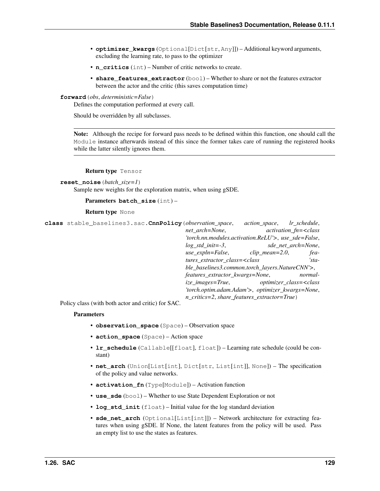- **optimizer\_kwargs** (Optional[Dict[str, Any]]) Additional keyword arguments, excluding the learning rate, to pass to the optimizer
- **n\_critics** (int) Number of critic networks to create.
- **share\_features\_extractor** (bool) Whether to share or not the features extractor between the actor and the critic (this saves computation time)

**forward**(*obs*, *deterministic=False*)

Defines the computation performed at every call.

Should be overridden by all subclasses.

Note: Although the recipe for forward pass needs to be defined within this function, one should call the Module instance afterwards instead of this since the former takes care of running the registered hooks while the latter silently ignores them.

### Return type Tensor

```
reset_noise(batch_size=1)
```
Sample new weights for the exploration matrix, when using gSDE.

```
Parameters batch_size (int) –
```

```
Return type None
```
<span id="page-132-0"></span>

| class stable_baselines3.sac. CnnPolicy (observation_space, |                                                                                    | <i>action_space, lr_schedule,</i>                                  |                    |
|------------------------------------------------------------|------------------------------------------------------------------------------------|--------------------------------------------------------------------|--------------------|
|                                                            | net arch=None,                                                                     | $activation$ fn= $<$ class                                         |                    |
|                                                            |                                                                                    | 'torch.nn.modules.activation.ReLU'>, use sde=False,                |                    |
|                                                            | $log\_std\_init = -3$ ,                                                            |                                                                    | sde_net_arch=None, |
|                                                            |                                                                                    | $use\_expln=False,$ $clip\_mean=2.0,$                              | fea-               |
|                                                            | tures_extractor_class= <class< th=""><th></th><th><math>'</math>sta-</th></class<> |                                                                    | $'$ sta-           |
|                                                            |                                                                                    | ble_baselines3.common.torch_layers.NatureCNN'>,                    |                    |
|                                                            | features_extractor_kwargs=None,                                                    |                                                                    | normal-            |
|                                                            |                                                                                    | ize_images=True, optimizer_class= <class< th=""><th></th></class<> |                    |
|                                                            |                                                                                    | 'torch.optim.adam.Adam'>, optimizer_kwargs=None,                   |                    |
|                                                            |                                                                                    | $n\_critics = 2$ , share_features_extractor=True)                  |                    |

Policy class (with both actor and critic) for SAC.

- **observation\_space** (Space) Observation space
- **action\_space** (Space) Action space
- **lr\_schedule** (Callable[[float], float]) Learning rate schedule (could be constant)
- **net arch** (Union[List[int], Dict[str, List[int]], None]) The specification of the policy and value networks.
- **activation\_fn** (Type[Module]) Activation function
- **use\_sde** (bool) Whether to use State Dependent Exploration or not
- **log\_std\_init** (float) Initial value for the log standard deviation
- **sde\_net\_arch** (Optional[List[int]]) Network architecture for extracting features when using gSDE. If None, the latent features from the policy will be used. Pass an empty list to use the states as features.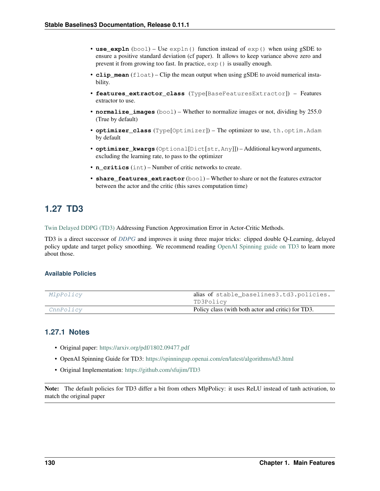- **use expln** (bool) Use  $\exp$ ln() function instead of  $\exp$ () when using gSDE to ensure a positive standard deviation (cf paper). It allows to keep variance above zero and prevent it from growing too fast. In practice,  $\exp$  () is usually enough.
- **clip\_mean** (float) Clip the mean output when using gSDE to avoid numerical instability.
- **features extractor class** (Type[BaseFeaturesExtractor]) Features extractor to use.
- **normalize\_images** (bool) Whether to normalize images or not, dividing by 255.0 (True by default)
- **optimizer\_class** (Type[Optimizer]) The optimizer to use, th.optim.Adam by default
- **optimizer\_kwargs** (Optional[Dict[str, Any]]) Additional keyword arguments, excluding the learning rate, to pass to the optimizer
- **n\_critics** (int) Number of critic networks to create.
- **share features extractor** (bool) Whether to share or not the features extractor between the actor and the critic (this saves computation time)

# **1.27 TD3**

[Twin Delayed DDPG \(TD3\)](https://spinningup.openai.com/en/latest/algorithms/td3.html) Addressing Function Approximation Error in Actor-Critic Methods.

TD3 is a direct successor of *[DDPG](#page-90-0)* and improves it using three major tricks: clipped double Q-Learning, delayed policy update and target policy smoothing. We recommend reading [OpenAI Spinning guide on TD3](https://spinningup.openai.com/en/latest/algorithms/td3.html) to learn more about those.

# **Available Policies**

| MlpPolicy | alias of stable_baselines3.td3.policies.           |
|-----------|----------------------------------------------------|
|           | TD3Policy                                          |
| CnnPolicy | Policy class (with both actor and critic) for TD3. |

# **1.27.1 Notes**

- Original paper: <https://arxiv.org/pdf/1802.09477.pdf>
- OpenAI Spinning Guide for TD3: <https://spinningup.openai.com/en/latest/algorithms/td3.html>
- Original Implementation: <https://github.com/sfujim/TD3>

Note: The default policies for TD3 differ a bit from others MlpPolicy: it uses ReLU instead of tanh activation, to match the original paper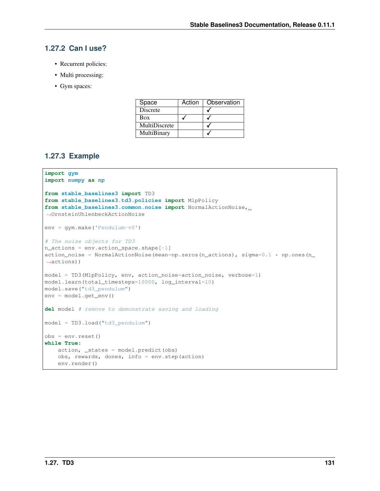# **1.27.2 Can I use?**

- Recurrent policies:
- Multi processing:
- Gym spaces:

| Space           | Action | Observation |
|-----------------|--------|-------------|
| <b>Discrete</b> |        |             |
| Box             |        |             |
| MultiDiscrete   |        |             |
| MultiBinary     |        |             |

# **1.27.3 Example**

```
import gym
import numpy as np
from stable_baselines3 import TD3
from stable_baselines3.td3.policies import MlpPolicy
from stable_baselines3.common.noise import NormalActionNoise,
˓→OrnsteinUhlenbeckActionNoise
env = gym.make('Pendulum-v0')
# The noise objects for TD3
n_actions = env.action_space.shape[-1]
action\_noise = NormalActionNoise(mean=np.zeros(n_actions), sigma=0.1 * np.ones(n˓→actions))
model = TD3(MlpPolicy, env, action_noise=action_noise, verbose=1)
model.learn(total_timesteps=10000, log_interval=10)
model.save("td3_pendulum")
env = model.get_env()
del model # remove to demonstrate saving and loading
model = TD3.load("td3_pendulum")
obs = env.reset()
while True:
    action, _states = model.predict(obs)
    obs, rewards, dones, info = env.step(action)
    env.render()
```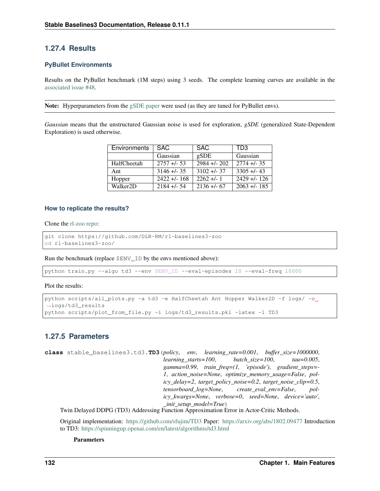# **1.27.4 Results**

# **PyBullet Environments**

Results on the PyBullet benchmark (1M steps) using 3 seeds. The complete learning curves are available in the [associated issue #48.](https://github.com/DLR-RM/stable-baselines3/issues/48)

Note: Hyperparameters from the [gSDE paper](https://arxiv.org/abs/2005.05719) were used (as they are tuned for PyBullet envs).

*Gaussian* means that the unstructured Gaussian noise is used for exploration, *gSDE* (generalized State-Dependent Exploration) is used otherwise.

| Environments          | SAC.             | <b>SAC</b>                | TD <sub>3</sub> |
|-----------------------|------------------|---------------------------|-----------------|
|                       | Gaussian         | gSDE                      | Gaussian        |
| HalfCheetah           | $2757 + 53$      | $\overline{2984}$ +/- 202 | $2774 + 1.35$   |
| Ant                   | $3146 + 35$      | $3102 + 1 - 37$           | $3305 + 43$     |
| Hopper                | $2422 + 1 - 168$ | $2262 + 1$                | $2429 + 126$    |
| Walker <sub>2</sub> D | $2184 + 54$      | $2136 + 67$               | $2063 + 1.185$  |

# **How to replicate the results?**

Clone the [rl-zoo repo:](https://github.com/DLR-RM/rl-baselines3-zoo)

```
git clone https://github.com/DLR-RM/rl-baselines3-zoo
cd rl-baselines3-zoo/
```
Run the benchmark (replace \$ENV\_ID by the envs mentioned above):

python train.py --algo td3 --env \$ENV\_ID --eval-episodes 10 --eval-freq 10000

Plot the results:

```
python scripts/all_plots.py -a td3 -e HalfCheetah Ant Hopper Walker2D -f logs/ -o
˓→logs/td3_results
python scripts/plot_from_file.py -i logs/td3_results.pkl -latex -l TD3
```
# **1.27.5 Parameters**

```
class stable_baselines3.td3.TD3(policy, env, learning_rate=0.001, buffer_size=1000000,
                                        learning_starts=100, batch_size=100, tau=0.005,
                                        gamma=0.99, train_freq=(1, 'episode'), gradient_steps=-
                                        1, action_noise=None, optimize_memory_usage=False, pol-
                                        icy_delay=2, target_policy_noise=0.2, target_noise_clip=0.5,
                                        tensorboard_log=None, create_eval_env=False, pol-
                                        icy_kwargs=None, verbose=0, seed=None, device='auto',
                                         _init_setup_model=True)
```
Twin Delayed DDPG (TD3) Addressing Function Approximation Error in Actor-Critic Methods.

Original implementation: <https://github.com/sfujim/TD3> Paper: <https://arxiv.org/abs/1802.09477> Introduction to TD3: <https://spinningup.openai.com/en/latest/algorithms/td3.html>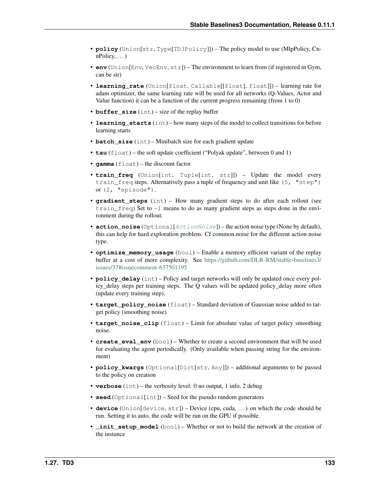- **policy** (Union[str, Type[TD3Policy]]) The policy model to use (MlpPolicy, Cn $nPolicy, \ldots$ )
- **env** (Union[Env, VecEnv, str]) The environment to learn from (if registered in Gym, can be str)
- **learning rate** (Union[float, Callable[[float], float]]) learning rate for adam optimizer, the same learning rate will be used for all networks (Q-Values, Actor and Value function) it can be a function of the current progress remaining (from 1 to 0)
- **buffer\_size** (int) size of the replay buffer
- **learning\_starts** (int) how many steps of the model to collect transitions for before learning starts
- **batch\_size** (int) Minibatch size for each gradient update
- **tau** (float) the soft update coefficient ("Polyak update", between 0 and 1)
- **gamma** (float) the discount factor
- **train\_freq** (Union[int, Tuple[int, str]]) Update the model every train\_freq steps. Alternatively pass a tuple of frequency and unit like (5, "step") or (2, "episode").
- **gradient\_steps** (int) How many gradient steps to do after each rollout (see train $_{\text{freq}}$  Set to  $-1$  means to do as many gradient steps as steps done in the environment during the rollout.
- **action\_noise** (Optional[[ActionNoise](#page-163-0)]) the action noise type (None by default), this can help for hard exploration problem. Cf common.noise for the different action noise type.
- **optimize\_memory\_usage** (bool) Enable a memory efficient variant of the replay buffer at a cost of more complexity. See [https://github.com/DLR-RM/stable-baselines3/](https://github.com/DLR-RM/stable-baselines3/issues/37#issuecomment-637501195) [issues/37#issuecomment-637501195](https://github.com/DLR-RM/stable-baselines3/issues/37#issuecomment-637501195)
- **policy\_delay** (int) Policy and target networks will only be updated once every policy\_delay steps per training steps. The Q values will be updated policy\_delay more often (update every training step).
- **target\_policy\_noise** (float) Standard deviation of Gaussian noise added to target policy (smoothing noise)
- **target\_noise\_clip** (float) Limit for absolute value of target policy smoothing noise.
- **create eval env**  $(b \circ o1)$  Whether to create a second environment that will be used for evaluating the agent periodically. (Only available when passing string for the environment)
- **policy\_kwargs** (Optional[Dict[str, Any]]) additional arguments to be passed to the policy on creation
- **verbose** (int) the verbosity level: 0 no output, 1 info, 2 debug
- **seed** (Optional[int]) Seed for the pseudo random generators
- **device** (Union[device, str]) Device (cpu, cuda, . . . ) on which the code should be run. Setting it to auto, the code will be run on the GPU if possible.
- **\_init\_setup\_model** (bool) Whether or not to build the network at the creation of the instance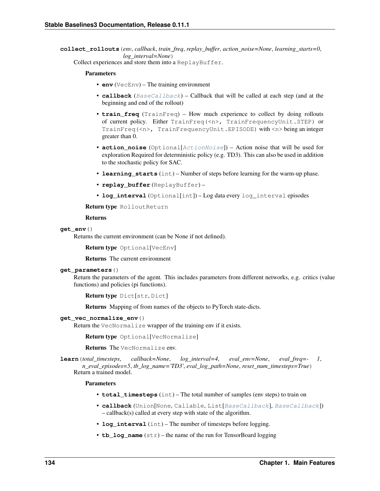**collect\_rollouts**(*env*, *callback*, *train\_freq*, *replay\_buffer*, *action\_noise=None*, *learning\_starts=0*, *log\_interval=None*)

Collect experiences and store them into a ReplayBuffer.

### Parameters

- **env** (VecEnv) The training environment
- **callback** ([BaseCallback](#page-48-0)) Callback that will be called at each step (and at the beginning and end of the rollout)
- **train freq** (TrainFreq) How much experience to collect by doing rollouts of current policy. Either TrainFreq(<n>, TrainFrequencyUnit.STEP) or TrainFreq(<n>, TrainFrequencyUnit.EPISODE) with <n> being an integer greater than 0.
- **action\_noise** (Optional[[ActionNoise](#page-163-0)]) Action noise that will be used for exploration Required for deterministic policy (e.g. TD3). This can also be used in addition to the stochastic policy for SAC.
- **learning starts** (int) Number of steps before learning for the warm-up phase.
- **replay\_buffer** (ReplayBuffer) –
- **log\_interval** (Optional[int]) Log data every log\_interval episodes

Return type RolloutReturn

#### Returns

### **get\_env**()

Returns the current environment (can be None if not defined).

Return type Optional[VecEnv]

Returns The current environment

#### **get\_parameters**()

Return the parameters of the agent. This includes parameters from different networks, e.g. critics (value functions) and policies (pi functions).

```
Return type Dict[str, Dict]
```
Returns Mapping of from names of the objects to PyTorch state-dicts.

# **get\_vec\_normalize\_env**()

Return the VecNormalize wrapper of the training env if it exists.

Return type Optional[VecNormalize]

Returns The VecNormalize env.

**learn**(*total\_timesteps*, *callback=None*, *log\_interval=4*, *eval\_env=None*, *eval\_freq=- 1*, *n\_eval\_episodes=5*, *tb\_log\_name='TD3'*, *eval\_log\_path=None*, *reset\_num\_timesteps=True*) Return a trained model.

- **total\_timesteps** (int) The total number of samples (env steps) to train on
- **callback** (Union[None, Callable, List[[BaseCallback](#page-48-0)], [BaseCallback](#page-48-0)]) – callback(s) called at every step with state of the algorithm.
- **log** interval (int) The number of timesteps before logging.
- **tb** log name  $(\text{str})$  the name of the run for TensorBoard logging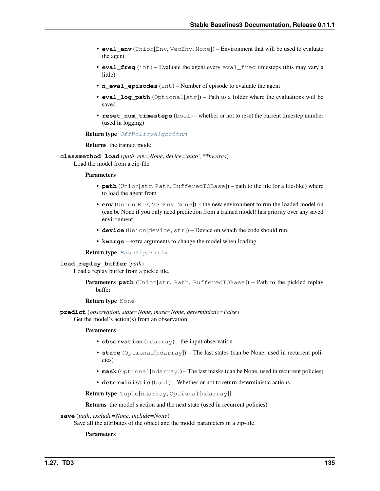- **eval env** (Union[Env, VecEnv, None]) Environment that will be used to evaluate the agent
- **eval\_freq** (int) Evaluate the agent every eval\_freq timesteps (this may vary a little)
- **n** eval episodes (int) Number of episode to evaluate the agent
- **eval\_log\_path** (Optional[str]) Path to a folder where the evaluations will be saved
- **reset\_num\_timesteps** (bool) whether or not to reset the current timestep number (used in logging)

#### Return type [OffPolicyAlgorithm](#page-74-0)

#### Returns the trained model

**classmethod load**(*path*, *env=None*, *device='auto'*, *\*\*kwargs*) Load the model from a zip-file

#### Parameters

- **path** (Union[str, Path, BufferedIOBase]) path to the file (or a file-like) where to load the agent from
- **env** (Union[Env, VecEnv, None]) the new environment to run the loaded model on (can be None if you only need prediction from a trained model) has priority over any saved environment
- **device** (Union[device, str]) Device on which the code should run.
- **kwargs** extra arguments to change the model when loading

#### Return type [BaseAlgorithm](#page-71-0)

#### **load\_replay\_buffer**(*path*)

Load a replay buffer from a pickle file.

```
Parameters path (Union[str, Path, BufferedIOBase]) – Path to the pickled replay
   buffer.
```
### Return type None

**predict**(*observation*, *state=None*, *mask=None*, *deterministic=False*) Get the model's action(s) from an observation

#### Parameters

- **observation** (ndarray) the input observation
- **state** (Optional[ndarray]) The last states (can be None, used in recurrent policies)
- **mask** (Optional[ndarray]) The last masks (can be None, used in recurrent policies)
- **deterministic** (bool) Whether or not to return deterministic actions.

Return type Tuple[ndarray, Optional[ndarray]]

Returns the model's action and the next state (used in recurrent policies)

### **save**(*path*, *exclude=None*, *include=None*)

Save all the attributes of the object and the model parameters in a zip-file.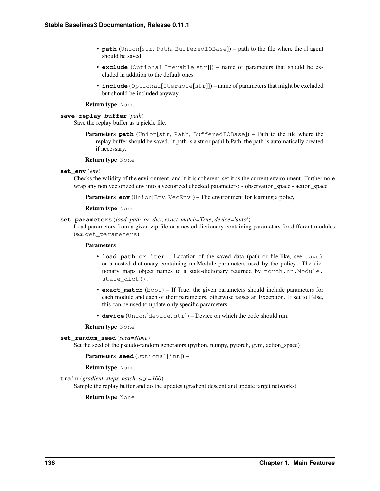- **path** (Union[str, Path, BufferedIOBase]) path to the file where the rl agent should be saved
- **exclude** (Optional[Iterable[str]]) name of parameters that should be excluded in addition to the default ones
- **include** (Optional[Iterable[str]]) name of parameters that might be excluded but should be included anyway

### Return type None

# **save\_replay\_buffer**(*path*)

Save the replay buffer as a pickle file.

**Parameters path** (Union[str, Path, BufferedIOBase]) – Path to the file where the replay buffer should be saved. if path is a str or pathlib.Path, the path is automatically created if necessary.

#### Return type None

### **set\_env**(*env*)

Checks the validity of the environment, and if it is coherent, set it as the current environment. Furthermore wrap any non vectorized env into a vectorized checked parameters: - observation\_space - action\_space

**Parameters env** (Union[Env, VecEnv]) – The environment for learning a policy

### Return type None

### **set\_parameters**(*load\_path\_or\_dict*, *exact\_match=True*, *device='auto'*)

Load parameters from a given zip-file or a nested dictionary containing parameters for different modules (see get\_parameters).

# Parameters

- **load\_path\_or\_iter** Location of the saved data (path or file-like, see save), or a nested dictionary containing nn.Module parameters used by the policy. The dictionary maps object names to a state-dictionary returned by torch.nn.Module. state\_dict().
- **exact\_match** (bool) If True, the given parameters should include parameters for each module and each of their parameters, otherwise raises an Exception. If set to False, this can be used to update only specific parameters.
- **device** (Union [device, str]) Device on which the code should run.

#### Return type None

```
set_random_seed(seed=None)
```
Set the seed of the pseudo-random generators (python, numpy, pytorch, gym, action space)

Parameters **seed** (Optional[int]) –

# Return type None

**train**(*gradient\_steps*, *batch\_size=100*)

Sample the replay buffer and do the updates (gradient descent and update target networks)

Return type None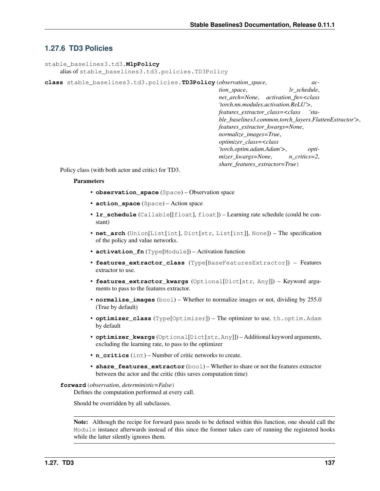# **1.27.6 TD3 Policies**

```
stable_baselines3.td3.MlpPolicy
    alias of stable_baselines3.td3.policies.TD3Policy
```
**class** stable\_baselines3.td3.policies.**TD3Policy**(*observation\_space*, *ac-*

*tion\_space*, *lr\_schedule*, *net\_arch=None*, *activation\_fn=<class 'torch.nn.modules.activation.ReLU'>*, *features\_extractor\_class=<class 'stable\_baselines3.common.torch\_layers.FlattenExtractor'>*, *features\_extractor\_kwargs=None*, *normalize\_images=True*, *optimizer\_class=<class 'torch.optim.adam.Adam'>*, *optimizer\_kwargs=None*, *n\_critics=2*, *share\_features\_extractor=True*)

Policy class (with both actor and critic) for TD3.

### **Parameters**

- **observation\_space** (Space) Observation space
- **action\_space** (Space) Action space
- **lr\_schedule** (Callable[[float], float]) Learning rate schedule (could be constant)
- **net\_arch** (Union[List[int], Dict[str, List[int]], None]) The specification of the policy and value networks.
- **activation\_fn** (Type[Module]) Activation function
- **features\_extractor\_class** (Type[BaseFeaturesExtractor]) Features extractor to use.
- **features\_extractor\_kwargs** (Optional[Dict[str, Any]]) Keyword arguments to pass to the features extractor.
- **normalize\_images** (bool) Whether to normalize images or not, dividing by 255.0 (True by default)
- **optimizer\_class** (Type[Optimizer]) The optimizer to use, th.optim.Adam by default
- **optimizer\_kwargs** (Optional[Dict[str, Any]]) Additional keyword arguments, excluding the learning rate, to pass to the optimizer
- **n\_critics** (int) Number of critic networks to create.
- **share features extractor** (bool) Whether to share or not the features extractor between the actor and the critic (this saves computation time)

### **forward**(*observation*, *deterministic=False*)

Defines the computation performed at every call.

Should be overridden by all subclasses.

Note: Although the recipe for forward pass needs to be defined within this function, one should call the Module instance afterwards instead of this since the former takes care of running the registered hooks while the latter silently ignores them.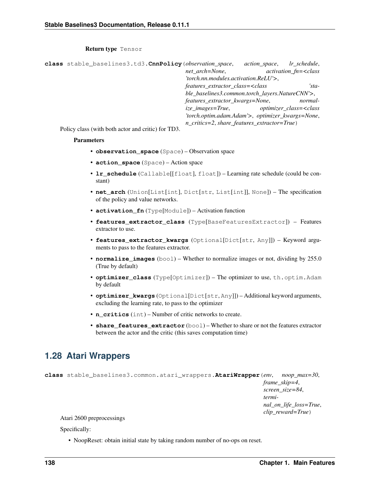# Return type Tensor

<span id="page-141-0"></span>

| class stable_baselines3.td3. CnnPolicy (observation_space,               | action space,                                    | lr schedule,                             |
|--------------------------------------------------------------------------|--------------------------------------------------|------------------------------------------|
| net arch=None,                                                           |                                                  | $activation$ fn= $<$ class               |
| 'torch.nn.modules.activation.ReLU'>,                                     |                                                  |                                          |
| features_extractor_class= <class< th=""><th></th><th>'sta-</th></class<> |                                                  | 'sta-                                    |
|                                                                          | ble_baselines3.common.torch_layers.NatureCNN'>,  |                                          |
| features_extractor_kwargs=None,                                          |                                                  | normal-                                  |
| ize images=True,                                                         |                                                  | optimizer class= <class< th=""></class<> |
|                                                                          | 'torch.optim.adam.Adam'>, optimizer_kwargs=None, |                                          |
|                                                                          | n_critics=2, share_features_extractor=True)      |                                          |

Policy class (with both actor and critic) for TD3.

### Parameters

- **observation\_space** (Space) Observation space
- **action\_space** (Space) Action space
- **lr\_schedule** (Callable[[float], float]) Learning rate schedule (could be constant)
- **net\_arch** (Union[List[int], Dict[str, List[int]], None]) The specification of the policy and value networks.
- **activation\_fn** (Type[Module]) Activation function
- **features\_extractor\_class** (Type[BaseFeaturesExtractor]) Features extractor to use.
- **features\_extractor\_kwargs** (Optional[Dict[str, Any]]) Keyword arguments to pass to the features extractor.
- **normalize\_images** (bool) Whether to normalize images or not, dividing by 255.0 (True by default)
- **optimizer\_class** (Type[Optimizer]) The optimizer to use, th.optim.Adam by default
- **optimizer\_kwargs** (Optional[Dict[str, Any]]) Additional keyword arguments, excluding the learning rate, to pass to the optimizer
- **n** critics (int) Number of critic networks to create.
- **share features extractor** (bool) Whether to share or not the features extractor between the actor and the critic (this saves computation time)

# **1.28 Atari Wrappers**

```
class stable_baselines3.common.atari_wrappers.AtariWrapper(env, noop_max=30,
                                                                      frame_skip=4,
                                                                      screen_size=84,
                                                                      termi-
                                                                      nal_on_life_loss=True,
                                                                      clip_reward=True)
```
# Atari 2600 preprocessings

Specifically:

• NoopReset: obtain initial state by taking random number of no-ops on reset.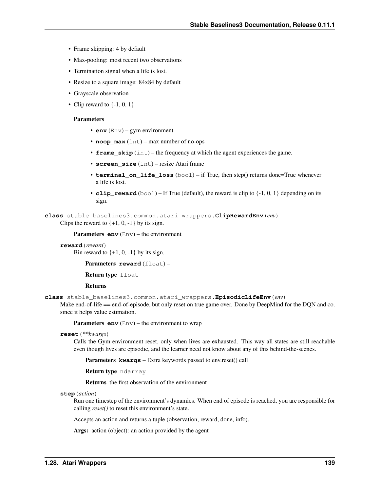- Frame skipping: 4 by default
- Max-pooling: most recent two observations
- Termination signal when a life is lost.
- Resize to a square image: 84x84 by default
- Grayscale observation
- Clip reward to  $\{-1, 0, 1\}$

### **Parameters**

- **env**  $(Env) gym environment$
- **noop\_max** (int) max number of no-ops
- **frame\_skip** (int) the frequency at which the agent experiences the game.
- **screen\_size** (int) resize Atari frame
- **terminal\_on\_life\_loss** (bool) if True, then step() returns done=True whenever a life is lost.
- **clip\_reward** (bool) If True (default), the reward is clip to  $\{-1, 0, 1\}$  depending on its sign.

**class** stable\_baselines3.common.atari\_wrappers.**ClipRewardEnv**(*env*) Clips the reward to  $\{+1, 0, -1\}$  by its sign.

Parameters **env** (Env) – the environment

**reward**(*reward*)

Bin reward to  $\{+1, 0, -1\}$  by its sign.

Parameters **reward** (float) -

Return type float

# Returns

**class** stable\_baselines3.common.atari\_wrappers.**EpisodicLifeEnv**(*env*)

Make end-of-life == end-of-episode, but only reset on true game over. Done by DeepMind for the DQN and co. since it helps value estimation.

**Parameters**  $env$  (Env) – the environment to wrap

**reset**(*\*\*kwargs*)

Calls the Gym environment reset, only when lives are exhausted. This way all states are still reachable even though lives are episodic, and the learner need not know about any of this behind-the-scenes.

Parameters **kwargs** – Extra keywords passed to env.reset() call

Return type ndarray

Returns the first observation of the environment

#### **step**(*action*)

Run one timestep of the environment's dynamics. When end of episode is reached, you are responsible for calling *reset()* to reset this environment's state.

Accepts an action and returns a tuple (observation, reward, done, info).

Args: action (object): an action provided by the agent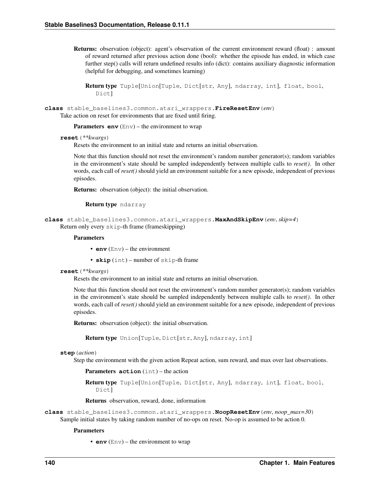Returns: observation (object): agent's observation of the current environment reward (float) : amount of reward returned after previous action done (bool): whether the episode has ended, in which case further step() calls will return undefined results info (dict): contains auxiliary diagnostic information (helpful for debugging, and sometimes learning)

Return type Tuple[Union[Tuple, Dict[str, Any], ndarray, int], float, bool, Dict]

**class** stable\_baselines3.common.atari\_wrappers.**FireResetEnv**(*env*) Take action on reset for environments that are fixed until firing.

**Parameters**  $env$  (Env) – the environment to wrap

#### **reset**(*\*\*kwargs*)

Resets the environment to an initial state and returns an initial observation.

Note that this function should not reset the environment's random number generator(s); random variables in the environment's state should be sampled independently between multiple calls to *reset()*. In other words, each call of *reset()* should yield an environment suitable for a new episode, independent of previous episodes.

Returns: observation (object): the initial observation.

Return type ndarray

```
class stable_baselines3.common.atari_wrappers.MaxAndSkipEnv(env, skip=4)
    Return only every skip-th frame (frameskipping)
```
#### **Parameters**

- **env**  $(Env)$  the environment
- **skip** (int) number of skip-th frame

#### **reset**(*\*\*kwargs*)

Resets the environment to an initial state and returns an initial observation.

Note that this function should not reset the environment's random number generator(s); random variables in the environment's state should be sampled independently between multiple calls to *reset()*. In other words, each call of *reset()* should yield an environment suitable for a new episode, independent of previous episodes.

Returns: observation (object): the initial observation.

Return type Union[Tuple, Dict[str, Any], ndarray, int]

#### **step**(*action*)

Step the environment with the given action Repeat action, sum reward, and max over last observations.

Parameters **action** (int) – the action

```
Return type Tuple[Union[Tuple, Dict[str, Any], ndarray, int], float, bool,
   Dict]
```
Returns observation, reward, done, information

**class** stable\_baselines3.common.atari\_wrappers.**NoopResetEnv**(*env*, *noop\_max=30*) Sample initial states by taking random number of no-ops on reset. No-op is assumed to be action 0.

#### **Parameters**

• **env** (Env) – the environment to wrap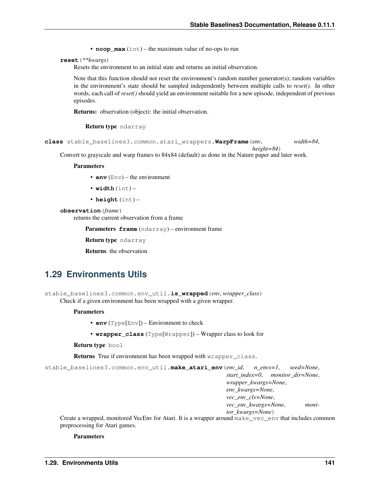• **noop** max (int) – the maximum value of no-ops to run

**reset**(*\*\*kwargs*)

Resets the environment to an initial state and returns an initial observation.

Note that this function should not reset the environment's random number generator(s); random variables in the environment's state should be sampled independently between multiple calls to *reset()*. In other words, each call of *reset()* should yield an environment suitable for a new episode, independent of previous episodes.

Returns: observation (object): the initial observation.

Return type ndarray

```
class stable_baselines3.common.atari_wrappers.WarpFrame(env, width=84,
```
*height=84*)

Convert to grayscale and warp frames to 84x84 (default) as done in the Nature paper and later work.

**Parameters** 

- **env** (Env) the environment
- **width** (int) –
- **height** (int) –

#### **observation**(*frame*)

returns the current observation from a frame

Parameters **frame** (ndarray) – environment frame

Return type ndarray

Returns the observation

## **1.29 Environments Utils**

```
stable_baselines3.common.env_util.is_wrapped(env, wrapper_class)
     Check if a given environment has been wrapped with a given wrapper.
```
#### **Parameters**

- **env** (Type[Env]) Environment to check
- **wrapper\_class** (Type[Wrapper]) Wrapper class to look for

Return type bool

**Returns** True if environment has been wrapped with wrapper class.

```
stable_baselines3.common.env_util.make_atari_env(env_id, n_envs=1, seed=None,
                                                        start_index=0, monitor_dir=None,
                                                        wrapper_kwargs=None,
                                                        env_kwargs=None,
                                                        vec_env_cls=None,
                                                        vec_env_kwargs=None, moni-
                                                        tor_kwargs=None)
```
Create a wrapped, monitored VecEnv for Atari. It is a wrapper around make vec env that includes common preprocessing for Atari games.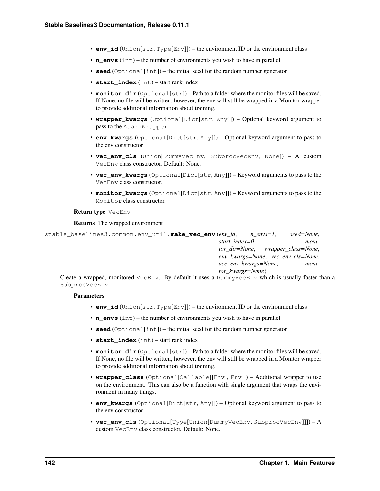- **env** id (Union[str, Type[Env]]) the environment ID or the environment class
- **n\_envs** (int) the number of environments you wish to have in parallel
- **seed** (Optional[int]) the initial seed for the random number generator
- **start\_index** (int) start rank index
- **monitor**  $dir$  (Optional[str]) Path to a folder where the monitor files will be saved. If None, no file will be written, however, the env will still be wrapped in a Monitor wrapper to provide additional information about training.
- **wrapper\_kwargs** (Optional[Dict[str, Any]]) Optional keyword argument to pass to the AtariWrapper
- **env\_kwargs** (Optional[Dict[str, Any]]) Optional keyword argument to pass to the env constructor
- **vec\_env\_cls** (Union[DummyVecEnv, SubprocVecEnv, None]) A custom VecEnv class constructor. Default: None.
- **vec env kwargs** (Optional[Dict[str, Any]]) Keyword arguments to pass to the VecEnv class constructor.
- **monitor\_kwargs** (Optional[Dict[str, Any]]) Keyword arguments to pass to the Monitor class constructor.

#### Return type VecEnv

#### Returns The wrapped environment

stable\_baselines3.common.env\_util.**make\_vec\_env**(*env\_id*, *n\_envs=1*, *seed=None*, *start\_index=0*, *monitor\_dir=None*, *wrapper\_class=None*, *env\_kwargs=None*, *vec\_env\_cls=None*, *vec\_env\_kwargs=None*, *monitor\_kwargs=None*)

Create a wrapped, monitored VecEnv. By default it uses a DummyVecEnv which is usually faster than a SubprocVecEnv.

- **env\_id** (Union[str, Type[Env]]) the environment ID or the environment class
- **n** envs (int) the number of environments you wish to have in parallel
- **seed** (Optional[int]) the initial seed for the random number generator
- **start\_index** (int) start rank index
- **monitor\_dir** (Optional[str]) Path to a folder where the monitor files will be saved. If None, no file will be written, however, the env will still be wrapped in a Monitor wrapper to provide additional information about training.
- **wrapper\_class** (Optional[Callable[[Env], Env]]) Additional wrapper to use on the environment. This can also be a function with single argument that wraps the environment in many things.
- **env\_kwargs** (Optional[Dict[str, Any]]) Optional keyword argument to pass to the env constructor
- **vec\_env\_cls** (Optional[Type[Union[DummyVecEnv, SubprocVecEnv]]]) A custom VecEnv class constructor. Default: None.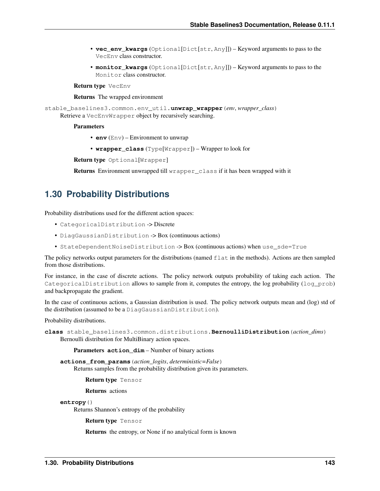- **vec\_env\_kwargs** (Optional[Dict[str, Any]]) Keyword arguments to pass to the VecEnv class constructor.
- **monitor\_kwargs** (Optional[Dict[str, Any]]) Keyword arguments to pass to the Monitor class constructor.

Return type VecEnv

Returns The wrapped environment

stable\_baselines3.common.env\_util.**unwrap\_wrapper**(*env*, *wrapper\_class*) Retrieve a VecEnvWrapper object by recursively searching.

#### **Parameters**

- **env** (Env) Environment to unwrap
- **wrapper\_class** (Type[Wrapper]) Wrapper to look for

Return type Optional[Wrapper]

Returns Environment unwrapped till wrapper\_class if it has been wrapped with it

# **1.30 Probability Distributions**

Probability distributions used for the different action spaces:

- CategoricalDistribution -> Discrete
- DiagGaussianDistribution -> Box (continuous actions)
- StateDependentNoiseDistribution -> Box (continuous actions) when use\_sde=True

The policy networks output parameters for the distributions (named flat in the methods). Actions are then sampled from those distributions.

For instance, in the case of discrete actions. The policy network outputs probability of taking each action. The CategoricalDistribution allows to sample from it, computes the entropy, the log probability (log\_prob) and backpropagate the gradient.

In the case of continuous actions, a Gaussian distribution is used. The policy network outputs mean and (log) std of the distribution (assumed to be a DiagGaussianDistribution).

Probability distributions.

```
class stable_baselines3.common.distributions.BernoulliDistribution(action_dims)
    Bernoulli distribution for MultiBinary action spaces.
```
Parameters **action\_dim** – Number of binary actions

**actions\_from\_params**(*action\_logits*, *deterministic=False*) Returns samples from the probability distribution given its parameters.

Return type Tensor

Returns actions

**entropy**()

Returns Shannon's entropy of the probability

Return type Tensor

Returns the entropy, or None if no analytical form is known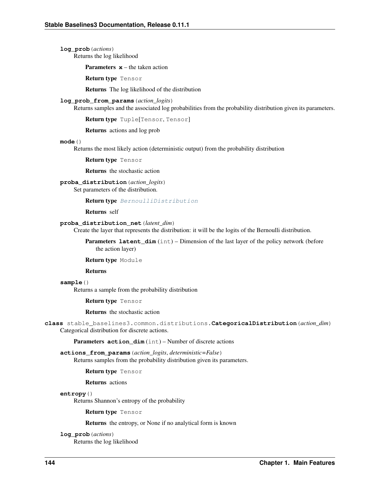**log\_prob**(*actions*) Returns the log likelihood

**Parameters**  $x$  **– the taken action** 

Return type Tensor

Returns The log likelihood of the distribution

#### **log\_prob\_from\_params**(*action\_logits*)

Returns samples and the associated log probabilities from the probability distribution given its parameters.

Return type Tuple[Tensor, Tensor]

Returns actions and log prob

#### **mode**()

Returns the most likely action (deterministic output) from the probability distribution

Return type Tensor

Returns the stochastic action

## **proba\_distribution**(*action\_logits*)

Set parameters of the distribution.

Return type [BernoulliDistribution](#page-146-0)

Returns self

#### **proba\_distribution\_net**(*latent\_dim*)

Create the layer that represents the distribution: it will be the logits of the Bernoulli distribution.

**Parameters latent\_dim** (int) – Dimension of the last layer of the policy network (before the action layer)

Return type Module

Returns

#### **sample**()

Returns a sample from the probability distribution

Return type Tensor

Returns the stochastic action

<span id="page-147-0"></span>**class** stable\_baselines3.common.distributions.**CategoricalDistribution**(*action\_dim*) Categorical distribution for discrete actions.

Parameters **action** dim (int) – Number of discrete actions

**actions\_from\_params**(*action\_logits*, *deterministic=False*) Returns samples from the probability distribution given its parameters.

Return type Tensor

Returns actions

#### **entropy**()

Returns Shannon's entropy of the probability

Return type Tensor

Returns the entropy, or None if no analytical form is known

**log\_prob**(*actions*)

Returns the log likelihood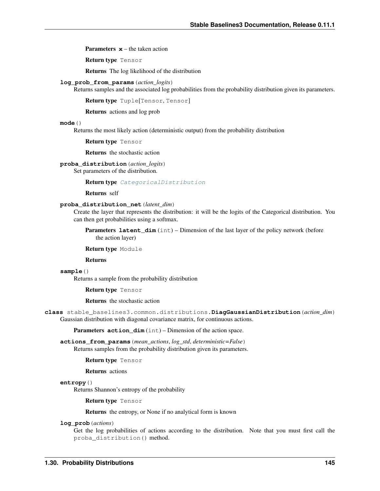**Parameters**  $x$  **– the taken action** 

Return type Tensor

Returns The log likelihood of the distribution

#### **log\_prob\_from\_params**(*action\_logits*)

Returns samples and the associated log probabilities from the probability distribution given its parameters.

Return type Tuple[Tensor, Tensor]

Returns actions and log prob

#### **mode**()

Returns the most likely action (deterministic output) from the probability distribution

Return type Tensor

Returns the stochastic action

**proba\_distribution**(*action\_logits*)

Set parameters of the distribution.

Return type [CategoricalDistribution](#page-147-0)

Returns self

## **proba\_distribution\_net**(*latent\_dim*)

Create the layer that represents the distribution: it will be the logits of the Categorical distribution. You can then get probabilities using a softmax.

**Parameters latent\_dim** (int) – Dimension of the last layer of the policy network (before the action layer)

#### Return type Module

#### Returns

**sample**()

Returns a sample from the probability distribution

Return type Tensor

Returns the stochastic action

<span id="page-148-0"></span>**class** stable\_baselines3.common.distributions.**DiagGaussianDistribution**(*action\_dim*) Gaussian distribution with diagonal covariance matrix, for continuous actions.

Parameters **action\_dim** (int) – Dimension of the action space.

**actions\_from\_params**(*mean\_actions*, *log\_std*, *deterministic=False*) Returns samples from the probability distribution given its parameters.

Return type Tensor

Returns actions

#### **entropy**()

Returns Shannon's entropy of the probability

Return type Tensor

Returns the entropy, or None if no analytical form is known

**log\_prob**(*actions*)

Get the log probabilities of actions according to the distribution. Note that you must first call the proba\_distribution() method.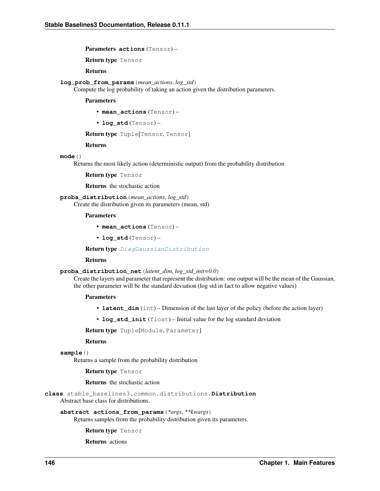Parameters **actions** (Tensor) –

Return type Tensor

Returns

```
log_prob_from_params(mean_actions, log_std)
```
Compute the log probability of taking an action given the distribution parameters.

Parameters

• **mean\_actions** (Tensor) –

• **log\_std** (Tensor) –

Return type Tuple[Tensor, Tensor]

Returns

**mode**()

Returns the most likely action (deterministic output) from the probability distribution

Return type Tensor

Returns the stochastic action

**proba\_distribution**(*mean\_actions*, *log\_std*)

Create the distribution given its parameters (mean, std)

Parameters

• **mean\_actions** (Tensor) –

• **log\_std** (Tensor) –

Return type [DiagGaussianDistribution](#page-148-0)

#### Returns

#### **proba\_distribution\_net**(*latent\_dim*, *log\_std\_init=0.0*)

Create the layers and parameter that represent the distribution: one output will be the mean of the Gaussian, the other parameter will be the standard deviation (log std in fact to allow negative values)

#### Parameters

- **latent\_dim** (int) Dimension of the last layer of the policy (before the action layer)
- **log\_std\_init** (float) Initial value for the log standard deviation

Return type Tuple[Module, Parameter]

#### Returns

```
sample()
```
Returns a sample from the probability distribution

Return type Tensor

Returns the stochastic action

<span id="page-149-0"></span>**class** stable\_baselines3.common.distributions.**Distribution** Abstract base class for distributions.

#### **abstract actions\_from\_params**(*\*args*, *\*\*kwargs*)

Returns samples from the probability distribution given its parameters.

Return type Tensor

Returns actions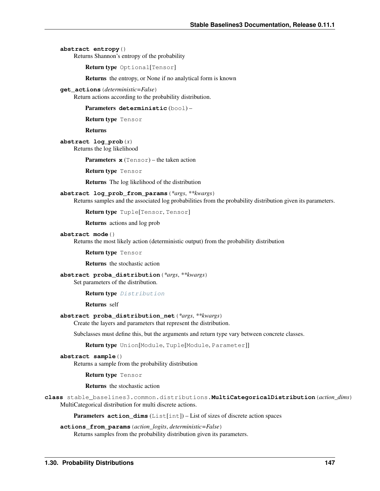**abstract entropy**()

Returns Shannon's entropy of the probability

Return type Optional[Tensor]

Returns the entropy, or None if no analytical form is known

**get\_actions**(*deterministic=False*)

Return actions according to the probability distribution.

Parameters **deterministic** (bool) –

Return type Tensor

Returns

**abstract log\_prob**(*x*) Returns the log likelihood

Parameters **x** (Tensor) – the taken action

Return type Tensor

Returns The log likelihood of the distribution

**abstract log\_prob\_from\_params**(*\*args*, *\*\*kwargs*)

Returns samples and the associated log probabilities from the probability distribution given its parameters.

Return type Tuple[Tensor, Tensor]

Returns actions and log prob

#### **abstract mode**()

Returns the most likely action (deterministic output) from the probability distribution

Return type Tensor

Returns the stochastic action

**abstract proba\_distribution**(*\*args*, *\*\*kwargs*)

Set parameters of the distribution.

#### Return type [Distribution](#page-149-0)

Returns self

**abstract proba\_distribution\_net**(*\*args*, *\*\*kwargs*)

Create the layers and parameters that represent the distribution.

Subclasses must define this, but the arguments and return type vary between concrete classes.

Return type Union[Module, Tuple[Module, Parameter]]

**abstract sample**()

Returns a sample from the probability distribution

Return type Tensor

Returns the stochastic action

<span id="page-150-0"></span>**class** stable\_baselines3.common.distributions.**MultiCategoricalDistribution**(*action\_dims*) MultiCategorical distribution for multi discrete actions.

Parameters **action\_dims** (List[int]) – List of sizes of discrete action spaces

**actions\_from\_params**(*action\_logits*, *deterministic=False*) Returns samples from the probability distribution given its parameters.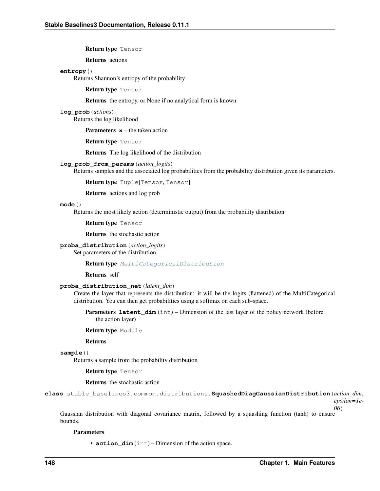Return type Tensor

Returns actions

#### **entropy**()

Returns Shannon's entropy of the probability

Return type Tensor

Returns the entropy, or None if no analytical form is known

**log\_prob**(*actions*)

Returns the log likelihood

**Parameters**  $x$  **– the taken action** 

Return type Tensor

Returns The log likelihood of the distribution

**log\_prob\_from\_params**(*action\_logits*)

Returns samples and the associated log probabilities from the probability distribution given its parameters.

Return type Tuple[Tensor, Tensor]

Returns actions and log prob

### **mode**()

Returns the most likely action (deterministic output) from the probability distribution

Return type Tensor

Returns the stochastic action

**proba\_distribution**(*action\_logits*)

Set parameters of the distribution.

Return type [MultiCategoricalDistribution](#page-150-0)

Returns self

### **proba\_distribution\_net**(*latent\_dim*)

Create the layer that represents the distribution: it will be the logits (flattened) of the MultiCategorical distribution. You can then get probabilities using a softmax on each sub-space.

**Parameters latent\_dim** (int) – Dimension of the last layer of the policy network (before the action layer)

Return type Module

Returns

**sample**()

Returns a sample from the probability distribution

Return type Tensor

Returns the stochastic action

<span id="page-151-0"></span>**class** stable\_baselines3.common.distributions.**SquashedDiagGaussianDistribution**(*action\_dim*, *epsilon=1e-*

Gaussian distribution with diagonal covariance matrix, followed by a squashing function (tanh) to ensure bounds.

#### **Parameters**

• **action\_dim** (int) – Dimension of the action space.

*06*)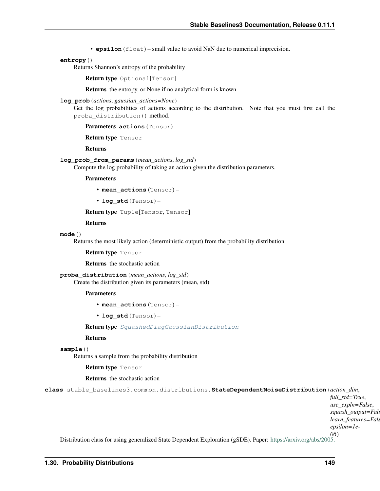• **epsilon** (float) – small value to avoid NaN due to numerical imprecision.

#### **entropy**()

Returns Shannon's entropy of the probability

Return type Optional[Tensor]

Returns the entropy, or None if no analytical form is known

#### **log\_prob**(*actions*, *gaussian\_actions=None*)

Get the log probabilities of actions according to the distribution. Note that you must first call the proba\_distribution() method.

```
Parameters actions (Tensor) –
```
Return type Tensor

Returns

#### **log\_prob\_from\_params**(*mean\_actions*, *log\_std*)

Compute the log probability of taking an action given the distribution parameters.

#### Parameters

- **mean\_actions** (Tensor) –
- **log\_std** (Tensor) –

Return type Tuple[Tensor, Tensor]

Returns

#### **mode**()

Returns the most likely action (deterministic output) from the probability distribution

Return type Tensor

Returns the stochastic action

## **proba\_distribution**(*mean\_actions*, *log\_std*)

Create the distribution given its parameters (mean, std)

#### Parameters

- **mean\_actions** (Tensor) –
- **log\_std** (Tensor) –

Return type [SquashedDiagGaussianDistribution](#page-151-0)

#### Returns

**sample**()

Returns a sample from the probability distribution

Return type Tensor

Returns the stochastic action

<span id="page-152-0"></span>**class** stable\_baselines3.common.distributions.**StateDependentNoiseDistribution**(*action\_dim*,

*full\_std=True*, *use\_expln=False*, squash\_output=Fal. *learn\_features=Fals epsilon=1e-06*)

Distribution class for using generalized State Dependent Exploration (gSDE). Paper: [https://arxiv.org/abs/2005.](https://arxiv.org/abs/2005.05719)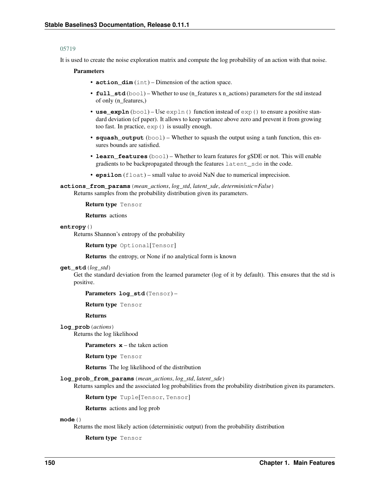#### [05719](https://arxiv.org/abs/2005.05719)

It is used to create the noise exploration matrix and compute the log probability of an action with that noise.

#### Parameters

- **action\_dim** (int) Dimension of the action space.
- **full std** (bool) Whether to use (n\_features x n\_actions) parameters for the std instead of only (n\_features,)
- **use\_expln** (bool) Use expln() function instead of exp() to ensure a positive standard deviation (cf paper). It allows to keep variance above zero and prevent it from growing too fast. In practice, exp() is usually enough.
- **squash\_output** (bool) Whether to squash the output using a tanh function, this ensures bounds are satisfied.
- **learn\_features** (bool) Whether to learn features for gSDE or not. This will enable gradients to be backpropagated through the features latent\_sde in the code.
- **epsilon** (float) small value to avoid NaN due to numerical imprecision.

**actions\_from\_params**(*mean\_actions*, *log\_std*, *latent\_sde*, *deterministic=False*) Returns samples from the probability distribution given its parameters.

Return type Tensor

Returns actions

#### **entropy**()

Returns Shannon's entropy of the probability

Return type Optional[Tensor]

Returns the entropy, or None if no analytical form is known

#### **get\_std**(*log\_std*)

Get the standard deviation from the learned parameter (log of it by default). This ensures that the std is positive.

Parameters **log\_std** (Tensor) –

Return type Tensor

Returns

**log\_prob**(*actions*)

Returns the log likelihood

**Parameters**  $x$  – the taken action

Return type Tensor

Returns The log likelihood of the distribution

**log\_prob\_from\_params**(*mean\_actions*, *log\_std*, *latent\_sde*)

Returns samples and the associated log probabilities from the probability distribution given its parameters.

Return type Tuple[Tensor, Tensor]

Returns actions and log prob

**mode**()

Returns the most likely action (deterministic output) from the probability distribution

Return type Tensor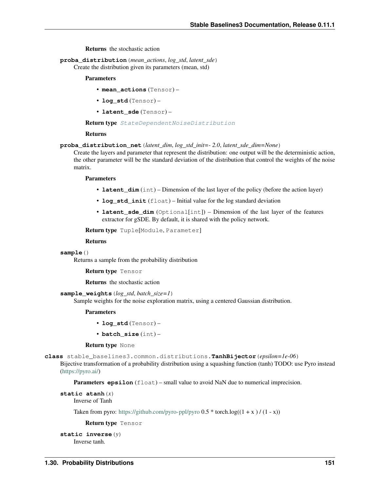Returns the stochastic action

**proba\_distribution**(*mean\_actions*, *log\_std*, *latent\_sde*) Create the distribution given its parameters (mean, std)

#### Parameters

- **mean\_actions** (Tensor) –
- **log\_std** (Tensor) –
- **latent\_sde** (Tensor) –

Return type [StateDependentNoiseDistribution](#page-152-0)

#### Returns

#### **proba\_distribution\_net**(*latent\_dim*, *log\_std\_init=- 2.0*, *latent\_sde\_dim=None*)

Create the layers and parameter that represent the distribution: one output will be the deterministic action, the other parameter will be the standard deviation of the distribution that control the weights of the noise matrix.

#### Parameters

- **latent\_dim** (int) Dimension of the last layer of the policy (before the action layer)
- **log\_std\_init** (float) Initial value for the log standard deviation
- **latent\_sde\_dim** (Optional[int]) Dimension of the last layer of the features extractor for gSDE. By default, it is shared with the policy network.

Return type Tuple[Module, Parameter]

#### Returns

#### **sample**()

Returns a sample from the probability distribution

```
Return type Tensor
```
Returns the stochastic action

#### **sample\_weights**(*log\_std*, *batch\_size=1*)

Sample weights for the noise exploration matrix, using a centered Gaussian distribution.

#### Parameters

- **log\_std** (Tensor) –
- **batch\_size** (int) –

#### Return type None

**class** stable\_baselines3.common.distributions.**TanhBijector**(*epsilon=1e-06*)

Bijective transformation of a probability distribution using a squashing function (tanh) TODO: use Pyro instead [\(https://pyro.ai/\)](https://pyro.ai/)

**Parameters epsilon** (float) – small value to avoid NaN due to numerical imprecision.

# **static atanh**(*x*)

Inverse of Tanh

Taken from pyro: <https://github.com/pyro-ppl/pyro>  $0.5 *$  torch.log( $(1 + x) / (1 - x)$ )

Return type Tensor

# **static inverse**(*y*)

Inverse tanh.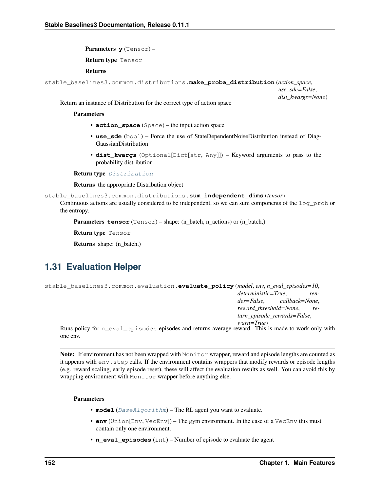Parameters **y** (Tensor) –

Return type Tensor

## Returns

stable\_baselines3.common.distributions.**make\_proba\_distribution**(*action\_space*,

*use\_sde=False*, *dist\_kwargs=None*)

Return an instance of Distribution for the correct type of action space

#### **Parameters**

- **action\_space** (Space) the input action space
- **use\_sde** (bool) Force the use of StateDependentNoiseDistribution instead of Diag-GaussianDistribution
- **dist\_kwargs** (Optional[Dict[str, Any]]) Keyword arguments to pass to the probability distribution

Return type [Distribution](#page-149-0)

Returns the appropriate Distribution object

```
stable_baselines3.common.distributions.sum_independent_dims(tensor)
```
Continuous actions are usually considered to be independent, so we can sum components of the log\_prob or the entropy.

Parameters **tensor** (Tensor) – shape: (n\_batch, n\_actions) or (n\_batch,)

Return type Tensor

Returns shape: (n\_batch,)

# **1.31 Evaluation Helper**

```
stable_baselines3.common.evaluation.evaluate_policy(model, env, n_eval_episodes=10,
                                                            deterministic=True, ren-
                                                            der=False, callback=None,
                                                            reward_threshold=None, re-
                                                            turn_episode_rewards=False,
                                                            warn=True)
```
Runs policy for n\_eval\_episodes episodes and returns average reward. This is made to work only with one env.

Note: If environment has not been wrapped with Monitor wrapper, reward and episode lengths are counted as it appears with env.step calls. If the environment contains wrappers that modify rewards or episode lengths (e.g. reward scaling, early episode reset), these will affect the evaluation results as well. You can avoid this by wrapping environment with Monitor wrapper before anything else.

- **model** ([BaseAlgorithm](#page-71-0)) The RL agent you want to evaluate.
- **env** (Union[Env, VecEnv]) The gym environment. In the case of a VecEnv this must contain only one environment.
- **n\_eval\_episodes** (int) Number of episode to evaluate the agent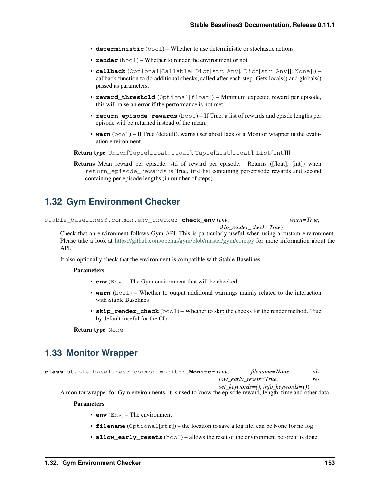- **deterministic** (bool) Whether to use deterministic or stochastic actions
- **render** (bool) Whether to render the environment or not
- **callback** (Optional[Callable[[Dict[str, Any], Dict[str, Any]], None]]) callback function to do additional checks, called after each step. Gets locals() and globals() passed as parameters.
- **reward\_threshold** (Optional[float]) Minimum expected reward per episode, this will raise an error if the performance is not met
- **return\_episode\_rewards** (bool) If True, a list of rewards and episde lengths per episode will be returned instead of the mean.
- **warn** (bool) If True (default), warns user about lack of a Monitor wrapper in the evaluation environment.

Return type Union[Tuple[float, float], Tuple[List[float], List[int]]]

Returns Mean reward per episode, std of reward per episode. Returns ([float], [int]) when return\_episode\_rewards is True, first list containing per-episode rewards and second containing per-episode lengths (in number of steps).

# **1.32 Gym Environment Checker**

stable\_baselines3.common.env\_checker.**check\_env**(*env*, *warn=True*,

*skip\_render\_check=True*)

Check that an environment follows Gym API. This is particularly useful when using a custom environment. Please take a look at <https://github.com/openai/gym/blob/master/gym/core.py> for more information about the API.

It also optionally check that the environment is compatible with Stable-Baselines.

#### **Parameters**

- **env** (Env) The Gym environment that will be checked
- **warn** (bool) Whether to output additional warnings mainly related to the interaction with Stable Baselines
- **skip\_render\_check** (bool) Whether to skip the checks for the render method. True by default (useful for the CI)

Return type None

# **1.33 Monitor Wrapper**

**class** stable\_baselines3.common.monitor.**Monitor**(*env*, *filename=None*, *allow\_early\_resets=True*, *re-*

*set\_keywords=()*, *info\_keywords=()*)

A monitor wrapper for Gym environments, it is used to know the episode reward, length, time and other data.

- **env** (Env) The environment
- **filename** (Optional[str]) the location to save a log file, can be None for no log
- **allow\_early\_resets** (bool) allows the reset of the environment before it is done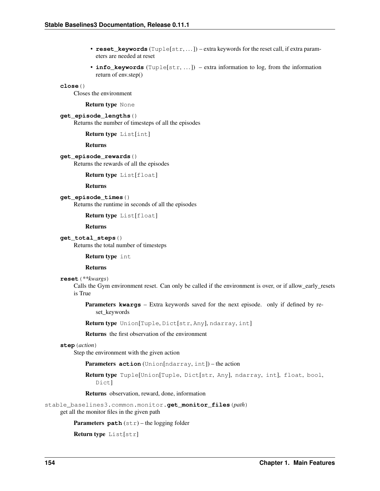- **reset\_keywords** (Tuple[str, ...]) extra keywords for the reset call, if extra parameters are needed at reset
- **info\_keywords** (Tuple[str, ...]) extra information to log, from the information return of env.step()

## **close**()

Closes the environment

Return type None

#### **get\_episode\_lengths**()

Returns the number of timesteps of all the episodes

Return type List[int]

Returns

#### **get\_episode\_rewards**()

Returns the rewards of all the episodes

#### Return type List[float]

Returns

### **get\_episode\_times**()

Returns the runtime in seconds of all the episodes

Return type List[float]

Returns

## **get\_total\_steps**()

Returns the total number of timesteps

#### Return type int

#### Returns

#### **reset**(*\*\*kwargs*)

Calls the Gym environment reset. Can only be called if the environment is over, or if allow\_early\_resets is True

Parameters **kwargs** – Extra keywords saved for the next episode. only if defined by reset\_keywords

Return type Union[Tuple, Dict[str, Any], ndarray, int]

Returns the first observation of the environment

#### **step**(*action*)

Step the environment with the given action

Parameters **action** (Union[ndarray, int]) – the action

Return type Tuple[Union[Tuple, Dict[str, Any], ndarray, int], float, bool, Dict]

Returns observation, reward, done, information

stable\_baselines3.common.monitor.**get\_monitor\_files**(*path*)

get all the monitor files in the given path

Parameters **path** (str) – the logging folder

```
Return type List[str]
```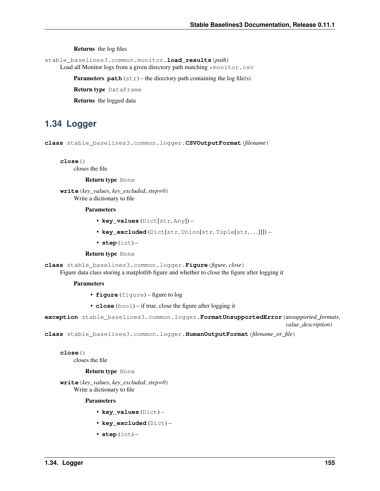Returns the log files

stable\_baselines3.common.monitor.**load\_results**(*path*)

Load all Monitor logs from a given directory path matching \*monitor.csv

**Parameters**  $path(s \text{tr})$  – the directory path containing the log file(s)

Return type DataFrame

Returns the logged data

# **1.34 Logger**

**class** stable\_baselines3.common.logger.**CSVOutputFormat**(*filename*)

**close**()

closes the file

Return type None

**write**(*key\_values*, *key\_excluded*, *step=0*) Write a dictionary to file

#### Parameters

- **key\_values** (Dict[str, Any]) –
- **key\_excluded** (Dict[str, Union[str, Tuple[str, . . . ]]]) –
- **step** (int) –

#### Return type None

**class** stable\_baselines3.common.logger.**Figure**(*figure*, *close*)

Figure data class storing a matplotlib figure and whether to close the figure after logging it

#### **Parameters**

- **figure** (figure) figure to log
- **close** (bool) if true, close the figure after logging it

**exception** stable\_baselines3.common.logger.**FormatUnsupportedError**(*unsupported\_formats*, *value\_description*)

**class** stable\_baselines3.common.logger.**HumanOutputFormat**(*filename\_or\_file*)

#### **close**()

closes the file

### Return type None

**write**(*key\_values*, *key\_excluded*, *step=0*) Write a dictionary to file

- **key\_values** (Dict) –
- **key\_excluded** (Dict) –
- **step** (int) –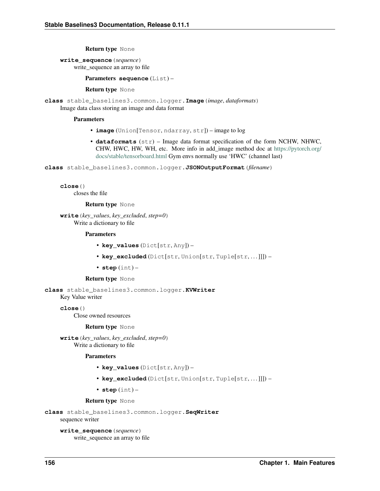#### Return type None

**write\_sequence**(*sequence*) write\_sequence an array to file

#### Parameters **sequence** (List) –

Return type None

**class** stable\_baselines3.common.logger.**Image**(*image*, *dataformats*) Image data class storing an image and data format

#### **Parameters**

- **image** (Union[Tensor, ndarray, str]) image to log
- **dataformats** (str) Image data format specification of the form NCHW, NHWC, CHW, HWC, HW, WH, etc. More info in add\_image method doc at [https://pytorch.org/](https://pytorch.org/docs/stable/tensorboard.html) [docs/stable/tensorboard.html](https://pytorch.org/docs/stable/tensorboard.html) Gym envs normally use 'HWC' (channel last)

**class** stable\_baselines3.common.logger.**JSONOutputFormat**(*filename*)

**close**()

closes the file

#### Return type None

**write**(*key\_values*, *key\_excluded*, *step=0*) Write a dictionary to file

#### Parameters

- **key\_values** (Dict[str, Any]) –
- **key\_excluded** (Dict[str, Union[str, Tuple[str, . . . ]]]) –
- **step** (int) –

#### Return type None

<span id="page-159-0"></span>**class** stable\_baselines3.common.logger.**KVWriter** Key Value writer

**close**()

Close owned resources

#### Return type None

**write**(*key\_values*, *key\_excluded*, *step=0*) Write a dictionary to file

#### Parameters

- **key\_values** (Dict[str, Any]) –
- **key\_excluded** (Dict[str, Union[str, Tuple[str, . . . ]]]) –
- **step** (int) –

#### Return type None

```
class stable_baselines3.common.logger.SeqWriter
```
sequence writer

**write\_sequence**(*sequence*) write\_sequence an array to file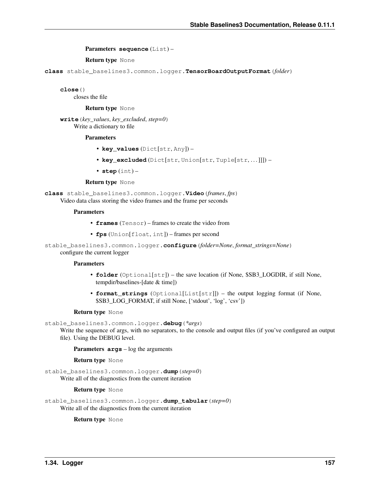Parameters **sequence** (List) –

Return type None

**class** stable\_baselines3.common.logger.**TensorBoardOutputFormat**(*folder*)

**close**()

closes the file

Return type None

**write**(*key\_values*, *key\_excluded*, *step=0*) Write a dictionary to file

#### Parameters

- **key\_values** (Dict[str, Any]) –
- **key\_excluded** (Dict[str, Union[str, Tuple[str, . . . ]]]) –
- **step** (int) –

#### Return type None

**class** stable\_baselines3.common.logger.**Video**(*frames*, *fps*) Video data class storing the video frames and the frame per seconds

#### Parameters

- **frames** (Tensor) frames to create the video from
- **fps** (Union[float, int]) frames per second

stable\_baselines3.common.logger.**configure**(*folder=None*, *format\_strings=None*)

configure the current logger

#### **Parameters**

- **folder** (Optional[str]) the save location (if None, \$SB3 LOGDIR, if still None, tempdir/baselines-[date & time])
- **format\_strings** (Optional[List[str]]) the output logging format (if None, \$SB3\_LOG\_FORMAT, if still None, ['stdout', 'log', 'csv'])

#### Return type None

stable\_baselines3.common.logger.**debug**(*\*args*)

Write the sequence of args, with no separators, to the console and output files (if you've configured an output file). Using the DEBUG level.

Parameters **args** – log the arguments

Return type None

stable\_baselines3.common.logger.**dump**(*step=0*) Write all of the diagnostics from the current iteration

Return type None

stable baselines3.common.logger.dump tabular( $step=0$ ) Write all of the diagnostics from the current iteration

Return type None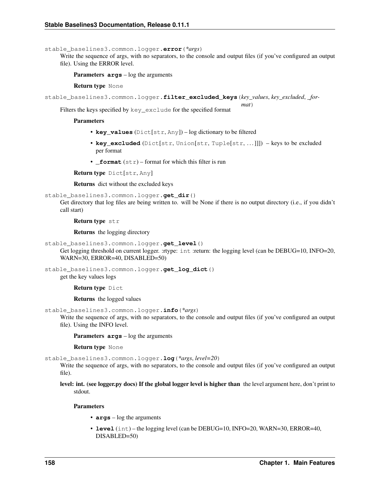stable\_baselines3.common.logger.**error**(*\*args*)

Write the sequence of args, with no separators, to the console and output files (if you've configured an output file). Using the ERROR level.

Parameters **args** – log the arguments

Return type None

```
stable_baselines3.common.logger.filter_excluded_keys(key_values, key_excluded, _for-
```
*mat*)

Filters the keys specified by key\_exclude for the specified format

**Parameters** 

- **key\_values** (Dict[str, Any]) log dictionary to be filtered
- **key\_excluded** (Dict[str, Union[str, Tuple[str, ...]]]) keys to be excluded per format
- **format**  $(str)$  format for which this filter is run

Return type Dict[str, Any]

Returns dict without the excluded keys

```
stable baselines3.common.logger.get dir()
```
Get directory that log files are being written to. will be None if there is no output directory (i.e., if you didn't call start)

Return type str

Returns the logging directory

- stable\_baselines3.common.logger.**get\_level**()
	- Get logging threshold on current logger. :rtype: int :return: the logging level (can be DEBUG=10, INFO=20, WARN=30, ERROR=40, DISABLED=50)

stable\_baselines3.common.logger.**get\_log\_dict**()

get the key values logs

Return type Dict

Returns the logged values

stable\_baselines3.common.logger.**info**(*\*args*)

Write the sequence of args, with no separators, to the console and output files (if you've configured an output file). Using the INFO level.

Parameters **args** – log the arguments

Return type None

stable\_baselines3.common.logger.**log**(*\*args*, *level=20*)

Write the sequence of args, with no separators, to the console and output files (if you've configured an output file).

level: int. (see logger.py docs) If the global logger level is higher than the level argument here, don't print to stdout.

- **args** log the arguments
- **level** (int) the logging level (can be DEBUG=10, INFO=20, WARN=30, ERROR=40, DISABLED=50)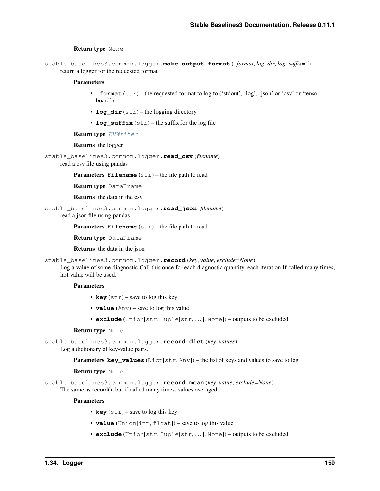#### Return type None

stable\_baselines3.common.logger.**make\_output\_format**(*\_format*, *log\_dir*, *log\_suffix=''*) return a logger for the requested format

### Parameters

- **format**  $(str)$  the requested format to log to ('stdout', 'log', 'json' or 'csv' or 'tensorboard')
- **log\_dir** (str) the logging directory
- **log\_suffix** (str) the suffix for the log file

Return type [KVWriter](#page-159-0)

#### Returns the logger

```
stable_baselines3.common.logger.read_csv(filename)
```
read a csv file using pandas

**Parameters**  $f$ **ilename**  $(str)$  – the file path to read

Return type DataFrame

Returns the data in the csv

stable\_baselines3.common.logger.**read\_json**(*filename*)

read a json file using pandas

Parameters filename  $(\text{str})$  – the file path to read

Return type DataFrame

Returns the data in the json

```
stable_baselines3.common.logger.record(key, value, exclude=None)
```
Log a value of some diagnostic Call this once for each diagnostic quantity, each iteration If called many times, last value will be used.

## **Parameters**

- **key** (str) save to log this key
- **value** (Any) save to log this value
- **exclude** (Union[str, Tuple[str, . . . ], None]) outputs to be excluded

#### Return type None

stable\_baselines3.common.logger.**record\_dict**(*key\_values*)

Log a dictionary of key-value pairs.

Parameters **key\_values** (Dict[str, Any]) – the list of keys and values to save to log

#### Return type None

stable\_baselines3.common.logger.**record\_mean**(*key*, *value*, *exclude=None*) The same as record(), but if called many times, values averaged.

- **key**  $(str)$  save to log this key
- **value** (Union[int, float]) save to log this value
- **exclude** (Union[str, Tuple[str, . . . ], None]) outputs to be excluded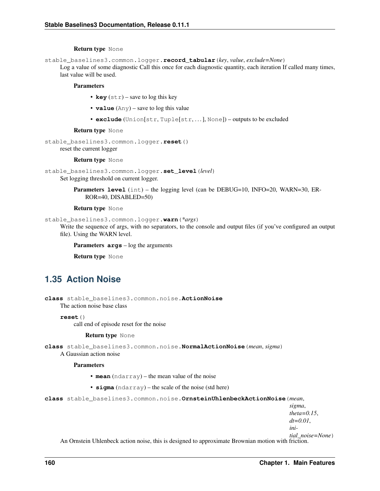#### Return type None

stable\_baselines3.common.logger.**record\_tabular**(*key*, *value*, *exclude=None*)

Log a value of some diagnostic Call this once for each diagnostic quantity, each iteration If called many times, last value will be used.

#### **Parameters**

- **key** (str) save to log this key
- **value** (Any) save to log this value
- **exclude** (Union[str, Tuple[str, . . . ], None]) outputs to be excluded

#### Return type None

```
stable_baselines3.common.logger.reset()
    reset the current logger
```
#### Return type None

```
stable_baselines3.common.logger.set_level(level)
```
Set logging threshold on current logger.

**Parameters level** (int) – the logging level (can be DEBUG=10, INFO=20, WARN=30, ER-ROR=40, DISABLED=50)

#### Return type None

```
stable_baselines3.common.logger.warn(*args)
```
Write the sequence of args, with no separators, to the console and output files (if you've configured an output file). Using the WARN level.

Parameters **args** – log the arguments

Return type None

# **1.35 Action Noise**

<span id="page-163-0"></span>**class** stable\_baselines3.common.noise.**ActionNoise** The action noise base class

**reset**()

call end of episode reset for the noise

#### Return type None

**class** stable\_baselines3.common.noise.**NormalActionNoise**(*mean*, *sigma*)

A Gaussian action noise

#### **Parameters**

- **mean** (ndarray) the mean value of the noise
- **sigma** (ndarray) the scale of the noise (std here)

**class** stable\_baselines3.common.noise.**OrnsteinUhlenbeckActionNoise**(*mean*,

*sigma*,

*theta=0.15*,

*dt=0.01*,

*ini-*

*tial\_noise=None*)

An Ornstein Uhlenbeck action noise, this is designed to approximate Brownian motion with friction.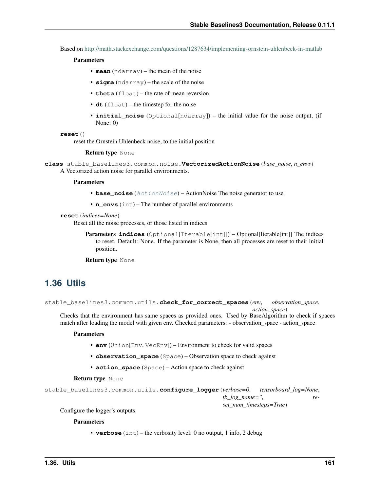Based on <http://math.stackexchange.com/questions/1287634/implementing-ornstein-uhlenbeck-in-matlab>

#### Parameters

- **mean** (ndarray) the mean of the noise
- **sigma** (ndarray) the scale of the noise
- **theta** (float) the rate of mean reversion
- **dt** (float) the timestep for the noise
- **initial\_noise** (Optional[ndarray]) the initial value for the noise output, (if None: 0)

```
reset()
```
reset the Ornstein Uhlenbeck noise, to the initial position

#### Return type None

```
class stable_baselines3.common.noise.VectorizedActionNoise(base_noise, n_envs)
     A Vectorized action noise for parallel environments.
```
#### **Parameters**

- **base\_noise** ([ActionNoise](#page-163-0)) ActionNoise The noise generator to use
- **n\_envs** (int) The number of parallel environments

#### **reset**(*indices=None*)

Reset all the noise processes, or those listed in indices

Parameters **indices** (Optional[Iterable[int]]) – Optional[Iterable[int]] The indices to reset. Default: None. If the parameter is None, then all processes are reset to their initial position.

Return type None

## **1.36 Utils**

stable\_baselines3.common.utils.**check\_for\_correct\_spaces**(*env*, *observation\_space*, *action\_space*)

Checks that the environment has same spaces as provided ones. Used by BaseAlgorithm to check if spaces match after loading the model with given env. Checked parameters: - observation\_space - action\_space

#### Parameters

- **env** (Union[Env, VecEnv]) Environment to check for valid spaces
- **observation\_space** (Space) Observation space to check against
- **action\_space** (Space) Action space to check against

Return type None

```
stable_baselines3.common.utils.configure_logger(verbose=0, tensorboard_log=None,
                                                  tb_log_name='', re-
                                                  set_num_timesteps=True)
```
Configure the logger's outputs.

#### **Parameters**

• **verbose** (int) – the verbosity level: 0 no output, 1 info, 2 debug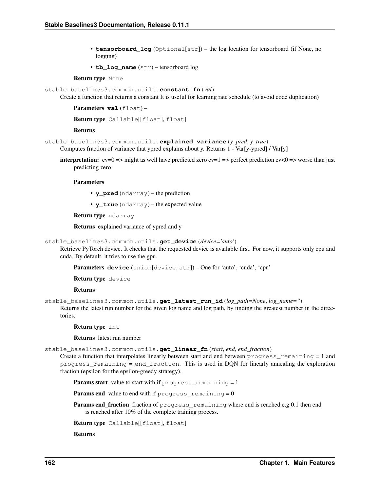- **tensorboard log** (Optional[str]) the log location for tensorboard (if None, no logging)
- **tb\_log\_name** (str) tensorboard log

#### Return type None

```
stable_baselines3.common.utils.constant_fn(val)
```
Create a function that returns a constant It is useful for learning rate schedule (to avoid code duplication)

```
Parameters val (float) -
```
Return type Callable[[float], float]

#### Returns

stable\_baselines3.common.utils.**explained\_variance**(*y\_pred*, *y\_true*) Computes fraction of variance that ypred explains about y. Returns 1 - Var[y-ypred] / Var[y]

**interpretation:** ev=0 => might as well have predicted zero ev=1 => perfect prediction ev<0 => worse than just predicting zero

#### Parameters

- **y\_pred** (ndarray) the prediction
- **y\_true** (ndarray) the expected value

Return type ndarray

Returns explained variance of ypred and y

stable\_baselines3.common.utils.**get\_device**(*device='auto'*)

Retrieve PyTorch device. It checks that the requested device is available first. For now, it supports only cpu and cuda. By default, it tries to use the gpu.

Parameters **device** (Union[device, str]) – One for 'auto', 'cuda', 'cpu'

Return type device

Returns

```
stable_baselines3.common.utils.get_latest_run_id(log_path=None, log_name='')
```
Returns the latest run number for the given log name and log path, by finding the greatest number in the directories.

Return type int

Returns latest run number

stable\_baselines3.common.utils.**get\_linear\_fn**(*start*, *end*, *end\_fraction*)

Create a function that interpolates linearly between start and end between progress remaining  $= 1$  and progress\_remaining = end\_fraction. This is used in DQN for linearly annealing the exploration fraction (epsilon for the epsilon-greedy strategy).

**Params start** value to start with if  $p_{\text{rogress\_remaining}} = 1$ 

**Params end** value to end with if  $p_{\text{rogress\_remaining}} = 0$ 

Params end\_fraction fraction of progress\_remaining where end is reached e.g 0.1 then end is reached after 10% of the complete training process.

```
Return type Callable[[float], float]
```
Returns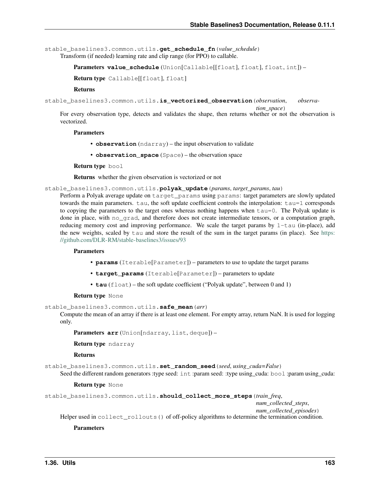stable\_baselines3.common.utils.**get\_schedule\_fn**(*value\_schedule*) Transform (if needed) learning rate and clip range (for PPO) to callable.

```
Parameters value schedule (Union[Callable[[float], float], float, int]) –
```
Return type Callable[[float], float]

#### Returns

```
stable_baselines3.common.utils.is_vectorized_observation(observation, observa-
```
*tion\_space*)

For every observation type, detects and validates the shape, then returns whether or not the observation is vectorized.

### **Parameters**

- **observation** (ndarray) the input observation to validate
- **observation\_space** (Space) the observation space

Return type bool

Returns whether the given observation is vectorized or not

stable\_baselines3.common.utils.**polyak\_update**(*params*, *target\_params*, *tau*)

Perform a Polyak average update on target\_params using params: target parameters are slowly updated towards the main parameters. tau, the soft update coefficient controls the interpolation: tau=1 corresponds to copying the parameters to the target ones whereas nothing happens when tau=0. The Polyak update is done in place, with no\_grad, and therefore does not create intermediate tensors, or a computation graph, reducing memory cost and improving performance. We scale the target params by  $1-tau$  (in-place), add the new weights, scaled by tau and store the result of the sum in the target params (in place). See [https:](https://github.com/DLR-RM/stable-baselines3/issues/93) [//github.com/DLR-RM/stable-baselines3/issues/93](https://github.com/DLR-RM/stable-baselines3/issues/93)

#### **Parameters**

- **params** (Iterable[Parameter]) parameters to use to update the target params
- **target\_params** (Iterable[Parameter]) parameters to update
- **tau** (float) the soft update coefficient ("Polyak update", between 0 and 1)

#### Return type None

stable\_baselines3.common.utils.**safe\_mean**(*arr*)

Compute the mean of an array if there is at least one element. For empty array, return NaN. It is used for logging only.

Parameters **arr** (Union[ndarray, list, deque]) –

Return type ndarray

#### Returns

stable\_baselines3.common.utils.**set\_random\_seed**(*seed*, *using\_cuda=False*) Seed the different random generators :type seed: int :param seed: :type using\_cuda: bool :param using\_cuda:

#### Return type None

```
stable_baselines3.common.utils.should_collect_more_steps(train_freq,
```
*num\_collected\_steps*,

*num\_collected\_episodes*) Helper used in collect\_rollouts() of off-policy algorithms to determine the termination condition.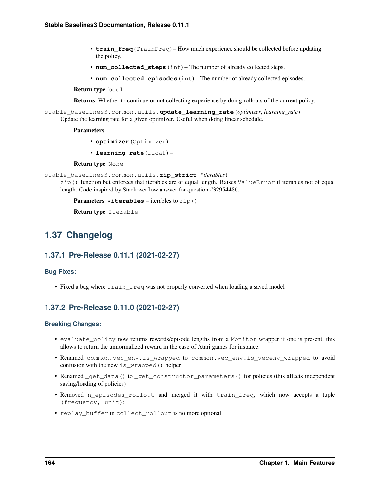- **train freq** (TrainFreq) How much experience should be collected before updating the policy.
- **num\_collected\_steps** (int) The number of already collected steps.
- **num\_collected\_episodes** (int) The number of already collected episodes.

Return type bool

Returns Whether to continue or not collecting experience by doing rollouts of the current policy.

stable\_baselines3.common.utils.**update\_learning\_rate**(*optimizer*, *learning\_rate*) Update the learning rate for a given optimizer. Useful when doing linear schedule.

#### **Parameters**

- **optimizer** (Optimizer) –
- **learning\_rate** (float) –

Return type None

```
stable_baselines3.common.utils.zip_strict(*iterables)
```
zip() function but enforces that iterables are of equal length. Raises ValueError if iterables not of equal length. Code inspired by Stackoverflow answer for question #32954486.

```
Parameters *iterables – iterables to zip()
```
Return type Iterable

# **1.37 Changelog**

## **1.37.1 Pre-Release 0.11.1 (2021-02-27)**

#### **Bug Fixes:**

• Fixed a bug where  $train\_freq$  was not properly converted when loading a saved model

## **1.37.2 Pre-Release 0.11.0 (2021-02-27)**

## **Breaking Changes:**

- evaluate\_policy now returns rewards/episode lengths from a Monitor wrapper if one is present, this allows to return the unnormalized reward in the case of Atari games for instance.
- Renamed common.vec\_env.is\_wrapped to common.vec\_env.is\_vecenv\_wrapped to avoid confusion with the new is\_wrapped() helper
- Renamed \_get\_data() to \_get\_constructor\_parameters() for policies (this affects independent saving/loading of policies)
- Removed n\_episodes\_rollout and merged it with train\_freq, which now accepts a tuple (frequency, unit):
- replay buffer in collect rollout is no more optional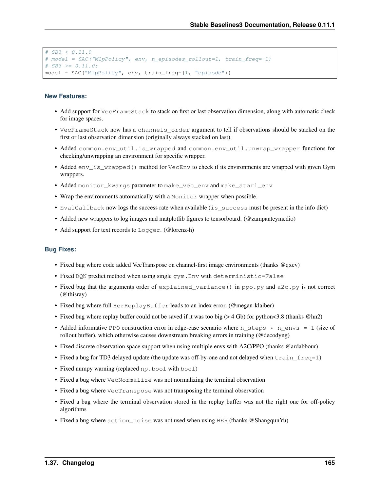```
# SB3 < 0.11.0
# model = SAC("MlpPolicy", env, n_episodes_rollout=1, train_freq=-1)
# SB3 \ge 0.11.0:
model = SAC("MlpPolicy", env, train_freq=(1, "episode"))
```
### **New Features:**

- Add support for VecFrameStack to stack on first or last observation dimension, along with automatic check for image spaces.
- VecFrameStack now has a channels\_order argument to tell if observations should be stacked on the first or last observation dimension (originally always stacked on last).
- Added common.env\_util.is\_wrapped and common.env\_util.unwrap\_wrapper functions for checking/unwrapping an environment for specific wrapper.
- Added env\_is\_wrapped() method for VecEnv to check if its environments are wrapped with given Gym wrappers.
- Added monitor\_kwargs parameter to make\_vec\_env and make\_atari\_env
- Wrap the environments automatically with a Monitor wrapper when possible.
- EvalCallback now logs the success rate when available (is\_success must be present in the info dict)
- Added new wrappers to log images and matplotlib figures to tensorboard. (@zampanteymedio)
- Add support for text records to Logger. (@lorenz-h)

#### **Bug Fixes:**

- Fixed bug where code added VecTranspose on channel-first image environments (thanks @qxcv)
- Fixed DQN predict method when using single gym.Env with deterministic=False
- Fixed bug that the arguments order of explained\_variance() in ppo.py and a2c.py is not correct (@thisray)
- Fixed bug where full HerReplayBuffer leads to an index error. (@megan-klaiber)
- Fixed bug where replay buffer could not be saved if it was too big (> 4 Gb) for python<3.8 (thanks @hn2)
- Added informative PPO construction error in edge-case scenario where  $n_{\text{steps}} \times n_{\text{env}} = 1$  (size of rollout buffer), which otherwise causes downstream breaking errors in training (@decodyng)
- Fixed discrete observation space support when using multiple envs with A2C/PPO (thanks @ardabbour)
- Fixed a bug for TD3 delayed update (the update was off-by-one and not delayed when  $train\_freq=1$ )
- Fixed numpy warning (replaced np.bool with bool)
- Fixed a bug where VecNormalize was not normalizing the terminal observation
- Fixed a bug where  $\vee$ ecTranspose was not transposing the terminal observation
- Fixed a bug where the terminal observation stored in the replay buffer was not the right one for off-policy algorithms
- Fixed a bug where action\_noise was not used when using HER (thanks @ShangqunYu)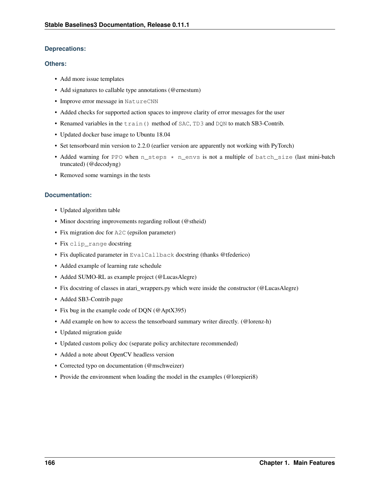## **Deprecations:**

## **Others:**

- Add more issue templates
- Add signatures to callable type annotations (@ernestum)
- Improve error message in NatureCNN
- Added checks for supported action spaces to improve clarity of error messages for the user
- Renamed variables in the train() method of SAC, TD3 and DQN to match SB3-Contrib.
- Updated docker base image to Ubuntu 18.04
- Set tensorboard min version to 2.2.0 (earlier version are apparently not working with PyTorch)
- Added warning for PPO when n\_steps \* n\_envs is not a multiple of batch\_size (last mini-batch truncated) (@decodyng)
- Removed some warnings in the tests

## **Documentation:**

- Updated algorithm table
- Minor docstring improvements regarding rollout (@stheid)
- Fix migration doc for A2C (epsilon parameter)
- Fix clip\_range docstring
- Fix duplicated parameter in EvalCallback docstring (thanks @tfederico)
- Added example of learning rate schedule
- Added SUMO-RL as example project (@LucasAlegre)
- Fix docstring of classes in atari\_wrappers.py which were inside the constructor (@LucasAlegre)
- Added SB3-Contrib page
- Fix bug in the example code of DQN (@AptX395)
- Add example on how to access the tensorboard summary writer directly. (@lorenz-h)
- Updated migration guide
- Updated custom policy doc (separate policy architecture recommended)
- Added a note about OpenCV headless version
- Corrected typo on documentation (@mschweizer)
- Provide the environment when loading the model in the examples (@lorepieri8)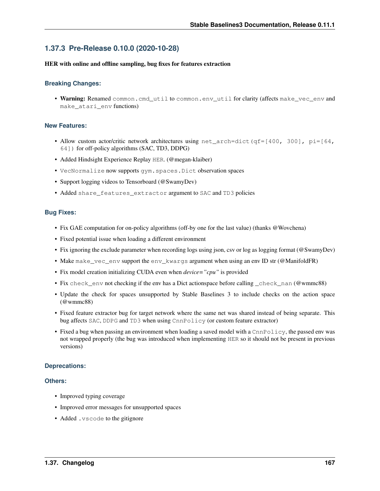## **1.37.3 Pre-Release 0.10.0 (2020-10-28)**

### HER with online and offline sampling, bug fixes for features extraction

## **Breaking Changes:**

• Warning: Renamed common.cmd\_util to common.env\_util for clarity (affects make\_vec\_env and make\_atari\_env functions)

## **New Features:**

- Allow custom actor/critic network architectures using  $net\_arch=dict$  (qf=[400, 300], pi=[64, 64]) for off-policy algorithms (SAC, TD3, DDPG)
- Added Hindsight Experience Replay HER. (@megan-klaiber)
- VecNormalize now supports gym.spaces.Dict observation spaces
- Support logging videos to Tensorboard (@SwamyDev)
- Added share features extractor argument to SAC and TD3 policies

## **Bug Fixes:**

- Fix GAE computation for on-policy algorithms (off-by one for the last value) (thanks @Wovchena)
- Fixed potential issue when loading a different environment
- Fix ignoring the exclude parameter when recording logs using json, csv or log as logging format (@SwamyDev)
- Make make\_vec\_env support the env\_kwargs argument when using an env ID str (@ManifoldFR)
- Fix model creation initializing CUDA even when *device="cpu"* is provided
- Fix check\_env not checking if the env has a Dict actionspace before calling \_check\_nan (@wmmc88)
- Update the check for spaces unsupported by Stable Baselines 3 to include checks on the action space (@wmmc88)
- Fixed feature extractor bug for target network where the same net was shared instead of being separate. This bug affects SAC, DDPG and TD3 when using CnnPolicy (or custom feature extractor)
- Fixed a bug when passing an environment when loading a saved model with a CnnPolicy, the passed env was not wrapped properly (the bug was introduced when implementing HER so it should not be present in previous versions)

## **Deprecations:**

## **Others:**

- Improved typing coverage
- Improved error messages for unsupported spaces
- Added .vscode to the gitignore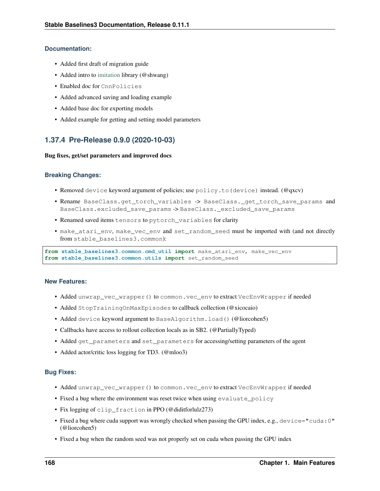## **Documentation:**

- Added first draft of migration guide
- Added intro to [imitation](https://github.com/HumanCompatibleAI/imitation) library (@shwang)
- Enabled doc for CnnPolicies
- Added advanced saving and loading example
- Added base doc for exporting models
- Added example for getting and setting model parameters

## **1.37.4 Pre-Release 0.9.0 (2020-10-03)**

## Bug fixes, get/set parameters and improved docs

## **Breaking Changes:**

- Removed device keyword argument of policies; use policy.to(device) instead. (@qxcv)
- Rename BaseClass.get\_torch\_variables -> BaseClass.\_get\_torch\_save\_params and BaseClass.excluded\_save\_params -> BaseClass. excluded\_save\_params
- Renamed saved items tensors to pytorch\_variables for clarity
- make\_atari\_env, make\_vec\_env and set\_random\_seed must be imported with (and not directly from stable\_baselines3.common):

**from stable\_baselines3.common.cmd\_util import** make\_atari\_env, make\_vec\_env **from stable\_baselines3.common.utils import** set\_random\_seed

## **New Features:**

- Added unwrap\_vec\_wrapper() to common.vec\_env to extract VecEnvWrapper if needed
- Added StopTrainingOnMaxEpisodes to callback collection (@xicocaio)
- Added device keyword argument to BaseAlgorithm.load() (@liorcohen5)
- Callbacks have access to rollout collection locals as in SB2. (@PartiallyTyped)
- Added get\_parameters and set\_parameters for accessing/setting parameters of the agent
- Added actor/critic loss logging for TD3. (@mloo3)

## **Bug Fixes:**

- Added unwrap\_vec\_wrapper() to common.vec\_env to extract VecEnvWrapper if needed
- Fixed a bug where the environment was reset twice when using evaluate\_policy
- Fix logging of clip\_fraction in PPO (@diditforlulz273)
- Fixed a bug where cuda support was wrongly checked when passing the GPU index, e.g., device="cuda:0" (@liorcohen5)
- Fixed a bug when the random seed was not properly set on cuda when passing the GPU index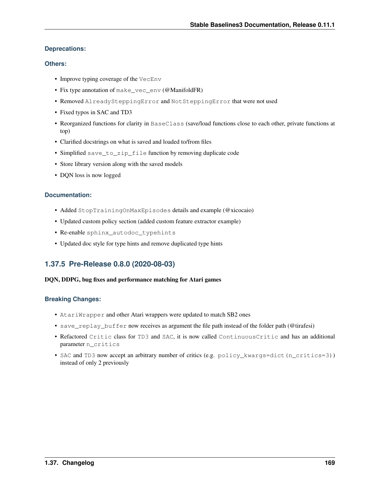## **Deprecations:**

## **Others:**

- Improve typing coverage of the VecEnv
- Fix type annotation of make vec env (@ManifoldFR)
- Removed AlreadySteppingError and NotSteppingError that were not used
- Fixed typos in SAC and TD3
- Reorganized functions for clarity in BaseClass (save/load functions close to each other, private functions at top)
- Clarified docstrings on what is saved and loaded to/from files
- Simplified save\_to\_zip\_file function by removing duplicate code
- Store library version along with the saved models
- DON loss is now logged

## **Documentation:**

- Added StopTrainingOnMaxEpisodes details and example (@xicocaio)
- Updated custom policy section (added custom feature extractor example)
- Re-enable sphinx\_autodoc\_typehints
- Updated doc style for type hints and remove duplicated type hints

## **1.37.5 Pre-Release 0.8.0 (2020-08-03)**

## DQN, DDPG, bug fixes and performance matching for Atari games

## **Breaking Changes:**

- AtariWrapper and other Atari wrappers were updated to match SB2 ones
- save\_replay\_buffer now receives as argument the file path instead of the folder path (@tirafesi)
- Refactored Critic class for TD3 and SAC, it is now called ContinuousCritic and has an additional parameter n\_critics
- SAC and TD3 now accept an arbitrary number of critics (e.g. policy\_kwargs=dict(n\_critics=3)) instead of only 2 previously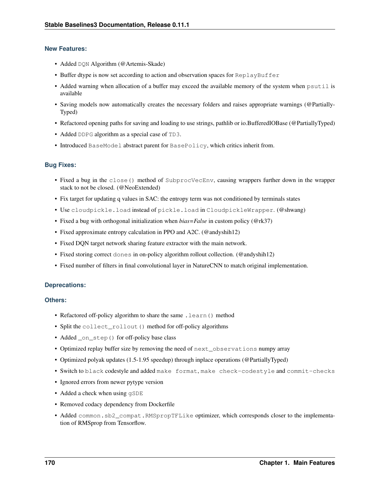## **New Features:**

- Added DQN Algorithm (@Artemis-Skade)
- Buffer dtype is now set according to action and observation spaces for ReplayBuffer
- Added warning when allocation of a buffer may exceed the available memory of the system when psutil is available
- Saving models now automatically creates the necessary folders and raises appropriate warnings (@Partially-Typed)
- Refactored opening paths for saving and loading to use strings, pathlib or io.BufferedIOBase (@PartiallyTyped)
- Added DDPG algorithm as a special case of TD3.
- Introduced BaseModel abstract parent for BasePolicy, which critics inherit from.

## **Bug Fixes:**

- Fixed a bug in the close() method of SubprocVecEnv, causing wrappers further down in the wrapper stack to not be closed. (@NeoExtended)
- Fix target for updating q values in SAC: the entropy term was not conditioned by terminals states
- Use cloudpickle.load instead of pickle.load in CloudpickleWrapper. (@shwang)
- Fixed a bug with orthogonal initialization when *bias=False* in custom policy (@rk37)
- Fixed approximate entropy calculation in PPO and A2C. (@andyshih12)
- Fixed DQN target network sharing feature extractor with the main network.
- Fixed storing correct dones in on-policy algorithm rollout collection. (@andyshih12)
- Fixed number of filters in final convolutional layer in NatureCNN to match original implementation.

## **Deprecations:**

## **Others:**

- Refactored off-policy algorithm to share the same . learn () method
- Split the collect\_rollout() method for off-policy algorithms
- Added \_on\_step() for off-policy base class
- Optimized replay buffer size by removing the need of  $next\_observations$  numpy array
- Optimized polyak updates (1.5-1.95 speedup) through inplace operations (@PartiallyTyped)
- Switch to black codestyle and added make format, make check-codestyle and commit-checks
- Ignored errors from newer pytype version
- Added a check when using  $qSDE$
- Removed codacy dependency from Dockerfile
- Added common.sb2\_compat.RMSpropTFLike optimizer, which corresponds closer to the implementation of RMSprop from Tensorflow.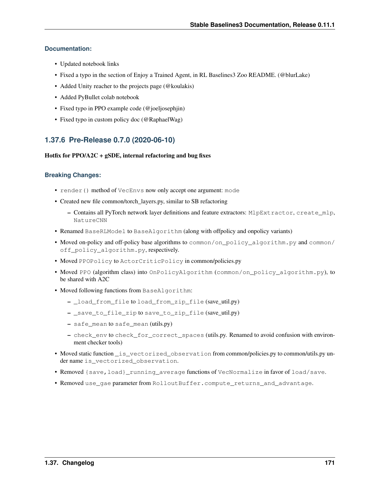## **Documentation:**

- Updated notebook links
- Fixed a typo in the section of Enjoy a Trained Agent, in RL Baselines3 Zoo README. (@blurLake)
- Added Unity reacher to the projects page (@koulakis)
- Added PyBullet colab notebook
- Fixed typo in PPO example code (@joeljosephjin)
- Fixed typo in custom policy doc (@RaphaelWag)

## **1.37.6 Pre-Release 0.7.0 (2020-06-10)**

## Hotfix for  $PPO/A2C + gSDE$ , internal refactoring and bug fixes

## **Breaking Changes:**

- render() method of VecEnvs now only accept one argument: mode
- Created new file common/torch\_layers.py, similar to SB refactoring
	- Contains all PyTorch network layer definitions and feature extractors: MlpExtractor, create\_mlp, NatureCNN
- Renamed BaseRLModel to BaseAlgorithm (along with offpolicy and onpolicy variants)
- Moved on-policy and off-policy base algorithms to common/on\_policy\_algorithm.py and common/ off policy algorithm.py, respectively.
- Moved PPOPolicy to ActorCriticPolicy in common/policies.py
- Moved PPO (algorithm class) into OnPolicyAlgorithm (common/on\_policy\_algorithm.py), to be shared with A2C
- Moved following functions from BaseAlgorithm:
	- \_load\_from\_file to load\_from\_zip\_file (save\_util.py)
	- \_save\_to\_file\_zip to save\_to\_zip\_file (save\_util.py)
	- safe\_mean to safe\_mean (utils.py)
	- check\_env to check\_for\_correct\_spaces (utils.py. Renamed to avoid confusion with environment checker tools)
- Moved static function \_is\_vectorized\_observation from common/policies.py to common/utils.py under name is\_vectorized\_observation.
- Removed {save,load}\_running\_average functions of VecNormalize in favor of load/save.
- Removed use gae parameter from RolloutBuffer.compute returns and advantage.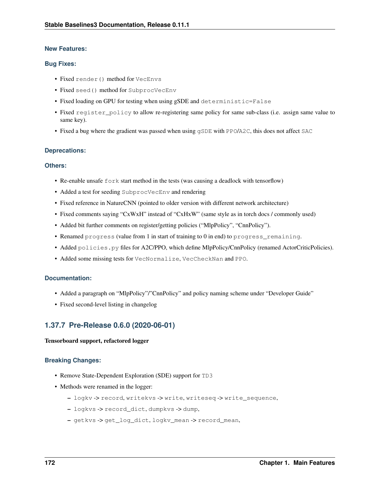## **New Features:**

## **Bug Fixes:**

- Fixed render() method for VecEnvs
- Fixed seed() method for SubprocVecEnv
- Fixed loading on GPU for testing when using gSDE and deterministic=False
- Fixed register\_policy to allow re-registering same policy for same sub-class (i.e. assign same value to same key).
- Fixed a bug where the gradient was passed when using  $qSDE$  with PPO/A2C, this does not affect SAC

## **Deprecations:**

## **Others:**

- Re-enable unsafe fork start method in the tests (was causing a deadlock with tensorflow)
- Added a test for seeding SubprocVecEnv and rendering
- Fixed reference in NatureCNN (pointed to older version with different network architecture)
- Fixed comments saying "CxWxH" instead of "CxHxW" (same style as in torch docs / commonly used)
- Added bit further comments on register/getting policies ("MlpPolicy", "CnnPolicy").
- Renamed progress (value from 1 in start of training to 0 in end) to progress\_remaining.
- Added policies.py files for A2C/PPO, which define MlpPolicy/CnnPolicy (renamed ActorCriticPolicies).
- Added some missing tests for VecNormalize, VecCheckNan and PPO.

## **Documentation:**

- Added a paragraph on "MlpPolicy"/"CnnPolicy" and policy naming scheme under "Developer Guide"
- Fixed second-level listing in changelog

## **1.37.7 Pre-Release 0.6.0 (2020-06-01)**

## Tensorboard support, refactored logger

## **Breaking Changes:**

- Remove State-Dependent Exploration (SDE) support for TD3
- Methods were renamed in the logger:
	- logkv -> record, writekvs -> write, writeseq -> write\_sequence,
	- logkvs -> record\_dict, dumpkvs -> dump,
	- getkvs -> get\_log\_dict, logkv\_mean -> record\_mean,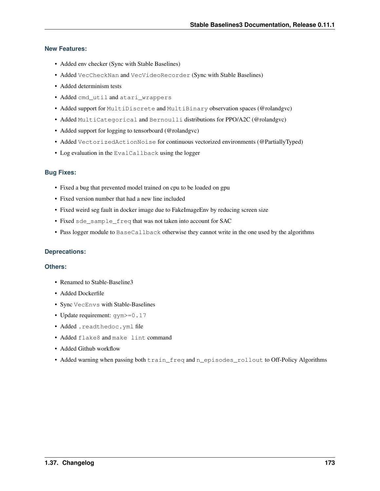## **New Features:**

- Added env checker (Sync with Stable Baselines)
- Added VecCheckNan and VecVideoRecorder (Sync with Stable Baselines)
- Added determinism tests
- Added cmd\_util and atari\_wrappers
- Added support for MultiDiscrete and MultiBinary observation spaces (@rolandgvc)
- Added MultiCategorical and Bernoulli distributions for PPO/A2C (@rolandgvc)
- Added support for logging to tensorboard (@rolandgvc)
- Added VectorizedActionNoise for continuous vectorized environments (@PartiallyTyped)
- Log evaluation in the EvalCallback using the logger

## **Bug Fixes:**

- Fixed a bug that prevented model trained on cpu to be loaded on gpu
- Fixed version number that had a new line included
- Fixed weird seg fault in docker image due to FakeImageEnv by reducing screen size
- Fixed sde\_sample\_freq that was not taken into account for SAC
- Pass logger module to BaseCallback otherwise they cannot write in the one used by the algorithms

## **Deprecations:**

## **Others:**

- Renamed to Stable-Baseline3
- Added Dockerfile
- Sync VecEnvs with Stable-Baselines
- Update requirement: gym>=0.17
- Added .readthedoc.yml file
- Added flake8 and make lint command
- Added Github workflow
- Added warning when passing both train\_freq and n\_episodes\_rollout to Off-Policy Algorithms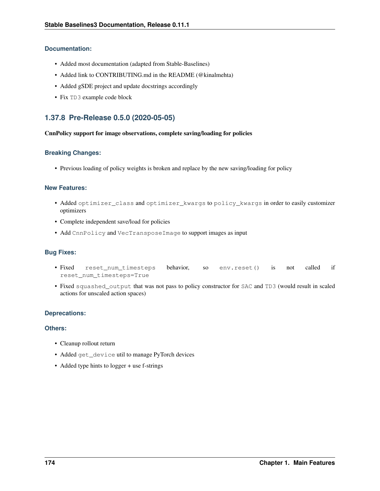## **Documentation:**

- Added most documentation (adapted from Stable-Baselines)
- Added link to CONTRIBUTING.md in the README (@kinalmehta)
- Added gSDE project and update docstrings accordingly
- Fix TD3 example code block

## **1.37.8 Pre-Release 0.5.0 (2020-05-05)**

## CnnPolicy support for image observations, complete saving/loading for policies

## **Breaking Changes:**

• Previous loading of policy weights is broken and replace by the new saving/loading for policy

## **New Features:**

- Added optimizer\_class and optimizer\_kwargs to policy\_kwargs in order to easily customizer optimizers
- Complete independent save/load for policies
- Add CnnPolicy and VecTransposeImage to support images as input

## **Bug Fixes:**

- Fixed reset\_num\_timesteps behavior, so env.reset() is not called if reset\_num\_timesteps=True
- Fixed squashed\_output that was not pass to policy constructor for SAC and TD3 (would result in scaled actions for unscaled action spaces)

## **Deprecations:**

## **Others:**

- Cleanup rollout return
- Added get\_device util to manage PyTorch devices
- Added type hints to logger + use f-strings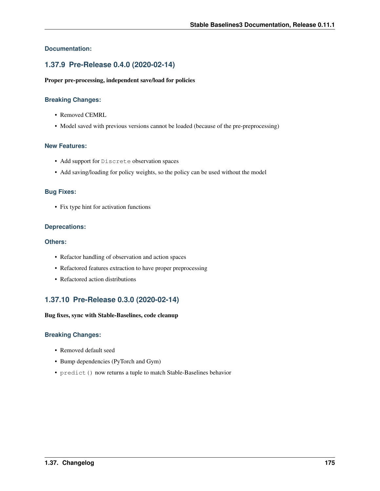## **Documentation:**

## **1.37.9 Pre-Release 0.4.0 (2020-02-14)**

## Proper pre-processing, independent save/load for policies

## **Breaking Changes:**

- Removed CEMRL
- Model saved with previous versions cannot be loaded (because of the pre-preprocessing)

### **New Features:**

- Add support for Discrete observation spaces
- Add saving/loading for policy weights, so the policy can be used without the model

### **Bug Fixes:**

• Fix type hint for activation functions

### **Deprecations:**

## **Others:**

- Refactor handling of observation and action spaces
- Refactored features extraction to have proper preprocessing
- Refactored action distributions

## **1.37.10 Pre-Release 0.3.0 (2020-02-14)**

#### Bug fixes, sync with Stable-Baselines, code cleanup

## **Breaking Changes:**

- Removed default seed
- Bump dependencies (PyTorch and Gym)
- predict() now returns a tuple to match Stable-Baselines behavior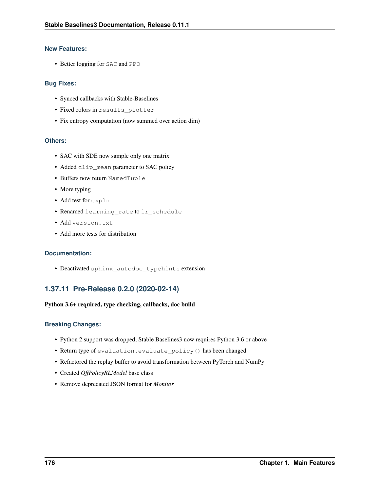## **New Features:**

• Better logging for SAC and PPO

## **Bug Fixes:**

- Synced callbacks with Stable-Baselines
- Fixed colors in results\_plotter
- Fix entropy computation (now summed over action dim)

## **Others:**

- SAC with SDE now sample only one matrix
- Added clip\_mean parameter to SAC policy
- Buffers now return NamedTuple
- More typing
- Add test for expln
- Renamed learning\_rate to lr\_schedule
- Add version.txt
- Add more tests for distribution

## **Documentation:**

• Deactivated sphinx\_autodoc\_typehints extension

## **1.37.11 Pre-Release 0.2.0 (2020-02-14)**

## Python 3.6+ required, type checking, callbacks, doc build

## **Breaking Changes:**

- Python 2 support was dropped, Stable Baselines3 now requires Python 3.6 or above
- Return type of evaluation.evaluate\_policy() has been changed
- Refactored the replay buffer to avoid transformation between PyTorch and NumPy
- Created *OffPolicyRLModel* base class
- Remove deprecated JSON format for *Monitor*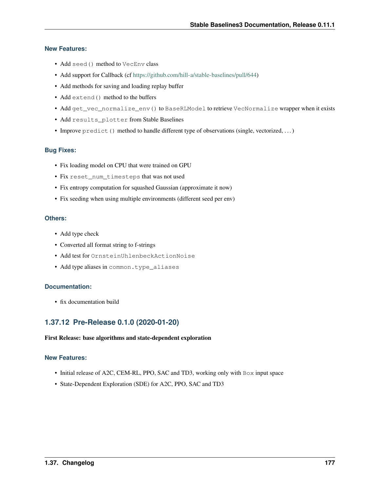### **New Features:**

- Add seed() method to VecEnv class
- Add support for Callback (cf [https://github.com/hill-a/stable-baselines/pull/644\)](https://github.com/hill-a/stable-baselines/pull/644)
- Add methods for saving and loading replay buffer
- Add extend () method to the buffers
- Add get\_vec\_normalize\_env() to BaseRLModel to retrieve VecNormalize wrapper when it exists
- Add results\_plotter from Stable Baselines
- Improve  $\text{predict}()$  method to handle different type of observations (single, vectorized, ...)

### **Bug Fixes:**

- Fix loading model on CPU that were trained on GPU
- Fix reset\_num\_timesteps that was not used
- Fix entropy computation for squashed Gaussian (approximate it now)
- Fix seeding when using multiple environments (different seed per env)

### **Others:**

- Add type check
- Converted all format string to f-strings
- Add test for OrnsteinUhlenbeckActionNoise
- Add type aliases in common.type\_aliases

### **Documentation:**

• fix documentation build

## **1.37.12 Pre-Release 0.1.0 (2020-01-20)**

### First Release: base algorithms and state-dependent exploration

### **New Features:**

- Initial release of A2C, CEM-RL, PPO, SAC and TD3, working only with Box input space
- State-Dependent Exploration (SDE) for A2C, PPO, SAC and TD3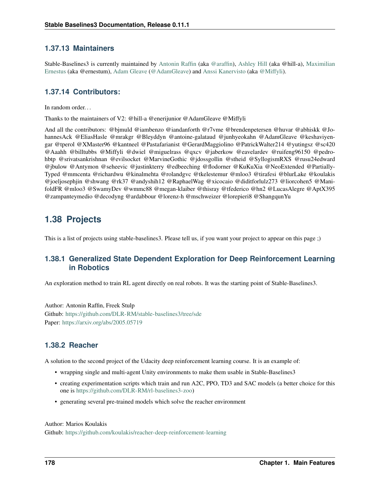## **1.37.13 Maintainers**

Stable-Baselines3 is currently maintained by [Antonin Raffin](https://araffin.github.io/) (aka [@araffin\)](https://github.com/araffin), [Ashley Hill](https://github.com/hill-a) (aka @hill-a), [Maximilian](https://github.com/ernestum) [Ernestus](https://github.com/ernestum) (aka @ernestum), [Adam Gleave](https://gleave.me/) [\(@AdamGleave\)](https://github.com/adamgleave) and [Anssi Kanervisto](https://github.com/Miffyli) (aka [@Miffyli\)](https://github.com/Miffyli).

## **1.37.14 Contributors:**

In random order.

Thanks to the maintainers of V2: @hill-a @enerijunior @AdamGleave @Miffyli

And all the contributors: @bjmuld @iambenzo @iandanforth @r7vme @brendenpetersen @huvar @abhiskk @JohannesAck @EliasHasle @mrakgr @Bleyddyn @antoine-galataud @junhyeokahn @AdamGleave @keshaviyengar @tperol @XMaster96 @kantneel @Pastafarianist @GerardMaggiolino @PatrickWalter214 @yutingsz @sc420 @Aaahh @billtubbs @Miffyli @dwiel @miguelrass @qxcv @jaberkow @eavelardev @ruifeng96150 @pedrohbtp @srivatsankrishnan @evilsocket @MarvineGothic @jdossgollin @stheid @SyllogismRXS @rusu24edward @jbulow @Antymon @seheevic @justinkterry @edbeeching @flodorner @KuKuXia @NeoExtended @Partially-Typed @mmcenta @richardwu @kinalmehta @rolandgvc @tkelestemur @mloo3 @tirafesi @blurLake @koulakis @joeljosephjin @shwang @rk37 @andyshih12 @RaphaelWag @xicocaio @diditforlulz273 @liorcohen5 @ManifoldFR @mloo3 @SwamyDev @wmmc88 @megan-klaiber @thisray @tfederico @hn2 @LucasAlegre @AptX395 @zampanteymedio @decodyng @ardabbour @lorenz-h @mschweizer @lorepieri8 @ShangqunYu

# **1.38 Projects**

This is a list of projects using stable-baselines3. Please tell us, if you want your project to appear on this page ;)

## **1.38.1 Generalized State Dependent Exploration for Deep Reinforcement Learning in Robotics**

An exploration method to train RL agent directly on real robots. It was the starting point of Stable-Baselines3.

Author: Antonin Raffin, Freek Stulp Github: <https://github.com/DLR-RM/stable-baselines3/tree/sde> Paper: <https://arxiv.org/abs/2005.05719>

## **1.38.2 Reacher**

A solution to the second project of the Udacity deep reinforcement learning course. It is an example of:

- wrapping single and multi-agent Unity environments to make them usable in Stable-Baselines3
- creating experimentation scripts which train and run A2C, PPO, TD3 and SAC models (a better choice for this one is [https://github.com/DLR-RM/rl-baselines3-zoo\)](https://github.com/DLR-RM/rl-baselines3-zoo)
- generating several pre-trained models which solve the reacher environment

### Author: Marios Koulakis

Github: <https://github.com/koulakis/reacher-deep-reinforcement-learning>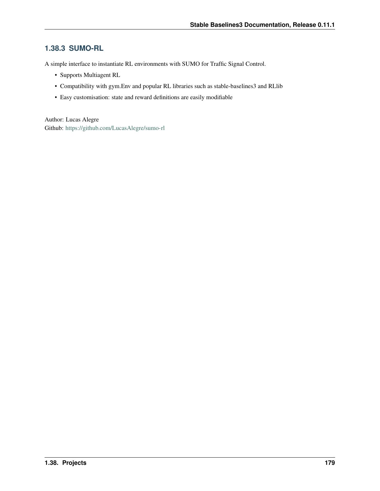# **1.38.3 SUMO-RL**

A simple interface to instantiate RL environments with SUMO for Traffic Signal Control.

- Supports Multiagent RL
- Compatibility with gym.Env and popular RL libraries such as stable-baselines3 and RLlib
- Easy customisation: state and reward definitions are easily modifiable

Author: Lucas Alegre Github: <https://github.com/LucasAlegre/sumo-rl>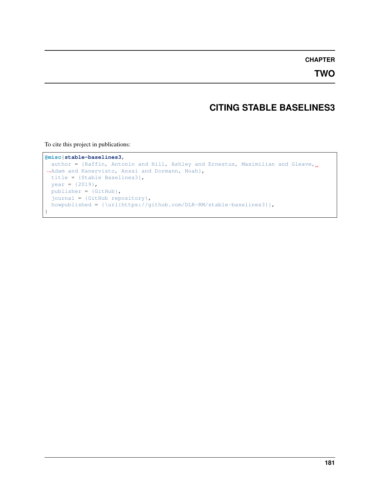## **CHAPTER**

**TWO**

# **CITING STABLE BASELINES3**

To cite this project in publications:

```
@misc{stable-baselines3,
 author = {Raffin, Antonin and Hill, Ashley and Ernestus, Maximilian and Gleave,
˓→Adam and Kanervisto, Anssi and Dormann, Noah},
 title = {Stable Baselines3},
 year = {2019},
 publisher = {GitHub},
 journal = {GitHub repository},
 howpublished = {\url{https://github.com/DLR-RM/stable-baselines3}},
}
```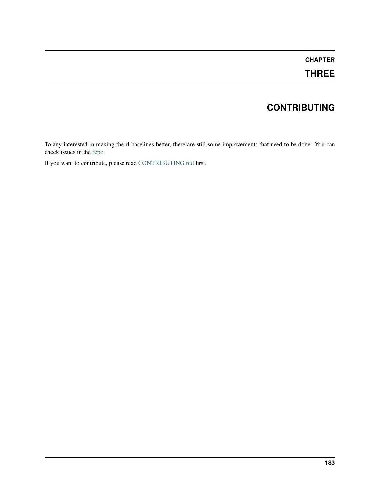# **CHAPTER**

# **THREE**

# **CONTRIBUTING**

To any interested in making the rl baselines better, there are still some improvements that need to be done. You can check issues in the [repo.](https://github.com/DLR-RM/stable-baselines3/issues)

If you want to contribute, please read [CONTRIBUTING.md](https://github.com/DLR-RM/stable-baselines3/blob/master/CONTRIBUTING.md) first.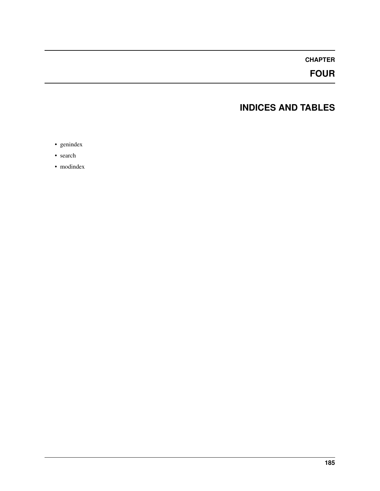# **CHAPTER**

# **FOUR**

# **INDICES AND TABLES**

- genindex
- search
- modindex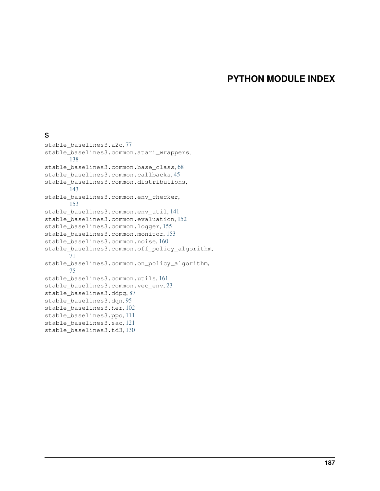# **PYTHON MODULE INDEX**

### s

stable\_baselines3.a2c, [77](#page-80-0) stable\_baselines3.common.atari\_wrappers, [138](#page-141-0) stable\_baselines3.common.base\_class, [68](#page-71-0) stable\_baselines3.common.callbacks, [45](#page-48-0) stable\_baselines3.common.distributions, [143](#page-146-0) stable\_baselines3.common.env\_checker, [153](#page-156-0) stable\_baselines3.common.env\_util, [141](#page-144-0) stable baselines3.common.evaluation, [152](#page-155-0) stable\_baselines3.common.logger, [155](#page-158-0) stable\_baselines3.common.monitor, [153](#page-156-1) stable\_baselines3.common.noise, [160](#page-163-0) stable\_baselines3.common.off\_policy\_algorithm, [71](#page-74-0) stable\_baselines3.common.on\_policy\_algorithm, [75](#page-78-0) stable\_baselines3.common.utils, [161](#page-164-0) stable\_baselines3.common.vec\_env, [23](#page-26-0) stable\_baselines3.ddpg, [87](#page-90-0) stable\_baselines3.dqn, [95](#page-98-0) stable\_baselines3.her, [102](#page-105-0) stable\_baselines3.ppo, [111](#page-114-0) stable\_baselines3.sac, [121](#page-124-0) stable\_baselines3.td3, [130](#page-133-0)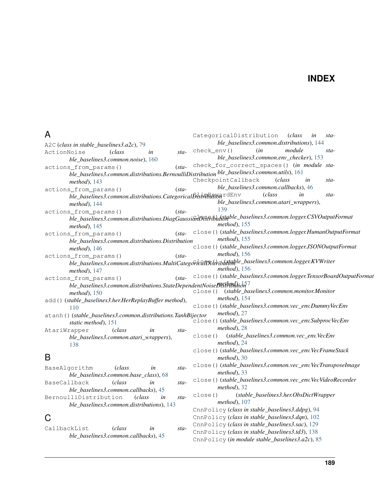# **INDEX**

# A

A2C (*class in stable\_baselines3.a2c*), [79](#page-82-0) ActionNoise (*class in stable\_baselines3.common.noise*), [160](#page-163-1) actions from params() (*stable\_baselines3.common.distributions.BernoulliDistribution ble\_baselines3.common.utils*), [161](#page-164-1) *method*), [143](#page-146-1) actions from params() (*stable\_baselines3.common.distributions.CategoricalDistribution*<sup>rdEnv</sup> (*class in stamethod*), [144](#page-147-0) actions\_from\_params() (*stable\_baselines3.common.distributions.DiagGaussianDistribution* close() (*stable\_baselines3.common.logger.CSVOutputFormat method*), [145](#page-148-0) actions from params() (*stable\_baselines3.common.distributions.Distribution method*), [146](#page-149-0) actions\_from\_params() (*stable\_baselines3.common.distributions.MultiCategoricalDistribution* close() (*stable\_baselines3.common.logger.KVWriter method*), [147](#page-150-0) actions\_from\_params() (*stable\_baselines3.common.distributions.StateDependentNoiseDisth0ddioh*<sup>77</sup> *method*), [150](#page-153-0) add() (*stable\_baselines3.her.HerReplayBuffer method*), [110](#page-113-0) atanh() (*stable\_baselines3.common.distributions.TanhBijector static method*), [151](#page-154-0) AtariWrapper (*class in stable\_baselines3.common.atari\_wrappers*), [138](#page-141-1) B BaseAlgorithm (*class in stable\_baselines3.common.base\_class*), [68](#page-71-1) BaseCallback (*class in stable\_baselines3.common.callbacks*), [45](#page-48-1) BernoulliDistribution (*class in stable\_baselines3.common.distributions*), [143](#page-146-1) C CallbackList (*class in stable\_baselines3.common.callbacks*), [45](#page-48-1) *ble\_baselines3.common.distributions*), [144](#page-147-0) check\_env() (*in module stable\_baselines3.common.env\_checker*), [153](#page-156-2) check\_for\_correct\_spaces() (*in module sta-*CheckpointCallback (*class in stable\_baselines3.common.callbacks*), [46](#page-49-0) *ble\_baselines3.common.atari\_wrappers*), [139](#page-142-0) *method*), [155](#page-158-1) close() (*stable\_baselines3.common.logger.HumanOutputFormat method*), [155](#page-158-1) close() (*stable\_baselines3.common.logger.JSONOutputFormat method*), [156](#page-159-0) *method*), [156](#page-159-0) close() (*stable\_baselines3.common.logger.TensorBoardOutputFormat* close() (*stable\_baselines3.common.monitor.Monitor method*), [154](#page-157-0) close() (*stable\_baselines3.common.vec\_env.DummyVecEnv method*), [27](#page-30-0) close() (*stable\_baselines3.common.vec\_env.SubprocVecEnv method*), [28](#page-31-0) close() (*stable\_baselines3.common.vec\_env.VecEnv method*), [24](#page-27-0) close() (*stable\_baselines3.common.vec\_env.VecFrameStack method*), [30](#page-33-0) close() (*stable\_baselines3.common.vec\_env.VecTransposeImage method*), [33](#page-36-0) close() (*stable\_baselines3.common.vec\_env.VecVideoRecorder method*), [32](#page-35-0) close() (*stable\_baselines3.her.ObsDictWrapper method*), [107](#page-110-0) CnnPolicy (*class in stable\_baselines3.ddpg*), [94](#page-97-0) CnnPolicy (*class in stable\_baselines3.dqn*), [102](#page-105-1) CnnPolicy (*class in stable\_baselines3.sac*), [129](#page-132-0) CnnPolicy (*class in stable\_baselines3.td3*), [138](#page-141-1)

CategoricalDistribution (*class in sta-*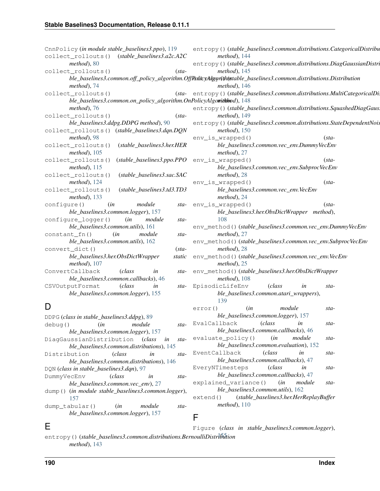| CnnPolicy (in module stable_baselines3.ppo), 119                         |        | entropy()(stable_baselines3.common.distributions.CategoricalDistribu                                             |
|--------------------------------------------------------------------------|--------|------------------------------------------------------------------------------------------------------------------|
| $(state\_baseline3.a2c.A2C$<br>collect_rollouts()                        |        | method), 144                                                                                                     |
| method), 80                                                              |        | entropy()(stable_baselines3.common.distributions.DiagGaussianDistr                                               |
| collect_rollouts()<br>$(sta-$                                            |        | $method$ ), 145                                                                                                  |
|                                                                          |        | ble_baselines3.common.off_policy_algorithm.OffRadicy&lgqrtihtatable_baselines3.common.distributions.Distribution |
| method), 74                                                              |        | $method$ ), 146                                                                                                  |
| collect_rollouts()                                                       |        | (sta- entropy () (stable_baselines3.common.distributions.MultiCategoricalDi                                      |
| ble_baselines3.common.on_policy_algorithm.OnPolicyAlgomithhod), 148      |        |                                                                                                                  |
| $method$ , 76                                                            |        | entropy()(stable_baselines3.common.distributions.SquashedDiagGaus                                                |
| collect_rollouts()<br>$(sta-$                                            |        | $method$ ), 149                                                                                                  |
| ble_baselines3.ddpg.DDPG method), 90                                     |        | entropy()(stable_baselines3.common.distributions.StateDependentNoi.                                              |
| collect_rollouts() (stable_baselines3.dqn.DQN                            |        | $method$ ), 150                                                                                                  |
| method), 98                                                              |        | env_is_wrapped()<br>$(sta-$                                                                                      |
| (stable_baselines3.her.HER<br>collect_rollouts()                         |        | ble_baselines3.common.vec_env.DummyVecEnv                                                                        |
| $method$ , 105                                                           |        | $method$ , 27                                                                                                    |
| collect_rollouts()<br>(stable_baselines3.ppo.PPO                         |        | env_is_wrapped()<br>$(sta-$                                                                                      |
| $method$ , 115                                                           |        | ble_baselines3.common.vec_env.SubprocVecEnv                                                                      |
| (stable_baselines3.sac.SAC<br>collect_rollouts()                         |        | $method$ , 28                                                                                                    |
| $method$ ), 124                                                          |        | env_is_wrapped()<br>$(sta-$                                                                                      |
| collect_rollouts()<br>(stable_baselines3.td3.TD3                         |        | ble_baselines3.common.vec_env.VecEnv                                                                             |
| $method$ , 133                                                           |        | $method$ , 24                                                                                                    |
| module<br>(in<br>configure()                                             | sta-   | env_is_wrapped()<br>$(sta-$                                                                                      |
| ble_baselines3.common.logger), 157                                       |        | ble_baselines3.her.ObsDictWrapper method),<br>108                                                                |
| configure_logger()<br>(in<br>module<br>ble_baselines3.common.utils), 161 | sta-   | env_method()(stable_baselines3.common.vec_env.DummyVecEnv                                                        |
| module<br>constant_fn()<br>(in                                           | $sta-$ | method), 27                                                                                                      |
| ble_baselines3.common.utils), 162                                        |        | env_method()(stable_baselines3.common.vec_env.SubprocVecEnv                                                      |
| convert_dict()<br>$(sta-$                                                |        | $method$ , 28                                                                                                    |
| ble_baselines3.her.ObsDictWrapper<br>static                              |        | env_method()(stable_baselines3.common.vec_env.VecEnv                                                             |
| $method$ , 107                                                           |        | $method$ , 25                                                                                                    |
| (class<br>ConvertCallback<br>in                                          | sta-   | env_method()(stable_baselines3.her.ObsDictWrapper                                                                |
| ble_baselines3.common.callbacks), 46                                     |        | $method$ ), 108                                                                                                  |
| CSVOutputFormat<br>(class<br>in                                          | sta-   | EpisodicLifeEnv<br>(class<br>in<br>sta-                                                                          |
| ble_baselines3.common.logger), 155                                       |        | ble_baselines3.common.atari_wrappers),                                                                           |
|                                                                          |        | 139                                                                                                              |
| D                                                                        |        | (in<br>module<br>error()<br>sta-                                                                                 |
| DDPG (class in stable_baselines3.ddpg), 89                               |        | ble_baselines3.common.logger), 157                                                                               |
| $\phi$ debug() $\sin$ module                                             |        | $_{sta-}$ EvalCallback<br>(class<br>in<br>sta-                                                                   |

| debug()        | (in                                                 | module | sta-   |
|----------------|-----------------------------------------------------|--------|--------|
|                | ble baselines3.common.logger), 157                  |        |        |
|                | DiagGaussianDistribution (class in                  |        | $sta-$ |
|                | ble_baselines3.common.distributions), 145           |        |        |
|                | Distribution (class                                 | in     | $sta-$ |
|                | ble baselines3.common.distributions), 146           |        |        |
|                | DQN (class in stable_baselines3.dqn), 97            |        |        |
| DummyVecEnv    | <i>class</i>                                        | in     | sta-   |
|                | ble baselines3.common.vec env), 27                  |        |        |
|                | dump() (in module stable_baselines3.common.logger), |        |        |
| 157            |                                                     |        |        |
| dump tabular() | (in                                                 | module | sta-   |
|                | ble_baselines3.common.logger), 157                  |        |        |
|                |                                                     |        |        |

### EventCallback (*class in stable\_baselines3.common.callbacks*), [47](#page-50-0) EveryNTimesteps (*class in stable\_baselines3.common.callbacks*), [47](#page-50-0) explained\_variance() (*in module stable\_baselines3.common.utils*), [162](#page-165-0)

*ble\_baselines3.common.callbacks*), [46](#page-49-0) evaluate\_policy() (*in module stable\_baselines3.common.evaluation*), [152](#page-155-1)

extend() (*stable\_baselines3.her.HerReplayBuffer method*), [110](#page-113-0)

### F

### entropy () *(stable\_baselines3.common.distributions.BernoulliDistribution method*), [143](#page-146-1) Figure (*class in stable\_baselines3.common.logger*),

E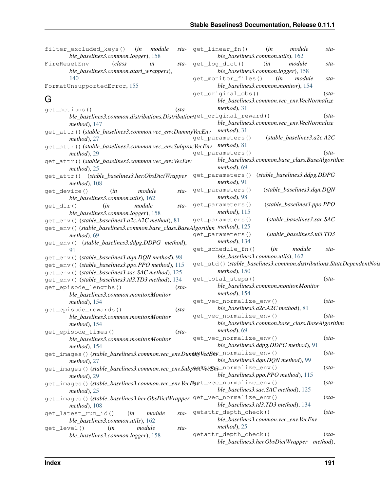|           | filter_excluded_keys()<br>module<br>(in<br>ble_baselines3.common.logger), 158          |      | sta- get_linear_fn() | ble_baselines3.common.utils), 162                               | (in | module                       | sta-                                                                |
|-----------|----------------------------------------------------------------------------------------|------|----------------------|-----------------------------------------------------------------|-----|------------------------------|---------------------------------------------------------------------|
|           | FireResetEnv<br><i>class</i><br>in                                                     | sta- | get_log_dict()       |                                                                 | (in | module                       | sta-                                                                |
|           | ble_baselines3.common.atari_wrappers),                                                 |      |                      | ble_baselines3.common.logger), 158                              |     |                              |                                                                     |
|           | 140                                                                                    |      |                      | get_monitor_files()                                             | (in | module                       | sta-                                                                |
|           | FormatUnsupportedError, 155                                                            |      |                      | ble_baselines3.common.monitor), 154                             |     |                              |                                                                     |
|           |                                                                                        |      |                      | get_original_obs()                                              |     |                              | $(sta-$                                                             |
| G         |                                                                                        |      |                      | ble_baselines3.common.vec_env.VecNormalize                      |     |                              |                                                                     |
|           | $(sta-$                                                                                |      |                      | $method$ , 31                                                   |     |                              |                                                                     |
|           | get_actions()<br>ble_baselines3.common.distributions.Distributionget_original_reward() |      |                      |                                                                 |     |                              | $(sta-$                                                             |
|           | method), $147$                                                                         |      |                      | ble_baselines3.common.vec_env.VecNormalize                      |     |                              |                                                                     |
|           | get_attr()(stable_baselines3.common.vec_env.DummyVecEnv method), 31                    |      |                      |                                                                 |     |                              |                                                                     |
|           | $method$ , 27                                                                          |      | get_parameters()     |                                                                 |     | $(state\_baseline3.a2c.A2C$  |                                                                     |
|           | get_attr()(stable_baselines3.common.vec_env.SubprocVecEnv method), 81                  |      |                      |                                                                 |     |                              |                                                                     |
|           | $method$ , 29                                                                          |      | get_parameters()     |                                                                 |     |                              | $(sta-$                                                             |
|           | get_attr()(stable_baselines3.common.vec_env.VecEnv                                     |      |                      | ble_baselines3.common.base_class.BaseAlgorithm                  |     |                              |                                                                     |
|           | $method$ , 25                                                                          |      |                      | $method$ , 69                                                   |     |                              |                                                                     |
|           | get_attr() (stable_baselines3.her.ObsDictWrapper get_parameters()                      |      |                      |                                                                 |     | (stable_baselines3.ddpg.DDPG |                                                                     |
|           | $method$ , 108                                                                         |      |                      | $method$ , 91                                                   |     |                              |                                                                     |
|           | module<br>get_device()<br>(in                                                          | sta- | get_parameters()     |                                                                 |     | (stable_baselines3.dqn.DQN   |                                                                     |
|           | ble_baselines3.common.utils), 162                                                      |      |                      | method), 98                                                     |     |                              |                                                                     |
| get_dir() | module<br>(in                                                                          | sta- | get_parameters()     |                                                                 |     | (stable_baselines3.ppo.PPO   |                                                                     |
|           | ble_baselines3.common.logger), 158                                                     |      |                      | method), 115                                                    |     |                              |                                                                     |
|           | get_env()(stable_baselines3.a2c.A2C method), 81                                        |      | get_parameters()     |                                                                 |     | (stable_baselines3.sac.SAC   |                                                                     |
|           | get_env()(stable_baselines3.common.base_class.BaseAlgorithm method), 125               |      |                      |                                                                 |     |                              |                                                                     |
|           | $method$ , 69                                                                          |      | get_parameters()     |                                                                 |     | (stable_baselines3.td3.TD3   |                                                                     |
|           | get_env() (stable_baselines3.ddpg.DDPG method),                                        |      |                      | $method$ , 134                                                  |     |                              |                                                                     |
|           | 91                                                                                     |      |                      | get_schedule_fn()                                               | (in | module                       | sta-                                                                |
|           | get_env()(stable_baselines3.dqn.DQN method), 98                                        |      |                      | ble_baselines3.common.utils), 162                               |     |                              |                                                                     |
|           | get_env()(stable_baselines3.ppo.PPO method), 115                                       |      |                      |                                                                 |     |                              | get_std()(stable_baselines3.common.distributions.StateDependentNois |
|           | get_env()(stable_baselines3.sac.SAC method), 125                                       |      |                      | method), $150$                                                  |     |                              |                                                                     |
|           | get_env()(stable_baselines3.td3.TD3 method), 134                                       |      |                      | get_total_steps()                                               |     |                              | $(sta-$                                                             |
|           | get_episode_lengths()<br>$(sta-$                                                       |      |                      | ble_baselines3.common.monitor.Monitor                           |     |                              |                                                                     |
|           | ble_baselines3.common.monitor.Monitor                                                  |      |                      | $method$ , 154                                                  |     |                              |                                                                     |
|           | $method$ , 154                                                                         |      |                      | get_vec_normalize_env()                                         |     |                              | $(sta-$                                                             |
|           | get_episode_rewards()<br>$(sta-$                                                       |      |                      | ble_baselines3.a2c.A2C method), 81                              |     |                              |                                                                     |
|           | ble_baselines3.common.monitor.Monitor                                                  |      |                      | get_vec_normalize_env()                                         |     |                              | $(sta-$                                                             |
|           | $method$ , 154                                                                         |      |                      | ble_baselines3.common.base_class.BaseAlgorithm                  |     |                              |                                                                     |
|           | get_episode_times()<br>$(sta-$                                                         |      |                      | $method$ , 69                                                   |     |                              |                                                                     |
|           | ble_baselines3.common.monitor.Monitor                                                  |      |                      | get_vec_normalize_env()<br>ble_baselines3.ddpg.DDPG method), 91 |     |                              | $(sta-$                                                             |
|           | method), 154                                                                           |      |                      |                                                                 |     |                              |                                                                     |
|           | get_images()(stable_baselines3.common.vec_env.Dum@ffVecEnQ_normalize_env()             |      |                      |                                                                 |     |                              | $(sta-$                                                             |
|           | $method$ , 27                                                                          |      |                      | ble_baselines3.dqn.DQN method), 99                              |     |                              | $(sta-$                                                             |
|           | get_images()(stable_baselines3.common.vec_env.Subp&dVeYB&_normalize_env()              |      |                      | ble_baselines3.ppo.PPO method), 115                             |     |                              |                                                                     |
|           | $method$ , 29                                                                          |      |                      |                                                                 |     |                              | $(sta-$                                                             |
|           | get_images()(stable_baselines3.common.vec_env.VecEupt_vec_normalize_env()              |      |                      | ble_baselines3.sac.SAC method), 125                             |     |                              |                                                                     |
|           | $method$ , 25                                                                          |      |                      |                                                                 |     |                              | $(sta-$                                                             |
|           | get_images()(stable_baselines3.her.ObsDictWrapper get_vec_normalize_env()              |      |                      | ble_baselines3.td3.TD3 method), 134                             |     |                              |                                                                     |
|           | $method$ , 108                                                                         |      |                      | getattr_depth_check()                                           |     |                              | $(sta-$                                                             |
|           | get_latest_run_id()<br>module<br>(in                                                   | sta- |                      | ble_baselines3.common.vec_env.VecEnv                            |     |                              |                                                                     |
|           | ble_baselines3.common.utils), 162<br>module                                            |      |                      | $method$ , 25                                                   |     |                              |                                                                     |
|           | get_level()<br>(in<br>ble_baselines3.common.logger), 158                               | sta- |                      | getattr_depth_check()                                           |     |                              | $(sta-$                                                             |
|           |                                                                                        |      |                      | ble_baselines3.her.ObsDictWrapper method),                      |     |                              |                                                                     |
|           |                                                                                        |      |                      |                                                                 |     |                              |                                                                     |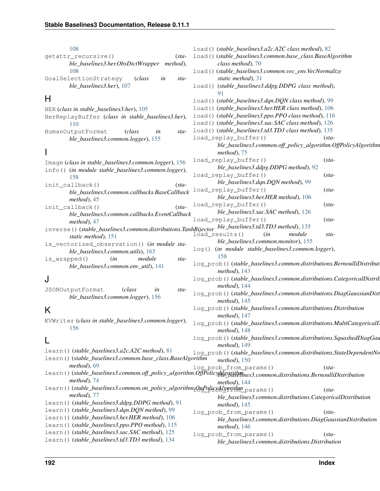| 108                                                                                               | load () (stable_baselines3.a2c.A2C class method), 82                                                                     |
|---------------------------------------------------------------------------------------------------|--------------------------------------------------------------------------------------------------------------------------|
|                                                                                                   |                                                                                                                          |
| getattr_recursive()<br>$(sta-$                                                                    | load()(stable_baselines3.common.base_class.BaseAlgorithm                                                                 |
| ble_baselines3.her.ObsDictWrapper method),                                                        | class method), 70                                                                                                        |
| 108                                                                                               | load () (stable_baselines3.common.vec_env.VecNormalize                                                                   |
| GoalSelectionStrategy<br>(class<br>in<br>sta-                                                     | static method), 31                                                                                                       |
| ble_baselines3.her), 107                                                                          | load () (stable_baselines3.ddpg.DDPG class method),                                                                      |
| H                                                                                                 |                                                                                                                          |
|                                                                                                   | load () (stable_baselines3.dqn.DQN class method), 99                                                                     |
| HER (class in stable_baselines3.her), 105                                                         | load () (stable_baselines3.her.HER class method), 106                                                                    |
| HerReplayBuffer (class in stable_baselines3.her),                                                 | load () (stable_baselines3.ppo.PPO class method), 116                                                                    |
| 110                                                                                               | load () (stable_baselines3.sac.SAC class method), 126                                                                    |
| HumanOutputFormat<br>(class)<br>sta-<br>in                                                        | load () (stable_baselines3.td3.TD3 class method), 135                                                                    |
| ble_baselines3.common.logger), 155                                                                | load_replay_buffer()<br>$(sta-$                                                                                          |
|                                                                                                   | ble_baselines3.common.off_policy_algorithm.OffPolicyAlgorithm                                                            |
|                                                                                                   | $method$ , 75                                                                                                            |
| Image (class in stable_baselines3.common.logger), 156                                             | load_replay_buffer()<br>$(sta-$                                                                                          |
| info() (in module stable_baselines3.common.logger),                                               | ble_baselines3.ddpg.DDPG method), 92                                                                                     |
| 158                                                                                               | load_replay_buffer()<br>$(sta-$                                                                                          |
| init_callback()<br>$(sta-$                                                                        | ble_baselines3.dqn.DQN method), 99                                                                                       |
| ble_baselines3.common.callbacks.BaseCallback                                                      | load_replay_buffer()<br>$(sta-$                                                                                          |
|                                                                                                   | ble_baselines3.her.HER method), 106                                                                                      |
| $method$ , 45                                                                                     | load_replay_buffer()<br>$(sta-$                                                                                          |
| $(sta-$<br>init_callback()                                                                        | ble_baselines3.sac.SAC method), 126                                                                                      |
| ble_baselines3.common.callbacks.EventCallback                                                     | load_replay_buffer()<br>$(sta-$                                                                                          |
| $method$ , 47                                                                                     |                                                                                                                          |
| inverse()(stable_baselines3.common.distributions.TanhBijector ble_baselines3.td3.TD3 method), 135 | load_results()<br>module<br>(in<br>sta-                                                                                  |
| static method), 151                                                                               | ble_baselines3.common.monitor), 155                                                                                      |
| is_vectorized_observation() (in module sta-                                                       | log() (in module stable_baselines3.common.logger),                                                                       |
| ble_baselines3.common.utils), 163                                                                 | 158                                                                                                                      |
| (in<br>module<br>is_wrapped()<br>sta-                                                             | log_prob()(stable_baselines3.common.distributions.BernoulliDistribut                                                     |
| ble_baselines3.common.env_util), 141                                                              | method), $143$                                                                                                           |
|                                                                                                   | log_prob()(stable_baselines3.common.distributions.CategoricalDistrib                                                     |
| J                                                                                                 | method), 144                                                                                                             |
| JSONOutputFormat<br>(class)<br>in<br>sta-                                                         | log_prob()(stable_baselines3.common.distributions.DiagGaussianDist                                                       |
| ble_baselines3.common.logger), 156                                                                |                                                                                                                          |
|                                                                                                   | method), $145$                                                                                                           |
| K                                                                                                 | log_prob()(stable_baselines3.common.distributions.Distribution                                                           |
|                                                                                                   | method), $147$                                                                                                           |
| 156                                                                                               | KVWriter (class in stable_baselines3.common.logger), log_prob()(stable_baselines3.common.distributions.MultiCategoricalL |
|                                                                                                   | method), $148$                                                                                                           |
| L                                                                                                 | log_prob()(stable_baselines3.common.distributions.SquashedDiagGau                                                        |
|                                                                                                   | method), $149$                                                                                                           |
| learn()(stable_baselines3.a2c.A2C method), 81                                                     | log_prob()(stable_baselines3.common.distributions.StateDependentNo                                                       |
| learn()(stable_baselines3.common.base_class.BaseAlgorithm                                         | $method$ ), 150                                                                                                          |
| method), 69                                                                                       | log_prob_from_params()<br>$(sta-$                                                                                        |
|                                                                                                   | learn()(stable_baselines3.common.off_policy_algorithm.OffPolicyAlggrithmes3.common.distributions.BernoulliDistribution   |
| $method$ ). 74                                                                                    | $method$ ), 144                                                                                                          |
| learn()(stable_baselines3.common.on_policy_algorithm <sub>1</sub> QnPolicyAlgerithm_params()      | $(sta-$                                                                                                                  |
| $method$ , 77                                                                                     | ble_baselines3.common.distributions.CategoricalDistribution                                                              |
| learn() (stable_baselines3.ddpg.DDPG method), 91                                                  | method), $145$                                                                                                           |
| learn()(stable_baselines3.dqn.DQN method), 99                                                     | log_prob_from_params()<br>$(sta-$                                                                                        |
| learn() (stable_baselines3.her.HER method), 106                                                   | ble_baselines3.common.distributions.DiagGaussianDistribution                                                             |
| learn () (stable_baselines3.ppo.PPO method), 115                                                  | method), $146$                                                                                                           |
| learn() (stable_baselines3.sac.SAC method), 125                                                   | log_prob_from_params()<br>$(sta-$                                                                                        |
| learn() (stable_baselines3.td3.TD3 method), 134                                                   | ble_baselines3.common.distributions.Distribution                                                                         |
|                                                                                                   |                                                                                                                          |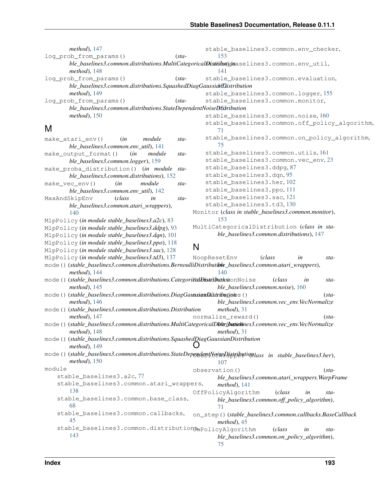| method), 147                                                                                            |         | stable_baselines3.common.env_checker,                                                                          |
|---------------------------------------------------------------------------------------------------------|---------|----------------------------------------------------------------------------------------------------------------|
| log_prob_from_params()                                                                                  | $(sta-$ | 153                                                                                                            |
|                                                                                                         |         | ble_baselines3.common.distributions.MultiCategoricalBistibutionaselines3.common.env_util,                      |
| $method$ ), 148                                                                                         |         | 141                                                                                                            |
| log_prob_from_params()                                                                                  | $(sta-$ | stable_baselines3.common.evaluation,                                                                           |
| ble_baselines3.common.distributions.SquashedDiagGaussidrfDistribution                                   |         |                                                                                                                |
| $method$ ), 149                                                                                         |         | stable_baselines3.common.logger, 155                                                                           |
| log_prob_from_params()                                                                                  | $(sta-$ | stable_baselines3.common.monitor,                                                                              |
| ble_baselines3.common.distributions.StateDependentNoiseDfs3ribution                                     |         |                                                                                                                |
| $method$ ), 150                                                                                         |         | stable_baselines3.common.noise, 160                                                                            |
| M                                                                                                       |         | stable_baselines3.common.off_policy_algorithm,<br>71                                                           |
| module<br>make_atari_env()<br>(in                                                                       | sta-    | stable_baselines3.common.on_policy_algorithm,                                                                  |
| ble_baselines3.common.env_util), 141                                                                    |         | 75                                                                                                             |
| make_output_format()<br>(in<br>module                                                                   | sta-    | stable_baselines3.common.utils, 161                                                                            |
| ble_baselines3.common.logger), 159                                                                      |         | stable_baselines3.common.vec_env, 23                                                                           |
| make_proba_distribution() (in module                                                                    | sta-    | stable_baselines3.ddpg, 87                                                                                     |
| ble_baselines3.common.distributions), 152                                                               |         | stable_baselines3.dqn, 95                                                                                      |
| (in<br>module<br>$make\_vec\_env()$                                                                     | sta-    | stable_baselines3.her, 102                                                                                     |
| ble_baselines3.common.env_util), 142                                                                    |         | stable_baselines3.ppo, 111                                                                                     |
| MaxAndSkipEnv<br>(class<br>in                                                                           | sta-    | stable_baselines3.sac, 121                                                                                     |
| ble_baselines3.common.atari_wrappers),                                                                  |         | stable_baselines3.td3,130                                                                                      |
| 140                                                                                                     |         | Monitor (class in stable_baselines3.common.monitor),                                                           |
| MlpPolicy (in module stable_baselines3.a2c), 83                                                         |         | 153                                                                                                            |
| MlpPolicy (in module stable_baselines3.ddpg), 93                                                        |         | MultiCategoricalDistribution (class in sta-                                                                    |
| MlpPolicy (in module stable_baselines3.dqn), 101                                                        |         | ble_baselines3.common.distributions), 147                                                                      |
| MlpPolicy (in module stable_baselines3.ppo), 118                                                        |         | N                                                                                                              |
| MlpPolicy (in module stable_baselines3.sac), 128                                                        |         |                                                                                                                |
| MlpPolicy (in module stable_baselines3.td3), 137                                                        |         | NoopResetEnv<br>(class<br>in<br>sta-                                                                           |
| mode()(stable_baselines3.common.distributions.BernoulliDistributible_baselines3.common.atari_wrappers), |         | 140                                                                                                            |
| method), 144<br>mode()(stable_baselines3.common.distributions.CategoriddDistributionNoise               |         |                                                                                                                |
|                                                                                                         |         | (class<br>in<br>sta-<br>ble_baselines3.common.noise), 160                                                      |
| method), $145$<br>mode()(stable_baselines3.common.distributions.DiagGaussiandaistributions()            |         | $(sta-$                                                                                                        |
| $method$ , 146                                                                                          |         | ble_baselines3.common.vec_env.VecNormalize                                                                     |
| mode () (stable_baselines3.common.distributions.Distribution                                            |         | $method$ , 31                                                                                                  |
| method), $147$                                                                                          |         | normalize_reward()<br>$(sta-$                                                                                  |
|                                                                                                         |         | mode()(stable_baselines3.common.distributions.MultiCategoricalDbdribatiehines3.common.vec_env.VecNormalize     |
| method), 148                                                                                            |         | $method$ , 31                                                                                                  |
| mode () (stable_baselines3.common.distributions.SquashedDiagGaussianDistribution                        |         |                                                                                                                |
| $method$ , 149                                                                                          |         |                                                                                                                |
| $method$ ), 150                                                                                         |         | mode () (stable_baselines3.common.distributions.StateDependentNaiseDistributiqulass in stable_baselines3.her), |
| module                                                                                                  |         | 107                                                                                                            |
| stable_baselines3.a2c,77                                                                                |         | observation()<br>$(sta-$                                                                                       |
| stable_baselines3.common.atari_wrappers,                                                                |         | ble_baselines3.common.atari_wrappers.WarpFrame<br>$method$ , 141                                               |
| 138                                                                                                     |         | OffPolicyAlgorithm<br>(class<br>in<br>sta-                                                                     |
| stable_baselines3.common.base_class,                                                                    |         | ble_baselines3.common.off_policy_algorithm),                                                                   |
| 68                                                                                                      |         | 71                                                                                                             |
| stable_baselines3.common.callbacks,                                                                     |         | on_step()(stable_baselines3.common.callbacks.BaseCallback                                                      |
| 45                                                                                                      |         | $method$ , 45                                                                                                  |
| stable_baselines3.common.distributionGnPolicyAlgorithm                                                  |         | (class<br>in<br>sta-                                                                                           |
| 143                                                                                                     |         | ble_baselines3.common.on_policy_algorithm),                                                                    |
|                                                                                                         |         | 75                                                                                                             |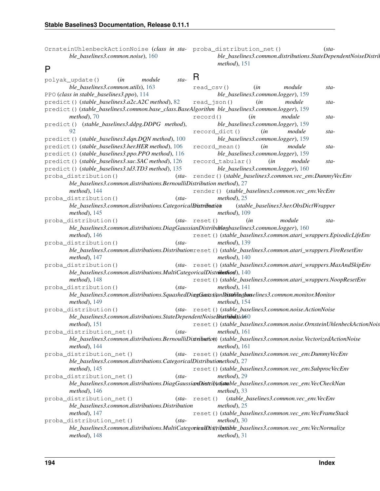OrnsteinUhlenbeckActionNoise (*class in sta-*proba\_distribution\_net() (*stable\_baselines3.common.noise*), [160](#page-163-1)

## P

*ble\_baselines3.common.distributions.StateDependentNoiseDistribution method*), [151](#page-154-0)

| polyak_update()<br>(in                                                  | module<br>sta- | R                                                                                                                |
|-------------------------------------------------------------------------|----------------|------------------------------------------------------------------------------------------------------------------|
| ble_baselines3.common.utils), 163                                       |                | $read_csv()$<br>module<br>(in<br>sta-                                                                            |
| PPO (class in stable_baselines3.ppo), 114                               |                | ble_baselines3.common.logger), 159                                                                               |
| predict () (stable_baselines3.a2c.A2C method), 82                       |                | read_json()<br>(in<br>module<br>sta-                                                                             |
|                                                                         |                | predict () (stable_baselines3.common.base_class.BaseAlgorithm_ble_baselines3.common.logger), 159                 |
| $method$ , 70                                                           |                | module<br>record()<br>(in<br>sta-                                                                                |
| predict() (stable_baselines3.ddpg.DDPG method),                         |                | ble_baselines3.common.logger), 159                                                                               |
| 92                                                                      |                | record_dict()<br>module<br>(in<br>sta-                                                                           |
| predict () (stable_baselines3.dqn.DQN method), 100                      |                | ble_baselines3.common.logger), 159                                                                               |
| predict () (stable_baselines3.her.HER method), 106                      |                | (in<br>module<br>$record_mean()$<br>sta-                                                                         |
| predict () (stable_baselines3.ppo.PPO method), 116                      |                | ble_baselines3.common.logger), 159                                                                               |
| predict () (stable_baselines3.sac.SAC method), 126                      |                | record_tabular()<br>(in<br>module<br>sta-                                                                        |
| predict () (stable_baselines3.td3.TD3 method), 135                      |                | ble_baselines3.common.logger), 160                                                                               |
| proba_distribution()                                                    |                | (sta-render()(stable_baselines3.common.vec_env.DummyVecEnv                                                       |
| ble_baselines3.common.distributions.BernoulliDistribution method), 27   |                |                                                                                                                  |
| method), 144                                                            |                | render() (stable_baselines3.common.vec_env.VecEnv                                                                |
| proba_distribution()                                                    | $(sta-$        | $method$ , 25                                                                                                    |
| ble_baselines3.common.distributions.CategoricalDistribution             |                | (stable_baselines3.her.ObsDictWrapper                                                                            |
| $method$ ), 145                                                         |                | $method$ , 109                                                                                                   |
| proba_distribution()                                                    |                | $(stat - reset()$<br>(in<br>module<br>sta-                                                                       |
|                                                                         |                | ble_baselines3.common.distributions.DiagGaussianDistributlenbaselines3.common.logger), 160                       |
| $method$ ), 146                                                         |                | reset () (stable_baselines3.common.atari_wrappers.EpisodicLifeEnv                                                |
| proba_distribution()                                                    | $(sta-$        | method), $139$                                                                                                   |
|                                                                         |                | ble_baselines3.common.distributions.Distributionreset()(stable_baselines3.common.atari_wrappers.FireResetEnv     |
| method), 147                                                            |                | $method$ , 140                                                                                                   |
| proba_distribution()                                                    |                | (sta-reset () (stable_baselines3.common.atari_wrappers.MaxAndSkipEnv                                             |
| ble_baselines3.common.distributions.MultiCategoricalDistributhiod), 140 |                |                                                                                                                  |
| method), 148                                                            |                | reset () (stable_baselines3.common.atari_wrappers.NoopResetEnv                                                   |
| proba_distribution()                                                    | $(sta-$        | $method$ , 141                                                                                                   |
|                                                                         |                | ble_baselines3.common.distributions.SquashedDiagGeatssiunDistributherselines3.common.monitor.Monitor             |
| $method$ ), 149                                                         |                | $method$ , 154                                                                                                   |
| proba_distribution()                                                    |                | (sta-reset () (stable_baselines3.common.noise.ActionNoise                                                        |
| ble_baselines3.common.distributions.StateDependentNoiseDisthibal)jdr60  |                |                                                                                                                  |
| method), 151                                                            |                | reset () (stable_baselines3.common.noise.OrnsteinUhlenbeckActionNois                                             |
| proba_distribution_net()                                                | $(sta-$        | $method$ , 161                                                                                                   |
|                                                                         |                | ble_baselines3.common.distributions.BernoulliDistribution) (stable_baselines3.common.noise.VectorizedActionNoise |
| method), 144                                                            |                | $method$ , 161                                                                                                   |
| proba_distribution_net()                                                |                | (sta-reset () (stable_baselines3.common.vec_env.DummyVecEnv                                                      |
| ble_baselines3.common.distributions.CategoricalDistributionethod), 27   |                |                                                                                                                  |
| method), 145                                                            |                | reset () (stable_baselines3.common.vec_env.SubprocVecEnv                                                         |
| proba_distribution_net()                                                | $(sta-$        | $method$ , 29                                                                                                    |
|                                                                         |                | ble_baselines3.common.distributions.DiagGaussiandBistribut(stable_baselines3.common.vec_env.VecCheckNan          |
| $method$ , 146                                                          |                | method), 33                                                                                                      |
| proba_distribution_net()                                                | $(sta-$        | (stable_baselines3.common.vec_env.VecEnv<br>reset()                                                              |
| ble_baselines3.common.distributions.Distribution                        |                | $method$ , 25                                                                                                    |
| method), $147$                                                          |                | reset () (stable_baselines3.common.vec_env.VecFrameStack                                                         |
| proba_distribution_net()                                                | $(sta-$        | $method$ , 30                                                                                                    |
|                                                                         |                | ble_baselines3.common.distributions.MultiCategoriestDistributible_baselines3.common.vec_env.VecNormalize         |
| $method$ , 148                                                          |                | $method$ , 31                                                                                                    |

#### **194 Index**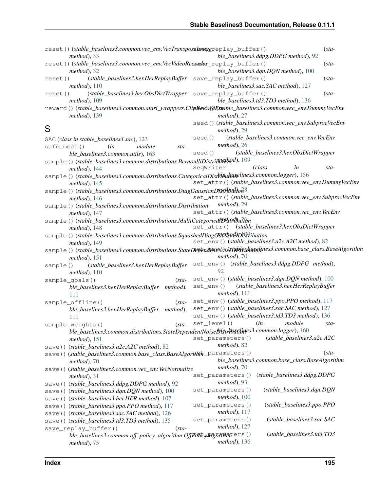|             | reset()(stable_baselines3.common.vec_env.VecTransposeHnagereplay_buffer()<br>$method$ , 33                                 |           |                                   | ble_baselines3.ddpg.DDPG method), 92                      | $(sta-$ |
|-------------|----------------------------------------------------------------------------------------------------------------------------|-----------|-----------------------------------|-----------------------------------------------------------|---------|
|             | reset()(stable_baselines3.common.vec_env.VecVideoReconder_replay_buffer()<br>$method$ , 32                                 |           |                                   | ble_baselines3.dqn.DQN method), 100                       | $(sta-$ |
| reset()     | (stable_baselines3.her.HerReplayBuffer<br>method), 110                                                                     |           | save_replay_buffer()              | ble_baselines3.sac.SAC method), 127                       | $(sta-$ |
| reset()     | (stable_baselines3.her.ObsDictWrapper<br>$method$ , 109                                                                    |           | save_replay_buffer()              | ble_baselines3.td3.TD3 method), 136                       | $(sta-$ |
|             | reward()(stable_baselines3.common.atari_wrappers.ClipRexcuvilEstable_baselines3.common.vec_env.DummyVecEnv<br>method), 139 |           | $method$ , 27                     |                                                           |         |
| S           |                                                                                                                            |           | method), 29                       | seed () (stable_baselines3.common.vec_env.SubprocVecEnv   |         |
|             | SAC (class in stable_baselines3.sac), 123                                                                                  | seed()    |                                   | (stable_baselines3.common.vec_env.VecEnv                  |         |
| safe_mean() | module<br>(in<br>sta-                                                                                                      |           | $method$ , 26                     |                                                           |         |
|             | ble_baselines3.common.utils), 163                                                                                          | seed()    |                                   | (stable_baselines3.her.ObsDictWrapper                     |         |
|             | sample()(stable_baselines3.common.distributions.BernoulliDistributebyd), 109                                               |           |                                   |                                                           |         |
|             | method), 144                                                                                                               | SeqWriter |                                   | (class<br>in                                              | sta-    |
|             | sample()(stable_baselines3.common.distributions.CategoricalDisthiBuhaselines3.common.logger), 156                          |           |                                   |                                                           |         |
|             | method), $145$                                                                                                             |           |                                   | set_attr()(stable_baselines3.common.vec_env.DummyVecEnv   |         |
|             | sample()(stable_baselines3.common.distributions.DiagGaussianDi34H94tlon8                                                   |           |                                   |                                                           |         |
|             | method), 146                                                                                                               |           |                                   | set_attr()(stable_baselines3.common.vec_env.SubprocVecEnv |         |
|             | sample()(stable_baselines3.common.distributions.Distribution                                                               |           | $method$ , 29                     |                                                           |         |
|             | method), 147                                                                                                               |           |                                   | set_attr()(stable_baselines3.common.vec_env.VecEnv        |         |
|             |                                                                                                                            |           |                                   |                                                           |         |
|             | sample()(stable_baselines3.common.distributions.MultiCategoricdlDk9Abutfon<br>$method$ , 148                               |           |                                   | set_attr() (stable_baselines3.her.ObsDictWrapper          |         |
|             | sample()(stable_baselines3.common.distributions.SquashedDiagOUtsknahDistribution                                           |           |                                   |                                                           |         |
|             | $method$ , 149                                                                                                             |           |                                   | set_env()(stable_baselines3.a2c.A2C method), 82           |         |
|             | sample()(stable_baselines3.common.distributions.StateDependenMdisetyRhibaselines3.common.base_class.BaseAlgorithm          |           |                                   |                                                           |         |
|             | $method$ , 151                                                                                                             |           | $method$ , 70                     |                                                           |         |
| sample()    | (stable_baselines3.her.HerReplayBuffer<br>method), 110                                                                     |           | 92                                | set_env() (stable_baselines3.ddpg.DDPG method),           |         |
|             |                                                                                                                            |           |                                   | set_env()(stable_baselines3.dqn.DQN method), 100          |         |
|             | sample_goals()<br>$(sta-$                                                                                                  | set_env() |                                   | (stable_baselines3.her.HerReplayBuffer)                   |         |
|             | ble_baselines3.her.HerReplayBuffer method),                                                                                |           | $method$ , 111                    |                                                           |         |
|             | 111                                                                                                                        |           |                                   |                                                           |         |
|             | sample_offline()<br>$(sta-$                                                                                                |           |                                   | set_env()(stable_baselines3.ppo.PPO method), 117          |         |
|             | ble_baselines3.her.HerReplayBuffer method),                                                                                |           |                                   | set_env()(stable_baselines3.sac.SAC method), 127          |         |
|             | 111                                                                                                                        |           |                                   | set_env()(stable_baselines3.td3.TD3 method), 136          |         |
|             | sample_weights()<br>$(sta-$                                                                                                |           |                                   | set_level() (in module sta-                               |         |
|             | ble_baselines3.common.distributions.StateDependentNoiseBlstrogglines3.common.logger), 160                                  |           |                                   |                                                           |         |
|             | $method$ , 151                                                                                                             |           | set_parameters()                  | $(stable\_baselines3.a2c.A2C$                             |         |
|             | save()(stable_baselines3.a2c.A2C method), 82                                                                               |           | $method$ , 82                     |                                                           |         |
|             | save()(stable_baselines3.common.base_class.BaseAlgor#mh-parameters()<br>$method$ , 70                                      |           |                                   | ble_baselines3.common.base_class.BaseAlgorithm            | $(sta-$ |
|             | save()(stable_baselines3.common.vec_env.VecNormalize<br>$method$ , 31                                                      |           | $method$ , 70<br>set_parameters() | (stable_baselines3.ddpg.DDPG                              |         |
|             |                                                                                                                            |           | $method$ , 93                     |                                                           |         |
|             | save () (stable_baselines3.ddpg.DDPG method), 92                                                                           |           | set_parameters()                  | (stable_baselines3.dqn.DQN                                |         |
|             | save () (stable_baselines3.dqn.DQN method), 100                                                                            |           | $method$ , 100                    |                                                           |         |
|             | save () (stable_baselines3.her.HER method), 107                                                                            |           | set_parameters()                  | (stable_baselines3.ppo.PPO                                |         |
|             | save () (stable_baselines3.ppo.PPO method), 117                                                                            |           | method), $117$                    |                                                           |         |
|             | save () (stable_baselines3.sac.SAC method), 126                                                                            |           | set_parameters()                  | (stable_baselines3.sac.SAC                                |         |
|             | save () (stable_baselines3.td3.TD3 method), 135                                                                            |           | $method$ , 127                    |                                                           |         |
|             | save_replay_buffer()<br>$(sta-$<br>ble_baselines3.common.off_policy_algorithm.OffFolicyAR6AMALers()                        |           |                                   | (stable_baselines3.td3.TD3                                |         |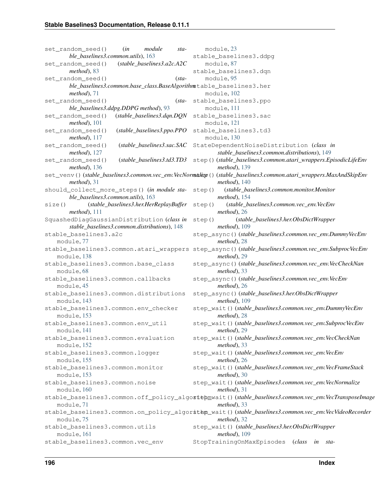set random seed() (*in module stable\_baselines3.common.utils*), [163](#page-166-0) set\_random\_seed() (*stable\_baselines3.a2c.A2C method*), [83](#page-86-0) set\_random\_seed() (*stable\_baselines3.common.base\_class.BaseAlgorithm* stable\_baselines3.her *method*), [71](#page-74-1) set random seed() *ble\_baselines3.ddpg.DDPG method*), [93](#page-96-0) set\_random\_seed() (*stable\_baselines3.dqn.DQN method*), [101](#page-104-0) set\_random\_seed() (*stable\_baselines3.ppo.PPO method*), [117](#page-120-0) set\_random\_seed() (*stable\_baselines3.sac.SAC* StateDependentNoiseDistribution (*class in method*), [127](#page-130-0) set\_random\_seed() (*stable\_baselines3.td3.TD3* step() (*stable\_baselines3.common.atari\_wrappers.EpisodicLifeEnv method*), [136](#page-139-0) set\_venv()(*stable\_baselines3.common.vec\_env.VecNormaliege*()(*stable\_baselines3.common.atari\_wrappers.MaxAndSkipEnv method*), [31](#page-34-0) should\_collect\_more\_steps() (*in module stable\_baselines3.common.utils*), [163](#page-166-0) size() (*stable\_baselines3.her.HerReplayBuffer method*), [111](#page-114-1) SquashedDiagGaussianDistribution (*class in stable\_baselines3.common.distributions*), [148](#page-151-0) stable\_baselines3.a2c module, [77](#page-80-1) stable\_baselines3.common.atari\_wrappers step\_async() (*stable\_baselines3.common.vec\_env.SubprocVecEnv* module, [138](#page-141-1) stable\_baselines3.common.base\_class module, [68](#page-71-1) stable\_baselines3.common.callbacks module, [45](#page-48-1) stable\_baselines3.common.distributions module, [143](#page-146-1) stable\_baselines3.common.env\_checker module, [153](#page-156-2) stable\_baselines3.common.env\_util module, [141](#page-144-1) stable\_baselines3.common.evaluation module, [152](#page-155-1) stable\_baselines3.common.logger module, [155](#page-158-1) stable\_baselines3.common.monitor module, [153](#page-156-2) stable\_baselines3.common.noise module, [160](#page-163-1) stable\_baselines3.common.off\_policy\_algostepmwait()(stable\_baselines3.common.vec\_env.VecTransposeImage module, [71](#page-74-1) stable\_baselines3.common.on\_policy\_algorsthp\_wait()(stable\_baselines3.common.vec\_env.VecVideoRecorder module, [75](#page-78-1) stable\_baselines3.common.utils module, [161](#page-164-1) stable\_baselines3.common.vec\_env module, [23](#page-26-1) stable\_baselines3.ddpg module, [87](#page-90-1) stable\_baselines3.dqn module, [95](#page-98-1) module, [102](#page-105-1) (sta- stable\_baselines3.ppo module, [111](#page-114-1) stable\_baselines3.sac module, [121](#page-124-1) stable\_baselines3.td3 module, [130](#page-133-1) *stable\_baselines3.common.distributions*), [149](#page-152-0) *method*), [139](#page-142-0) *method*), [140](#page-143-0) step() (*stable\_baselines3.common.monitor.Monitor method*), [154](#page-157-0) step() (*stable\_baselines3.common.vec\_env.VecEnv method*), [26](#page-29-0) step() (*stable\_baselines3.her.ObsDictWrapper method*), [109](#page-112-0) step\_async() (*stable\_baselines3.common.vec\_env.DummyVecEnv method*), [28](#page-31-0) *method*), [29](#page-32-0) step\_async() (*stable\_baselines3.common.vec\_env.VecCheckNan method*), [33](#page-36-0) step\_async() (*stable\_baselines3.common.vec\_env.VecEnv method*), [26](#page-29-0) step\_async() (*stable\_baselines3.her.ObsDictWrapper method*), [109](#page-112-0) step\_wait() (*stable\_baselines3.common.vec\_env.DummyVecEnv method*), [28](#page-31-0) step\_wait() (*stable\_baselines3.common.vec\_env.SubprocVecEnv method*), [29](#page-32-0) step\_wait() (*stable\_baselines3.common.vec\_env.VecCheckNan method*), [33](#page-36-0) step\_wait() (*stable\_baselines3.common.vec\_env.VecEnv method*), [26](#page-29-0) step\_wait() (*stable\_baselines3.common.vec\_env.VecFrameStack method*), [30](#page-33-0) step\_wait() (*stable\_baselines3.common.vec\_env.VecNormalize method*), [31](#page-34-0) *method*), [33](#page-36-0) *method*), [32](#page-35-0) step\_wait() (*stable\_baselines3.her.ObsDictWrapper method*), [109](#page-112-0) StopTrainingOnMaxEpisodes (*class in sta-*